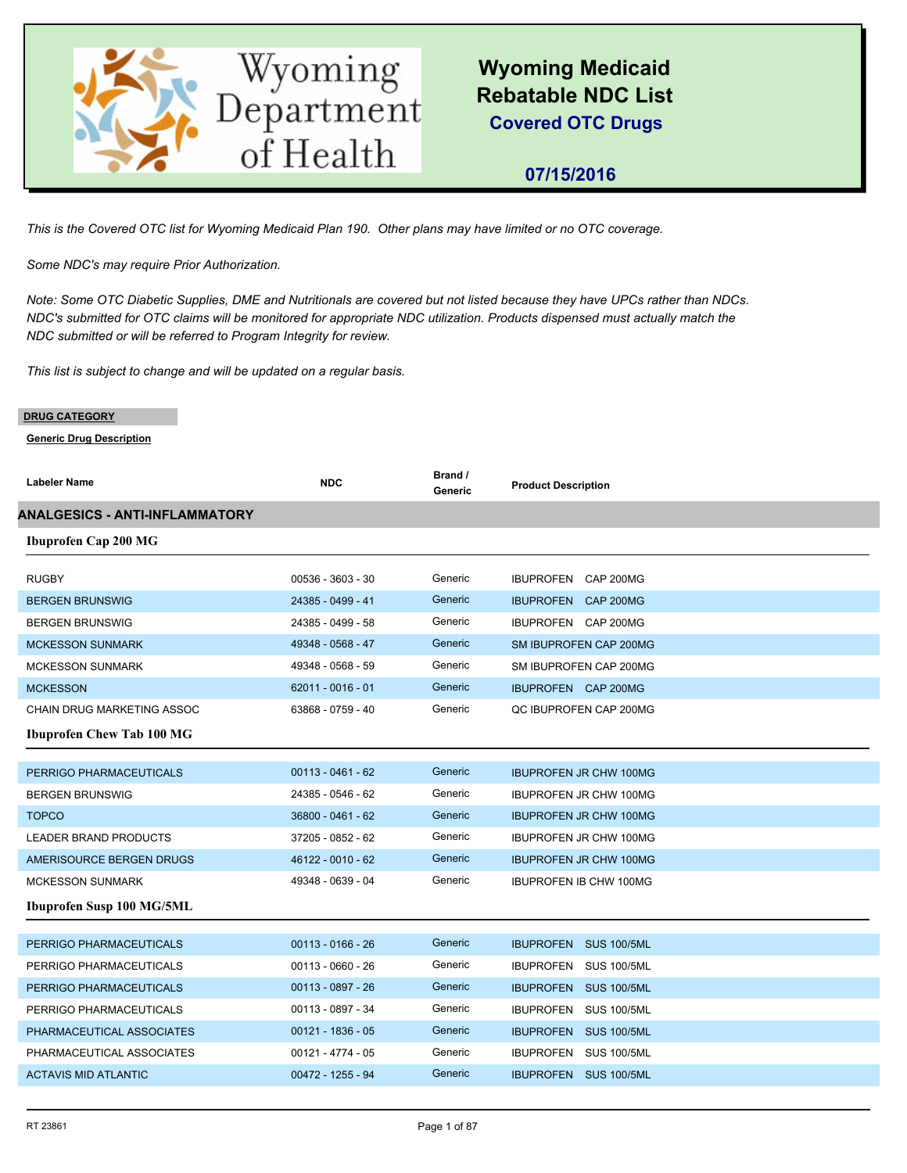

## **07/15/2016**

*This is the Covered OTC list for Wyoming Medicaid Plan 190. Other plans may have limited or no OTC coverage.*

*Some NDC's may require Prior Authorization.*

*Note: Some OTC Diabetic Supplies, DME and Nutritionals are covered but not listed because they have UPCs rather than NDCs. NDC's submitted for OTC claims will be monitored for appropriate NDC utilization. Products dispensed must actually match the NDC submitted or will be referred to Program Integrity for review.*

*This list is subject to change and will be updated on a regular basis.*

#### **DRUG CATEGORY**

| <b>Labeler Name</b>                   | <b>NDC</b>          | Brand /<br>Generic | <b>Product Description</b>    |
|---------------------------------------|---------------------|--------------------|-------------------------------|
| <b>ANALGESICS - ANTI-INFLAMMATORY</b> |                     |                    |                               |
| <b>Ibuprofen Cap 200 MG</b>           |                     |                    |                               |
|                                       |                     |                    |                               |
| <b>RUGBY</b>                          | 00536 - 3603 - 30   | Generic            | IBUPROFEN CAP 200MG           |
| <b>BERGEN BRUNSWIG</b>                | 24385 - 0499 - 41   | Generic            | IBUPROFEN CAP 200MG           |
| <b>BERGEN BRUNSWIG</b>                | 24385 - 0499 - 58   | Generic            | IBUPROFEN CAP 200MG           |
| <b>MCKESSON SUNMARK</b>               | 49348 - 0568 - 47   | Generic            | SM IBUPROFEN CAP 200MG        |
| <b>MCKESSON SUNMARK</b>               | 49348 - 0568 - 59   | Generic            | SM IBUPROFEN CAP 200MG        |
| <b>MCKESSON</b>                       | $62011 - 0016 - 01$ | Generic            | IBUPROFEN CAP 200MG           |
| <b>CHAIN DRUG MARKETING ASSOC</b>     | 63868 - 0759 - 40   | Generic            | QC IBUPROFEN CAP 200MG        |
| <b>Ibuprofen Chew Tab 100 MG</b>      |                     |                    |                               |
|                                       |                     |                    |                               |
| PERRIGO PHARMACEUTICALS               | $00113 - 0461 - 62$ | Generic            | <b>IBUPROFEN JR CHW 100MG</b> |
| <b>BERGEN BRUNSWIG</b>                | 24385 - 0546 - 62   | Generic            | <b>IBUPROFEN JR CHW 100MG</b> |
| <b>TOPCO</b>                          | 36800 - 0461 - 62   | Generic            | <b>IBUPROFEN JR CHW 100MG</b> |
| <b>LEADER BRAND PRODUCTS</b>          | 37205 - 0852 - 62   | Generic            | <b>IBUPROFEN JR CHW 100MG</b> |
| AMERISOURCE BERGEN DRUGS              | 46122 - 0010 - 62   | Generic            | <b>IBUPROFEN JR CHW 100MG</b> |
| <b>MCKESSON SUNMARK</b>               | 49348 - 0639 - 04   | Generic            | <b>IBUPROFEN IB CHW 100MG</b> |
| <b>Ibuprofen Susp 100 MG/5ML</b>      |                     |                    |                               |
|                                       |                     |                    |                               |
| PERRIGO PHARMACEUTICALS               | $00113 - 0166 - 26$ | Generic            | IBUPROFEN SUS 100/5ML         |
| PERRIGO PHARMACEUTICALS               | 00113 - 0660 - 26   | Generic            | IBUPROFEN SUS 100/5ML         |
| PERRIGO PHARMACEUTICALS               | 00113 - 0897 - 26   | Generic            | IBUPROFEN SUS 100/5ML         |
| PERRIGO PHARMACEUTICALS               | 00113 - 0897 - 34   | Generic            | IBUPROFEN SUS 100/5ML         |
| PHARMACEUTICAL ASSOCIATES             | $00121 - 1836 - 05$ | Generic            | <b>IBUPROFEN SUS 100/5ML</b>  |
| PHARMACEUTICAL ASSOCIATES             | $00121 - 4774 - 05$ | Generic            | IBUPROFEN SUS 100/5ML         |
| <b>ACTAVIS MID ATLANTIC</b>           | 00472 - 1255 - 94   | Generic            | <b>IBUPROFEN SUS 100/5ML</b>  |
|                                       |                     |                    |                               |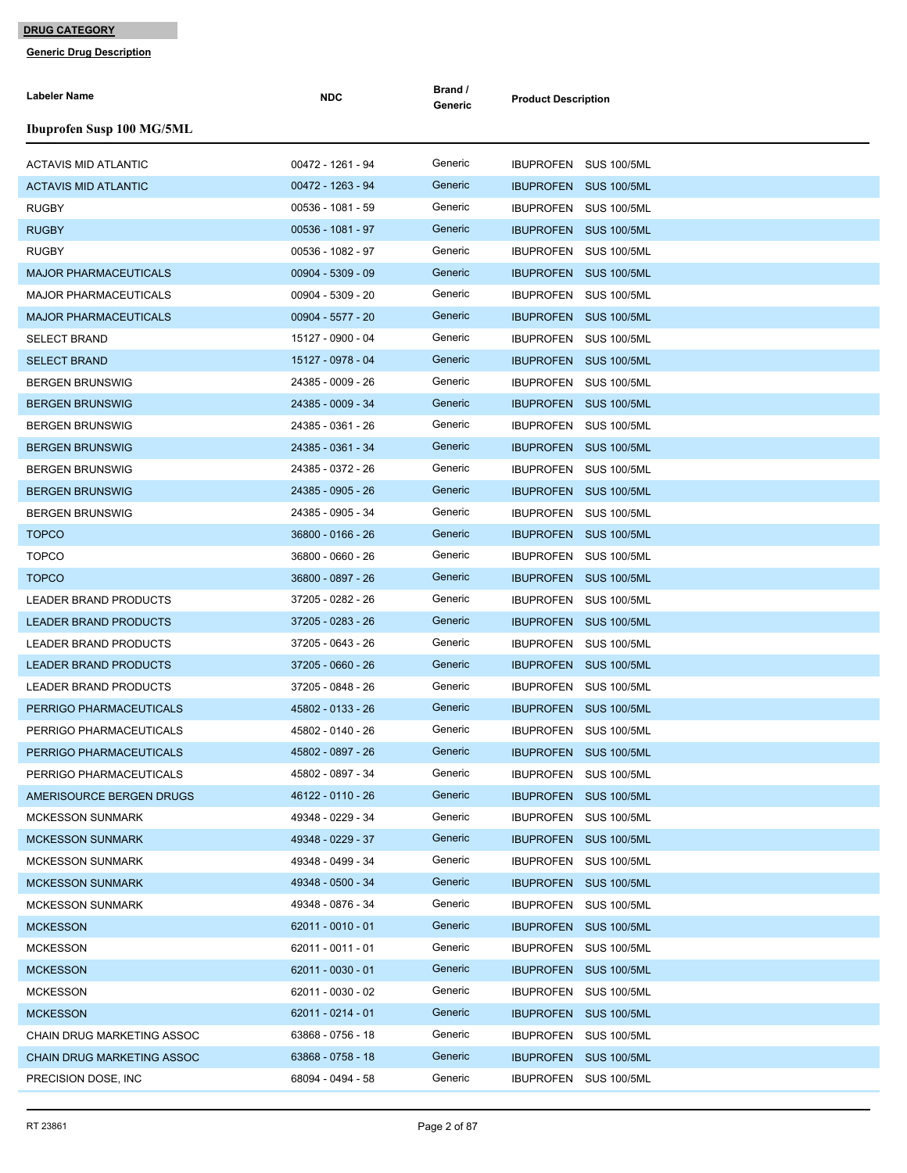| <b>Labeler Name</b>               | <b>NDC</b>          | Brand /<br>Generic | <b>Product Description</b>   |
|-----------------------------------|---------------------|--------------------|------------------------------|
| <b>Ibuprofen Susp 100 MG/5ML</b>  |                     |                    |                              |
| <b>ACTAVIS MID ATLANTIC</b>       | 00472 - 1261 - 94   | Generic            | IBUPROFEN SUS 100/5ML        |
| <b>ACTAVIS MID ATLANTIC</b>       | 00472 - 1263 - 94   | Generic            | IBUPROFEN SUS 100/5ML        |
| <b>RUGBY</b>                      | 00536 - 1081 - 59   | Generic            | IBUPROFEN SUS 100/5ML        |
| <b>RUGBY</b>                      | 00536 - 1081 - 97   | Generic            | IBUPROFEN SUS 100/5ML        |
| <b>RUGBY</b>                      | 00536 - 1082 - 97   | Generic            | IBUPROFEN SUS 100/5ML        |
| <b>MAJOR PHARMACEUTICALS</b>      | $00904 - 5309 - 09$ | Generic            | IBUPROFEN SUS 100/5ML        |
| MAJOR PHARMACEUTICALS             | 00904 - 5309 - 20   | Generic            | IBUPROFEN SUS 100/5ML        |
| <b>MAJOR PHARMACEUTICALS</b>      | 00904 - 5577 - 20   | Generic            | IBUPROFEN SUS 100/5ML        |
| <b>SELECT BRAND</b>               | 15127 - 0900 - 04   | Generic            | IBUPROFEN SUS 100/5ML        |
| <b>SELECT BRAND</b>               | 15127 - 0978 - 04   | Generic            | IBUPROFEN SUS 100/5ML        |
| <b>BERGEN BRUNSWIG</b>            | 24385 - 0009 - 26   | Generic            | IBUPROFEN SUS 100/5ML        |
| <b>BERGEN BRUNSWIG</b>            | 24385 - 0009 - 34   | Generic            | IBUPROFEN SUS 100/5ML        |
| <b>BERGEN BRUNSWIG</b>            | 24385 - 0361 - 26   | Generic            | IBUPROFEN SUS 100/5ML        |
| <b>BERGEN BRUNSWIG</b>            | 24385 - 0361 - 34   | Generic            | IBUPROFEN SUS 100/5ML        |
| <b>BERGEN BRUNSWIG</b>            | 24385 - 0372 - 26   | Generic            | IBUPROFEN SUS 100/5ML        |
| <b>BERGEN BRUNSWIG</b>            | 24385 - 0905 - 26   | Generic            | IBUPROFEN SUS 100/5ML        |
| <b>BERGEN BRUNSWIG</b>            | 24385 - 0905 - 34   | Generic            | IBUPROFEN SUS 100/5ML        |
| <b>TOPCO</b>                      | 36800 - 0166 - 26   | Generic            | IBUPROFEN SUS 100/5ML        |
| <b>TOPCO</b>                      | 36800 - 0660 - 26   | Generic            | IBUPROFEN SUS 100/5ML        |
| <b>TOPCO</b>                      | 36800 - 0897 - 26   | Generic            | <b>IBUPROFEN SUS 100/5ML</b> |
| LEADER BRAND PRODUCTS             | 37205 - 0282 - 26   | Generic            | IBUPROFEN SUS 100/5ML        |
| <b>LEADER BRAND PRODUCTS</b>      | 37205 - 0283 - 26   | Generic            | IBUPROFEN SUS 100/5ML        |
| <b>LEADER BRAND PRODUCTS</b>      | 37205 - 0643 - 26   | Generic            | IBUPROFEN SUS 100/5ML        |
| <b>LEADER BRAND PRODUCTS</b>      | 37205 - 0660 - 26   | Generic            | IBUPROFEN SUS 100/5ML        |
| LEADER BRAND PRODUCTS             | 37205 - 0848 - 26   | Generic            | IBUPROFEN SUS 100/5ML        |
| PERRIGO PHARMACEUTICALS           | 45802 - 0133 - 26   | Generic            | IBUPROFEN SUS 100/5ML        |
| PERRIGO PHARMACEUTICALS           | 45802 - 0140 - 26   | Generic            | IBUPROFEN SUS 100/5ML        |
| PERRIGO PHARMACEUTICALS           | 45802 - 0897 - 26   | Generic            | IBUPROFEN SUS 100/5ML        |
| PERRIGO PHARMACEUTICALS           | 45802 - 0897 - 34   | Generic            | IBUPROFEN SUS 100/5ML        |
| AMERISOURCE BERGEN DRUGS          | 46122 - 0110 - 26   | Generic            | IBUPROFEN SUS 100/5ML        |
| <b>MCKESSON SUNMARK</b>           | 49348 - 0229 - 34   | Generic            | IBUPROFEN SUS 100/5ML        |
| MCKESSON SUNMARK                  | 49348 - 0229 - 37   | Generic            | IBUPROFEN SUS 100/5ML        |
| <b>MCKESSON SUNMARK</b>           | 49348 - 0499 - 34   | Generic            | IBUPROFEN SUS 100/5ML        |
| <b>MCKESSON SUNMARK</b>           | 49348 - 0500 - 34   | Generic            | IBUPROFEN SUS 100/5ML        |
| <b>MCKESSON SUNMARK</b>           | 49348 - 0876 - 34   | Generic            | IBUPROFEN SUS 100/5ML        |
| <b>MCKESSON</b>                   | $62011 - 0010 - 01$ | Generic            | IBUPROFEN SUS 100/5ML        |
| <b>MCKESSON</b>                   | 62011 - 0011 - 01   | Generic            | IBUPROFEN SUS 100/5ML        |
| <b>MCKESSON</b>                   | 62011 - 0030 - 01   | Generic            | IBUPROFEN SUS 100/5ML        |
| <b>MCKESSON</b>                   | 62011 - 0030 - 02   | Generic            | IBUPROFEN SUS 100/5ML        |
| <b>MCKESSON</b>                   | 62011 - 0214 - 01   | Generic            | IBUPROFEN SUS 100/5ML        |
| CHAIN DRUG MARKETING ASSOC        | 63868 - 0756 - 18   | Generic            | IBUPROFEN SUS 100/5ML        |
| <b>CHAIN DRUG MARKETING ASSOC</b> | 63868 - 0758 - 18   | Generic            | IBUPROFEN SUS 100/5ML        |
| PRECISION DOSE, INC               | 68094 - 0494 - 58   | Generic            | IBUPROFEN SUS 100/5ML        |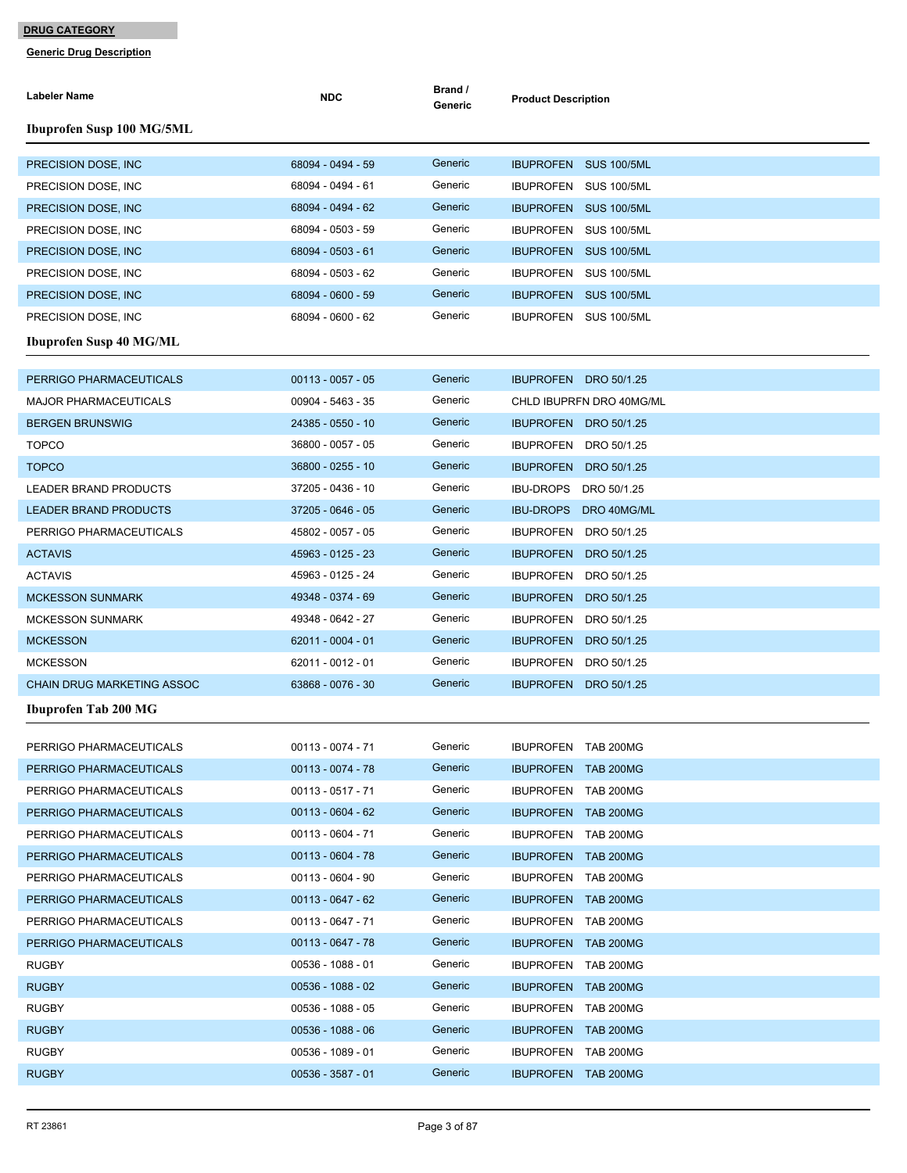| <b>Ibuprofen Susp 100 MG/5ML</b><br>Generic<br>68094 - 0494 - 59<br>PRECISION DOSE, INC<br>IBUPROFEN SUS 100/5ML<br>Generic<br>68094 - 0494 - 61<br>PRECISION DOSE, INC.<br>IBUPROFEN SUS 100/5ML<br>68094 - 0494 - 62<br>Generic<br>PRECISION DOSE, INC.<br>IBUPROFEN SUS 100/5ML<br>Generic<br>68094 - 0503 - 59<br>PRECISION DOSE, INC<br>IBUPROFEN SUS 100/5ML<br>Generic<br>PRECISION DOSE, INC. |
|-------------------------------------------------------------------------------------------------------------------------------------------------------------------------------------------------------------------------------------------------------------------------------------------------------------------------------------------------------------------------------------------------------|
|                                                                                                                                                                                                                                                                                                                                                                                                       |
|                                                                                                                                                                                                                                                                                                                                                                                                       |
|                                                                                                                                                                                                                                                                                                                                                                                                       |
|                                                                                                                                                                                                                                                                                                                                                                                                       |
|                                                                                                                                                                                                                                                                                                                                                                                                       |
| 68094 - 0503 - 61<br>IBUPROFEN SUS 100/5ML                                                                                                                                                                                                                                                                                                                                                            |
| 68094 - 0503 - 62<br>Generic<br>PRECISION DOSE, INC.<br>IBUPROFEN SUS 100/5ML                                                                                                                                                                                                                                                                                                                         |
| Generic<br>68094 - 0600 - 59<br>PRECISION DOSE, INC<br>IBUPROFEN SUS 100/5ML                                                                                                                                                                                                                                                                                                                          |
| Generic<br>68094 - 0600 - 62<br>IBUPROFEN SUS 100/5ML<br>PRECISION DOSE, INC.                                                                                                                                                                                                                                                                                                                         |
| <b>Ibuprofen Susp 40 MG/ML</b>                                                                                                                                                                                                                                                                                                                                                                        |
| $00113 - 0057 - 05$<br>Generic<br>PERRIGO PHARMACEUTICALS<br>IBUPROFEN DRO 50/1.25                                                                                                                                                                                                                                                                                                                    |
| 00904 - 5463 - 35<br>Generic<br>CHLD IBUPRFN DRO 40MG/ML<br><b>MAJOR PHARMACEUTICALS</b>                                                                                                                                                                                                                                                                                                              |
| Generic<br><b>BERGEN BRUNSWIG</b><br>24385 - 0550 - 10<br>IBUPROFEN DRO 50/1.25                                                                                                                                                                                                                                                                                                                       |
| Generic<br>36800 - 0057 - 05<br><b>TOPCO</b><br>IBUPROFEN DRO 50/1.25                                                                                                                                                                                                                                                                                                                                 |
| Generic<br>36800 - 0255 - 10<br><b>TOPCO</b><br>IBUPROFEN DRO 50/1.25                                                                                                                                                                                                                                                                                                                                 |
| Generic<br>37205 - 0436 - 10<br>LEADER BRAND PRODUCTS<br><b>IBU-DROPS</b><br>DRO 50/1.25                                                                                                                                                                                                                                                                                                              |
| Generic<br>37205 - 0646 - 05<br><b>LEADER BRAND PRODUCTS</b><br>IBU-DROPS DRO 40MG/ML                                                                                                                                                                                                                                                                                                                 |
| Generic<br>PERRIGO PHARMACEUTICALS<br>45802 - 0057 - 05<br>IBUPROFEN DRO 50/1.25                                                                                                                                                                                                                                                                                                                      |
| Generic<br>45963 - 0125 - 23<br><b>ACTAVIS</b><br><b>IBUPROFEN</b><br>DRO 50/1.25                                                                                                                                                                                                                                                                                                                     |
| Generic<br>45963 - 0125 - 24<br><b>ACTAVIS</b><br>IBUPROFEN DRO 50/1.25                                                                                                                                                                                                                                                                                                                               |
| 49348 - 0374 - 69<br>Generic<br><b>MCKESSON SUNMARK</b><br><b>IBUPROFEN</b><br>DRO 50/1.25                                                                                                                                                                                                                                                                                                            |
| 49348 - 0642 - 27<br>Generic<br>IBUPROFEN DRO 50/1.25<br><b>MCKESSON SUNMARK</b>                                                                                                                                                                                                                                                                                                                      |
| 62011 - 0004 - 01<br>Generic<br><b>MCKESSON</b><br>IBUPROFEN DRO 50/1.25                                                                                                                                                                                                                                                                                                                              |
| Generic<br>62011 - 0012 - 01<br><b>MCKESSON</b><br><b>IBUPROFEN</b><br>DRO 50/1.25                                                                                                                                                                                                                                                                                                                    |
| Generic<br>63868 - 0076 - 30<br><b>CHAIN DRUG MARKETING ASSOC</b><br>IBUPROFEN DRO 50/1.25                                                                                                                                                                                                                                                                                                            |
| Ibuprofen Tab 200 MG                                                                                                                                                                                                                                                                                                                                                                                  |
|                                                                                                                                                                                                                                                                                                                                                                                                       |
| Generic<br>00113 - 0074 - 71<br>IBUPROFEN TAB 200MG<br>PERRIGO PHARMACEUTICALS<br>Generic                                                                                                                                                                                                                                                                                                             |
| $00113 - 0074 - 78$<br>PERRIGO PHARMACEUTICALS<br>IBUPROFEN TAB 200MG<br>Generic                                                                                                                                                                                                                                                                                                                      |
| $00113 - 0517 - 71$<br>IBUPROFEN TAB 200MG<br>PERRIGO PHARMACEUTICALS<br>Generic<br>$00113 - 0604 - 62$                                                                                                                                                                                                                                                                                               |
| PERRIGO PHARMACEUTICALS<br>IBUPROFEN TAB 200MG<br>Generic<br>00113 - 0604 - 71<br>IBUPROFEN TAB 200MG                                                                                                                                                                                                                                                                                                 |
| PERRIGO PHARMACEUTICALS<br>Generic<br>$00113 - 0604 - 78$<br>PERRIGO PHARMACEUTICALS<br>IBUPROFEN TAB 200MG                                                                                                                                                                                                                                                                                           |
| $00113 - 0604 - 90$<br>Generic<br>PERRIGO PHARMACEUTICALS<br>IBUPROFEN TAB 200MG                                                                                                                                                                                                                                                                                                                      |
| Generic<br>PERRIGO PHARMACEUTICALS<br>$00113 - 0647 - 62$<br>IBUPROFEN TAB 200MG                                                                                                                                                                                                                                                                                                                      |
| Generic<br>$00113 - 0647 - 71$<br>PERRIGO PHARMACEUTICALS<br>IBUPROFEN TAB 200MG                                                                                                                                                                                                                                                                                                                      |
| Generic<br>$00113 - 0647 - 78$                                                                                                                                                                                                                                                                                                                                                                        |
| PERRIGO PHARMACEUTICALS<br>IBUPROFEN TAB 200MG<br>Generic<br>00536 - 1088 - 01<br><b>RUGBY</b><br>IBUPROFEN TAB 200MG                                                                                                                                                                                                                                                                                 |
| $00536 - 1088 - 02$<br>Generic<br><b>RUGBY</b><br>IBUPROFEN TAB 200MG                                                                                                                                                                                                                                                                                                                                 |
| Generic<br><b>RUGBY</b><br>00536 - 1088 - 05<br>IBUPROFEN TAB 200MG                                                                                                                                                                                                                                                                                                                                   |
| Generic<br>$00536 - 1088 - 06$<br><b>RUGBY</b><br><b>IBUPROFEN TAB 200MG</b>                                                                                                                                                                                                                                                                                                                          |
| Generic<br>00536 - 1089 - 01<br><b>RUGBY</b><br>IBUPROFEN TAB 200MG                                                                                                                                                                                                                                                                                                                                   |
| Generic<br><b>RUGBY</b><br>$00536 - 3587 - 01$<br>IBUPROFEN TAB 200MG                                                                                                                                                                                                                                                                                                                                 |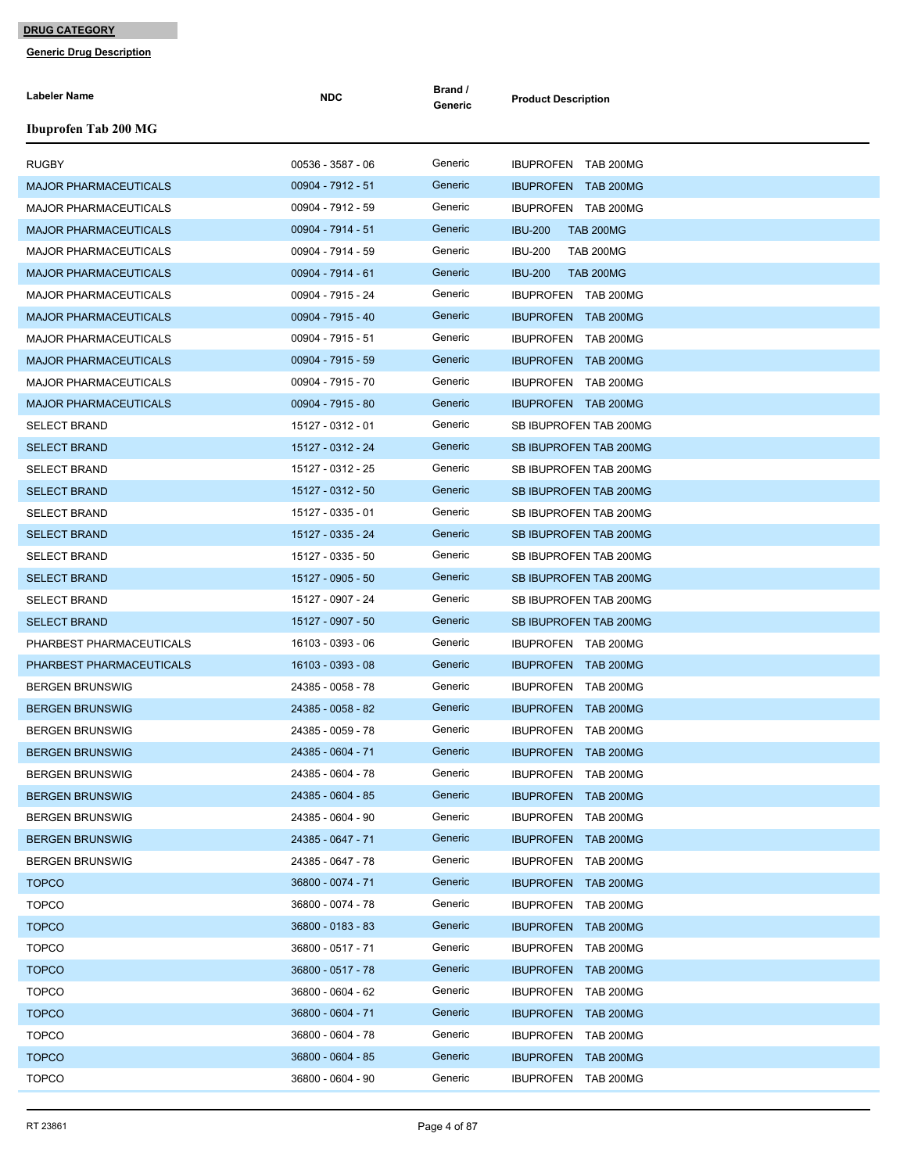| <b>Labeler Name</b>          | <b>NDC</b>        | Brand /<br>Generic | <b>Product Description</b>         |
|------------------------------|-------------------|--------------------|------------------------------------|
| <b>Ibuprofen Tab 200 MG</b>  |                   |                    |                                    |
| <b>RUGBY</b>                 | 00536 - 3587 - 06 | Generic            | IBUPROFEN TAB 200MG                |
| <b>MAJOR PHARMACEUTICALS</b> | 00904 - 7912 - 51 | Generic            | <b>IBUPROFEN TAB 200MG</b>         |
| <b>MAJOR PHARMACEUTICALS</b> | 00904 - 7912 - 59 | Generic            | IBUPROFEN TAB 200MG                |
| <b>MAJOR PHARMACEUTICALS</b> | 00904 - 7914 - 51 | Generic            | <b>IBU-200</b><br><b>TAB 200MG</b> |
| MAJOR PHARMACEUTICALS        | 00904 - 7914 - 59 | Generic            | <b>IBU-200</b><br><b>TAB 200MG</b> |
| <b>MAJOR PHARMACEUTICALS</b> | 00904 - 7914 - 61 | Generic            | <b>IBU-200</b><br><b>TAB 200MG</b> |
| <b>MAJOR PHARMACEUTICALS</b> | 00904 - 7915 - 24 | Generic            | IBUPROFEN TAB 200MG                |
| <b>MAJOR PHARMACEUTICALS</b> | 00904 - 7915 - 40 | Generic            | IBUPROFEN TAB 200MG                |
| <b>MAJOR PHARMACEUTICALS</b> | 00904 - 7915 - 51 | Generic            | IBUPROFEN TAB 200MG                |
| <b>MAJOR PHARMACEUTICALS</b> | 00904 - 7915 - 59 | Generic            | <b>IBUPROFEN TAB 200MG</b>         |
| <b>MAJOR PHARMACEUTICALS</b> | 00904 - 7915 - 70 | Generic            | IBUPROFEN TAB 200MG                |
| <b>MAJOR PHARMACEUTICALS</b> | 00904 - 7915 - 80 | Generic            | <b>IBUPROFEN TAB 200MG</b>         |
| <b>SELECT BRAND</b>          | 15127 - 0312 - 01 | Generic            | SB IBUPROFEN TAB 200MG             |
| <b>SELECT BRAND</b>          | 15127 - 0312 - 24 | Generic            | SB IBUPROFEN TAB 200MG             |
| SELECT BRAND                 | 15127 - 0312 - 25 | Generic            | SB IBUPROFEN TAB 200MG             |
| <b>SELECT BRAND</b>          | 15127 - 0312 - 50 | Generic            | SB IBUPROFEN TAB 200MG             |
| <b>SELECT BRAND</b>          | 15127 - 0335 - 01 | Generic            | SB IBUPROFEN TAB 200MG             |
| <b>SELECT BRAND</b>          | 15127 - 0335 - 24 | Generic            | SB IBUPROFEN TAB 200MG             |
| <b>SELECT BRAND</b>          | 15127 - 0335 - 50 | Generic            | SB IBUPROFEN TAB 200MG             |
| <b>SELECT BRAND</b>          | 15127 - 0905 - 50 | Generic            | SB IBUPROFEN TAB 200MG             |
| <b>SELECT BRAND</b>          | 15127 - 0907 - 24 | Generic            | SB IBUPROFEN TAB 200MG             |
| <b>SELECT BRAND</b>          | 15127 - 0907 - 50 | Generic            | SB IBUPROFEN TAB 200MG             |
| PHARBEST PHARMACEUTICALS     | 16103 - 0393 - 06 | Generic            | IBUPROFEN TAB 200MG                |
| PHARBEST PHARMACEUTICALS     | 16103 - 0393 - 08 | Generic            | <b>IBUPROFEN TAB 200MG</b>         |
| <b>BERGEN BRUNSWIG</b>       | 24385 - 0058 - 78 | Generic            | IBUPROFEN TAB 200MG                |
| <b>BERGEN BRUNSWIG</b>       | 24385 - 0058 - 82 | Generic            | <b>IBUPROFEN TAB 200MG</b>         |
| <b>BERGEN BRUNSWIG</b>       | 24385 - 0059 - 78 | Generic            | IBUPROFEN TAB 200MG                |
| <b>BERGEN BRUNSWIG</b>       | 24385 - 0604 - 71 | Generic            | IBUPROFEN TAB 200MG                |
| <b>BERGEN BRUNSWIG</b>       | 24385 - 0604 - 78 | Generic            | IBUPROFEN TAB 200MG                |
| <b>BERGEN BRUNSWIG</b>       | 24385 - 0604 - 85 | Generic            | IBUPROFEN TAB 200MG                |
| <b>BERGEN BRUNSWIG</b>       | 24385 - 0604 - 90 | Generic            | IBUPROFEN TAB 200MG                |
| <b>BERGEN BRUNSWIG</b>       | 24385 - 0647 - 71 | Generic            | <b>IBUPROFEN TAB 200MG</b>         |
| <b>BERGEN BRUNSWIG</b>       | 24385 - 0647 - 78 | Generic            | IBUPROFEN TAB 200MG                |
| <b>TOPCO</b>                 | 36800 - 0074 - 71 | Generic            | IBUPROFEN TAB 200MG                |
| <b>TOPCO</b>                 | 36800 - 0074 - 78 | Generic            | IBUPROFEN TAB 200MG                |
| <b>TOPCO</b>                 | 36800 - 0183 - 83 | Generic            | IBUPROFEN TAB 200MG                |
| <b>TOPCO</b>                 | 36800 - 0517 - 71 | Generic            | IBUPROFEN TAB 200MG                |
| <b>TOPCO</b>                 | 36800 - 0517 - 78 | Generic            | IBUPROFEN TAB 200MG                |
| <b>TOPCO</b>                 | 36800 - 0604 - 62 | Generic            | IBUPROFEN TAB 200MG                |
| <b>TOPCO</b>                 | 36800 - 0604 - 71 | Generic            | <b>IBUPROFEN TAB 200MG</b>         |
| <b>TOPCO</b>                 | 36800 - 0604 - 78 | Generic            | IBUPROFEN TAB 200MG                |
| <b>TOPCO</b>                 | 36800 - 0604 - 85 | Generic            | IBUPROFEN TAB 200MG                |
| <b>TOPCO</b>                 | 36800 - 0604 - 90 | Generic            | IBUPROFEN TAB 200MG                |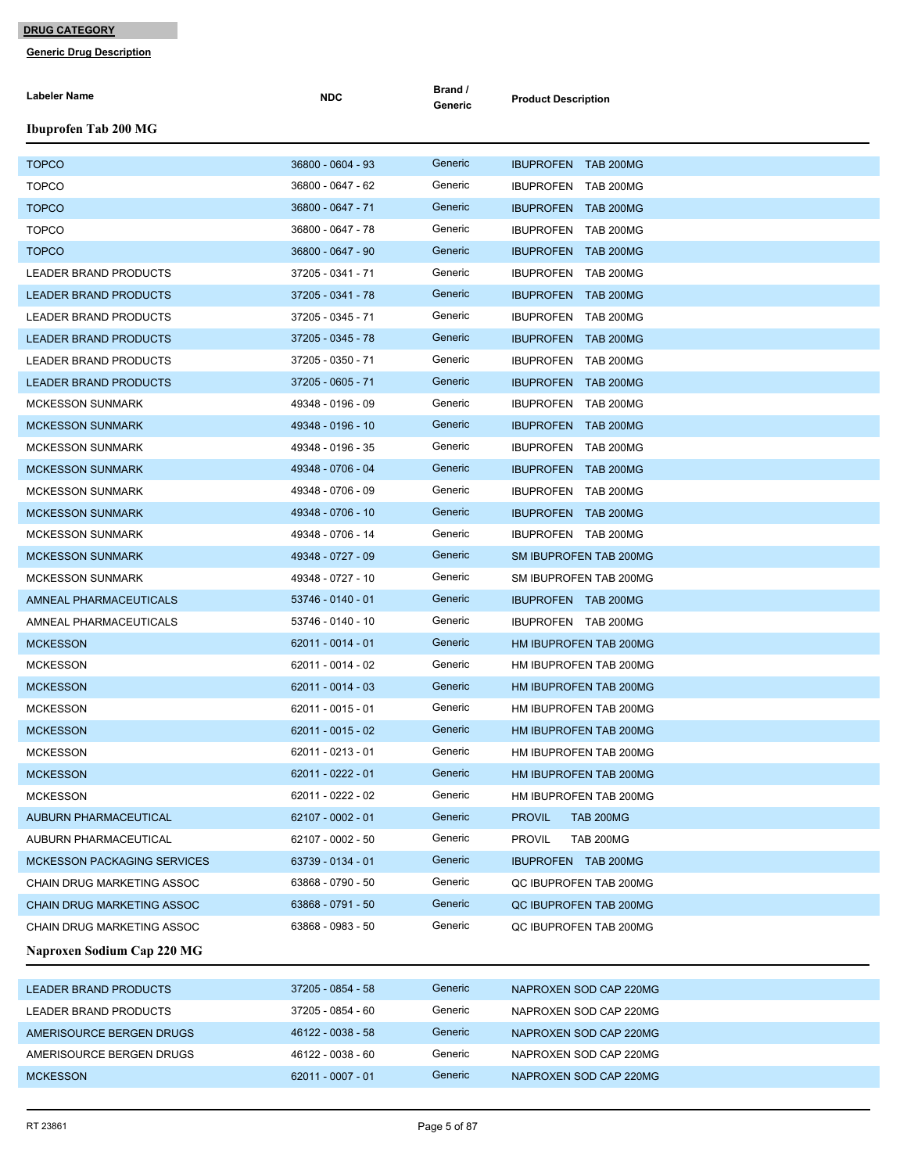| <b>Labeler Name</b>                | <b>NDC</b>        | Brand /<br>Generic | <b>Product Description</b>        |
|------------------------------------|-------------------|--------------------|-----------------------------------|
| <b>Ibuprofen Tab 200 MG</b>        |                   |                    |                                   |
| <b>TOPCO</b>                       | 36800 - 0604 - 93 | Generic            | <b>IBUPROFEN TAB 200MG</b>        |
| <b>TOPCO</b>                       | 36800 - 0647 - 62 | Generic            | IBUPROFEN TAB 200MG               |
| <b>TOPCO</b>                       | 36800 - 0647 - 71 | Generic            | <b>IBUPROFEN TAB 200MG</b>        |
| <b>TOPCO</b>                       | 36800 - 0647 - 78 | Generic            | IBUPROFEN TAB 200MG               |
| <b>TOPCO</b>                       | 36800 - 0647 - 90 | Generic            | <b>IBUPROFEN TAB 200MG</b>        |
| LEADER BRAND PRODUCTS              | 37205 - 0341 - 71 | Generic            | IBUPROFEN TAB 200MG               |
| <b>LEADER BRAND PRODUCTS</b>       | 37205 - 0341 - 78 | Generic            | <b>IBUPROFEN TAB 200MG</b>        |
| LEADER BRAND PRODUCTS              | 37205 - 0345 - 71 | Generic            | IBUPROFEN TAB 200MG               |
| <b>LEADER BRAND PRODUCTS</b>       | 37205 - 0345 - 78 | Generic            | IBUPROFEN TAB 200MG               |
| LEADER BRAND PRODUCTS              | 37205 - 0350 - 71 | Generic            | IBUPROFEN TAB 200MG               |
| <b>LEADER BRAND PRODUCTS</b>       | 37205 - 0605 - 71 | Generic            | IBUPROFEN TAB 200MG               |
| <b>MCKESSON SUNMARK</b>            | 49348 - 0196 - 09 | Generic            | IBUPROFEN TAB 200MG               |
| <b>MCKESSON SUNMARK</b>            | 49348 - 0196 - 10 | Generic            | IBUPROFEN TAB 200MG               |
| <b>MCKESSON SUNMARK</b>            | 49348 - 0196 - 35 | Generic            | IBUPROFEN TAB 200MG               |
| MCKESSON SUNMARK                   | 49348 - 0706 - 04 | Generic            | IBUPROFEN TAB 200MG               |
| MCKESSON SUNMARK                   | 49348 - 0706 - 09 | Generic            | IBUPROFEN TAB 200MG               |
| <b>MCKESSON SUNMARK</b>            | 49348 - 0706 - 10 | Generic            | IBUPROFEN TAB 200MG               |
| <b>MCKESSON SUNMARK</b>            | 49348 - 0706 - 14 | Generic            | IBUPROFEN TAB 200MG               |
| <b>MCKESSON SUNMARK</b>            | 49348 - 0727 - 09 | Generic            | SM IBUPROFEN TAB 200MG            |
| <b>MCKESSON SUNMARK</b>            | 49348 - 0727 - 10 | Generic            | SM IBUPROFEN TAB 200MG            |
| AMNEAL PHARMACEUTICALS             | 53746 - 0140 - 01 | Generic            | IBUPROFEN TAB 200MG               |
| AMNEAL PHARMACEUTICALS             | 53746 - 0140 - 10 | Generic            | IBUPROFEN TAB 200MG               |
| <b>MCKESSON</b>                    | 62011 - 0014 - 01 | Generic            | HM IBUPROFEN TAB 200MG            |
| <b>MCKESSON</b>                    | 62011 - 0014 - 02 | Generic            | HM IBUPROFEN TAB 200MG            |
| MCKESSON                           | 62011 - 0014 - 03 | Generic            | HM IBUPROFEN TAB 200MG            |
| <b>MCKESSON</b>                    | 62011 - 0015 - 01 | Generic            | HM IBUPROFEN TAB 200MG            |
| <b>MCKESSON</b>                    | 62011 - 0015 - 02 | Generic            | HM IBUPROFEN TAB 200MG            |
| <b>MCKESSON</b>                    | 62011 - 0213 - 01 | Generic            | HM IBUPROFEN TAB 200MG            |
| <b>MCKESSON</b>                    | 62011 - 0222 - 01 | Generic            | HM IBUPROFEN TAB 200MG            |
| <b>MCKESSON</b>                    | 62011 - 0222 - 02 | Generic            | HM IBUPROFEN TAB 200MG            |
| AUBURN PHARMACEUTICAL              | 62107 - 0002 - 01 | Generic            | <b>PROVIL</b><br><b>TAB 200MG</b> |
| AUBURN PHARMACEUTICAL              | 62107 - 0002 - 50 | Generic            | <b>PROVIL</b><br><b>TAB 200MG</b> |
| <b>MCKESSON PACKAGING SERVICES</b> | 63739 - 0134 - 01 | Generic            | IBUPROFEN TAB 200MG               |
| <b>CHAIN DRUG MARKETING ASSOC</b>  | 63868 - 0790 - 50 | Generic            | QC IBUPROFEN TAB 200MG            |
| CHAIN DRUG MARKETING ASSOC         | 63868 - 0791 - 50 | Generic            | QC IBUPROFEN TAB 200MG            |
| CHAIN DRUG MARKETING ASSOC         | 63868 - 0983 - 50 | Generic            | QC IBUPROFEN TAB 200MG            |
| Naproxen Sodium Cap 220 MG         |                   |                    |                                   |
| LEADER BRAND PRODUCTS              | 37205 - 0854 - 58 | Generic            | NAPROXEN SOD CAP 220MG            |
| LEADER BRAND PRODUCTS              | 37205 - 0854 - 60 | Generic            | NAPROXEN SOD CAP 220MG            |
| AMERISOURCE BERGEN DRUGS           | 46122 - 0038 - 58 | Generic            | NAPROXEN SOD CAP 220MG            |
| AMERISOURCE BERGEN DRUGS           | 46122 - 0038 - 60 | Generic            | NAPROXEN SOD CAP 220MG            |
| <b>MCKESSON</b>                    | 62011 - 0007 - 01 | Generic            | NAPROXEN SOD CAP 220MG            |
|                                    |                   |                    |                                   |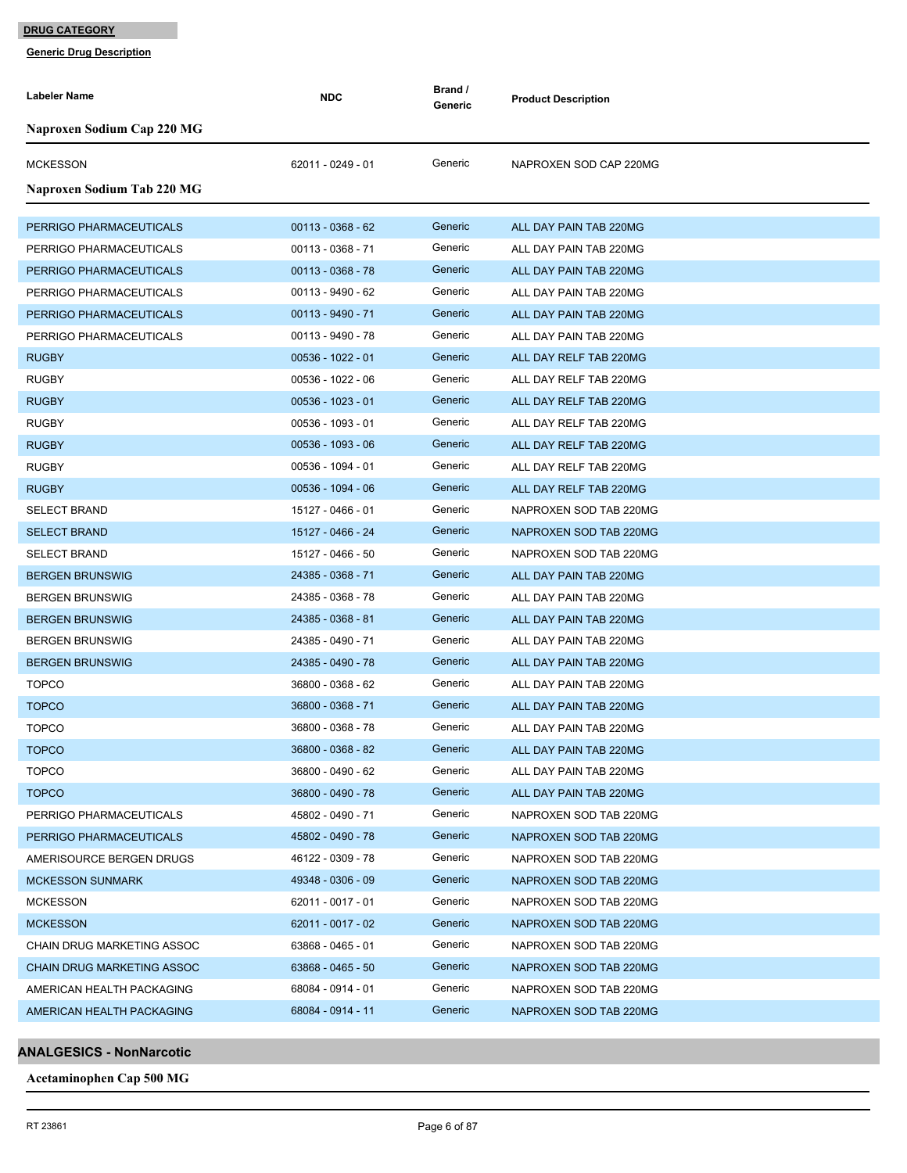**Generic Drug Description**

| <b>Labeler Name</b>               | <b>NDC</b>          | Brand /<br>Generic | <b>Product Description</b> |
|-----------------------------------|---------------------|--------------------|----------------------------|
| Naproxen Sodium Cap 220 MG        |                     |                    |                            |
| <b>MCKESSON</b>                   | 62011 - 0249 - 01   | Generic            | NAPROXEN SOD CAP 220MG     |
| Naproxen Sodium Tab 220 MG        |                     |                    |                            |
| PERRIGO PHARMACEUTICALS           | $00113 - 0368 - 62$ | Generic            | ALL DAY PAIN TAB 220MG     |
| PERRIGO PHARMACEUTICALS           | 00113 - 0368 - 71   | Generic            | ALL DAY PAIN TAB 220MG     |
| PERRIGO PHARMACEUTICALS           | $00113 - 0368 - 78$ | Generic            | ALL DAY PAIN TAB 220MG     |
| PERRIGO PHARMACEUTICALS           | 00113 - 9490 - 62   | Generic            | ALL DAY PAIN TAB 220MG     |
| PERRIGO PHARMACEUTICALS           | 00113 - 9490 - 71   | Generic            | ALL DAY PAIN TAB 220MG     |
| PERRIGO PHARMACEUTICALS           | 00113 - 9490 - 78   | Generic            | ALL DAY PAIN TAB 220MG     |
| <b>RUGBY</b>                      | $00536 - 1022 - 01$ | Generic            | ALL DAY RELF TAB 220MG     |
| <b>RUGBY</b>                      | 00536 - 1022 - 06   | Generic            | ALL DAY RELF TAB 220MG     |
| <b>RUGBY</b>                      | $00536 - 1023 - 01$ | Generic            | ALL DAY RELF TAB 220MG     |
| <b>RUGBY</b>                      | 00536 - 1093 - 01   | Generic            | ALL DAY RELF TAB 220MG     |
| <b>RUGBY</b>                      | 00536 - 1093 - 06   | Generic            | ALL DAY RELF TAB 220MG     |
| <b>RUGBY</b>                      | 00536 - 1094 - 01   | Generic            | ALL DAY RELF TAB 220MG     |
| <b>RUGBY</b>                      | 00536 - 1094 - 06   | Generic            | ALL DAY RELF TAB 220MG     |
| <b>SELECT BRAND</b>               | 15127 - 0466 - 01   | Generic            | NAPROXEN SOD TAB 220MG     |
| <b>SELECT BRAND</b>               | 15127 - 0466 - 24   | Generic            | NAPROXEN SOD TAB 220MG     |
| <b>SELECT BRAND</b>               | 15127 - 0466 - 50   | Generic            | NAPROXEN SOD TAB 220MG     |
| <b>BERGEN BRUNSWIG</b>            | 24385 - 0368 - 71   | Generic            | ALL DAY PAIN TAB 220MG     |
| <b>BERGEN BRUNSWIG</b>            | 24385 - 0368 - 78   | Generic            | ALL DAY PAIN TAB 220MG     |
| <b>BERGEN BRUNSWIG</b>            | 24385 - 0368 - 81   | Generic            | ALL DAY PAIN TAB 220MG     |
| <b>BERGEN BRUNSWIG</b>            | 24385 - 0490 - 71   | Generic            | ALL DAY PAIN TAB 220MG     |
| <b>BERGEN BRUNSWIG</b>            | 24385 - 0490 - 78   | Generic            | ALL DAY PAIN TAB 220MG     |
| <b>TOPCO</b>                      | 36800 - 0368 - 62   | Generic            | ALL DAY PAIN TAB 220MG     |
| <b>TOPCO</b>                      | 36800 - 0368 - 71   | Generic            | ALL DAY PAIN TAB 220MG     |
| <b>TOPCO</b>                      | 36800 - 0368 - 78   | Generic            | ALL DAY PAIN TAB 220MG     |
| TOPCO                             | 36800 - 0368 - 82   | Generic            | ALL DAY PAIN TAB 220MG     |
| <b>TOPCO</b>                      | 36800 - 0490 - 62   | Generic            | ALL DAY PAIN TAB 220MG     |
| <b>TOPCO</b>                      | 36800 - 0490 - 78   | Generic            | ALL DAY PAIN TAB 220MG     |
| PERRIGO PHARMACEUTICALS           | 45802 - 0490 - 71   | Generic            | NAPROXEN SOD TAB 220MG     |
| PERRIGO PHARMACEUTICALS           | 45802 - 0490 - 78   | Generic            | NAPROXEN SOD TAB 220MG     |
| AMERISOURCE BERGEN DRUGS          | 46122 - 0309 - 78   | Generic            | NAPROXEN SOD TAB 220MG     |
| <b>MCKESSON SUNMARK</b>           | 49348 - 0306 - 09   | Generic            | NAPROXEN SOD TAB 220MG     |
| <b>MCKESSON</b>                   | 62011 - 0017 - 01   | Generic            | NAPROXEN SOD TAB 220MG     |
| <b>MCKESSON</b>                   | 62011 - 0017 - 02   | Generic            | NAPROXEN SOD TAB 220MG     |
| CHAIN DRUG MARKETING ASSOC        | 63868 - 0465 - 01   | Generic            | NAPROXEN SOD TAB 220MG     |
| <b>CHAIN DRUG MARKETING ASSOC</b> | 63868 - 0465 - 50   | Generic            | NAPROXEN SOD TAB 220MG     |
| AMERICAN HEALTH PACKAGING         | 68084 - 0914 - 01   | Generic            | NAPROXEN SOD TAB 220MG     |
| AMERICAN HEALTH PACKAGING         | 68084 - 0914 - 11   | Generic            | NAPROXEN SOD TAB 220MG     |

**ANALGESICS - NonNarcotic**

**Acetaminophen Cap 500 MG**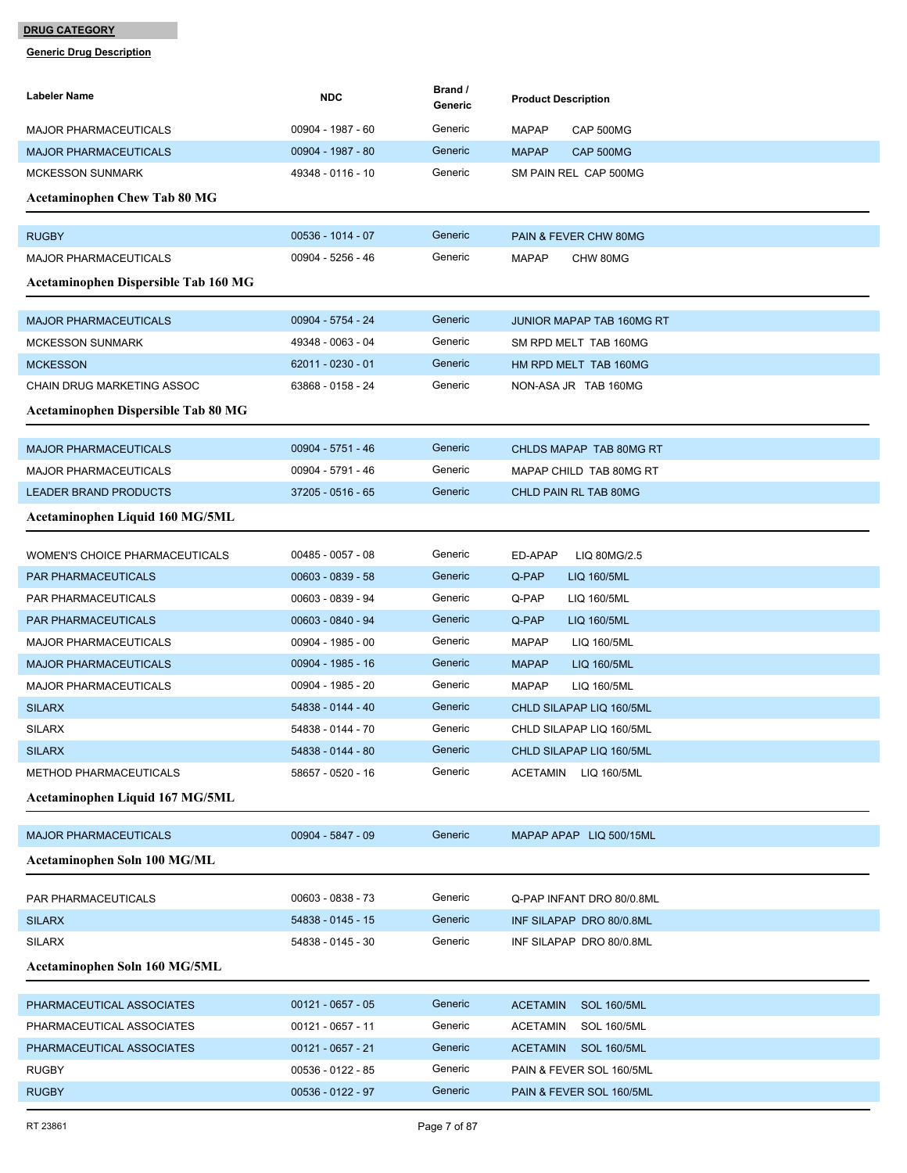| Labeler Name                         | <b>NDC</b>          | Brand /<br>Generic | <b>Product Description</b>            |
|--------------------------------------|---------------------|--------------------|---------------------------------------|
| MAJOR PHARMACEUTICALS                | 00904 - 1987 - 60   | Generic            | <b>MAPAP</b><br>CAP 500MG             |
| <b>MAJOR PHARMACEUTICALS</b>         | 00904 - 1987 - 80   | Generic            | CAP 500MG<br><b>MAPAP</b>             |
| <b>MCKESSON SUNMARK</b>              | 49348 - 0116 - 10   | Generic            | SM PAIN REL CAP 500MG                 |
| <b>Acetaminophen Chew Tab 80 MG</b>  |                     |                    |                                       |
| <b>RUGBY</b>                         | 00536 - 1014 - 07   | Generic            | PAIN & FEVER CHW 80MG                 |
| <b>MAJOR PHARMACEUTICALS</b>         | 00904 - 5256 - 46   | Generic            | <b>MAPAP</b><br>CHW 80MG              |
| Acetaminophen Dispersible Tab 160 MG |                     |                    |                                       |
| <b>MAJOR PHARMACEUTICALS</b>         | 00904 - 5754 - 24   | Generic            | <b>JUNIOR MAPAP TAB 160MG RT</b>      |
| <b>MCKESSON SUNMARK</b>              | 49348 - 0063 - 04   | Generic            | SM RPD MELT TAB 160MG                 |
| <b>MCKESSON</b>                      | 62011 - 0230 - 01   | Generic            | HM RPD MELT TAB 160MG                 |
| CHAIN DRUG MARKETING ASSOC           | 63868 - 0158 - 24   | Generic            | NON-ASA JR TAB 160MG                  |
| Acetaminophen Dispersible Tab 80 MG  |                     |                    |                                       |
| <b>MAJOR PHARMACEUTICALS</b>         | 00904 - 5751 - 46   | Generic            | CHLDS MAPAP TAB 80MG RT               |
| <b>MAJOR PHARMACEUTICALS</b>         | 00904 - 5791 - 46   | Generic            | MAPAP CHILD TAB 80MG RT               |
| <b>LEADER BRAND PRODUCTS</b>         | 37205 - 0516 - 65   | Generic            | CHLD PAIN RL TAB 80MG                 |
| Acetaminophen Liquid 160 MG/5ML      |                     |                    |                                       |
| WOMEN'S CHOICE PHARMACEUTICALS       | 00485 - 0057 - 08   | Generic            | ED-APAP<br>LIQ 80MG/2.5               |
| <b>PAR PHARMACEUTICALS</b>           | 00603 - 0839 - 58   | Generic            | Q-PAP<br>LIQ 160/5ML                  |
| PAR PHARMACEUTICALS                  | 00603 - 0839 - 94   | Generic            | Q-PAP<br>LIQ 160/5ML                  |
| PAR PHARMACEUTICALS                  | 00603 - 0840 - 94   | Generic            | Q-PAP<br>LIQ 160/5ML                  |
| <b>MAJOR PHARMACEUTICALS</b>         | 00904 - 1985 - 00   | Generic            | <b>MAPAP</b><br>LIQ 160/5ML           |
| <b>MAJOR PHARMACEUTICALS</b>         | 00904 - 1985 - 16   | Generic            | <b>MAPAP</b><br>LIQ 160/5ML           |
| <b>MAJOR PHARMACEUTICALS</b>         | 00904 - 1985 - 20   | Generic            | <b>MAPAP</b><br>LIQ 160/5ML           |
| <b>SILARX</b>                        | 54838 - 0144 - 40   | Generic            | CHLD SILAPAP LIQ 160/5ML              |
| <b>SILARX</b>                        | 54838 - 0144 - 70   | Generic            | CHLD SILAPAP LIQ 160/5ML              |
| <b>SILARX</b>                        | 54838 - 0144 - 80   | Generic            | CHLD SILAPAP LIQ 160/5ML              |
| METHOD PHARMACEUTICALS               | 58657 - 0520 - 16   | Generic            | ACETAMIN<br>LIQ 160/5ML               |
| Acetaminophen Liquid 167 MG/5ML      |                     |                    |                                       |
| <b>MAJOR PHARMACEUTICALS</b>         | 00904 - 5847 - 09   | Generic            | MAPAP APAP LIQ 500/15ML               |
| Acetaminophen Soln 100 MG/ML         |                     |                    |                                       |
| PAR PHARMACEUTICALS                  | 00603 - 0838 - 73   | Generic            | Q-PAP INFANT DRO 80/0.8ML             |
| <b>SILARX</b>                        | 54838 - 0145 - 15   | Generic            | INF SILAPAP DRO 80/0.8ML              |
| <b>SILARX</b>                        | 54838 - 0145 - 30   | Generic            | INF SILAPAP DRO 80/0.8ML              |
| Acetaminophen Soln 160 MG/5ML        |                     |                    |                                       |
| PHARMACEUTICAL ASSOCIATES            | $00121 - 0657 - 05$ | Generic            | <b>ACETAMIN</b><br><b>SOL 160/5ML</b> |
| PHARMACEUTICAL ASSOCIATES            | 00121 - 0657 - 11   | Generic            | ACETAMIN<br><b>SOL 160/5ML</b>        |
| PHARMACEUTICAL ASSOCIATES            | 00121 - 0657 - 21   | Generic            | <b>ACETAMIN</b><br><b>SOL 160/5ML</b> |
| <b>RUGBY</b>                         | 00536 - 0122 - 85   | Generic            | PAIN & FEVER SOL 160/5ML              |
| <b>RUGBY</b>                         | 00536 - 0122 - 97   | Generic            | PAIN & FEVER SOL 160/5ML              |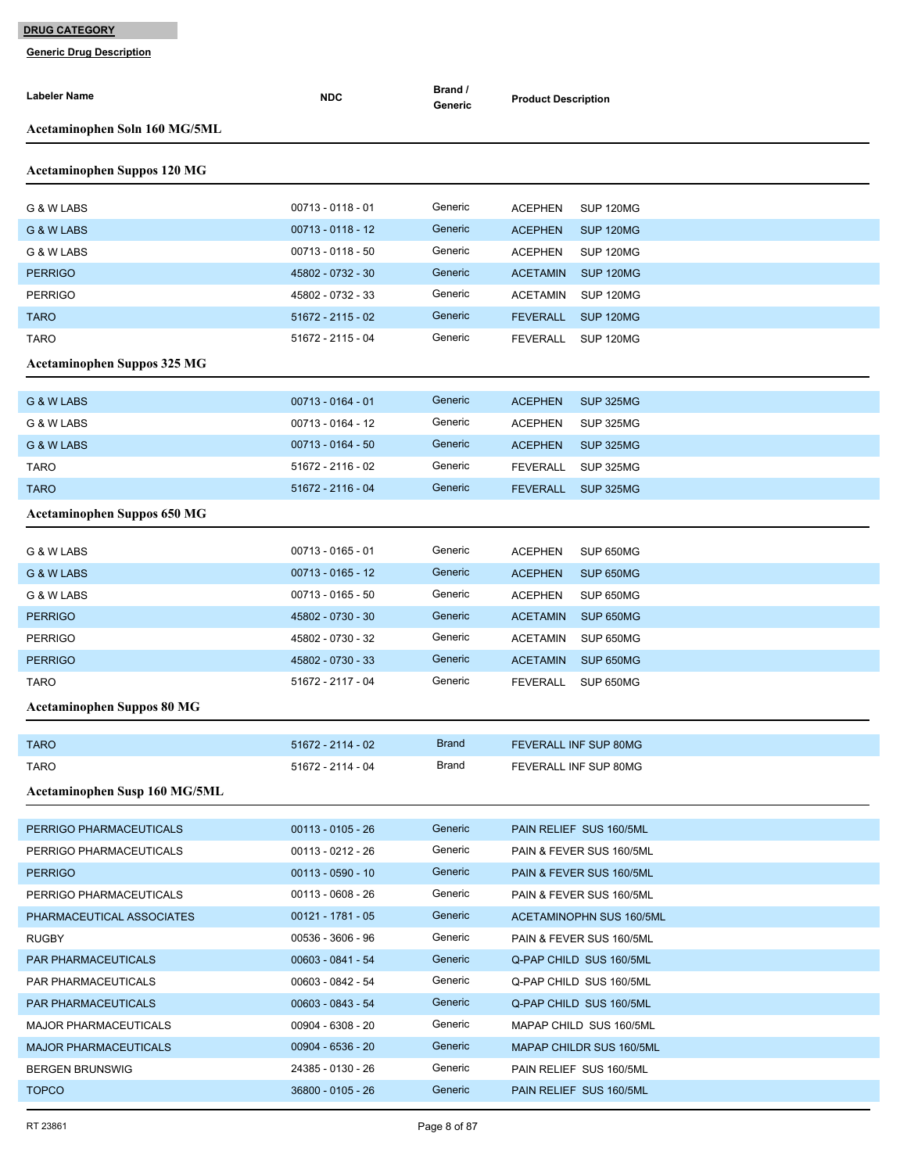| <b>Labeler Name</b>                | <b>NDC</b>                             | Brand /<br>Generic | <b>Product Description</b>                                  |
|------------------------------------|----------------------------------------|--------------------|-------------------------------------------------------------|
| Acetaminophen Soln 160 MG/5ML      |                                        |                    |                                                             |
| <b>Acetaminophen Suppos 120 MG</b> |                                        |                    |                                                             |
|                                    |                                        |                    |                                                             |
| G & W LABS                         | 00713 - 0118 - 01                      | Generic            | <b>ACEPHEN</b><br><b>SUP 120MG</b>                          |
| G & W LABS                         | 00713 - 0118 - 12                      | Generic            | <b>ACEPHEN</b><br>SUP 120MG                                 |
| G & W LABS                         | 00713 - 0118 - 50                      | Generic            | <b>ACEPHEN</b><br><b>SUP 120MG</b>                          |
| <b>PERRIGO</b>                     | 45802 - 0732 - 30                      | Generic            | <b>ACETAMIN</b><br><b>SUP 120MG</b>                         |
| <b>PERRIGO</b>                     | 45802 - 0732 - 33                      | Generic            | <b>ACETAMIN</b><br><b>SUP 120MG</b>                         |
| <b>TARO</b>                        | 51672 - 2115 - 02                      | Generic            | <b>FEVERALL</b><br>SUP 120MG                                |
| <b>TARO</b>                        | 51672 - 2115 - 04                      | Generic            | <b>FEVERALL</b><br>SUP 120MG                                |
| <b>Acetaminophen Suppos 325 MG</b> |                                        |                    |                                                             |
| G & W LABS                         | 00713 - 0164 - 01                      | Generic            | <b>SUP 325MG</b><br><b>ACEPHEN</b>                          |
| G & W LABS                         | 00713 - 0164 - 12                      | Generic            | <b>ACEPHEN</b><br><b>SUP 325MG</b>                          |
| G & W LABS                         | 00713 - 0164 - 50                      | Generic            | <b>ACEPHEN</b><br><b>SUP 325MG</b>                          |
| <b>TARO</b>                        | 51672 - 2116 - 02                      | Generic            | <b>FEVERALL</b><br><b>SUP 325MG</b>                         |
| <b>TARO</b>                        | 51672 - 2116 - 04                      | Generic            | <b>FEVERALL</b><br><b>SUP 325MG</b>                         |
| <b>Acetaminophen Suppos 650 MG</b> |                                        |                    |                                                             |
|                                    |                                        |                    |                                                             |
| G & W LABS                         | 00713 - 0165 - 01                      | Generic            | <b>ACEPHEN</b><br>SUP 650MG                                 |
| G & W LABS                         | 00713 - 0165 - 12<br>00713 - 0165 - 50 | Generic<br>Generic | <b>SUP 650MG</b><br><b>ACEPHEN</b>                          |
| G & W LABS<br><b>PERRIGO</b>       | 45802 - 0730 - 30                      | Generic            | SUP 650MG<br><b>ACEPHEN</b><br><b>ACETAMIN</b><br>SUP 650MG |
| <b>PERRIGO</b>                     | 45802 - 0730 - 32                      | Generic            | <b>ACETAMIN</b><br>SUP 650MG                                |
| <b>PERRIGO</b>                     | 45802 - 0730 - 33                      | Generic            | <b>ACETAMIN</b><br>SUP 650MG                                |
| TARO                               | 51672 - 2117 - 04                      | Generic            | <b>FEVERALL</b><br>SUP 650MG                                |
|                                    |                                        |                    |                                                             |
| <b>Acetaminophen Suppos 80 MG</b>  |                                        |                    |                                                             |
| <b>TARO</b>                        | 51672 - 2114 - 02                      | Brand              | FEVERALL INF SUP 80MG                                       |
| <b>TARO</b>                        | 51672 - 2114 - 04                      | Brand              | FEVERALL INF SUP 80MG                                       |
| Acetaminophen Susp 160 MG/5ML      |                                        |                    |                                                             |
| PERRIGO PHARMACEUTICALS            | $00113 - 0105 - 26$                    | Generic            | PAIN RELIEF SUS 160/5ML                                     |
| PERRIGO PHARMACEUTICALS            | 00113 - 0212 - 26                      | Generic            | PAIN & FEVER SUS 160/5ML                                    |
| <b>PERRIGO</b>                     | $00113 - 0590 - 10$                    | Generic            | PAIN & FEVER SUS 160/5ML                                    |
| PERRIGO PHARMACEUTICALS            | 00113 - 0608 - 26                      | Generic            | PAIN & FEVER SUS 160/5ML                                    |
| PHARMACEUTICAL ASSOCIATES          | $00121 - 1781 - 05$                    | Generic            | <b>ACETAMINOPHN SUS 160/5ML</b>                             |
| <b>RUGBY</b>                       | 00536 - 3606 - 96                      | Generic            | PAIN & FEVER SUS 160/5ML                                    |
| PAR PHARMACEUTICALS                | 00603 - 0841 - 54                      | Generic            | Q-PAP CHILD SUS 160/5ML                                     |
| PAR PHARMACEUTICALS                | 00603 - 0842 - 54                      | Generic            | Q-PAP CHILD SUS 160/5ML                                     |
| PAR PHARMACEUTICALS                | 00603 - 0843 - 54                      | Generic            | Q-PAP CHILD SUS 160/5ML                                     |
| <b>MAJOR PHARMACEUTICALS</b>       | 00904 - 6308 - 20                      | Generic            | MAPAP CHILD SUS 160/5ML                                     |
| <b>MAJOR PHARMACEUTICALS</b>       | 00904 - 6536 - 20                      | Generic            | MAPAP CHILDR SUS 160/5ML                                    |
| <b>BERGEN BRUNSWIG</b>             | 24385 - 0130 - 26                      | Generic            | PAIN RELIEF SUS 160/5ML                                     |
| <b>TOPCO</b>                       | 36800 - 0105 - 26                      | Generic            | PAIN RELIEF SUS 160/5ML                                     |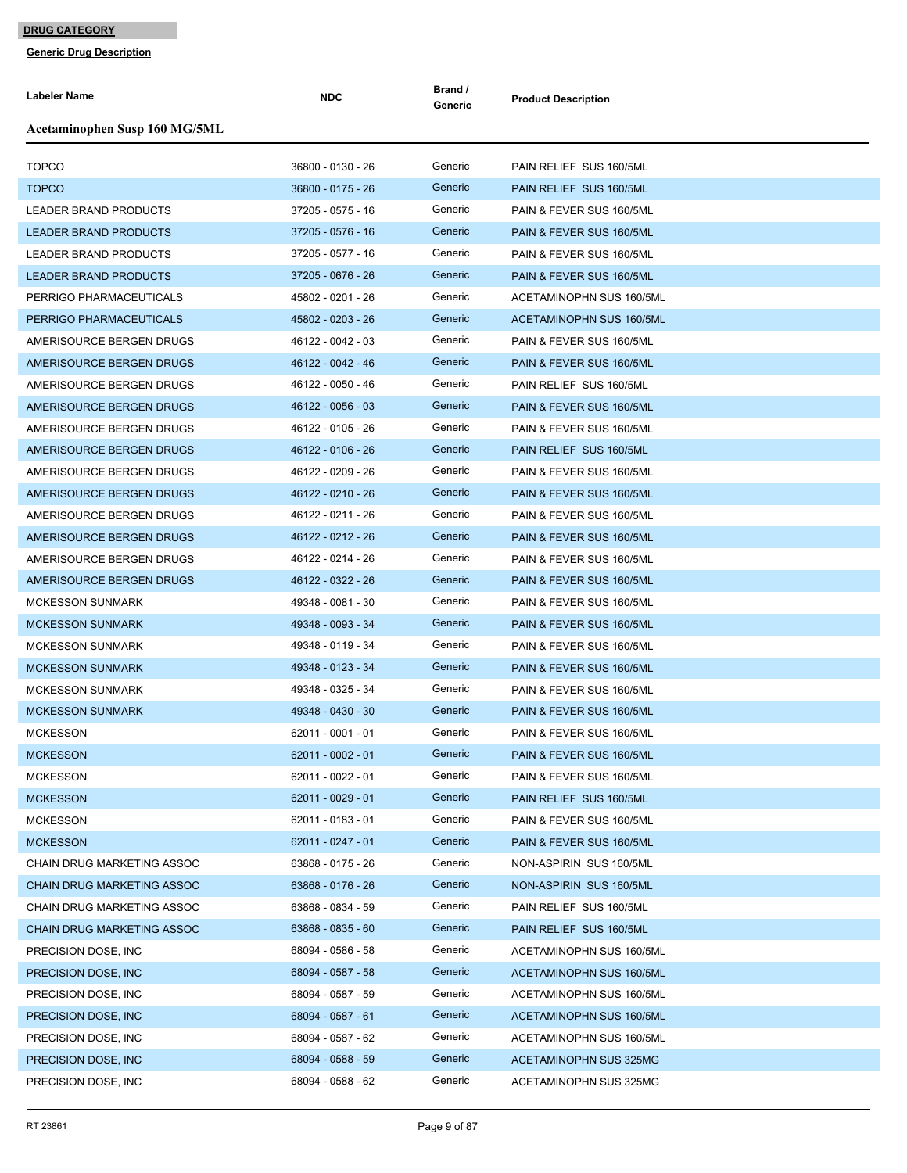| <b>Labeler Name</b>               | <b>NDC</b>          | Brand /<br>Generic | <b>Product Description</b>      |
|-----------------------------------|---------------------|--------------------|---------------------------------|
| Acetaminophen Susp 160 MG/5ML     |                     |                    |                                 |
| <b>TOPCO</b>                      | 36800 - 0130 - 26   | Generic            | PAIN RELIEF SUS 160/5ML         |
| <b>TOPCO</b>                      | 36800 - 0175 - 26   | Generic            | PAIN RELIEF SUS 160/5ML         |
| LEADER BRAND PRODUCTS             | 37205 - 0575 - 16   | Generic            | PAIN & FEVER SUS 160/5ML        |
| <b>LEADER BRAND PRODUCTS</b>      | 37205 - 0576 - 16   | Generic            | PAIN & FEVER SUS 160/5ML        |
| <b>LEADER BRAND PRODUCTS</b>      | 37205 - 0577 - 16   | Generic            | PAIN & FEVER SUS 160/5ML        |
| <b>LEADER BRAND PRODUCTS</b>      | 37205 - 0676 - 26   | Generic            | PAIN & FEVER SUS 160/5ML        |
| PERRIGO PHARMACEUTICALS           | 45802 - 0201 - 26   | Generic            | ACETAMINOPHN SUS 160/5ML        |
| PERRIGO PHARMACEUTICALS           | 45802 - 0203 - 26   | Generic            | <b>ACETAMINOPHN SUS 160/5ML</b> |
| AMERISOURCE BERGEN DRUGS          | 46122 - 0042 - 03   | Generic            | PAIN & FEVER SUS 160/5ML        |
| AMERISOURCE BERGEN DRUGS          | 46122 - 0042 - 46   | Generic            | PAIN & FEVER SUS 160/5ML        |
| AMERISOURCE BERGEN DRUGS          | 46122 - 0050 - 46   | Generic            | PAIN RELIEF SUS 160/5ML         |
| AMERISOURCE BERGEN DRUGS          | 46122 - 0056 - 03   | Generic            | PAIN & FEVER SUS 160/5ML        |
| AMERISOURCE BERGEN DRUGS          | 46122 - 0105 - 26   | Generic            | PAIN & FEVER SUS 160/5ML        |
| AMERISOURCE BERGEN DRUGS          | 46122 - 0106 - 26   | Generic            | PAIN RELIEF SUS 160/5ML         |
| AMERISOURCE BERGEN DRUGS          | 46122 - 0209 - 26   | Generic            | PAIN & FEVER SUS 160/5ML        |
| AMERISOURCE BERGEN DRUGS          | 46122 - 0210 - 26   | Generic            | PAIN & FEVER SUS 160/5ML        |
| AMERISOURCE BERGEN DRUGS          | 46122 - 0211 - 26   | Generic            | PAIN & FEVER SUS 160/5ML        |
| AMERISOURCE BERGEN DRUGS          | 46122 - 0212 - 26   | Generic            | PAIN & FEVER SUS 160/5ML        |
| AMERISOURCE BERGEN DRUGS          | 46122 - 0214 - 26   | Generic            | PAIN & FEVER SUS 160/5ML        |
| AMERISOURCE BERGEN DRUGS          | 46122 - 0322 - 26   | Generic            | PAIN & FEVER SUS 160/5ML        |
| <b>MCKESSON SUNMARK</b>           | 49348 - 0081 - 30   | Generic            | PAIN & FEVER SUS 160/5ML        |
| <b>MCKESSON SUNMARK</b>           | 49348 - 0093 - 34   | Generic            | PAIN & FEVER SUS 160/5ML        |
| <b>MCKESSON SUNMARK</b>           | 49348 - 0119 - 34   | Generic            | PAIN & FEVER SUS 160/5ML        |
| <b>MCKESSON SUNMARK</b>           | 49348 - 0123 - 34   | Generic            | PAIN & FEVER SUS 160/5ML        |
| <b>MCKESSON SUNMARK</b>           | 49348 - 0325 - 34   | Generic            | PAIN & FEVER SUS 160/5ML        |
| <b>MCKESSON SUNMARK</b>           | 49348 - 0430 - 30   | Generic            | PAIN & FEVER SUS 160/5ML        |
| <b>MCKESSON</b>                   | 62011 - 0001 - 01   | Generic            | PAIN & FEVER SUS 160/5ML        |
| <b>MCKESSON</b>                   | $62011 - 0002 - 01$ | Generic            | PAIN & FEVER SUS 160/5ML        |
| <b>MCKESSON</b>                   | 62011 - 0022 - 01   | Generic            | PAIN & FEVER SUS 160/5ML        |
| <b>MCKESSON</b>                   | $62011 - 0029 - 01$ | Generic            | PAIN RELIEF SUS 160/5ML         |
| <b>MCKESSON</b>                   | 62011 - 0183 - 01   | Generic            | PAIN & FEVER SUS 160/5ML        |
| <b>MCKESSON</b>                   | 62011 - 0247 - 01   | Generic            | PAIN & FEVER SUS 160/5ML        |
| CHAIN DRUG MARKETING ASSOC        | 63868 - 0175 - 26   | Generic            | NON-ASPIRIN SUS 160/5ML         |
| CHAIN DRUG MARKETING ASSOC        | 63868 - 0176 - 26   | Generic            | NON-ASPIRIN SUS 160/5ML         |
| CHAIN DRUG MARKETING ASSOC        | 63868 - 0834 - 59   | Generic            | PAIN RELIEF SUS 160/5ML         |
| <b>CHAIN DRUG MARKETING ASSOC</b> | 63868 - 0835 - 60   | Generic            | PAIN RELIEF SUS 160/5ML         |
| PRECISION DOSE, INC.              | 68094 - 0586 - 58   | Generic            | ACETAMINOPHN SUS 160/5ML        |
| PRECISION DOSE, INC.              | 68094 - 0587 - 58   | Generic            | ACETAMINOPHN SUS 160/5ML        |
| PRECISION DOSE, INC.              | 68094 - 0587 - 59   | Generic            | ACETAMINOPHN SUS 160/5ML        |
| PRECISION DOSE, INC.              | 68094 - 0587 - 61   | Generic            | ACETAMINOPHN SUS 160/5ML        |
| PRECISION DOSE, INC.              | 68094 - 0587 - 62   | Generic            | ACETAMINOPHN SUS 160/5ML        |
| PRECISION DOSE, INC.              | 68094 - 0588 - 59   | Generic            | ACETAMINOPHN SUS 325MG          |
| PRECISION DOSE, INC.              | 68094 - 0588 - 62   | Generic            | ACETAMINOPHN SUS 325MG          |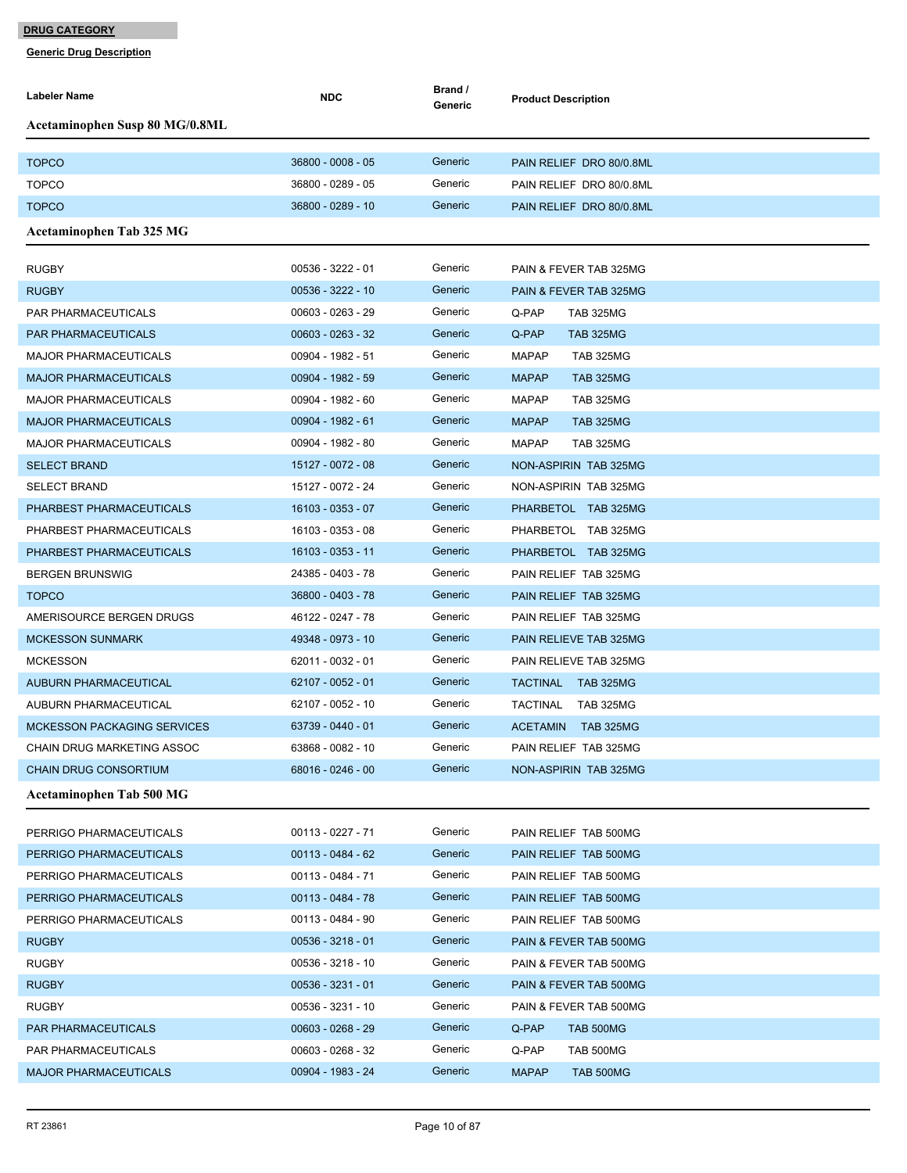| <b>Labeler Name</b>                   | <b>NDC</b>          | Brand /<br>Generic | <b>Product Description</b>          |
|---------------------------------------|---------------------|--------------------|-------------------------------------|
| <b>Acetaminophen Susp 80 MG/0.8ML</b> |                     |                    |                                     |
|                                       |                     |                    |                                     |
| <b>TOPCO</b>                          | 36800 - 0008 - 05   | Generic            | PAIN RELIEF DRO 80/0.8ML            |
| <b>TOPCO</b>                          | 36800 - 0289 - 05   | Generic            | PAIN RELIEF DRO 80/0.8ML            |
| <b>TOPCO</b>                          | 36800 - 0289 - 10   | Generic            | PAIN RELIEF DRO 80/0.8ML            |
| <b>Acetaminophen Tab 325 MG</b>       |                     |                    |                                     |
| <b>RUGBY</b>                          | 00536 - 3222 - 01   | Generic            | PAIN & FEVER TAB 325MG              |
| <b>RUGBY</b>                          | 00536 - 3222 - 10   | Generic            | PAIN & FEVER TAB 325MG              |
| PAR PHARMACEUTICALS                   | 00603 - 0263 - 29   | Generic            | Q-PAP<br><b>TAB 325MG</b>           |
| <b>PAR PHARMACEUTICALS</b>            | $00603 - 0263 - 32$ | Generic            | Q-PAP<br><b>TAB 325MG</b>           |
| <b>MAJOR PHARMACEUTICALS</b>          | 00904 - 1982 - 51   | Generic            | <b>MAPAP</b><br><b>TAB 325MG</b>    |
| <b>MAJOR PHARMACEUTICALS</b>          | 00904 - 1982 - 59   | Generic            | <b>MAPAP</b><br><b>TAB 325MG</b>    |
| <b>MAJOR PHARMACEUTICALS</b>          | 00904 - 1982 - 60   | Generic            | <b>MAPAP</b><br><b>TAB 325MG</b>    |
| <b>MAJOR PHARMACEUTICALS</b>          | 00904 - 1982 - 61   | Generic            | <b>MAPAP</b><br><b>TAB 325MG</b>    |
| <b>MAJOR PHARMACEUTICALS</b>          | 00904 - 1982 - 80   | Generic            | <b>MAPAP</b><br><b>TAB 325MG</b>    |
| <b>SELECT BRAND</b>                   | 15127 - 0072 - 08   | Generic            | NON-ASPIRIN TAB 325MG               |
| <b>SELECT BRAND</b>                   | 15127 - 0072 - 24   | Generic            | NON-ASPIRIN TAB 325MG               |
| PHARBEST PHARMACEUTICALS              | 16103 - 0353 - 07   | Generic            | PHARBETOL TAB 325MG                 |
| PHARBEST PHARMACEUTICALS              | 16103 - 0353 - 08   | Generic            | PHARBETOL TAB 325MG                 |
|                                       |                     | Generic            |                                     |
| PHARBEST PHARMACEUTICALS              | 16103 - 0353 - 11   | Generic            | PHARBETOL TAB 325MG                 |
| <b>BERGEN BRUNSWIG</b>                | 24385 - 0403 - 78   | Generic            | PAIN RELIEF TAB 325MG               |
| <b>TOPCO</b>                          | 36800 - 0403 - 78   |                    | PAIN RELIEF TAB 325MG               |
| AMERISOURCE BERGEN DRUGS              | 46122 - 0247 - 78   | Generic            | PAIN RELIEF TAB 325MG               |
| <b>MCKESSON SUNMARK</b>               | 49348 - 0973 - 10   | Generic            | PAIN RELIEVE TAB 325MG              |
| <b>MCKESSON</b>                       | 62011 - 0032 - 01   | Generic            | PAIN RELIEVE TAB 325MG              |
| <b>AUBURN PHARMACEUTICAL</b>          | 62107 - 0052 - 01   | Generic            | TACTINAL TAB 325MG                  |
| AUBURN PHARMACEUTICAL                 | 62107 - 0052 - 10   | Generic            | <b>TACTINAL</b><br><b>TAB 325MG</b> |
| <b>MCKESSON PACKAGING SERVICES</b>    | 63739 - 0440 - 01   | Generic            | ACETAMIN TAB 325MG                  |
| CHAIN DRUG MARKETING ASSOC            | 63868 - 0082 - 10   | Generic            | PAIN RELIEF TAB 325MG               |
| <b>CHAIN DRUG CONSORTIUM</b>          | 68016 - 0246 - 00   | Generic            | NON-ASPIRIN TAB 325MG               |
| <b>Acetaminophen Tab 500 MG</b>       |                     |                    |                                     |
| PERRIGO PHARMACEUTICALS               | 00113 - 0227 - 71   | Generic            | PAIN RELIEF TAB 500MG               |
| PERRIGO PHARMACEUTICALS               | $00113 - 0484 - 62$ | Generic            | PAIN RELIEF TAB 500MG               |
| PERRIGO PHARMACEUTICALS               | 00113 - 0484 - 71   | Generic            | PAIN RELIEF TAB 500MG               |
| PERRIGO PHARMACEUTICALS               | 00113 - 0484 - 78   | Generic            | PAIN RELIEF TAB 500MG               |
| PERRIGO PHARMACEUTICALS               | 00113 - 0484 - 90   | Generic            | PAIN RELIEF TAB 500MG               |
| <b>RUGBY</b>                          | $00536 - 3218 - 01$ | Generic            | PAIN & FEVER TAB 500MG              |
| <b>RUGBY</b>                          | 00536 - 3218 - 10   | Generic            | PAIN & FEVER TAB 500MG              |
| <b>RUGBY</b>                          | $00536 - 3231 - 01$ | Generic            | PAIN & FEVER TAB 500MG              |
| <b>RUGBY</b>                          | 00536 - 3231 - 10   | Generic            | PAIN & FEVER TAB 500MG              |
| PAR PHARMACEUTICALS                   | $00603 - 0268 - 29$ | Generic            | Q-PAP<br>TAB 500MG                  |
| PAR PHARMACEUTICALS                   | 00603 - 0268 - 32   | Generic            | Q-PAP<br>TAB 500MG                  |
| <b>MAJOR PHARMACEUTICALS</b>          | 00904 - 1983 - 24   | Generic            | <b>MAPAP</b><br>TAB 500MG           |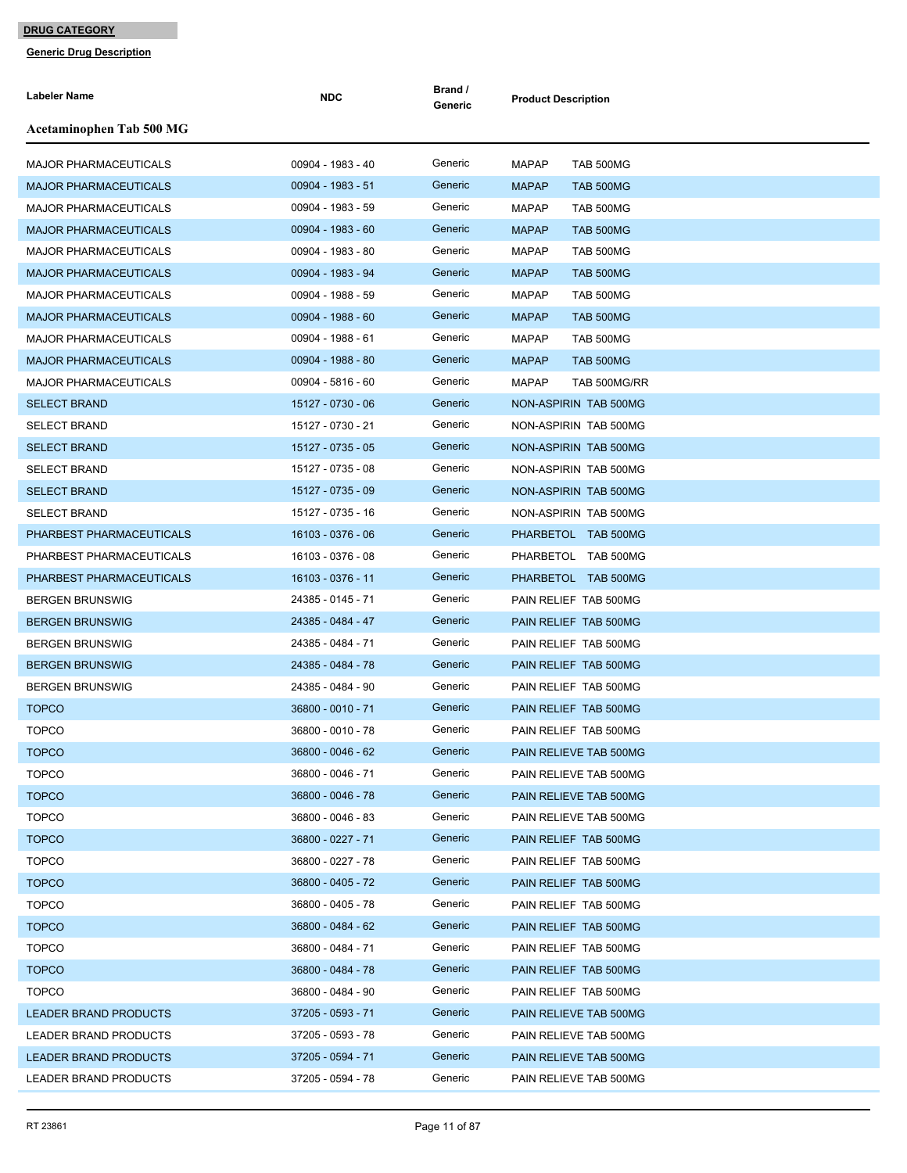| Labeler Name                 | <b>NDC</b>          | Brand /<br>Generic | <b>Product Description</b>   |
|------------------------------|---------------------|--------------------|------------------------------|
| Acetaminophen Tab 500 MG     |                     |                    |                              |
| <b>MAJOR PHARMACEUTICALS</b> | 00904 - 1983 - 40   | Generic            | <b>MAPAP</b><br>TAB 500MG    |
| <b>MAJOR PHARMACEUTICALS</b> | 00904 - 1983 - 51   | Generic            | <b>MAPAP</b><br>TAB 500MG    |
| <b>MAJOR PHARMACEUTICALS</b> | 00904 - 1983 - 59   | Generic            | <b>MAPAP</b><br>TAB 500MG    |
| <b>MAJOR PHARMACEUTICALS</b> | 00904 - 1983 - 60   | Generic            | <b>MAPAP</b><br>TAB 500MG    |
| <b>MAJOR PHARMACEUTICALS</b> | 00904 - 1983 - 80   | Generic            | <b>MAPAP</b><br>TAB 500MG    |
| <b>MAJOR PHARMACEUTICALS</b> | 00904 - 1983 - 94   | Generic            | <b>MAPAP</b><br>TAB 500MG    |
| <b>MAJOR PHARMACEUTICALS</b> | 00904 - 1988 - 59   | Generic            | <b>MAPAP</b><br>TAB 500MG    |
| <b>MAJOR PHARMACEUTICALS</b> | 00904 - 1988 - 60   | Generic            | <b>MAPAP</b><br>TAB 500MG    |
| <b>MAJOR PHARMACEUTICALS</b> | 00904 - 1988 - 61   | Generic            | <b>MAPAP</b><br>TAB 500MG    |
| <b>MAJOR PHARMACEUTICALS</b> | 00904 - 1988 - 80   | Generic            | <b>MAPAP</b><br>TAB 500MG    |
| <b>MAJOR PHARMACEUTICALS</b> | $00904 - 5816 - 60$ | Generic            | <b>MAPAP</b><br>TAB 500MG/RR |
| <b>SELECT BRAND</b>          | 15127 - 0730 - 06   | Generic            | NON-ASPIRIN TAB 500MG        |
| <b>SELECT BRAND</b>          | 15127 - 0730 - 21   | Generic            | NON-ASPIRIN TAB 500MG        |
| <b>SELECT BRAND</b>          | 15127 - 0735 - 05   | Generic            | NON-ASPIRIN TAB 500MG        |
| <b>SELECT BRAND</b>          | 15127 - 0735 - 08   | Generic            | NON-ASPIRIN TAB 500MG        |
| <b>SELECT BRAND</b>          | 15127 - 0735 - 09   | Generic            | NON-ASPIRIN TAB 500MG        |
| <b>SELECT BRAND</b>          | 15127 - 0735 - 16   | Generic            | NON-ASPIRIN TAB 500MG        |
| PHARBEST PHARMACEUTICALS     | 16103 - 0376 - 06   | Generic            | PHARBETOL TAB 500MG          |
| PHARBEST PHARMACEUTICALS     | 16103 - 0376 - 08   | Generic            | PHARBETOL TAB 500MG          |
| PHARBEST PHARMACEUTICALS     | 16103 - 0376 - 11   | Generic            | PHARBETOL TAB 500MG          |
| <b>BERGEN BRUNSWIG</b>       | 24385 - 0145 - 71   | Generic            | PAIN RELIEF TAB 500MG        |
| <b>BERGEN BRUNSWIG</b>       | 24385 - 0484 - 47   | Generic            | PAIN RELIEF TAB 500MG        |
| <b>BERGEN BRUNSWIG</b>       | 24385 - 0484 - 71   | Generic            | PAIN RELIEF TAB 500MG        |
| <b>BERGEN BRUNSWIG</b>       | 24385 - 0484 - 78   | Generic            | PAIN RELIEF TAB 500MG        |
| <b>BERGEN BRUNSWIG</b>       | 24385 - 0484 - 90   | Generic            | PAIN RELIEF TAB 500MG        |
| <b>TOPCO</b>                 | 36800 - 0010 - 71   | Generic            | PAIN RELIEF TAB 500MG        |
| <b>TOPCO</b>                 | 36800 - 0010 - 78   | Generic            | PAIN RELIEF TAB 500MG        |
| <b>TOPCO</b>                 | 36800 - 0046 - 62   | Generic            | PAIN RELIEVE TAB 500MG       |
| <b>TOPCO</b>                 | 36800 - 0046 - 71   | Generic            | PAIN RELIEVE TAB 500MG       |
| <b>TOPCO</b>                 | 36800 - 0046 - 78   | Generic            | PAIN RELIEVE TAB 500MG       |
| <b>TOPCO</b>                 | 36800 - 0046 - 83   | Generic            | PAIN RELIEVE TAB 500MG       |
| <b>TOPCO</b>                 | 36800 - 0227 - 71   | Generic            | PAIN RELIEF TAB 500MG        |
| <b>TOPCO</b>                 | 36800 - 0227 - 78   | Generic            | PAIN RELIEF TAB 500MG        |
| <b>TOPCO</b>                 | 36800 - 0405 - 72   | Generic            | PAIN RELIEF TAB 500MG        |
| <b>TOPCO</b>                 | 36800 - 0405 - 78   | Generic            | PAIN RELIEF TAB 500MG        |
| <b>TOPCO</b>                 | 36800 - 0484 - 62   | Generic            | PAIN RELIEF TAB 500MG        |
| <b>TOPCO</b>                 | 36800 - 0484 - 71   | Generic            | PAIN RELIEF TAB 500MG        |
| <b>TOPCO</b>                 | 36800 - 0484 - 78   | Generic            | PAIN RELIEF TAB 500MG        |
| <b>TOPCO</b>                 | 36800 - 0484 - 90   | Generic            | PAIN RELIEF TAB 500MG        |
| LEADER BRAND PRODUCTS        | 37205 - 0593 - 71   | Generic            | PAIN RELIEVE TAB 500MG       |
| LEADER BRAND PRODUCTS        | 37205 - 0593 - 78   | Generic            | PAIN RELIEVE TAB 500MG       |
| <b>LEADER BRAND PRODUCTS</b> | 37205 - 0594 - 71   | Generic            | PAIN RELIEVE TAB 500MG       |
| LEADER BRAND PRODUCTS        | 37205 - 0594 - 78   | Generic            | PAIN RELIEVE TAB 500MG       |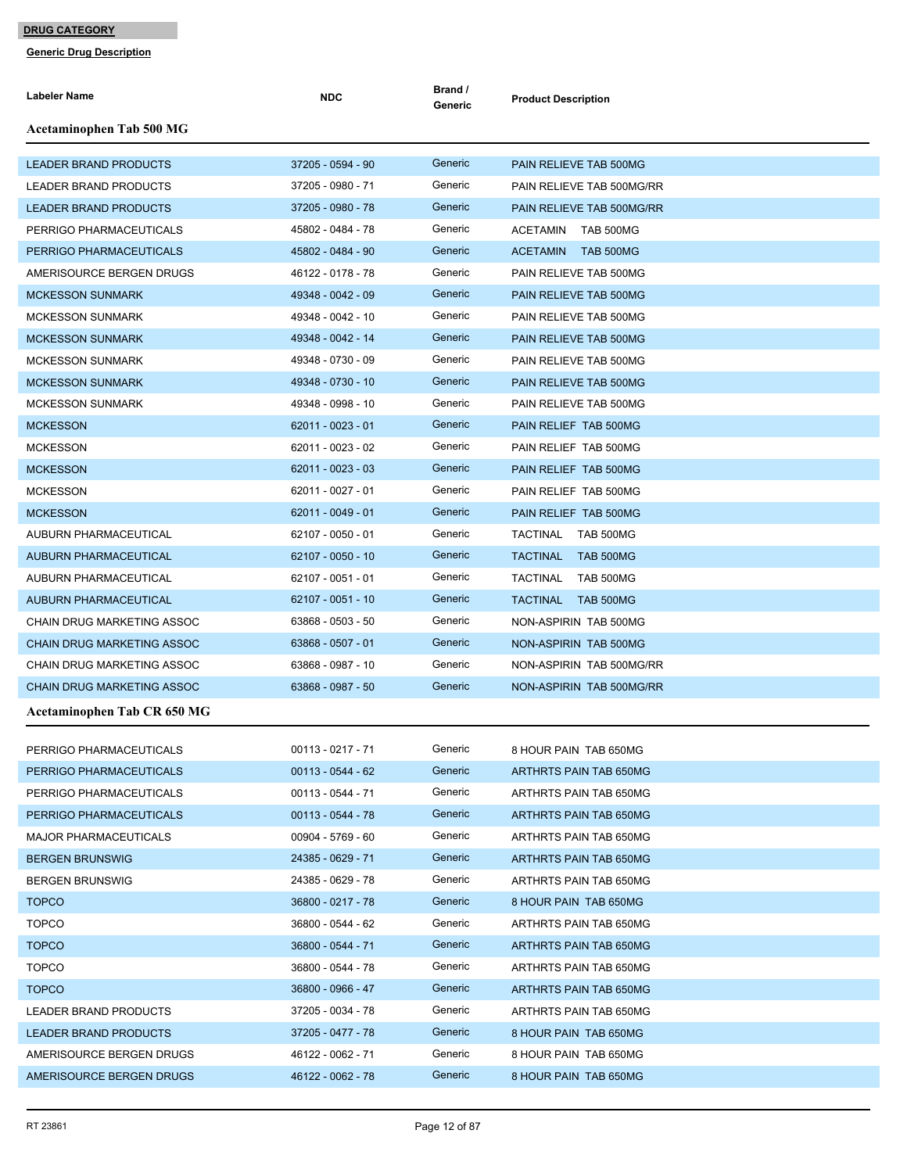| <b>Labeler Name</b>               | <b>NDC</b>          | Brand /<br>Generic | <b>Product Description</b>   |
|-----------------------------------|---------------------|--------------------|------------------------------|
| Acetaminophen Tab 500 MG          |                     |                    |                              |
| <b>LEADER BRAND PRODUCTS</b>      | 37205 - 0594 - 90   | Generic            | PAIN RELIEVE TAB 500MG       |
| LEADER BRAND PRODUCTS             | 37205 - 0980 - 71   | Generic            | PAIN RELIEVE TAB 500MG/RR    |
| <b>LEADER BRAND PRODUCTS</b>      | 37205 - 0980 - 78   | Generic            | PAIN RELIEVE TAB 500MG/RR    |
| PERRIGO PHARMACEUTICALS           | 45802 - 0484 - 78   | Generic            | ACETAMIN TAB 500MG           |
| PERRIGO PHARMACEUTICALS           | 45802 - 0484 - 90   | Generic            | ACETAMIN TAB 500MG           |
| AMERISOURCE BERGEN DRUGS          | 46122 - 0178 - 78   | Generic            | PAIN RELIEVE TAB 500MG       |
| <b>MCKESSON SUNMARK</b>           | 49348 - 0042 - 09   | Generic            | PAIN RELIEVE TAB 500MG       |
| <b>MCKESSON SUNMARK</b>           | 49348 - 0042 - 10   | Generic            | PAIN RELIEVE TAB 500MG       |
| <b>MCKESSON SUNMARK</b>           | 49348 - 0042 - 14   | Generic            | PAIN RELIEVE TAB 500MG       |
| <b>MCKESSON SUNMARK</b>           | 49348 - 0730 - 09   | Generic            | PAIN RELIEVE TAB 500MG       |
| <b>MCKESSON SUNMARK</b>           | 49348 - 0730 - 10   | Generic            | PAIN RELIEVE TAB 500MG       |
| <b>MCKESSON SUNMARK</b>           | 49348 - 0998 - 10   | Generic            | PAIN RELIEVE TAB 500MG       |
| <b>MCKESSON</b>                   | $62011 - 0023 - 01$ | Generic            | PAIN RELIEF TAB 500MG        |
| <b>MCKESSON</b>                   | 62011 - 0023 - 02   | Generic            | PAIN RELIEF TAB 500MG        |
| <b>MCKESSON</b>                   | 62011 - 0023 - 03   | Generic            | PAIN RELIEF TAB 500MG        |
| <b>MCKESSON</b>                   | 62011 - 0027 - 01   | Generic            | PAIN RELIEF TAB 500MG        |
| <b>MCKESSON</b>                   | $62011 - 0049 - 01$ | Generic            | PAIN RELIEF TAB 500MG        |
| AUBURN PHARMACEUTICAL             | 62107 - 0050 - 01   | Generic            | TACTINAL TAB 500MG           |
| <b>AUBURN PHARMACEUTICAL</b>      | 62107 - 0050 - 10   | Generic            | TACTINAL TAB 500MG           |
| AUBURN PHARMACEUTICAL             | 62107 - 0051 - 01   | Generic            | <b>TACTINAL</b><br>TAB 500MG |
| AUBURN PHARMACEUTICAL             | 62107 - 0051 - 10   | Generic            | <b>TACTINAL</b><br>TAB 500MG |
| CHAIN DRUG MARKETING ASSOC        | 63868 - 0503 - 50   | Generic            | NON-ASPIRIN TAB 500MG        |
| <b>CHAIN DRUG MARKETING ASSOC</b> | 63868 - 0507 - 01   | Generic            | NON-ASPIRIN TAB 500MG        |
| CHAIN DRUG MARKETING ASSOC        | 63868 - 0987 - 10   | Generic            | NON-ASPIRIN TAB 500MG/RR     |
| <b>CHAIN DRUG MARKETING ASSOC</b> | 63868 - 0987 - 50   | Generic            | NON-ASPIRIN TAB 500MG/RR     |
| Acetaminophen Tab CR 650 MG       |                     |                    |                              |
| PERRIGO PHARMACEUTICALS           | 00113 - 0217 - 71   | Generic            | 8 HOUR PAIN TAB 650MG        |
| PERRIGO PHARMACEUTICALS           | $00113 - 0544 - 62$ | Generic            | ARTHRTS PAIN TAB 650MG       |
| PERRIGO PHARMACEUTICALS           | 00113 - 0544 - 71   | Generic            | ARTHRTS PAIN TAB 650MG       |
| PERRIGO PHARMACEUTICALS           | 00113 - 0544 - 78   | Generic            | ARTHRTS PAIN TAB 650MG       |
| MAJOR PHARMACEUTICALS             | 00904 - 5769 - 60   | Generic            | ARTHRTS PAIN TAB 650MG       |
| <b>BERGEN BRUNSWIG</b>            | 24385 - 0629 - 71   | Generic            | ARTHRTS PAIN TAB 650MG       |
| <b>BERGEN BRUNSWIG</b>            | 24385 - 0629 - 78   | Generic            | ARTHRTS PAIN TAB 650MG       |
| <b>TOPCO</b>                      | 36800 - 0217 - 78   | Generic            | 8 HOUR PAIN TAB 650MG        |
| <b>TOPCO</b>                      | 36800 - 0544 - 62   | Generic            | ARTHRTS PAIN TAB 650MG       |
| <b>TOPCO</b>                      | 36800 - 0544 - 71   | Generic            | ARTHRTS PAIN TAB 650MG       |
| <b>TOPCO</b>                      | 36800 - 0544 - 78   | Generic            | ARTHRTS PAIN TAB 650MG       |
| <b>TOPCO</b>                      | 36800 - 0966 - 47   | Generic            | ARTHRTS PAIN TAB 650MG       |
| LEADER BRAND PRODUCTS             | 37205 - 0034 - 78   | Generic            | ARTHRTS PAIN TAB 650MG       |
| LEADER BRAND PRODUCTS             | 37205 - 0477 - 78   | Generic            | 8 HOUR PAIN TAB 650MG        |
| AMERISOURCE BERGEN DRUGS          | 46122 - 0062 - 71   | Generic            | 8 HOUR PAIN TAB 650MG        |
| AMERISOURCE BERGEN DRUGS          | 46122 - 0062 - 78   | Generic            | 8 HOUR PAIN TAB 650MG        |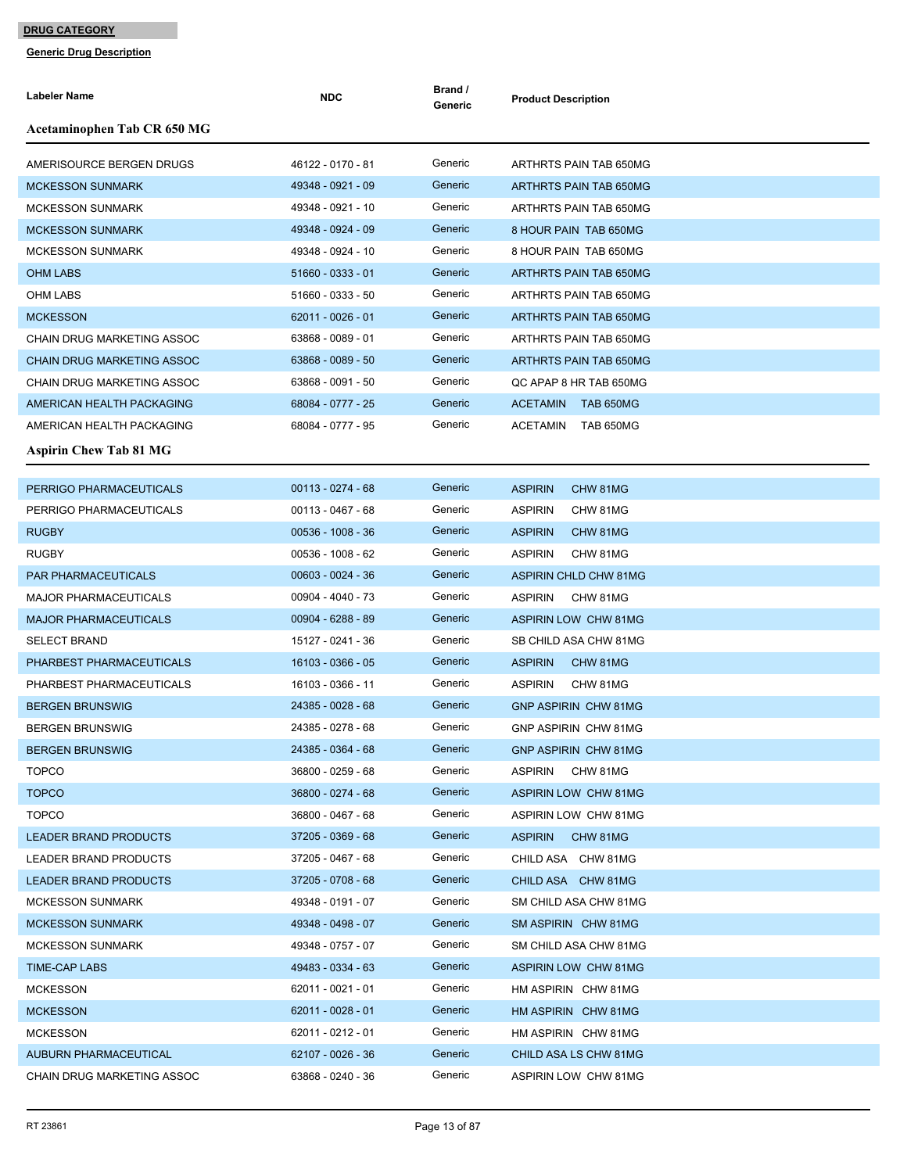| Labeler Name                                       | <b>NDC</b>          | Brand /<br>Generic | <b>Product Description</b>                               |
|----------------------------------------------------|---------------------|--------------------|----------------------------------------------------------|
| Acetaminophen Tab CR 650 MG                        |                     |                    |                                                          |
| AMERISOURCE BERGEN DRUGS                           | 46122 - 0170 - 81   | Generic            | ARTHRTS PAIN TAB 650MG                                   |
| <b>MCKESSON SUNMARK</b>                            | 49348 - 0921 - 09   | Generic            | ARTHRTS PAIN TAB 650MG                                   |
| <b>MCKESSON SUNMARK</b>                            | 49348 - 0921 - 10   | Generic            | ARTHRTS PAIN TAB 650MG                                   |
| <b>MCKESSON SUNMARK</b>                            | 49348 - 0924 - 09   | Generic            | 8 HOUR PAIN TAB 650MG                                    |
| <b>MCKESSON SUNMARK</b>                            | 49348 - 0924 - 10   | Generic            | 8 HOUR PAIN TAB 650MG                                    |
| <b>OHM LABS</b>                                    | 51660 - 0333 - 01   | Generic            | ARTHRTS PAIN TAB 650MG                                   |
| OHM LABS                                           | 51660 - 0333 - 50   | Generic            | ARTHRTS PAIN TAB 650MG                                   |
| <b>MCKESSON</b>                                    | $62011 - 0026 - 01$ | Generic            | ARTHRTS PAIN TAB 650MG                                   |
| CHAIN DRUG MARKETING ASSOC                         | 63868 - 0089 - 01   | Generic            | ARTHRTS PAIN TAB 650MG                                   |
| <b>CHAIN DRUG MARKETING ASSOC</b>                  | 63868 - 0089 - 50   | Generic            | ARTHRTS PAIN TAB 650MG                                   |
| CHAIN DRUG MARKETING ASSOC                         | 63868 - 0091 - 50   | Generic            | QC APAP 8 HR TAB 650MG                                   |
| AMERICAN HEALTH PACKAGING                          | 68084 - 0777 - 25   | Generic            | <b>ACETAMIN</b><br>TAB 650MG                             |
| AMERICAN HEALTH PACKAGING                          | 68084 - 0777 - 95   | Generic            | TAB 650MG<br>ACETAMIN                                    |
| <b>Aspirin Chew Tab 81 MG</b>                      |                     |                    |                                                          |
|                                                    | $00113 - 0274 - 68$ | Generic            |                                                          |
| PERRIGO PHARMACEUTICALS<br>PERRIGO PHARMACEUTICALS | 00113 - 0467 - 68   | Generic            | <b>ASPIRIN</b><br>CHW 81MG<br><b>ASPIRIN</b><br>CHW 81MG |
| <b>RUGBY</b>                                       | $00536 - 1008 - 36$ | Generic            | <b>ASPIRIN</b><br>CHW 81MG                               |
| <b>RUGBY</b>                                       | 00536 - 1008 - 62   | Generic            | <b>ASPIRIN</b><br>CHW 81MG                               |
| <b>PAR PHARMACEUTICALS</b>                         | 00603 - 0024 - 36   | Generic            | <b>ASPIRIN CHLD CHW 81MG</b>                             |
| <b>MAJOR PHARMACEUTICALS</b>                       | 00904 - 4040 - 73   | Generic            | <b>ASPIRIN</b><br>CHW 81MG                               |
| <b>MAJOR PHARMACEUTICALS</b>                       | 00904 - 6288 - 89   | Generic            | <b>ASPIRIN LOW CHW 81MG</b>                              |
| <b>SELECT BRAND</b>                                | 15127 - 0241 - 36   | Generic            | SB CHILD ASA CHW 81MG                                    |
| PHARBEST PHARMACEUTICALS                           | 16103 - 0366 - 05   | Generic            | <b>ASPIRIN</b><br>CHW 81MG                               |
| PHARBEST PHARMACEUTICALS                           | 16103 - 0366 - 11   | Generic            | <b>ASPIRIN</b><br>CHW 81MG                               |
| <b>BERGEN BRUNSWIG</b>                             | 24385 - 0028 - 68   | Generic            | <b>GNP ASPIRIN CHW 81MG</b>                              |
| <b>BERGEN BRUNSWIG</b>                             | 24385 - 0278 - 68   | Generic            | GNP ASPIRIN CHW 81MG                                     |
| <b>BERGEN BRUNSWIG</b>                             | 24385 - 0364 - 68   | Generic            | GNP ASPIRIN CHW 81MG                                     |
| <b>TOPCO</b>                                       | 36800 - 0259 - 68   | Generic            | ASPIRIN<br>CHW 81MG                                      |
| <b>TOPCO</b>                                       | 36800 - 0274 - 68   | Generic            | ASPIRIN LOW CHW 81MG                                     |
| <b>TOPCO</b>                                       | 36800 - 0467 - 68   | Generic            | ASPIRIN LOW CHW 81MG                                     |
| <b>LEADER BRAND PRODUCTS</b>                       | 37205 - 0369 - 68   | Generic            | <b>ASPIRIN</b><br>CHW 81MG                               |
| <b>LEADER BRAND PRODUCTS</b>                       | 37205 - 0467 - 68   | Generic            | CHILD ASA CHW 81MG                                       |
| LEADER BRAND PRODUCTS                              | 37205 - 0708 - 68   | Generic            | CHILD ASA CHW 81MG                                       |
| <b>MCKESSON SUNMARK</b>                            | 49348 - 0191 - 07   | Generic            | SM CHILD ASA CHW 81MG                                    |
| <b>MCKESSON SUNMARK</b>                            | 49348 - 0498 - 07   | Generic            | SM ASPIRIN CHW 81MG                                      |
| <b>MCKESSON SUNMARK</b>                            | 49348 - 0757 - 07   | Generic            | SM CHILD ASA CHW 81MG                                    |
| <b>TIME-CAP LABS</b>                               | 49483 - 0334 - 63   | Generic            | ASPIRIN LOW CHW 81MG                                     |
| <b>MCKESSON</b>                                    | 62011 - 0021 - 01   | Generic            | HM ASPIRIN CHW 81MG                                      |
| <b>MCKESSON</b>                                    | $62011 - 0028 - 01$ | Generic            | HM ASPIRIN CHW 81MG                                      |
| <b>MCKESSON</b>                                    | 62011 - 0212 - 01   | Generic            | HM ASPIRIN CHW 81MG                                      |
| AUBURN PHARMACEUTICAL                              | 62107 - 0026 - 36   | Generic            | CHILD ASA LS CHW 81MG                                    |
| CHAIN DRUG MARKETING ASSOC                         | 63868 - 0240 - 36   | Generic            | ASPIRIN LOW CHW 81MG                                     |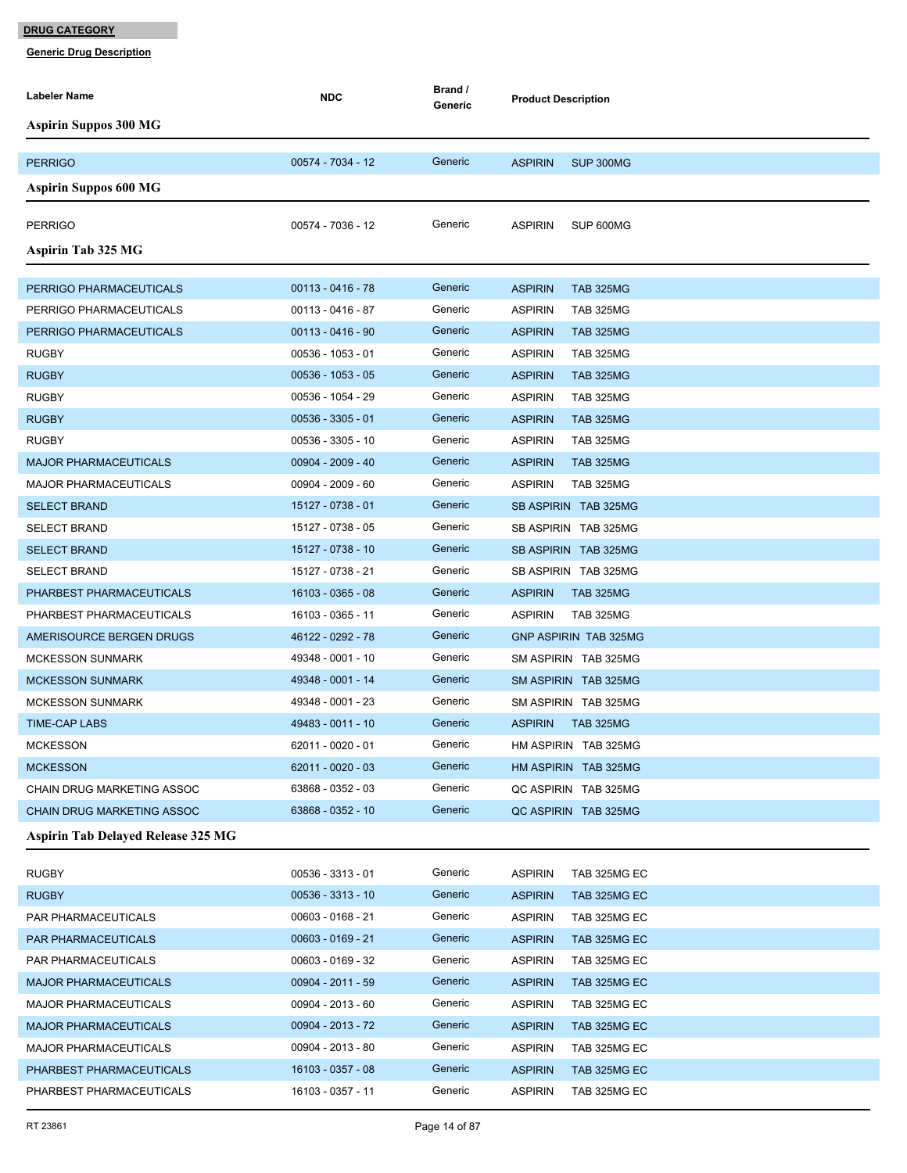| Labeler Name                              | <b>NDC</b>          | Brand /<br>Generic | <b>Product Description</b>         |
|-------------------------------------------|---------------------|--------------------|------------------------------------|
| <b>Aspirin Suppos 300 MG</b>              |                     |                    |                                    |
|                                           |                     |                    |                                    |
| <b>PERRIGO</b>                            | 00574 - 7034 - 12   | Generic            | <b>ASPIRIN</b><br>SUP 300MG        |
| <b>Aspirin Suppos 600 MG</b>              |                     |                    |                                    |
| <b>PERRIGO</b>                            | 00574 - 7036 - 12   | Generic            | <b>ASPIRIN</b><br>SUP 600MG        |
| <b>Aspirin Tab 325 MG</b>                 |                     |                    |                                    |
|                                           |                     |                    |                                    |
| PERRIGO PHARMACEUTICALS                   | $00113 - 0416 - 78$ | Generic            | <b>ASPIRIN</b><br><b>TAB 325MG</b> |
| PERRIGO PHARMACEUTICALS                   | 00113 - 0416 - 87   | Generic            | <b>ASPIRIN</b><br><b>TAB 325MG</b> |
| PERRIGO PHARMACEUTICALS                   | $00113 - 0416 - 90$ | Generic            | <b>ASPIRIN</b><br><b>TAB 325MG</b> |
| <b>RUGBY</b>                              | 00536 - 1053 - 01   | Generic            | <b>ASPIRIN</b><br><b>TAB 325MG</b> |
| <b>RUGBY</b>                              | $00536 - 1053 - 05$ | Generic            | <b>ASPIRIN</b><br><b>TAB 325MG</b> |
| <b>RUGBY</b>                              | 00536 - 1054 - 29   | Generic            | <b>ASPIRIN</b><br><b>TAB 325MG</b> |
| <b>RUGBY</b>                              | $00536 - 3305 - 01$ | Generic            | <b>ASPIRIN</b><br><b>TAB 325MG</b> |
| <b>RUGBY</b>                              | 00536 - 3305 - 10   | Generic            | <b>ASPIRIN</b><br><b>TAB 325MG</b> |
| <b>MAJOR PHARMACEUTICALS</b>              | $00904 - 2009 - 40$ | Generic            | <b>ASPIRIN</b><br><b>TAB 325MG</b> |
| <b>MAJOR PHARMACEUTICALS</b>              | $00904 - 2009 - 60$ | Generic            | <b>ASPIRIN</b><br><b>TAB 325MG</b> |
| <b>SELECT BRAND</b>                       | 15127 - 0738 - 01   | Generic            | SB ASPIRIN TAB 325MG               |
| <b>SELECT BRAND</b>                       | 15127 - 0738 - 05   | Generic            | SB ASPIRIN TAB 325MG               |
| <b>SELECT BRAND</b>                       | 15127 - 0738 - 10   | Generic            | SB ASPIRIN TAB 325MG               |
| <b>SELECT BRAND</b>                       | 15127 - 0738 - 21   | Generic            | SB ASPIRIN TAB 325MG               |
| PHARBEST PHARMACEUTICALS                  | 16103 - 0365 - 08   | Generic            | <b>ASPIRIN</b><br><b>TAB 325MG</b> |
| PHARBEST PHARMACEUTICALS                  | 16103 - 0365 - 11   | Generic            | <b>ASPIRIN</b><br><b>TAB 325MG</b> |
| AMERISOURCE BERGEN DRUGS                  | 46122 - 0292 - 78   | Generic            | <b>GNP ASPIRIN TAB 325MG</b>       |
| <b>MCKESSON SUNMARK</b>                   | 49348 - 0001 - 10   | Generic            | SM ASPIRIN TAB 325MG               |
| <b>MCKESSON SUNMARK</b>                   | 49348 - 0001 - 14   | Generic            | SM ASPIRIN TAB 325MG               |
| <b>MCKESSON SUNMARK</b>                   | 49348 - 0001 - 23   | Generic            | SM ASPIRIN TAB 325MG               |
| <b>TIME-CAP LABS</b>                      | 49483 - 0011 - 10   | Generic            | <b>ASPIRIN</b><br><b>TAB 325MG</b> |
| <b>MCKESSON</b>                           | 62011 - 0020 - 01   | Generic            | HM ASPIRIN TAB 325MG               |
| <b>MCKESSON</b>                           | $62011 - 0020 - 03$ | Generic            | HM ASPIRIN TAB 325MG               |
| CHAIN DRUG MARKETING ASSOC                | 63868 - 0352 - 03   | Generic            | QC ASPIRIN TAB 325MG               |
| <b>CHAIN DRUG MARKETING ASSOC</b>         | 63868 - 0352 - 10   | Generic            | QC ASPIRIN TAB 325MG               |
| <b>Aspirin Tab Delayed Release 325 MG</b> |                     |                    |                                    |
| <b>RUGBY</b>                              | $00536 - 3313 - 01$ | Generic            | <b>ASPIRIN</b><br>TAB 325MG EC     |
| <b>RUGBY</b>                              | 00536 - 3313 - 10   | Generic            | <b>ASPIRIN</b><br>TAB 325MG EC     |
| PAR PHARMACEUTICALS                       | 00603 - 0168 - 21   | Generic            | <b>ASPIRIN</b><br>TAB 325MG EC     |
| PAR PHARMACEUTICALS                       | $00603 - 0169 - 21$ | Generic            | <b>ASPIRIN</b><br>TAB 325MG EC     |
| PAR PHARMACEUTICALS                       | 00603 - 0169 - 32   | Generic            | <b>ASPIRIN</b><br>TAB 325MG EC     |
| <b>MAJOR PHARMACEUTICALS</b>              | 00904 - 2011 - 59   | Generic            | <b>ASPIRIN</b><br>TAB 325MG EC     |
| <b>MAJOR PHARMACEUTICALS</b>              | 00904 - 2013 - 60   | Generic            | <b>ASPIRIN</b><br>TAB 325MG EC     |
| <b>MAJOR PHARMACEUTICALS</b>              | 00904 - 2013 - 72   | Generic            | <b>ASPIRIN</b><br>TAB 325MG EC     |
| <b>MAJOR PHARMACEUTICALS</b>              | 00904 - 2013 - 80   | Generic            | <b>ASPIRIN</b><br>TAB 325MG EC     |
| PHARBEST PHARMACEUTICALS                  | 16103 - 0357 - 08   | Generic            | <b>ASPIRIN</b><br>TAB 325MG EC     |
| PHARBEST PHARMACEUTICALS                  | 16103 - 0357 - 11   | Generic            | <b>ASPIRIN</b><br>TAB 325MG EC     |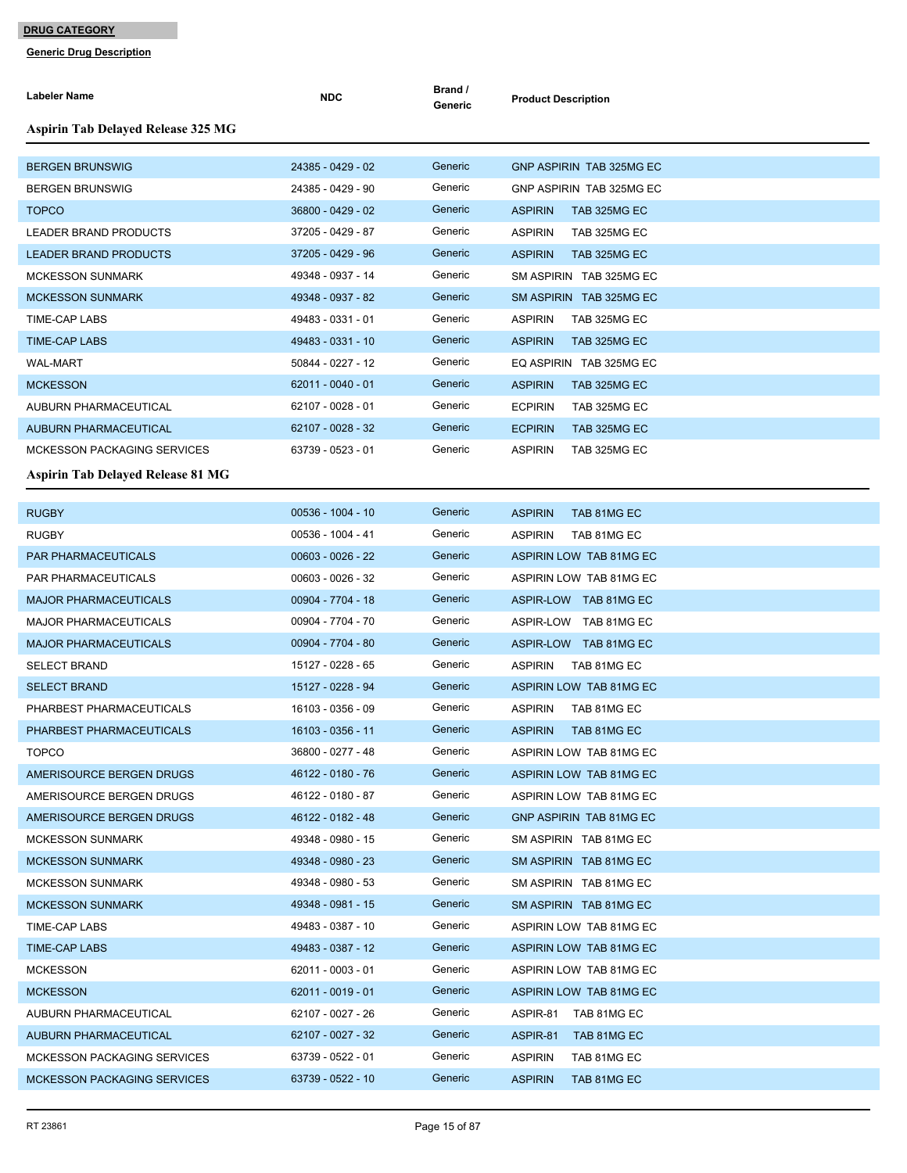| Labeler Name                              | <b>NDC</b>        | Brand /<br>Generic | <b>Product Description</b>      |
|-------------------------------------------|-------------------|--------------------|---------------------------------|
| <b>Aspirin Tab Delayed Release 325 MG</b> |                   |                    |                                 |
| <b>BERGEN BRUNSWIG</b>                    | 24385 - 0429 - 02 | Generic            | <b>GNP ASPIRIN TAB 325MG EC</b> |
| BERGEN BRUNSWIG                           | 24385 - 0429 - 90 | Generic            | GNP ASPIRIN TAB 325MG EC        |
| <b>TOPCO</b>                              | 36800 - 0429 - 02 | Generic            | <b>ASPIRIN</b><br>TAB 325MG EC  |
| LEADER BRAND PRODUCTS                     | 37205 - 0429 - 87 | Generic            | <b>ASPIRIN</b><br>TAB 325MG EC  |
| <b>LEADER BRAND PRODUCTS</b>              | 37205 - 0429 - 96 | Generic            | <b>ASPIRIN</b><br>TAB 325MG EC  |
| <b>MCKESSON SUNMARK</b>                   | 49348 - 0937 - 14 | Generic            | SM ASPIRIN TAB 325MG EC         |
| MCKESSON SUNMARK                          | 49348 - 0937 - 82 | Generic            | SM ASPIRIN TAB 325MG EC         |
| <b>TIME-CAP LABS</b>                      | 49483 - 0331 - 01 | Generic            | <b>ASPIRIN</b><br>TAB 325MG EC  |
| <b>TIME-CAP LABS</b>                      | 49483 - 0331 - 10 | Generic            | <b>ASPIRIN</b><br>TAB 325MG EC  |
| <b>WAL-MART</b>                           | 50844 - 0227 - 12 | Generic            | EQ ASPIRIN TAB 325MG EC         |
| <b>MCKESSON</b>                           | 62011 - 0040 - 01 | Generic            | <b>ASPIRIN</b><br>TAB 325MG EC  |
| AUBURN PHARMACEUTICAL                     | 62107 - 0028 - 01 | Generic            | <b>ECPIRIN</b><br>TAB 325MG EC  |
| <b>AUBURN PHARMACEUTICAL</b>              | 62107 - 0028 - 32 | Generic            | <b>ECPIRIN</b><br>TAB 325MG EC  |
| <b>MCKESSON PACKAGING SERVICES</b>        | 63739 - 0523 - 01 | Generic            | <b>ASPIRIN</b><br>TAB 325MG EC  |
| <b>Aspirin Tab Delayed Release 81 MG</b>  |                   |                    |                                 |
|                                           |                   |                    |                                 |
| <b>RUGBY</b>                              | 00536 - 1004 - 10 | Generic            | <b>ASPIRIN</b><br>TAB 81MG EC   |
| <b>RUGBY</b>                              | 00536 - 1004 - 41 | Generic            | <b>ASPIRIN</b><br>TAB 81MG EC   |
| PAR PHARMACEUTICALS                       | 00603 - 0026 - 22 | Generic            | ASPIRIN LOW TAB 81MG EC         |
| PAR PHARMACEUTICALS                       | 00603 - 0026 - 32 | Generic            | ASPIRIN LOW TAB 81MG EC         |
| <b>MAJOR PHARMACEUTICALS</b>              | 00904 - 7704 - 18 | Generic            | ASPIR-LOW TAB 81MG EC           |
| MAJOR PHARMACEUTICALS                     | 00904 - 7704 - 70 | Generic            | ASPIR-LOW TAB 81MG EC           |
| <b>MAJOR PHARMACEUTICALS</b>              | 00904 - 7704 - 80 | Generic            | ASPIR-LOW TAB 81MG EC           |
| <b>SELECT BRAND</b>                       | 15127 - 0228 - 65 | Generic            | <b>ASPIRIN</b><br>TAB 81MG EC   |
| <b>SELECT BRAND</b>                       | 15127 - 0228 - 94 | Generic            | ASPIRIN LOW TAB 81MG EC         |
| PHARBEST PHARMACEUTICALS                  | 16103 - 0356 - 09 | Generic            | <b>ASPIRIN</b><br>TAB 81MG EC   |
| PHARBEST PHARMACEUTICALS                  | 16103 - 0356 - 11 | Generic            | <b>ASPIRIN</b><br>TAB 81MG EC   |
| <b>TOPCO</b>                              | 36800 - 0277 - 48 | Generic            | ASPIRIN LOW TAB 81MG EC         |
| AMERISOURCE BERGEN DRUGS                  | 46122 - 0180 - 76 | Generic            | ASPIRIN LOW TAB 81MG EC         |
| AMERISOURCE BERGEN DRUGS                  | 46122 - 0180 - 87 | Generic            | ASPIRIN LOW TAB 81MG EC         |
| AMERISOURCE BERGEN DRUGS                  | 46122 - 0182 - 48 | Generic            | GNP ASPIRIN TAB 81MG EC         |
| <b>MCKESSON SUNMARK</b>                   | 49348 - 0980 - 15 | Generic            | SM ASPIRIN TAB 81MG EC          |
| <b>MCKESSON SUNMARK</b>                   | 49348 - 0980 - 23 | Generic            | SM ASPIRIN TAB 81MG EC          |
| <b>MCKESSON SUNMARK</b>                   | 49348 - 0980 - 53 | Generic            | SM ASPIRIN TAB 81MG EC          |
| <b>MCKESSON SUNMARK</b>                   | 49348 - 0981 - 15 | Generic            | SM ASPIRIN TAB 81MG EC          |
| TIME-CAP LABS                             | 49483 - 0387 - 10 | Generic            | ASPIRIN LOW TAB 81MG EC         |
| <b>TIME-CAP LABS</b>                      | 49483 - 0387 - 12 | Generic            | ASPIRIN LOW TAB 81MG EC         |
| <b>MCKESSON</b>                           | 62011 - 0003 - 01 | Generic            | ASPIRIN LOW TAB 81MG EC         |
| <b>MCKESSON</b>                           | 62011 - 0019 - 01 | Generic            | ASPIRIN LOW TAB 81MG EC         |
| AUBURN PHARMACEUTICAL                     | 62107 - 0027 - 26 | Generic            | ASPIR-81<br>TAB 81MG EC         |
| AUBURN PHARMACEUTICAL                     | 62107 - 0027 - 32 | Generic            | ASPIR-81<br>TAB 81MG EC         |
| <b>MCKESSON PACKAGING SERVICES</b>        | 63739 - 0522 - 01 | Generic            | <b>ASPIRIN</b><br>TAB 81MG EC   |
| <b>MCKESSON PACKAGING SERVICES</b>        | 63739 - 0522 - 10 | Generic            | <b>ASPIRIN</b><br>TAB 81MG EC   |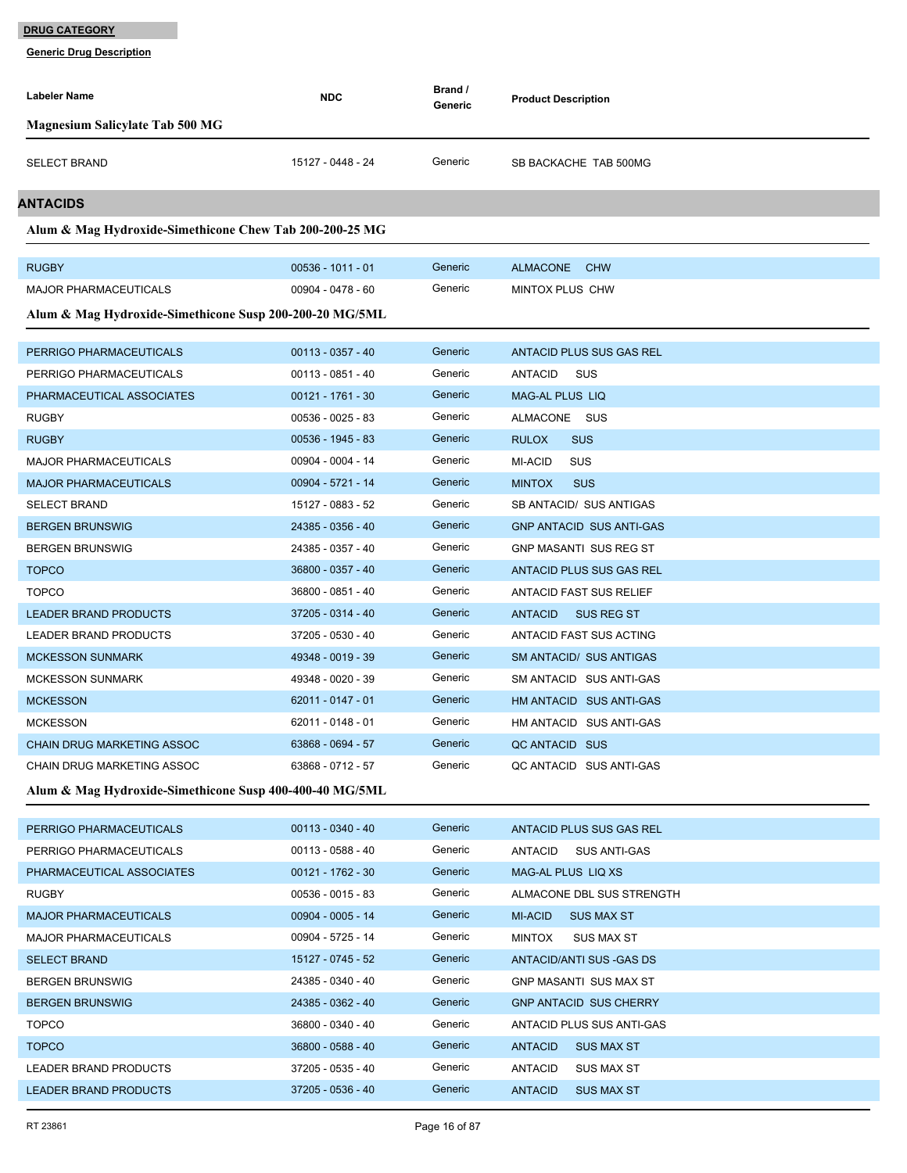| Labeler Name                                            | <b>NDC</b>          | Brand /<br>Generic | <b>Product Description</b>          |
|---------------------------------------------------------|---------------------|--------------------|-------------------------------------|
| <b>Magnesium Salicylate Tab 500 MG</b>                  |                     |                    |                                     |
|                                                         | 15127 - 0448 - 24   | Generic            |                                     |
| <b>SELECT BRAND</b>                                     |                     |                    | SB BACKACHE TAB 500MG               |
| ANTACIDS                                                |                     |                    |                                     |
| Alum & Mag Hydroxide-Simethicone Chew Tab 200-200-25 MG |                     |                    |                                     |
| <b>RUGBY</b>                                            | $00536 - 1011 - 01$ | Generic            | ALMACONE CHW                        |
| <b>MAJOR PHARMACEUTICALS</b>                            | 00904 - 0478 - 60   | Generic            | MINTOX PLUS CHW                     |
| Alum & Mag Hydroxide-Simethicone Susp 200-200-20 MG/5ML |                     |                    |                                     |
|                                                         |                     |                    |                                     |
| PERRIGO PHARMACEUTICALS                                 | $00113 - 0357 - 40$ | Generic            | ANTACID PLUS SUS GAS REL            |
| PERRIGO PHARMACEUTICALS                                 | 00113 - 0851 - 40   | Generic            | SUS<br>ANTACID                      |
| PHARMACEUTICAL ASSOCIATES                               | 00121 - 1761 - 30   | Generic            | <b>MAG-AL PLUS LIQ</b>              |
| <b>RUGBY</b>                                            | 00536 - 0025 - 83   | Generic            | ALMACONE SUS                        |
| <b>RUGBY</b>                                            | 00536 - 1945 - 83   | Generic            | <b>RULOX</b><br><b>SUS</b>          |
| <b>MAJOR PHARMACEUTICALS</b>                            | 00904 - 0004 - 14   | Generic            | <b>MI-ACID</b><br><b>SUS</b>        |
| <b>MAJOR PHARMACEUTICALS</b>                            | 00904 - 5721 - 14   | Generic            | <b>SUS</b><br><b>MINTOX</b>         |
| <b>SELECT BRAND</b>                                     | 15127 - 0883 - 52   | Generic            | SB ANTACID/ SUS ANTIGAS             |
| <b>BERGEN BRUNSWIG</b>                                  | 24385 - 0356 - 40   | Generic            | <b>GNP ANTACID SUS ANTI-GAS</b>     |
| <b>BERGEN BRUNSWIG</b>                                  | 24385 - 0357 - 40   | Generic            | <b>GNP MASANTI SUS REG ST</b>       |
| <b>TOPCO</b>                                            | 36800 - 0357 - 40   | Generic            | ANTACID PLUS SUS GAS REL            |
| <b>TOPCO</b>                                            | 36800 - 0851 - 40   | Generic            | ANTACID FAST SUS RELIEF             |
| <b>LEADER BRAND PRODUCTS</b>                            | 37205 - 0314 - 40   | Generic            | <b>ANTACID</b><br>SUS REG ST        |
| <b>LEADER BRAND PRODUCTS</b>                            | 37205 - 0530 - 40   | Generic            | ANTACID FAST SUS ACTING             |
| <b>MCKESSON SUNMARK</b>                                 | 49348 - 0019 - 39   | Generic            | <b>SM ANTACID/ SUS ANTIGAS</b>      |
| <b>MCKESSON SUNMARK</b>                                 | 49348 - 0020 - 39   | Generic            | SM ANTACID SUS ANTI-GAS             |
| <b>MCKESSON</b>                                         | 62011 - 0147 - 01   | Generic            | HM ANTACID SUS ANTI-GAS             |
| <b>MCKESSON</b>                                         | 62011 - 0148 - 01   | Generic            | HM ANTACID SUS ANTI-GAS             |
| CHAIN DRUG MARKETING ASSOC                              | 63868 - 0694 - 57   | Generic            | QC ANTACID SUS                      |
| CHAIN DRUG MARKETING ASSOC                              | 63868 - 0712 - 57   | Generic            | QC ANTACID SUS ANTI-GAS             |
| Alum & Mag Hydroxide-Simethicone Susp 400-400-40 MG/5ML |                     |                    |                                     |
| PERRIGO PHARMACEUTICALS                                 | $00113 - 0340 - 40$ | Generic            | ANTACID PLUS SUS GAS REL            |
| PERRIGO PHARMACEUTICALS                                 | $00113 - 0588 - 40$ | Generic            | <b>SUS ANTI-GAS</b><br>ANTACID      |
| PHARMACEUTICAL ASSOCIATES                               | 00121 - 1762 - 30   | Generic            | MAG-AL PLUS LIQ XS                  |
| <b>RUGBY</b>                                            | 00536 - 0015 - 83   | Generic            | ALMACONE DBL SUS STRENGTH           |
| <b>MAJOR PHARMACEUTICALS</b>                            | 00904 - 0005 - 14   | Generic            | MI-ACID<br><b>SUS MAX ST</b>        |
| <b>MAJOR PHARMACEUTICALS</b>                            | 00904 - 5725 - 14   | Generic            | <b>SUS MAX ST</b><br><b>MINTOX</b>  |
| <b>SELECT BRAND</b>                                     | 15127 - 0745 - 52   | Generic            | ANTACID/ANTI SUS - GAS DS           |
| <b>BERGEN BRUNSWIG</b>                                  | 24385 - 0340 - 40   | Generic            | <b>GNP MASANTI SUS MAX ST</b>       |
| <b>BERGEN BRUNSWIG</b>                                  | 24385 - 0362 - 40   | Generic            | <b>GNP ANTACID SUS CHERRY</b>       |
| <b>TOPCO</b>                                            | 36800 - 0340 - 40   | Generic            | ANTACID PLUS SUS ANTI-GAS           |
| <b>TOPCO</b>                                            | 36800 - 0588 - 40   | Generic            | <b>ANTACID</b><br><b>SUS MAX ST</b> |
| LEADER BRAND PRODUCTS                                   | 37205 - 0535 - 40   | Generic            | <b>ANTACID</b><br><b>SUS MAX ST</b> |
| <b>LEADER BRAND PRODUCTS</b>                            | 37205 - 0536 - 40   | Generic            | <b>ANTACID</b><br><b>SUS MAX ST</b> |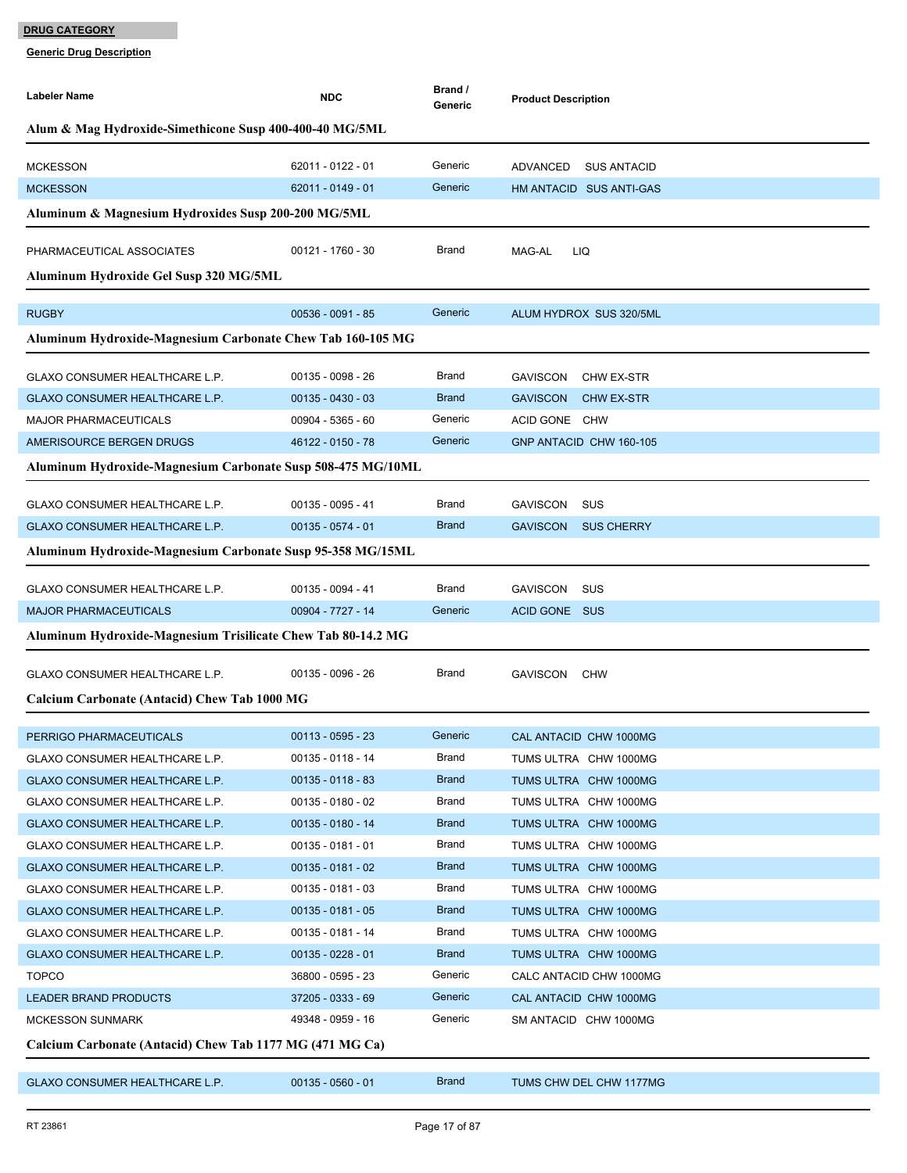| <b>Labeler Name</b>                                         | <b>NDC</b>                                                   | Brand /<br>Generic | <b>Product Description</b>           |  |  |  |  |
|-------------------------------------------------------------|--------------------------------------------------------------|--------------------|--------------------------------------|--|--|--|--|
| Alum & Mag Hydroxide-Simethicone Susp 400-400-40 MG/5ML     |                                                              |                    |                                      |  |  |  |  |
| <b>MCKESSON</b>                                             | 62011 - 0122 - 01                                            | Generic            | ADVANCED<br>SUS ANTACID              |  |  |  |  |
| <b>MCKESSON</b>                                             | 62011 - 0149 - 01                                            | Generic            | HM ANTACID SUS ANTI-GAS              |  |  |  |  |
| Aluminum & Magnesium Hydroxides Susp 200-200 MG/5ML         |                                                              |                    |                                      |  |  |  |  |
| PHARMACEUTICAL ASSOCIATES                                   | 00121 - 1760 - 30                                            | Brand              | MAG-AL<br>LIQ                        |  |  |  |  |
|                                                             |                                                              |                    |                                      |  |  |  |  |
| Aluminum Hydroxide Gel Susp 320 MG/5ML                      |                                                              |                    |                                      |  |  |  |  |
| <b>RUGBY</b>                                                | $00536 - 0091 - 85$                                          | Generic            | ALUM HYDROX SUS 320/5ML              |  |  |  |  |
| Aluminum Hydroxide-Magnesium Carbonate Chew Tab 160-105 MG  |                                                              |                    |                                      |  |  |  |  |
| <b>GLAXO CONSUMER HEALTHCARE L.P.</b>                       | 00135 - 0098 - 26                                            | Brand              | <b>GAVISCON</b><br>CHW EX-STR        |  |  |  |  |
| GLAXO CONSUMER HEALTHCARE L.P.                              | $00135 - 0430 - 03$                                          | <b>Brand</b>       | <b>GAVISCON</b><br><b>CHW EX-STR</b> |  |  |  |  |
| <b>MAJOR PHARMACEUTICALS</b>                                | 00904 - 5365 - 60                                            | Generic            | ACID GONE CHW                        |  |  |  |  |
| AMERISOURCE BERGEN DRUGS                                    | 46122 - 0150 - 78                                            | Generic            | GNP ANTACID CHW 160-105              |  |  |  |  |
| Aluminum Hydroxide-Magnesium Carbonate Susp 508-475 MG/10ML |                                                              |                    |                                      |  |  |  |  |
| GLAXO CONSUMER HEALTHCARE L.P.                              | 00135 - 0095 - 41                                            | Brand              | <b>GAVISCON</b><br>sus               |  |  |  |  |
| GLAXO CONSUMER HEALTHCARE L.P.                              | $00135 - 0574 - 01$                                          | <b>Brand</b>       | <b>SUS CHERRY</b><br><b>GAVISCON</b> |  |  |  |  |
| Aluminum Hydroxide-Magnesium Carbonate Susp 95-358 MG/15ML  |                                                              |                    |                                      |  |  |  |  |
|                                                             |                                                              |                    |                                      |  |  |  |  |
| GLAXO CONSUMER HEALTHCARE L.P.                              | 00135 - 0094 - 41                                            | Brand              | GAVISCON<br>sus                      |  |  |  |  |
| <b>MAJOR PHARMACEUTICALS</b>                                | 00904 - 7727 - 14                                            | Generic            | ACID GONE SUS                        |  |  |  |  |
|                                                             | Aluminum Hydroxide-Magnesium Trisilicate Chew Tab 80-14.2 MG |                    |                                      |  |  |  |  |
| GLAXO CONSUMER HEALTHCARE L.P.                              | 00135 - 0096 - 26                                            | Brand              | GAVISCON CHW                         |  |  |  |  |
| Calcium Carbonate (Antacid) Chew Tab 1000 MG                |                                                              |                    |                                      |  |  |  |  |
| PERRIGO PHARMACEUTICALS                                     | $00113 - 0595 - 23$                                          | Generic            | CAL ANTACID CHW 1000MG               |  |  |  |  |
| GLAXO CONSUMER HEALTHCARE L.P.                              | 00135 - 0118 - 14                                            | Brand              | TUMS ULTRA CHW 1000MG                |  |  |  |  |
| GLAXO CONSUMER HEALTHCARE L.P.                              | $00135 - 0118 - 83$                                          | <b>Brand</b>       | TUMS ULTRA CHW 1000MG                |  |  |  |  |
| GLAXO CONSUMER HEALTHCARE L.P.                              | $00135 - 0180 - 02$                                          | Brand              | TUMS ULTRA CHW 1000MG                |  |  |  |  |
| <b>GLAXO CONSUMER HEALTHCARE L.P.</b>                       | $00135 - 0180 - 14$                                          | <b>Brand</b>       | TUMS ULTRA CHW 1000MG                |  |  |  |  |
| GLAXO CONSUMER HEALTHCARE L.P.                              | $00135 - 0181 - 01$                                          | Brand              | TUMS ULTRA CHW 1000MG                |  |  |  |  |
| GLAXO CONSUMER HEALTHCARE L.P.                              | $00135 - 0181 - 02$                                          | <b>Brand</b>       | TUMS ULTRA CHW 1000MG                |  |  |  |  |
| GLAXO CONSUMER HEALTHCARE L.P.                              | $00135 - 0181 - 03$                                          | Brand              | TUMS ULTRA CHW 1000MG                |  |  |  |  |
| GLAXO CONSUMER HEALTHCARE L.P.                              | $00135 - 0181 - 05$                                          | <b>Brand</b>       | TUMS ULTRA CHW 1000MG                |  |  |  |  |
| GLAXO CONSUMER HEALTHCARE L.P.                              | 00135 - 0181 - 14                                            | Brand              | TUMS ULTRA CHW 1000MG                |  |  |  |  |
| <b>GLAXO CONSUMER HEALTHCARE L.P.</b>                       | $00135 - 0228 - 01$                                          | <b>Brand</b>       | TUMS ULTRA CHW 1000MG                |  |  |  |  |
| <b>TOPCO</b>                                                | 36800 - 0595 - 23                                            | Generic            | CALC ANTACID CHW 1000MG              |  |  |  |  |
| <b>LEADER BRAND PRODUCTS</b>                                | 37205 - 0333 - 69                                            | Generic            | CAL ANTACID CHW 1000MG               |  |  |  |  |
| <b>MCKESSON SUNMARK</b>                                     | 49348 - 0959 - 16                                            | Generic            | SM ANTACID CHW 1000MG                |  |  |  |  |
| Calcium Carbonate (Antacid) Chew Tab 1177 MG (471 MG Ca)    |                                                              |                    |                                      |  |  |  |  |
| GLAXO CONSUMER HEALTHCARE L.P.                              | $00135 - 0560 - 01$                                          | <b>Brand</b>       | TUMS CHW DEL CHW 1177MG              |  |  |  |  |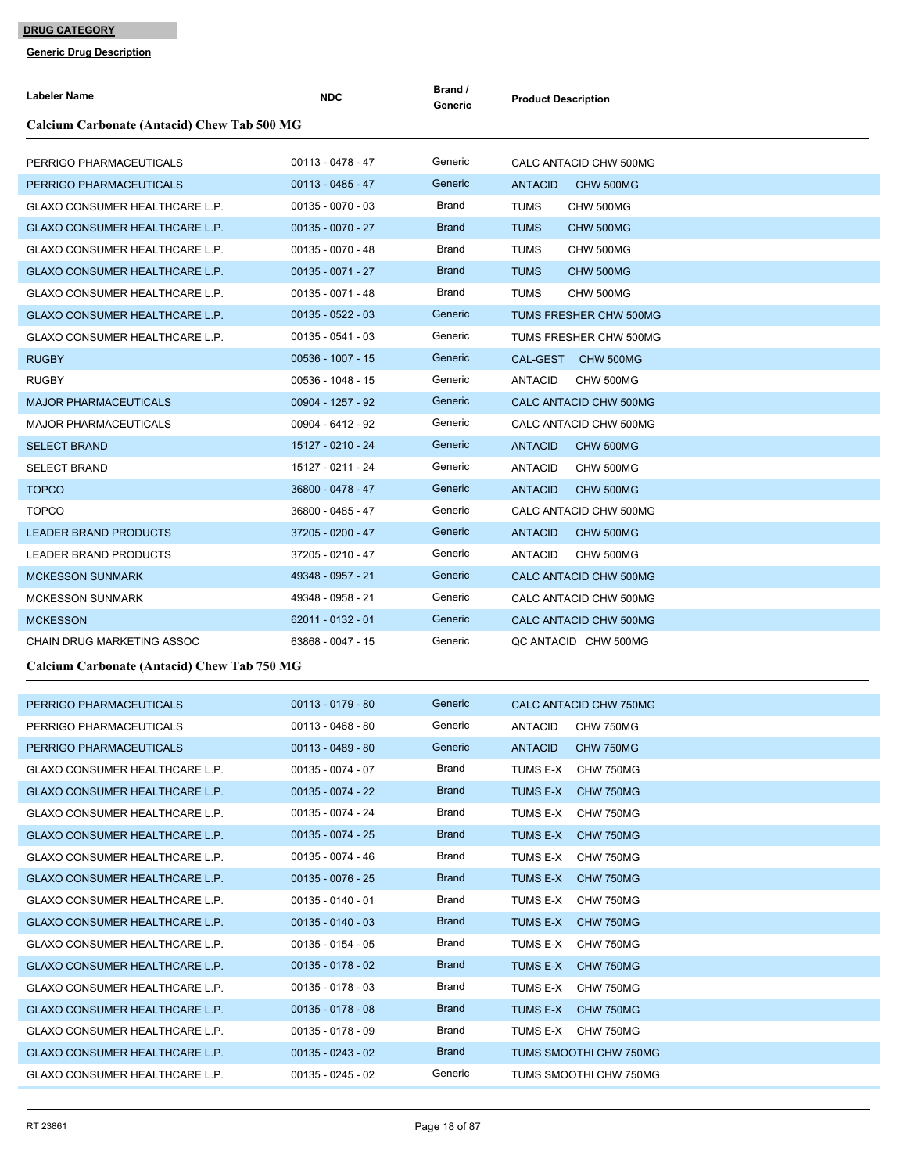| <b>Labeler Name</b>                         | <b>NDC</b>          | Brand /<br>Generic | <b>Product Description</b>  |
|---------------------------------------------|---------------------|--------------------|-----------------------------|
| Calcium Carbonate (Antacid) Chew Tab 500 MG |                     |                    |                             |
|                                             |                     |                    |                             |
| PERRIGO PHARMACEUTICALS                     | $00113 - 0478 - 47$ | Generic            | CALC ANTACID CHW 500MG      |
| PERRIGO PHARMACEUTICALS                     | $00113 - 0485 - 47$ | Generic            | <b>ANTACID</b><br>CHW 500MG |
| GLAXO CONSUMER HEALTHCARE L.P.              | $00135 - 0070 - 03$ | Brand              | <b>TUMS</b><br>CHW 500MG    |
| GLAXO CONSUMER HEALTHCARE L.P.              | $00135 - 0070 - 27$ | <b>Brand</b>       | <b>TUMS</b><br>CHW 500MG    |
| <b>GLAXO CONSUMER HEALTHCARE L.P.</b>       | 00135 - 0070 - 48   | Brand              | TUMS<br>CHW 500MG           |
| GLAXO CONSUMER HEALTHCARE L.P.              | $00135 - 0071 - 27$ | <b>Brand</b>       | <b>TUMS</b><br>CHW 500MG    |
| <b>GLAXO CONSUMER HEALTHCARE L.P.</b>       | $00135 - 0071 - 48$ | Brand              | TUMS<br>CHW 500MG           |
| GLAXO CONSUMER HEALTHCARE L.P.              | $00135 - 0522 - 03$ | Generic            | TUMS FRESHER CHW 500MG      |
| GLAXO CONSUMER HEALTHCARE L.P.              | $00135 - 0541 - 03$ | Generic            | TUMS FRESHER CHW 500MG      |
| <b>RUGBY</b>                                | 00536 - 1007 - 15   | Generic            | CAL-GEST CHW 500MG          |
| <b>RUGBY</b>                                | 00536 - 1048 - 15   | Generic            | <b>ANTACID</b><br>CHW 500MG |
| <b>MAJOR PHARMACEUTICALS</b>                | 00904 - 1257 - 92   | Generic            | CALC ANTACID CHW 500MG      |
| <b>MAJOR PHARMACEUTICALS</b>                | 00904 - 6412 - 92   | Generic            | CALC ANTACID CHW 500MG      |
| <b>SELECT BRAND</b>                         | 15127 - 0210 - 24   | Generic            | <b>ANTACID</b><br>CHW 500MG |
| <b>SELECT BRAND</b>                         | 15127 - 0211 - 24   | Generic            | <b>ANTACID</b><br>CHW 500MG |
| <b>TOPCO</b>                                | 36800 - 0478 - 47   | Generic            | <b>ANTACID</b><br>CHW 500MG |
| <b>TOPCO</b>                                | 36800 - 0485 - 47   | Generic            | CALC ANTACID CHW 500MG      |
| <b>LEADER BRAND PRODUCTS</b>                | 37205 - 0200 - 47   | Generic            | <b>ANTACID</b><br>CHW 500MG |
| LEADER BRAND PRODUCTS                       | 37205 - 0210 - 47   | Generic            | <b>ANTACID</b><br>CHW 500MG |
| <b>MCKESSON SUNMARK</b>                     | 49348 - 0957 - 21   | Generic            | CALC ANTACID CHW 500MG      |
| <b>MCKESSON SUNMARK</b>                     | 49348 - 0958 - 21   | Generic            | CALC ANTACID CHW 500MG      |
| <b>MCKESSON</b>                             | 62011 - 0132 - 01   | Generic            | CALC ANTACID CHW 500MG      |
| CHAIN DRUG MARKETING ASSOC                  | 63868 - 0047 - 15   | Generic            | QC ANTACID CHW 500MG        |
| Calcium Carbonate (Antacid) Chew Tab 750 MG |                     |                    |                             |
|                                             |                     | Generic            |                             |
| PERRIGO PHARMACEUTICALS                     | $00113 - 0179 - 80$ |                    | CALC ANTACID CHW 750MG      |
| PERRIGO PHARMACEUTICALS                     | 00113 - 0468 - 80   | Generic            | ANTACID<br>CHW 750MG        |
| PERRIGO PHARMACEUTICALS                     | $00113 - 0489 - 80$ | Generic            | ANTACID<br><b>CHW 750MG</b> |
| GLAXO CONSUMER HEALTHCARE L.P.              | $00135 - 0074 - 07$ | Brand              | TUMS E-X<br>CHW 750MG       |
| GLAXO CONSUMER HEALTHCARE L.P.              | 00135 - 0074 - 22   | <b>Brand</b>       | TUMS E-X<br>CHW 750MG       |
| <b>GLAXO CONSUMER HEALTHCARE L.P.</b>       | 00135 - 0074 - 24   | Brand              | TUMS E-X<br>CHW 750MG       |
| <b>GLAXO CONSUMER HEALTHCARE L.P.</b>       | $00135 - 0074 - 25$ | <b>Brand</b>       | TUMS E-X CHW 750MG          |
| GLAXO CONSUMER HEALTHCARE L.P.              | 00135 - 0074 - 46   | Brand              | TUMS E-X<br>CHW 750MG       |
| GLAXO CONSUMER HEALTHCARE L.P.              | $00135 - 0076 - 25$ | <b>Brand</b>       | CHW 750MG<br>TUMS E-X       |
| GLAXO CONSUMER HEALTHCARE L.P.              | $00135 - 0140 - 01$ | Brand              | TUMS E-X<br>CHW 750MG       |
| GLAXO CONSUMER HEALTHCARE L.P.              | $00135 - 0140 - 03$ | <b>Brand</b>       | TUMS E-X<br>CHW 750MG       |
| GLAXO CONSUMER HEALTHCARE L.P.              | $00135 - 0154 - 05$ | Brand              | TUMS E-X<br>CHW 750MG       |
| <b>GLAXO CONSUMER HEALTHCARE L.P.</b>       | $00135 - 0178 - 02$ | <b>Brand</b>       | TUMS E-X<br>CHW 750MG       |
| GLAXO CONSUMER HEALTHCARE L.P.              | $00135 - 0178 - 03$ | Brand              | TUMS E-X<br>CHW 750MG       |
| <b>GLAXO CONSUMER HEALTHCARE L.P.</b>       | $00135 - 0178 - 08$ | <b>Brand</b>       | TUMS E-X<br>CHW 750MG       |
| GLAXO CONSUMER HEALTHCARE L.P.              | $00135 - 0178 - 09$ | Brand              | TUMS E-X CHW 750MG          |
| GLAXO CONSUMER HEALTHCARE L.P.              | $00135 - 0243 - 02$ | <b>Brand</b>       | TUMS SMOOTHI CHW 750MG      |
| GLAXO CONSUMER HEALTHCARE L.P.              | $00135 - 0245 - 02$ | Generic            | TUMS SMOOTHI CHW 750MG      |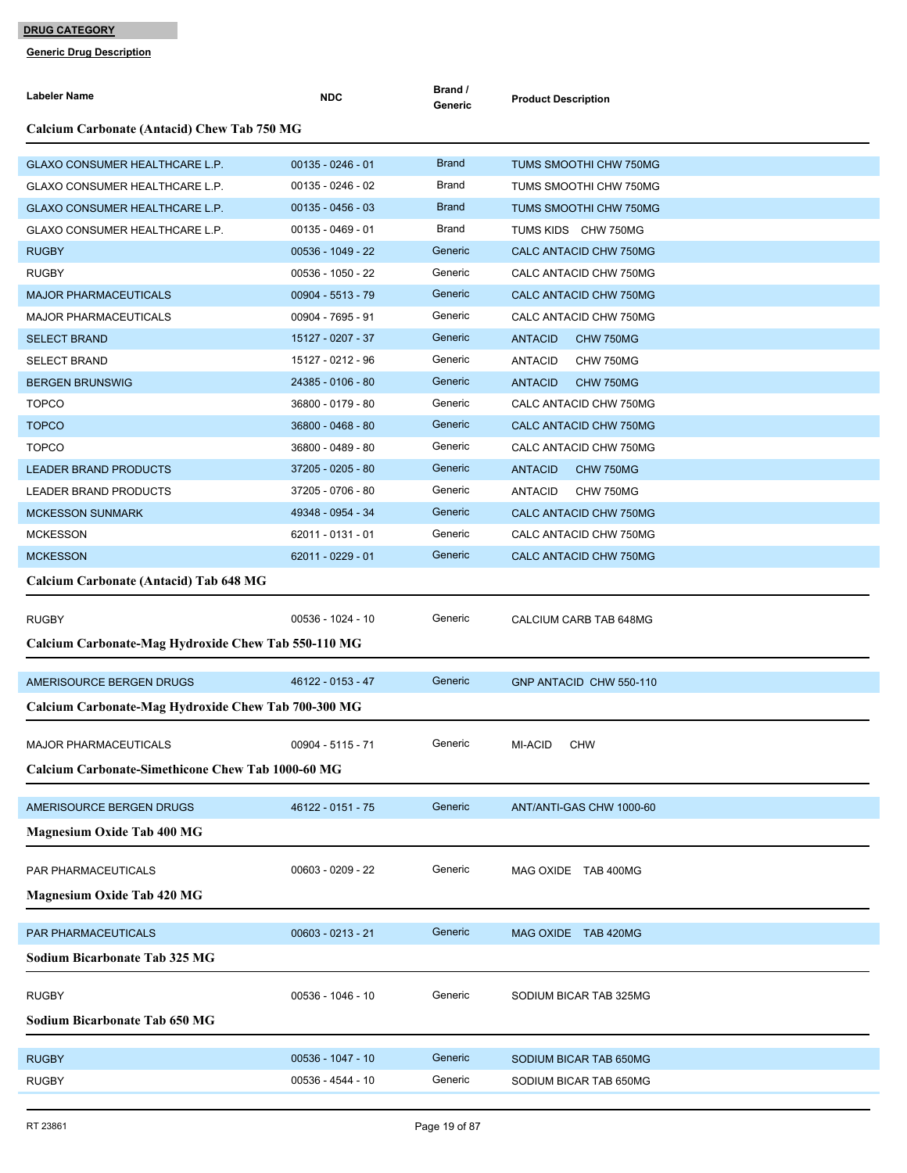| <b>Labeler Name</b>                                      | <b>NDC</b>          | Brand /<br>Generic | <b>Product Description</b>         |  |  |  |
|----------------------------------------------------------|---------------------|--------------------|------------------------------------|--|--|--|
| <b>Calcium Carbonate (Antacid) Chew Tab 750 MG</b>       |                     |                    |                                    |  |  |  |
| <b>GLAXO CONSUMER HEALTHCARE L.P.</b>                    | $00135 - 0246 - 01$ | <b>Brand</b>       | TUMS SMOOTHI CHW 750MG             |  |  |  |
| GLAXO CONSUMER HEALTHCARE L.P.                           | $00135 - 0246 - 02$ | Brand              | TUMS SMOOTHI CHW 750MG             |  |  |  |
| GLAXO CONSUMER HEALTHCARE L.P.                           | $00135 - 0456 - 03$ | <b>Brand</b>       | TUMS SMOOTHI CHW 750MG             |  |  |  |
| GLAXO CONSUMER HEALTHCARE L.P.                           | $00135 - 0469 - 01$ | Brand              | TUMS KIDS CHW 750MG                |  |  |  |
| <b>RUGBY</b>                                             | 00536 - 1049 - 22   | Generic            | CALC ANTACID CHW 750MG             |  |  |  |
| <b>RUGBY</b>                                             | 00536 - 1050 - 22   | Generic            | CALC ANTACID CHW 750MG             |  |  |  |
| <b>MAJOR PHARMACEUTICALS</b>                             | 00904 - 5513 - 79   | Generic            | CALC ANTACID CHW 750MG             |  |  |  |
| <b>MAJOR PHARMACEUTICALS</b>                             | 00904 - 7695 - 91   | Generic            | CALC ANTACID CHW 750MG             |  |  |  |
| <b>SELECT BRAND</b>                                      | 15127 - 0207 - 37   | Generic            | <b>ANTACID</b><br>CHW 750MG        |  |  |  |
| <b>SELECT BRAND</b>                                      | 15127 - 0212 - 96   | Generic            | <b>ANTACID</b><br>CHW 750MG        |  |  |  |
| <b>BERGEN BRUNSWIG</b>                                   | 24385 - 0106 - 80   | Generic            | <b>ANTACID</b><br>CHW 750MG        |  |  |  |
| <b>TOPCO</b>                                             | 36800 - 0179 - 80   | Generic            | CALC ANTACID CHW 750MG             |  |  |  |
| <b>TOPCO</b>                                             | 36800 - 0468 - 80   | Generic            | CALC ANTACID CHW 750MG             |  |  |  |
| <b>TOPCO</b>                                             | 36800 - 0489 - 80   | Generic            | CALC ANTACID CHW 750MG             |  |  |  |
| <b>LEADER BRAND PRODUCTS</b>                             | 37205 - 0205 - 80   | Generic            | <b>ANTACID</b><br>CHW 750MG        |  |  |  |
| LEADER BRAND PRODUCTS                                    | 37205 - 0706 - 80   | Generic            | <b>ANTACID</b><br><b>CHW 750MG</b> |  |  |  |
| <b>MCKESSON SUNMARK</b>                                  | 49348 - 0954 - 34   | Generic            | CALC ANTACID CHW 750MG             |  |  |  |
| <b>MCKESSON</b>                                          | 62011 - 0131 - 01   | Generic            | CALC ANTACID CHW 750MG             |  |  |  |
| <b>MCKESSON</b>                                          | 62011 - 0229 - 01   | Generic            | CALC ANTACID CHW 750MG             |  |  |  |
| Calcium Carbonate (Antacid) Tab 648 MG                   |                     |                    |                                    |  |  |  |
| <b>RUGBY</b>                                             | 00536 - 1024 - 10   | Generic            | CALCIUM CARB TAB 648MG             |  |  |  |
| Calcium Carbonate-Mag Hydroxide Chew Tab 550-110 MG      |                     |                    |                                    |  |  |  |
| AMERISOURCE BERGEN DRUGS                                 | 46122 - 0153 - 47   | Generic            | GNP ANTACID CHW 550-110            |  |  |  |
| Calcium Carbonate-Mag Hydroxide Chew Tab 700-300 MG      |                     |                    |                                    |  |  |  |
| MAJOR PHARMACEUTICALS                                    | 00904 - 5115 - 71   | Generic            | MI-ACID<br><b>CHW</b>              |  |  |  |
| <b>Calcium Carbonate-Simethicone Chew Tab 1000-60 MG</b> |                     |                    |                                    |  |  |  |
| AMERISOURCE BERGEN DRUGS                                 | 46122 - 0151 - 75   | Generic            | ANT/ANTI-GAS CHW 1000-60           |  |  |  |
| <b>Magnesium Oxide Tab 400 MG</b>                        |                     |                    |                                    |  |  |  |
| PAR PHARMACEUTICALS                                      | $00603 - 0209 - 22$ | Generic            | MAG OXIDE TAB 400MG                |  |  |  |
| <b>Magnesium Oxide Tab 420 MG</b>                        |                     |                    |                                    |  |  |  |
| PAR PHARMACEUTICALS                                      | $00603 - 0213 - 21$ | Generic            | MAG OXIDE TAB 420MG                |  |  |  |
| <b>Sodium Bicarbonate Tab 325 MG</b>                     |                     |                    |                                    |  |  |  |
| <b>RUGBY</b>                                             | 00536 - 1046 - 10   | Generic            | SODIUM BICAR TAB 325MG             |  |  |  |
| <b>Sodium Bicarbonate Tab 650 MG</b>                     |                     |                    |                                    |  |  |  |
| <b>RUGBY</b>                                             | 00536 - 1047 - 10   | Generic            | SODIUM BICAR TAB 650MG             |  |  |  |
| <b>RUGBY</b>                                             | 00536 - 4544 - 10   | Generic            | SODIUM BICAR TAB 650MG             |  |  |  |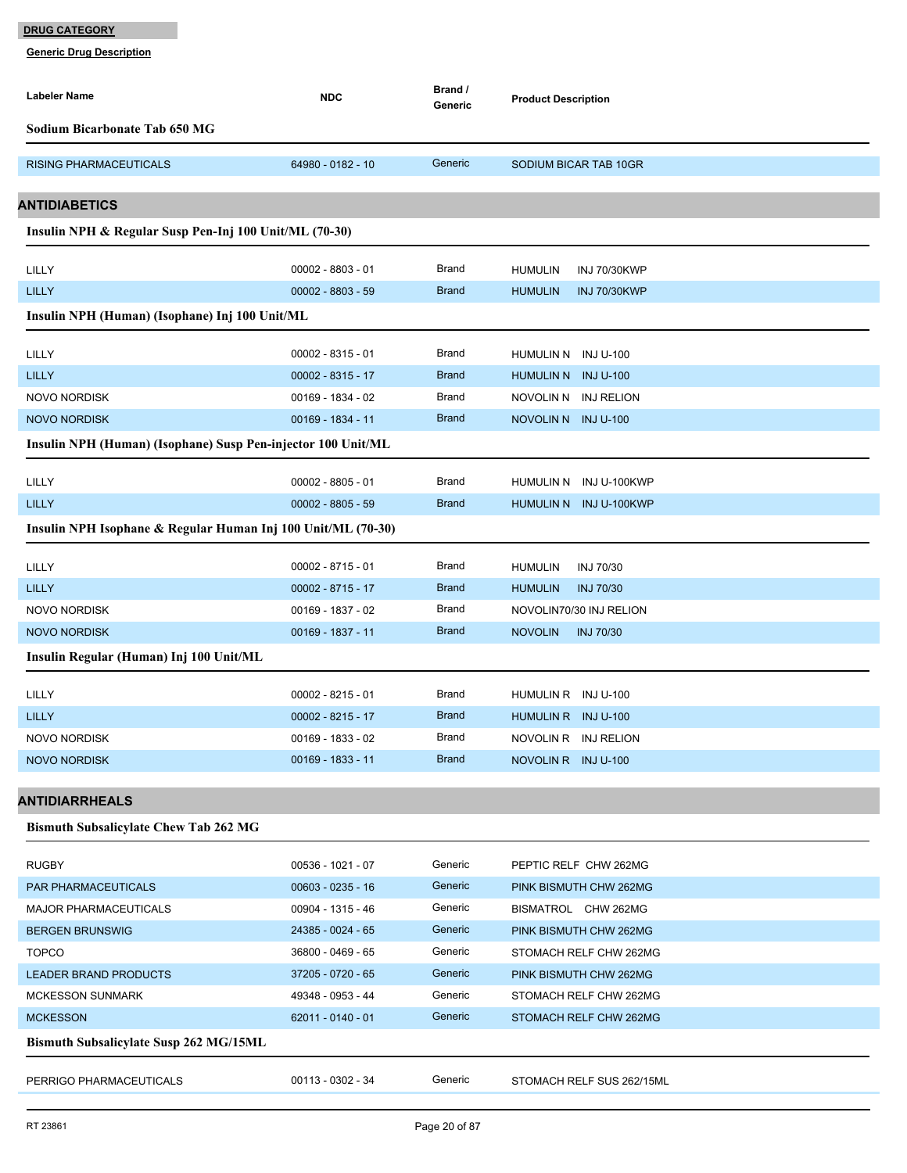| Labeler Name                                                 | <b>NDC</b>                             | Brand /<br>Generic           | <b>Product Description</b>            |
|--------------------------------------------------------------|----------------------------------------|------------------------------|---------------------------------------|
| <b>Sodium Bicarbonate Tab 650 MG</b>                         |                                        |                              |                                       |
| <b>RISING PHARMACEUTICALS</b>                                | 64980 - 0182 - 10                      | Generic                      | SODIUM BICAR TAB 10GR                 |
| <b>ANTIDIABETICS</b>                                         |                                        |                              |                                       |
| Insulin NPH & Regular Susp Pen-Inj 100 Unit/ML (70-30)       |                                        |                              |                                       |
|                                                              |                                        |                              |                                       |
| LILLY                                                        | $00002 - 8803 - 01$                    | <b>Brand</b>                 | <b>HUMULIN</b><br><b>INJ 70/30KWP</b> |
| <b>LILLY</b>                                                 | $00002 - 8803 - 59$                    | <b>Brand</b>                 | <b>HUMULIN</b><br><b>INJ 70/30KWP</b> |
| Insulin NPH (Human) (Isophane) Inj 100 Unit/ML               |                                        |                              |                                       |
| LILLY                                                        | $00002 - 8315 - 01$                    | Brand                        | HUMULIN N INJU-100                    |
| <b>LILLY</b>                                                 | $00002 - 8315 - 17$                    | <b>Brand</b>                 | HUMULIN N INJ U-100                   |
| <b>NOVO NORDISK</b>                                          | 00169 - 1834 - 02                      | <b>Brand</b>                 | NOVOLIN N INJ RELION                  |
| <b>NOVO NORDISK</b>                                          | 00169 - 1834 - 11                      | <b>Brand</b>                 | NOVOLIN N INJU-100                    |
| Insulin NPH (Human) (Isophane) Susp Pen-injector 100 Unit/ML |                                        |                              |                                       |
| LILLY                                                        | $00002 - 8805 - 01$                    | <b>Brand</b>                 | HUMULIN N INJ U-100KWP                |
| <b>LILLY</b>                                                 | $00002 - 8805 - 59$                    | <b>Brand</b>                 | HUMULIN N INJ U-100KWP                |
| Insulin NPH Isophane & Regular Human Inj 100 Unit/ML (70-30) |                                        |                              |                                       |
|                                                              |                                        |                              |                                       |
| LILLY                                                        | $00002 - 8715 - 01$                    | <b>Brand</b>                 | <b>HUMULIN</b><br><b>INJ 70/30</b>    |
| <b>LILLY</b>                                                 | $00002 - 8715 - 17$                    | <b>Brand</b>                 | <b>INJ 70/30</b><br><b>HUMULIN</b>    |
| <b>NOVO NORDISK</b>                                          | 00169 - 1837 - 02<br>00169 - 1837 - 11 | <b>Brand</b><br><b>Brand</b> | NOVOLIN70/30 INJ RELION               |
| <b>NOVO NORDISK</b>                                          |                                        |                              | <b>NOVOLIN</b><br><b>INJ 70/30</b>    |
| Insulin Regular (Human) Inj 100 Unit/ML                      |                                        |                              |                                       |
| LILLY                                                        | $00002 - 8215 - 01$                    | <b>Brand</b>                 | HUMULIN R INJU-100                    |
| <b>LILLY</b>                                                 | $00002 - 8215 - 17$                    | <b>Brand</b>                 | HUMULIN R INJ U-100                   |
| <b>NOVO NORDISK</b>                                          | 00169 - 1833 - 02                      | <b>Brand</b>                 | NOVOLIN R INJ RELION                  |
| <b>NOVO NORDISK</b>                                          | 00169 - 1833 - 11                      | <b>Brand</b>                 | NOVOLIN R INJ U-100                   |
| ANTIDIARRHEALS                                               |                                        |                              |                                       |
| <b>Bismuth Subsalicylate Chew Tab 262 MG</b>                 |                                        |                              |                                       |
|                                                              |                                        |                              |                                       |
| <b>RUGBY</b>                                                 | 00536 - 1021 - 07                      | Generic                      | PEPTIC RELF CHW 262MG                 |
| PAR PHARMACEUTICALS                                          | $00603 - 0235 - 16$                    | Generic                      | PINK BISMUTH CHW 262MG                |
| <b>MAJOR PHARMACEUTICALS</b>                                 | 00904 - 1315 - 46                      | Generic                      | BISMATROL CHW 262MG                   |
| <b>BERGEN BRUNSWIG</b>                                       | 24385 - 0024 - 65                      | Generic                      | PINK BISMUTH CHW 262MG                |
| <b>TOPCO</b>                                                 | 36800 - 0469 - 65                      | Generic                      | STOMACH RELF CHW 262MG                |
| <b>LEADER BRAND PRODUCTS</b>                                 | 37205 - 0720 - 65                      | Generic                      | PINK BISMUTH CHW 262MG                |
| <b>MCKESSON SUNMARK</b>                                      | 49348 - 0953 - 44                      | Generic<br>Generic           | STOMACH RELF CHW 262MG                |
| <b>MCKESSON</b>                                              | 62011 - 0140 - 01                      |                              | STOMACH RELF CHW 262MG                |
| <b>Bismuth Subsalicylate Susp 262 MG/15ML</b>                |                                        |                              |                                       |
| PERRIGO PHARMACEUTICALS                                      | 00113 - 0302 - 34                      | Generic                      | STOMACH RELF SUS 262/15ML             |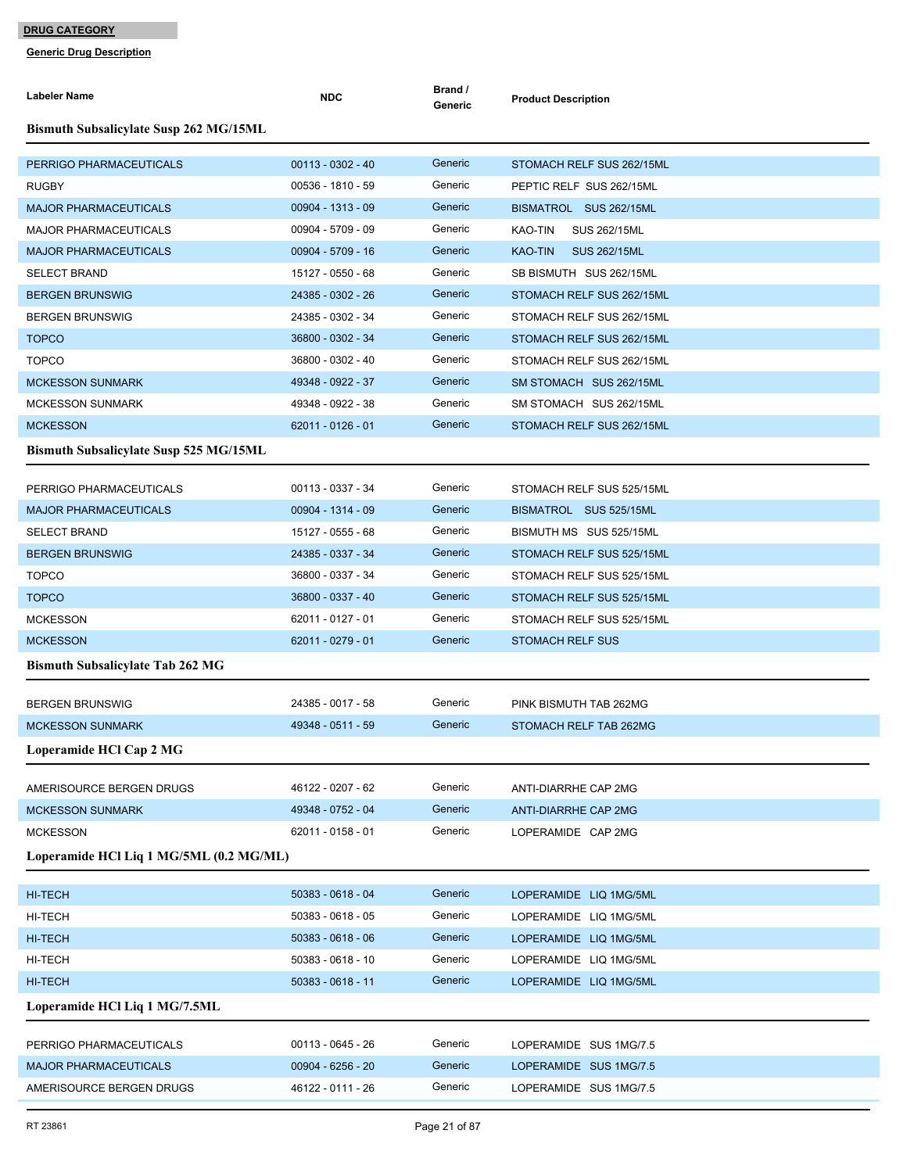| <b>Labeler Name</b>                           | <b>NDC</b>          | Brand /<br>Generic | <b>Product Description</b>            |
|-----------------------------------------------|---------------------|--------------------|---------------------------------------|
| <b>Bismuth Subsalicylate Susp 262 MG/15ML</b> |                     |                    |                                       |
| PERRIGO PHARMACEUTICALS                       | $00113 - 0302 - 40$ | Generic            | STOMACH RELF SUS 262/15ML             |
| <b>RUGBY</b>                                  | 00536 - 1810 - 59   | Generic            | PEPTIC RELF SUS 262/15ML              |
| <b>MAJOR PHARMACEUTICALS</b>                  | 00904 - 1313 - 09   | Generic            | BISMATROL SUS 262/15ML                |
| <b>MAJOR PHARMACEUTICALS</b>                  | 00904 - 5709 - 09   | Generic            | KAO-TIN<br>SUS 262/15ML               |
| <b>MAJOR PHARMACEUTICALS</b>                  | 00904 - 5709 - 16   | Generic            | <b>KAO-TIN</b><br><b>SUS 262/15ML</b> |
| <b>SELECT BRAND</b>                           | 15127 - 0550 - 68   | Generic            | SB BISMUTH SUS 262/15ML               |
| <b>BERGEN BRUNSWIG</b>                        | 24385 - 0302 - 26   | Generic            | STOMACH RELF SUS 262/15ML             |
| <b>BERGEN BRUNSWIG</b>                        | 24385 - 0302 - 34   | Generic            | STOMACH RELF SUS 262/15ML             |
| <b>TOPCO</b>                                  | 36800 - 0302 - 34   | Generic            | STOMACH RELF SUS 262/15ML             |
| <b>TOPCO</b>                                  | 36800 - 0302 - 40   | Generic            | STOMACH RELF SUS 262/15ML             |
| <b>MCKESSON SUNMARK</b>                       | 49348 - 0922 - 37   | Generic            | SM STOMACH SUS 262/15ML               |
| <b>MCKESSON SUNMARK</b>                       | 49348 - 0922 - 38   | Generic            | SM STOMACH SUS 262/15ML               |
| <b>MCKESSON</b>                               | 62011 - 0126 - 01   | Generic            | STOMACH RELF SUS 262/15ML             |
| <b>Bismuth Subsalicylate Susp 525 MG/15ML</b> |                     |                    |                                       |
| PERRIGO PHARMACEUTICALS                       | 00113 - 0337 - 34   | Generic            | STOMACH RELF SUS 525/15ML             |
| <b>MAJOR PHARMACEUTICALS</b>                  | 00904 - 1314 - 09   | Generic            | BISMATROL SUS 525/15ML                |
| <b>SELECT BRAND</b>                           | 15127 - 0555 - 68   | Generic            | BISMUTH MS SUS 525/15ML               |
| <b>BERGEN BRUNSWIG</b>                        | 24385 - 0337 - 34   | Generic            | STOMACH RELF SUS 525/15ML             |
| <b>TOPCO</b>                                  | 36800 - 0337 - 34   | Generic            | STOMACH RELF SUS 525/15ML             |
| <b>TOPCO</b>                                  | 36800 - 0337 - 40   | Generic            | STOMACH RELF SUS 525/15ML             |
| <b>MCKESSON</b>                               | 62011 - 0127 - 01   | Generic            | STOMACH RELF SUS 525/15ML             |
| <b>MCKESSON</b>                               | 62011 - 0279 - 01   | Generic            | <b>STOMACH RELF SUS</b>               |
| <b>Bismuth Subsalicylate Tab 262 MG</b>       |                     |                    |                                       |
| <b>BERGEN BRUNSWIG</b>                        | 24385 - 0017 - 58   | Generic            | PINK BISMUTH TAB 262MG                |
| <b>MCKESSON SUNMARK</b>                       | 49348 - 0511 - 59   | Generic            | STOMACH RELF TAB 262MG                |
| Loperamide HCl Cap 2 MG                       |                     |                    |                                       |
| AMERISOURCE BERGEN DRUGS                      | 46122 - 0207 - 62   | Generic            | ANTI-DIARRHE CAP 2MG                  |
| <b>MCKESSON SUNMARK</b>                       | 49348 - 0752 - 04   | Generic            | ANTI-DIARRHE CAP 2MG                  |
| <b>MCKESSON</b>                               | 62011 - 0158 - 01   | Generic            | LOPERAMIDE CAP 2MG                    |
| Loperamide HCl Liq 1 MG/5ML (0.2 MG/ML)       |                     |                    |                                       |
|                                               |                     |                    |                                       |
| HI-TECH                                       | 50383 - 0618 - 04   | Generic            | LOPERAMIDE LIQ 1MG/5ML                |
| HI-TECH                                       | $50383 - 0618 - 05$ | Generic            | LOPERAMIDE LIQ 1MG/5ML                |
| HI-TECH                                       | $50383 - 0618 - 06$ | Generic            | LOPERAMIDE LIQ 1MG/5ML                |
| HI-TECH                                       | 50383 - 0618 - 10   | Generic            | LOPERAMIDE LIQ 1MG/5ML                |
| HI-TECH                                       | 50383 - 0618 - 11   | Generic            | LOPERAMIDE LIQ 1MG/5ML                |
| Loperamide HCl Liq 1 MG/7.5ML                 |                     |                    |                                       |
| PERRIGO PHARMACEUTICALS                       | 00113 - 0645 - 26   | Generic            | LOPERAMIDE SUS 1MG/7.5                |
| <b>MAJOR PHARMACEUTICALS</b>                  | $00904 - 6256 - 20$ | Generic            | LOPERAMIDE SUS 1MG/7.5                |
| AMERISOURCE BERGEN DRUGS                      | 46122 - 0111 - 26   | Generic            | LOPERAMIDE SUS 1MG/7.5                |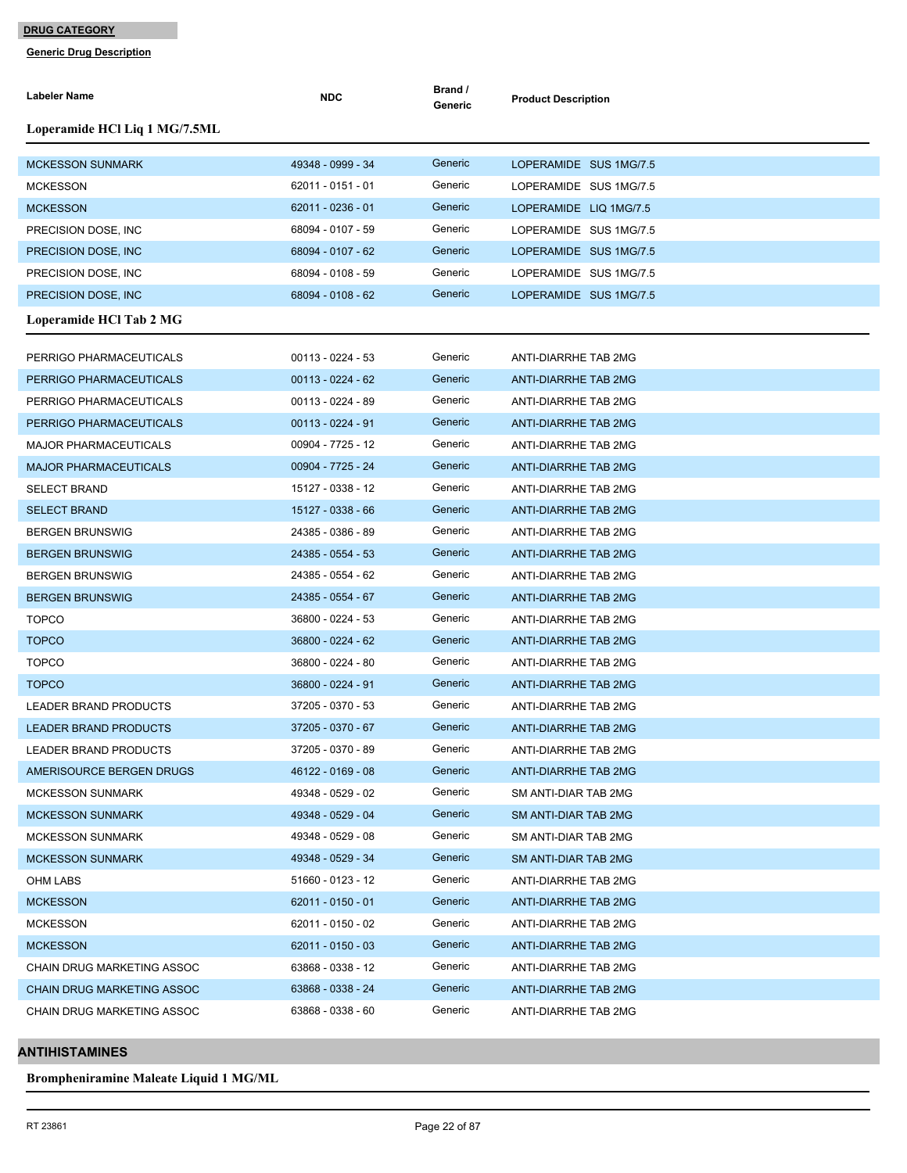**Generic Drug Description**

| Labeler Name                      | <b>NDC</b>          | Brand /<br>Generic | <b>Product Description</b>  |
|-----------------------------------|---------------------|--------------------|-----------------------------|
| Loperamide HCl Liq 1 MG/7.5ML     |                     |                    |                             |
| <b>MCKESSON SUNMARK</b>           | 49348 - 0999 - 34   | Generic            | LOPERAMIDE SUS 1MG/7.5      |
| <b>MCKESSON</b>                   | 62011 - 0151 - 01   | Generic            | LOPERAMIDE SUS 1MG/7.5      |
| <b>MCKESSON</b>                   | 62011 - 0236 - 01   | Generic            | LOPERAMIDE LIQ 1MG/7.5      |
| PRECISION DOSE, INC               | 68094 - 0107 - 59   | Generic            | LOPERAMIDE SUS 1MG/7.5      |
| PRECISION DOSE, INC               | 68094 - 0107 - 62   | Generic            | LOPERAMIDE SUS 1MG/7.5      |
| PRECISION DOSE, INC.              | 68094 - 0108 - 59   | Generic            | LOPERAMIDE SUS 1MG/7.5      |
| PRECISION DOSE, INC.              | 68094 - 0108 - 62   | Generic            | LOPERAMIDE SUS 1MG/7.5      |
| Loperamide HCl Tab 2 MG           |                     |                    |                             |
| PERRIGO PHARMACEUTICALS           | $00113 - 0224 - 53$ | Generic            | ANTI-DIARRHE TAB 2MG        |
| PERRIGO PHARMACEUTICALS           | $00113 - 0224 - 62$ | Generic            | ANTI-DIARRHE TAB 2MG        |
| PERRIGO PHARMACEUTICALS           | $00113 - 0224 - 89$ | Generic            | ANTI-DIARRHE TAB 2MG        |
| PERRIGO PHARMACEUTICALS           | $00113 - 0224 - 91$ | Generic            | ANTI-DIARRHE TAB 2MG        |
| MAJOR PHARMACEUTICALS             | 00904 - 7725 - 12   | Generic            | ANTI-DIARRHE TAB 2MG        |
| <b>MAJOR PHARMACEUTICALS</b>      | 00904 - 7725 - 24   | Generic            | ANTI-DIARRHE TAB 2MG        |
| <b>SELECT BRAND</b>               | 15127 - 0338 - 12   | Generic            | ANTI-DIARRHE TAB 2MG        |
| <b>SELECT BRAND</b>               | 15127 - 0338 - 66   | Generic            | ANTI-DIARRHE TAB 2MG        |
| <b>BERGEN BRUNSWIG</b>            | 24385 - 0386 - 89   | Generic            | ANTI-DIARRHE TAB 2MG        |
| <b>BERGEN BRUNSWIG</b>            | 24385 - 0554 - 53   | Generic            | ANTI-DIARRHE TAB 2MG        |
| <b>BERGEN BRUNSWIG</b>            | 24385 - 0554 - 62   | Generic            | ANTI-DIARRHE TAB 2MG        |
| <b>BERGEN BRUNSWIG</b>            | 24385 - 0554 - 67   | Generic            | ANTI-DIARRHE TAB 2MG        |
| <b>TOPCO</b>                      | 36800 - 0224 - 53   | Generic            | ANTI-DIARRHE TAB 2MG        |
| <b>TOPCO</b>                      | 36800 - 0224 - 62   | Generic            | <b>ANTI-DIARRHE TAB 2MG</b> |
| <b>TOPCO</b>                      | 36800 - 0224 - 80   | Generic            | ANTI-DIARRHE TAB 2MG        |
| <b>TOPCO</b>                      | 36800 - 0224 - 91   | Generic            | ANTI-DIARRHE TAB 2MG        |
| LEADER BRAND PRODUCTS             | 37205 - 0370 - 53   | Generic            | ANTI-DIARRHE TAB 2MG        |
| <b>LEADER BRAND PRODUCTS</b>      | 37205 - 0370 - 67   | Generic            | <b>ANTI-DIARRHE TAB 2MG</b> |
| LEADER BRAND PRODUCTS             | 37205 - 0370 - 89   | Generic            | ANTI-DIARRHE TAB 2MG        |
| AMERISOURCE BERGEN DRUGS          | 46122 - 0169 - 08   | Generic            | <b>ANTI-DIARRHE TAB 2MG</b> |
| <b>MCKESSON SUNMARK</b>           | 49348 - 0529 - 02   | Generic            | SM ANTI-DIAR TAB 2MG        |
| <b>MCKESSON SUNMARK</b>           | 49348 - 0529 - 04   | Generic            | SM ANTI-DIAR TAB 2MG        |
| <b>MCKESSON SUNMARK</b>           | 49348 - 0529 - 08   | Generic            | SM ANTI-DIAR TAB 2MG        |
| <b>MCKESSON SUNMARK</b>           | 49348 - 0529 - 34   | Generic            | SM ANTI-DIAR TAB 2MG        |
| OHM LABS                          | 51660 - 0123 - 12   | Generic            | ANTI-DIARRHE TAB 2MG        |
| <b>MCKESSON</b>                   | $62011 - 0150 - 01$ | Generic            | <b>ANTI-DIARRHE TAB 2MG</b> |
| <b>MCKESSON</b>                   | 62011 - 0150 - 02   | Generic            | ANTI-DIARRHE TAB 2MG        |
| <b>MCKESSON</b>                   | $62011 - 0150 - 03$ | Generic            | ANTI-DIARRHE TAB 2MG        |
| CHAIN DRUG MARKETING ASSOC        | 63868 - 0338 - 12   | Generic            | ANTI-DIARRHE TAB 2MG        |
| <b>CHAIN DRUG MARKETING ASSOC</b> | 63868 - 0338 - 24   | Generic            | ANTI-DIARRHE TAB 2MG        |
| CHAIN DRUG MARKETING ASSOC        | 63868 - 0338 - 60   | Generic            | ANTI-DIARRHE TAB 2MG        |

## **ANTIHISTAMINES**

**Brompheniramine Maleate Liquid 1 MG/ML**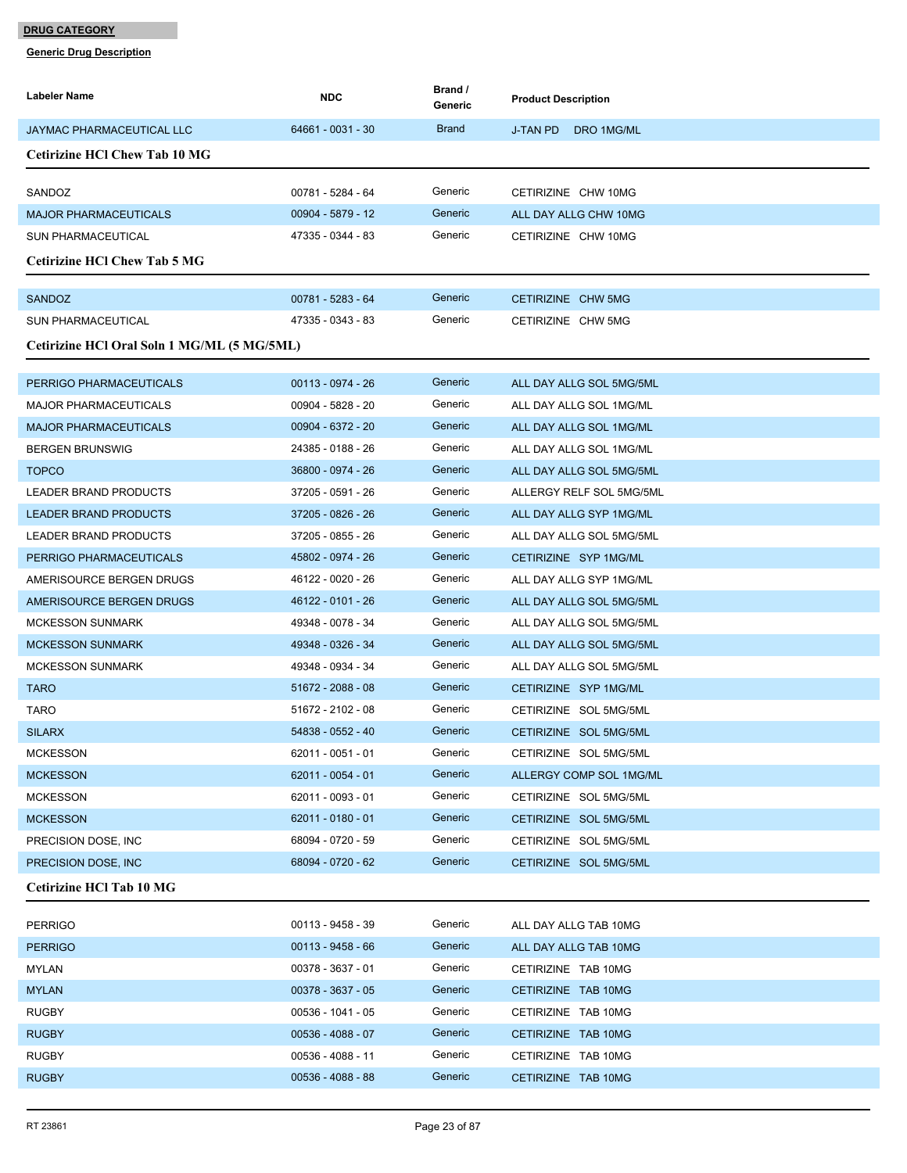| Labeler Name                                | <b>NDC</b>          | Brand /<br>Generic | <b>Product Description</b>    |
|---------------------------------------------|---------------------|--------------------|-------------------------------|
| <b>JAYMAC PHARMACEUTICAL LLC</b>            | 64661 - 0031 - 30   | <b>Brand</b>       | <b>J-TAN PD</b><br>DRO 1MG/ML |
| <b>Cetirizine HCI Chew Tab 10 MG</b>        |                     |                    |                               |
| SANDOZ                                      | 00781 - 5284 - 64   | Generic            | CETIRIZINE CHW 10MG           |
| <b>MAJOR PHARMACEUTICALS</b>                | 00904 - 5879 - 12   | Generic            | ALL DAY ALLG CHW 10MG         |
| <b>SUN PHARMACEUTICAL</b>                   | 47335 - 0344 - 83   | Generic            | CETIRIZINE CHW 10MG           |
| <b>Cetirizine HCI Chew Tab 5 MG</b>         |                     |                    |                               |
| <b>SANDOZ</b>                               | 00781 - 5283 - 64   | Generic            | CETIRIZINE CHW 5MG            |
| <b>SUN PHARMACEUTICAL</b>                   | 47335 - 0343 - 83   | Generic            | CETIRIZINE CHW 5MG            |
| Cetirizine HCl Oral Soln 1 MG/ML (5 MG/5ML) |                     |                    |                               |
| PERRIGO PHARMACEUTICALS                     | 00113 - 0974 - 26   | Generic            | ALL DAY ALLG SOL 5MG/5ML      |
| <b>MAJOR PHARMACEUTICALS</b>                | 00904 - 5828 - 20   | Generic            | ALL DAY ALLG SOL 1MG/ML       |
| <b>MAJOR PHARMACEUTICALS</b>                | 00904 - 6372 - 20   | Generic            | ALL DAY ALLG SOL 1MG/ML       |
| <b>BERGEN BRUNSWIG</b>                      | 24385 - 0188 - 26   | Generic            | ALL DAY ALLG SOL 1MG/ML       |
| <b>TOPCO</b>                                | 36800 - 0974 - 26   | Generic            | ALL DAY ALLG SOL 5MG/5ML      |
| LEADER BRAND PRODUCTS                       | 37205 - 0591 - 26   | Generic            | ALLERGY RELF SOL 5MG/5ML      |
| <b>LEADER BRAND PRODUCTS</b>                | 37205 - 0826 - 26   | Generic            | ALL DAY ALLG SYP 1MG/ML       |
| LEADER BRAND PRODUCTS                       | 37205 - 0855 - 26   | Generic            | ALL DAY ALLG SOL 5MG/5ML      |
| PERRIGO PHARMACEUTICALS                     | 45802 - 0974 - 26   | Generic            | CETIRIZINE SYP 1MG/ML         |
| AMERISOURCE BERGEN DRUGS                    | 46122 - 0020 - 26   | Generic            | ALL DAY ALLG SYP 1MG/ML       |
| AMERISOURCE BERGEN DRUGS                    | 46122 - 0101 - 26   | Generic            | ALL DAY ALLG SOL 5MG/5ML      |
| <b>MCKESSON SUNMARK</b>                     | 49348 - 0078 - 34   | Generic            | ALL DAY ALLG SOL 5MG/5ML      |
| <b>MCKESSON SUNMARK</b>                     | 49348 - 0326 - 34   | Generic            | ALL DAY ALLG SOL 5MG/5ML      |
| <b>MCKESSON SUNMARK</b>                     | 49348 - 0934 - 34   | Generic            | ALL DAY ALLG SOL 5MG/5ML      |
| <b>TARO</b>                                 | 51672 - 2088 - 08   | Generic            | CETIRIZINE SYP 1MG/ML         |
| TARO                                        | 51672 - 2102 - 08   | Generic            | CETIRIZINE SOL 5MG/5ML        |
| <b>SILARX</b>                               | 54838 - 0552 - 40   | Generic            | CETIRIZINE SOL 5MG/5ML        |
| <b>MCKESSON</b>                             | 62011 - 0051 - 01   | Generic            | CETIRIZINE SOL 5MG/5ML        |
| <b>MCKESSON</b>                             | 62011 - 0054 - 01   | Generic            | ALLERGY COMP SOL 1MG/ML       |
| <b>MCKESSON</b>                             | 62011 - 0093 - 01   | Generic            | CETIRIZINE SOL 5MG/5ML        |
| <b>MCKESSON</b>                             | $62011 - 0180 - 01$ | Generic            | CETIRIZINE SOL 5MG/5ML        |
| PRECISION DOSE, INC.                        | 68094 - 0720 - 59   | Generic            | CETIRIZINE SOL 5MG/5ML        |
| PRECISION DOSE, INC.                        | 68094 - 0720 - 62   | Generic            | CETIRIZINE SOL 5MG/5ML        |
| Cetirizine HCl Tab 10 MG                    |                     |                    |                               |
| <b>PERRIGO</b>                              | 00113 - 9458 - 39   | Generic            | ALL DAY ALLG TAB 10MG         |
| <b>PERRIGO</b>                              | $00113 - 9458 - 66$ | Generic            | ALL DAY ALLG TAB 10MG         |
| MYLAN                                       | 00378 - 3637 - 01   | Generic            | CETIRIZINE TAB 10MG           |
| <b>MYLAN</b>                                | 00378 - 3637 - 05   | Generic            | CETIRIZINE TAB 10MG           |
| <b>RUGBY</b>                                | 00536 - 1041 - 05   | Generic            | CETIRIZINE TAB 10MG           |
| <b>RUGBY</b>                                | $00536 - 4088 - 07$ | Generic            | CETIRIZINE TAB 10MG           |
| <b>RUGBY</b>                                | 00536 - 4088 - 11   | Generic            | CETIRIZINE TAB 10MG           |
| <b>RUGBY</b>                                | $00536 - 4088 - 88$ | Generic            | CETIRIZINE TAB 10MG           |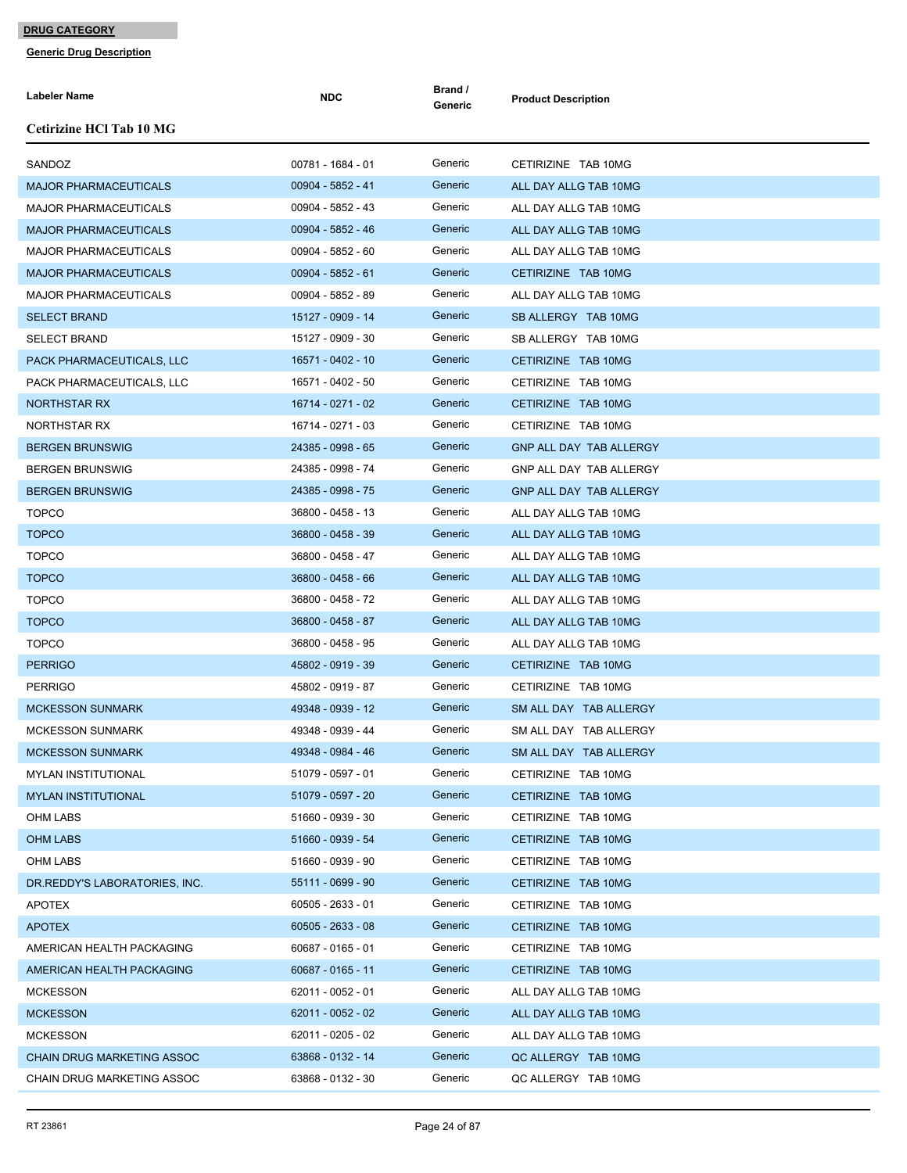| Labeler Name                      | <b>NDC</b>        | Brand /<br>Generic | <b>Product Description</b> |
|-----------------------------------|-------------------|--------------------|----------------------------|
| <b>Cetirizine HCl Tab 10 MG</b>   |                   |                    |                            |
| SANDOZ                            | 00781 - 1684 - 01 | Generic            | CETIRIZINE TAB 10MG        |
| <b>MAJOR PHARMACEUTICALS</b>      | 00904 - 5852 - 41 | Generic            | ALL DAY ALLG TAB 10MG      |
| <b>MAJOR PHARMACEUTICALS</b>      | 00904 - 5852 - 43 | Generic            | ALL DAY ALLG TAB 10MG      |
| <b>MAJOR PHARMACEUTICALS</b>      | 00904 - 5852 - 46 | Generic            | ALL DAY ALLG TAB 10MG      |
| <b>MAJOR PHARMACEUTICALS</b>      | 00904 - 5852 - 60 | Generic            | ALL DAY ALLG TAB 10MG      |
| <b>MAJOR PHARMACEUTICALS</b>      | 00904 - 5852 - 61 | Generic            | CETIRIZINE TAB 10MG        |
| <b>MAJOR PHARMACEUTICALS</b>      | 00904 - 5852 - 89 | Generic            | ALL DAY ALLG TAB 10MG      |
| <b>SELECT BRAND</b>               | 15127 - 0909 - 14 | Generic            | SB ALLERGY TAB 10MG        |
| <b>SELECT BRAND</b>               | 15127 - 0909 - 30 | Generic            | SB ALLERGY TAB 10MG        |
| PACK PHARMACEUTICALS, LLC         | 16571 - 0402 - 10 | Generic            | CETIRIZINE TAB 10MG        |
| PACK PHARMACEUTICALS, LLC         | 16571 - 0402 - 50 | Generic            | CETIRIZINE TAB 10MG        |
| <b>NORTHSTAR RX</b>               | 16714 - 0271 - 02 | Generic            | CETIRIZINE TAB 10MG        |
| NORTHSTAR RX                      | 16714 - 0271 - 03 | Generic            | CETIRIZINE TAB 10MG        |
| <b>BERGEN BRUNSWIG</b>            | 24385 - 0998 - 65 | Generic            | GNP ALL DAY TAB ALLERGY    |
| <b>BERGEN BRUNSWIG</b>            | 24385 - 0998 - 74 | Generic            | GNP ALL DAY TAB ALLERGY    |
| <b>BERGEN BRUNSWIG</b>            | 24385 - 0998 - 75 | Generic            | GNP ALL DAY TAB ALLERGY    |
| <b>TOPCO</b>                      | 36800 - 0458 - 13 | Generic            | ALL DAY ALLG TAB 10MG      |
| <b>TOPCO</b>                      | 36800 - 0458 - 39 | Generic            | ALL DAY ALLG TAB 10MG      |
| <b>TOPCO</b>                      | 36800 - 0458 - 47 | Generic            | ALL DAY ALLG TAB 10MG      |
| <b>TOPCO</b>                      | 36800 - 0458 - 66 | Generic            | ALL DAY ALLG TAB 10MG      |
| <b>TOPCO</b>                      | 36800 - 0458 - 72 | Generic            | ALL DAY ALLG TAB 10MG      |
| <b>TOPCO</b>                      | 36800 - 0458 - 87 | Generic            | ALL DAY ALLG TAB 10MG      |
| <b>TOPCO</b>                      | 36800 - 0458 - 95 | Generic            | ALL DAY ALLG TAB 10MG      |
| <b>PERRIGO</b>                    | 45802 - 0919 - 39 | Generic            | CETIRIZINE TAB 10MG        |
| <b>PERRIGO</b>                    | 45802 - 0919 - 87 | Generic            | CETIRIZINE TAB 10MG        |
| <b>MCKESSON SUNMARK</b>           | 49348 - 0939 - 12 | Generic            | SM ALL DAY TAB ALLERGY     |
| <b>MCKESSON SUNMARK</b>           | 49348 - 0939 - 44 | Generic            | SM ALL DAY TAB ALLERGY     |
| <b>MCKESSON SUNMARK</b>           | 49348 - 0984 - 46 | Generic            | SM ALL DAY TAB ALLERGY     |
| <b>MYLAN INSTITUTIONAL</b>        | 51079 - 0597 - 01 | Generic            | CETIRIZINE TAB 10MG        |
| <b>MYLAN INSTITUTIONAL</b>        | 51079 - 0597 - 20 | Generic            | CETIRIZINE TAB 10MG        |
| <b>OHM LABS</b>                   | 51660 - 0939 - 30 | Generic            | CETIRIZINE TAB 10MG        |
| <b>OHM LABS</b>                   | 51660 - 0939 - 54 | Generic            | CETIRIZINE TAB 10MG        |
| <b>OHM LABS</b>                   | 51660 - 0939 - 90 | Generic            | CETIRIZINE TAB 10MG        |
| DR.REDDY'S LABORATORIES, INC.     | 55111 - 0699 - 90 | Generic            | CETIRIZINE TAB 10MG        |
| <b>APOTEX</b>                     | 60505 - 2633 - 01 | Generic            | CETIRIZINE TAB 10MG        |
| <b>APOTEX</b>                     | 60505 - 2633 - 08 | Generic            | CETIRIZINE TAB 10MG        |
| AMERICAN HEALTH PACKAGING         | 60687 - 0165 - 01 | Generic            | CETIRIZINE TAB 10MG        |
| AMERICAN HEALTH PACKAGING         | 60687 - 0165 - 11 | Generic            | CETIRIZINE TAB 10MG        |
| <b>MCKESSON</b>                   | 62011 - 0052 - 01 | Generic            | ALL DAY ALLG TAB 10MG      |
| <b>MCKESSON</b>                   | 62011 - 0052 - 02 | Generic            | ALL DAY ALLG TAB 10MG      |
| <b>MCKESSON</b>                   | 62011 - 0205 - 02 | Generic            | ALL DAY ALLG TAB 10MG      |
| <b>CHAIN DRUG MARKETING ASSOC</b> | 63868 - 0132 - 14 | Generic            | QC ALLERGY TAB 10MG        |
| CHAIN DRUG MARKETING ASSOC        | 63868 - 0132 - 30 | Generic            | QC ALLERGY TAB 10MG        |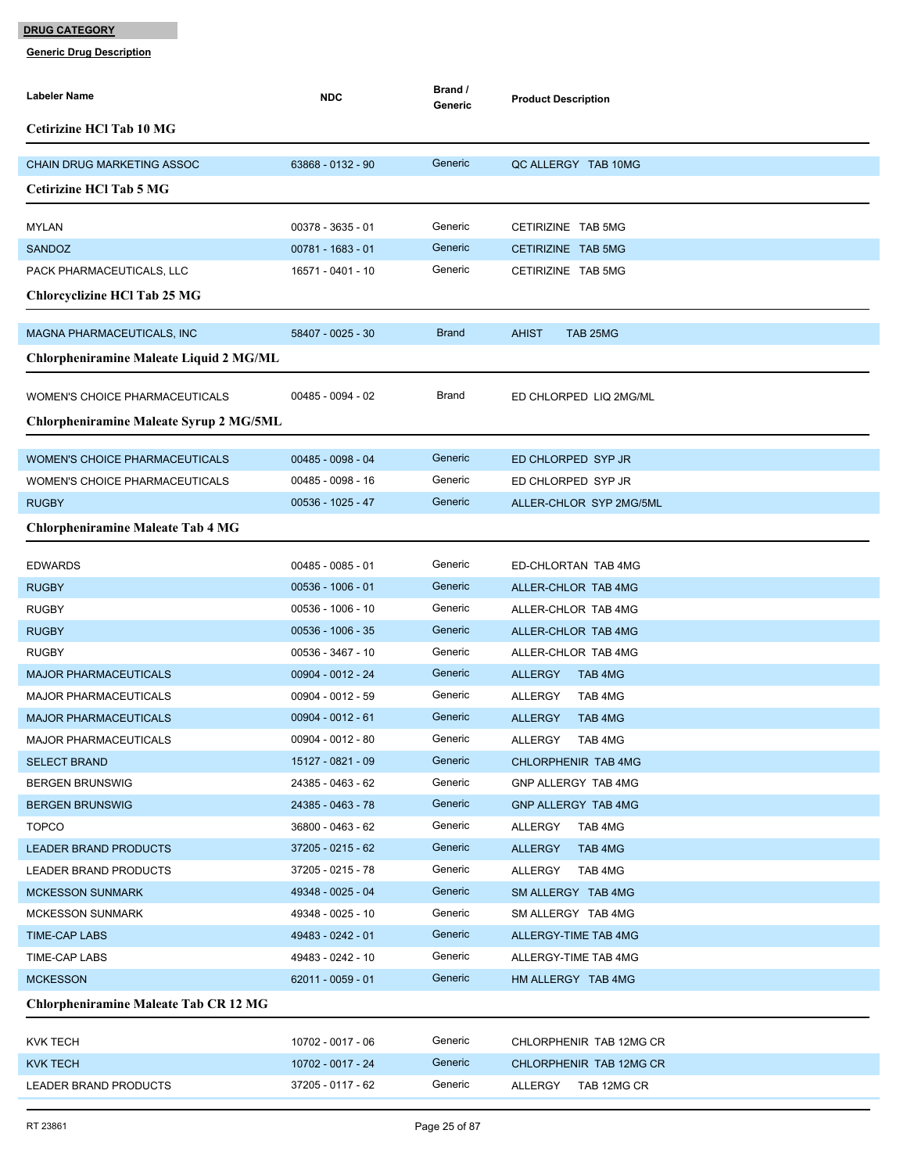| <b>Labeler Name</b>                          | <b>NDC</b>          | Brand /<br>Generic | <b>Product Description</b> |
|----------------------------------------------|---------------------|--------------------|----------------------------|
| <b>Cetirizine HCl Tab 10 MG</b>              |                     |                    |                            |
| <b>CHAIN DRUG MARKETING ASSOC</b>            | 63868 - 0132 - 90   | Generic            | QC ALLERGY TAB 10MG        |
| <b>Cetirizine HCl Tab 5 MG</b>               |                     |                    |                            |
| <b>MYLAN</b>                                 | 00378 - 3635 - 01   | Generic            | CETIRIZINE TAB 5MG         |
| SANDOZ                                       | 00781 - 1683 - 01   | Generic            | CETIRIZINE TAB 5MG         |
| PACK PHARMACEUTICALS, LLC                    | 16571 - 0401 - 10   | Generic            | CETIRIZINE TAB 5MG         |
| Chlorcyclizine HCl Tab 25 MG                 |                     |                    |                            |
| <b>MAGNA PHARMACEUTICALS, INC</b>            | 58407 - 0025 - 30   | <b>Brand</b>       | <b>AHIST</b><br>TAB 25MG   |
| Chlorpheniramine Maleate Liquid 2 MG/ML      |                     |                    |                            |
| <b>WOMEN'S CHOICE PHARMACEUTICALS</b>        | 00485 - 0094 - 02   | Brand              | ED CHLORPED LIQ 2MG/ML     |
| Chlorpheniramine Maleate Syrup 2 MG/5ML      |                     |                    |                            |
| <b>WOMEN'S CHOICE PHARMACEUTICALS</b>        | 00485 - 0098 - 04   | Generic            | ED CHLORPED SYP JR         |
| <b>WOMEN'S CHOICE PHARMACEUTICALS</b>        | 00485 - 0098 - 16   | Generic            | ED CHLORPED SYP JR         |
| <b>RUGBY</b>                                 | 00536 - 1025 - 47   | Generic            | ALLER-CHLOR SYP 2MG/5ML    |
| <b>Chlorpheniramine Maleate Tab 4 MG</b>     |                     |                    |                            |
| <b>EDWARDS</b>                               | $00485 - 0085 - 01$ | Generic            | ED-CHLORTAN TAB 4MG        |
| <b>RUGBY</b>                                 | $00536 - 1006 - 01$ | Generic            | ALLER-CHLOR TAB 4MG        |
| <b>RUGBY</b>                                 | 00536 - 1006 - 10   | Generic            | ALLER-CHLOR TAB 4MG        |
| <b>RUGBY</b>                                 | 00536 - 1006 - 35   | Generic            | ALLER-CHLOR TAB 4MG        |
| <b>RUGBY</b>                                 | 00536 - 3467 - 10   | Generic            | ALLER-CHLOR TAB 4MG        |
| <b>MAJOR PHARMACEUTICALS</b>                 | 00904 - 0012 - 24   | Generic            | <b>ALLERGY</b><br>TAB 4MG  |
| <b>MAJOR PHARMACEUTICALS</b>                 | 00904 - 0012 - 59   | Generic            | TAB 4MG<br><b>ALLERGY</b>  |
| <b>MAJOR PHARMACEUTICALS</b>                 | $00904 - 0012 - 61$ | Generic            | <b>ALLERGY</b><br>TAB 4MG  |
| <b>MAJOR PHARMACEUTICALS</b>                 | 00904 - 0012 - 80   | Generic            | <b>ALLERGY</b><br>TAB 4MG  |
| <b>SELECT BRAND</b>                          | 15127 - 0821 - 09   | Generic            | CHLORPHENIR TAB 4MG        |
| <b>BERGEN BRUNSWIG</b>                       | 24385 - 0463 - 62   | Generic            | GNP ALLERGY TAB 4MG        |
| <b>BERGEN BRUNSWIG</b>                       | 24385 - 0463 - 78   | Generic            | GNP ALLERGY TAB 4MG        |
| <b>TOPCO</b>                                 | 36800 - 0463 - 62   | Generic            | ALLERGY<br>TAB 4MG         |
| <b>LEADER BRAND PRODUCTS</b>                 | 37205 - 0215 - 62   | Generic            | <b>ALLERGY</b><br>TAB 4MG  |
| LEADER BRAND PRODUCTS                        | 37205 - 0215 - 78   | Generic            | TAB 4MG<br>ALLERGY         |
| <b>MCKESSON SUNMARK</b>                      | 49348 - 0025 - 04   | Generic            | SM ALLERGY TAB 4MG         |
| <b>MCKESSON SUNMARK</b>                      | 49348 - 0025 - 10   | Generic            | SM ALLERGY TAB 4MG         |
| TIME-CAP LABS                                | 49483 - 0242 - 01   | Generic            | ALLERGY-TIME TAB 4MG       |
| TIME-CAP LABS                                | 49483 - 0242 - 10   | Generic            | ALLERGY-TIME TAB 4MG       |
| <b>MCKESSON</b>                              | $62011 - 0059 - 01$ | Generic            | HM ALLERGY TAB 4MG         |
| <b>Chlorpheniramine Maleate Tab CR 12 MG</b> |                     |                    |                            |
| KVK TECH                                     | 10702 - 0017 - 06   | Generic            | CHLORPHENIR TAB 12MG CR    |
| <b>KVK TECH</b>                              | 10702 - 0017 - 24   | Generic            | CHLORPHENIR TAB 12MG CR    |
| LEADER BRAND PRODUCTS                        | 37205 - 0117 - 62   | Generic            | ALLERGY<br>TAB 12MG CR     |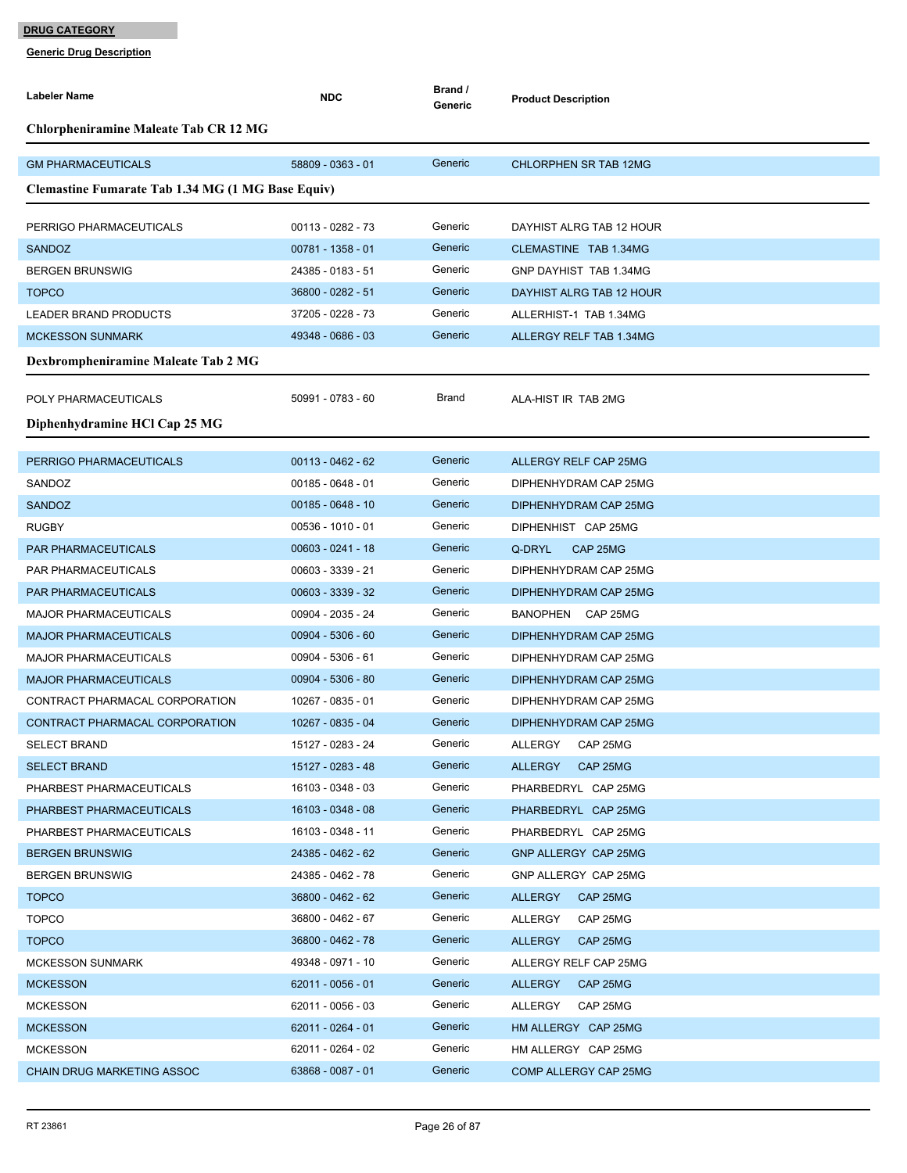| <b>Labeler Name</b>                                              | <b>NDC</b>                               | Brand /<br>Generic | <b>Product Description</b>                     |  |  |  |
|------------------------------------------------------------------|------------------------------------------|--------------------|------------------------------------------------|--|--|--|
| <b>Chlorpheniramine Maleate Tab CR 12 MG</b>                     |                                          |                    |                                                |  |  |  |
| <b>GM PHARMACEUTICALS</b>                                        | 58809 - 0363 - 01                        | Generic            | <b>CHLORPHEN SR TAB 12MG</b>                   |  |  |  |
| <b>Clemastine Fumarate Tab 1.34 MG (1 MG Base Equiv)</b>         |                                          |                    |                                                |  |  |  |
| PERRIGO PHARMACEUTICALS                                          | 00113 - 0282 - 73                        | Generic            | DAYHIST ALRG TAB 12 HOUR                       |  |  |  |
| <b>SANDOZ</b>                                                    | 00781 - 1358 - 01                        | Generic            | CLEMASTINE TAB 1.34MG                          |  |  |  |
| <b>BERGEN BRUNSWIG</b>                                           | 24385 - 0183 - 51                        | Generic            | GNP DAYHIST TAB 1.34MG                         |  |  |  |
| <b>TOPCO</b>                                                     | 36800 - 0282 - 51                        | Generic            | DAYHIST ALRG TAB 12 HOUR                       |  |  |  |
| LEADER BRAND PRODUCTS                                            | 37205 - 0228 - 73                        | Generic            | ALLERHIST-1 TAB 1.34MG                         |  |  |  |
| <b>MCKESSON SUNMARK</b>                                          | 49348 - 0686 - 03                        | Generic            | ALLERGY RELF TAB 1.34MG                        |  |  |  |
| Dexbrompheniramine Maleate Tab 2 MG                              |                                          |                    |                                                |  |  |  |
|                                                                  |                                          |                    |                                                |  |  |  |
| POLY PHARMACEUTICALS                                             | 50991 - 0783 - 60                        | Brand              | ALA-HIST IR TAB 2MG                            |  |  |  |
| Diphenhydramine HCl Cap 25 MG                                    |                                          |                    |                                                |  |  |  |
| PERRIGO PHARMACEUTICALS                                          | $00113 - 0462 - 62$                      | Generic            | ALLERGY RELF CAP 25MG                          |  |  |  |
| SANDOZ                                                           | $00185 - 0648 - 01$                      | Generic            | DIPHENHYDRAM CAP 25MG                          |  |  |  |
| <b>SANDOZ</b>                                                    | $00185 - 0648 - 10$                      | Generic            | DIPHENHYDRAM CAP 25MG                          |  |  |  |
| <b>RUGBY</b>                                                     | $00536 - 1010 - 01$                      | Generic            | DIPHENHIST CAP 25MG                            |  |  |  |
| <b>PAR PHARMACEUTICALS</b>                                       | $00603 - 0241 - 18$                      | Generic            | CAP 25MG<br>Q-DRYL                             |  |  |  |
| PAR PHARMACEUTICALS                                              | 00603 - 3339 - 21                        | Generic            | DIPHENHYDRAM CAP 25MG                          |  |  |  |
| PAR PHARMACEUTICALS                                              | 00603 - 3339 - 32                        | Generic            | DIPHENHYDRAM CAP 25MG                          |  |  |  |
| <b>MAJOR PHARMACEUTICALS</b>                                     | 00904 - 2035 - 24                        | Generic            | BANOPHEN CAP 25MG                              |  |  |  |
| <b>MAJOR PHARMACEUTICALS</b>                                     | 00904 - 5306 - 60                        | Generic            | DIPHENHYDRAM CAP 25MG                          |  |  |  |
|                                                                  | 00904 - 5306 - 61                        | Generic            | DIPHENHYDRAM CAP 25MG                          |  |  |  |
| <b>MAJOR PHARMACEUTICALS</b>                                     | 00904 - 5306 - 80                        | Generic            |                                                |  |  |  |
| <b>MAJOR PHARMACEUTICALS</b>                                     | 10267 - 0835 - 01                        | Generic            | DIPHENHYDRAM CAP 25MG                          |  |  |  |
| CONTRACT PHARMACAL CORPORATION<br>CONTRACT PHARMACAL CORPORATION | 10267 - 0835 - 04                        | Generic            | DIPHENHYDRAM CAP 25MG<br>DIPHENHYDRAM CAP 25MG |  |  |  |
| SELECT BRAND                                                     | 15127 - 0283 - 24                        | Generic            | ALLERGY CAP 25MG                               |  |  |  |
| <b>SELECT BRAND</b>                                              | 15127 - 0283 - 48                        | Generic            | ALLERGY<br>CAP 25MG                            |  |  |  |
| PHARBEST PHARMACEUTICALS                                         | 16103 - 0348 - 03                        | Generic            | PHARBEDRYL CAP 25MG                            |  |  |  |
| PHARBEST PHARMACEUTICALS                                         | 16103 - 0348 - 08                        | Generic            | PHARBEDRYL CAP 25MG                            |  |  |  |
| PHARBEST PHARMACEUTICALS                                         | 16103 - 0348 - 11                        | Generic            | PHARBEDRYL CAP 25MG                            |  |  |  |
|                                                                  | 24385 - 0462 - 62                        | Generic            | GNP ALLERGY CAP 25MG                           |  |  |  |
| <b>BERGEN BRUNSWIG</b><br><b>BERGEN BRUNSWIG</b>                 | 24385 - 0462 - 78                        | Generic            | GNP ALLERGY CAP 25MG                           |  |  |  |
| <b>TOPCO</b>                                                     | 36800 - 0462 - 62                        | Generic            | ALLERGY<br>CAP 25MG                            |  |  |  |
|                                                                  | 36800 - 0462 - 67                        | Generic            | ALLERGY<br>CAP 25MG                            |  |  |  |
| <b>TOPCO</b>                                                     |                                          | Generic            |                                                |  |  |  |
| <b>TOPCO</b>                                                     | 36800 - 0462 - 78                        | Generic            | ALLERGY<br>CAP 25MG                            |  |  |  |
| <b>MCKESSON SUNMARK</b>                                          | 49348 - 0971 - 10<br>$62011 - 0056 - 01$ | Generic            | ALLERGY RELF CAP 25MG                          |  |  |  |
| <b>MCKESSON</b>                                                  |                                          | Generic            | CAP 25MG<br>ALLERGY                            |  |  |  |
| <b>MCKESSON</b>                                                  | 62011 - 0056 - 03                        | Generic            | ALLERGY<br>CAP 25MG                            |  |  |  |
| <b>MCKESSON</b>                                                  | 62011 - 0264 - 01                        |                    | HM ALLERGY CAP 25MG                            |  |  |  |
| <b>MCKESSON</b>                                                  | 62011 - 0264 - 02                        | Generic            | HM ALLERGY CAP 25MG                            |  |  |  |
| <b>CHAIN DRUG MARKETING ASSOC</b>                                | 63868 - 0087 - 01                        | Generic            | COMP ALLERGY CAP 25MG                          |  |  |  |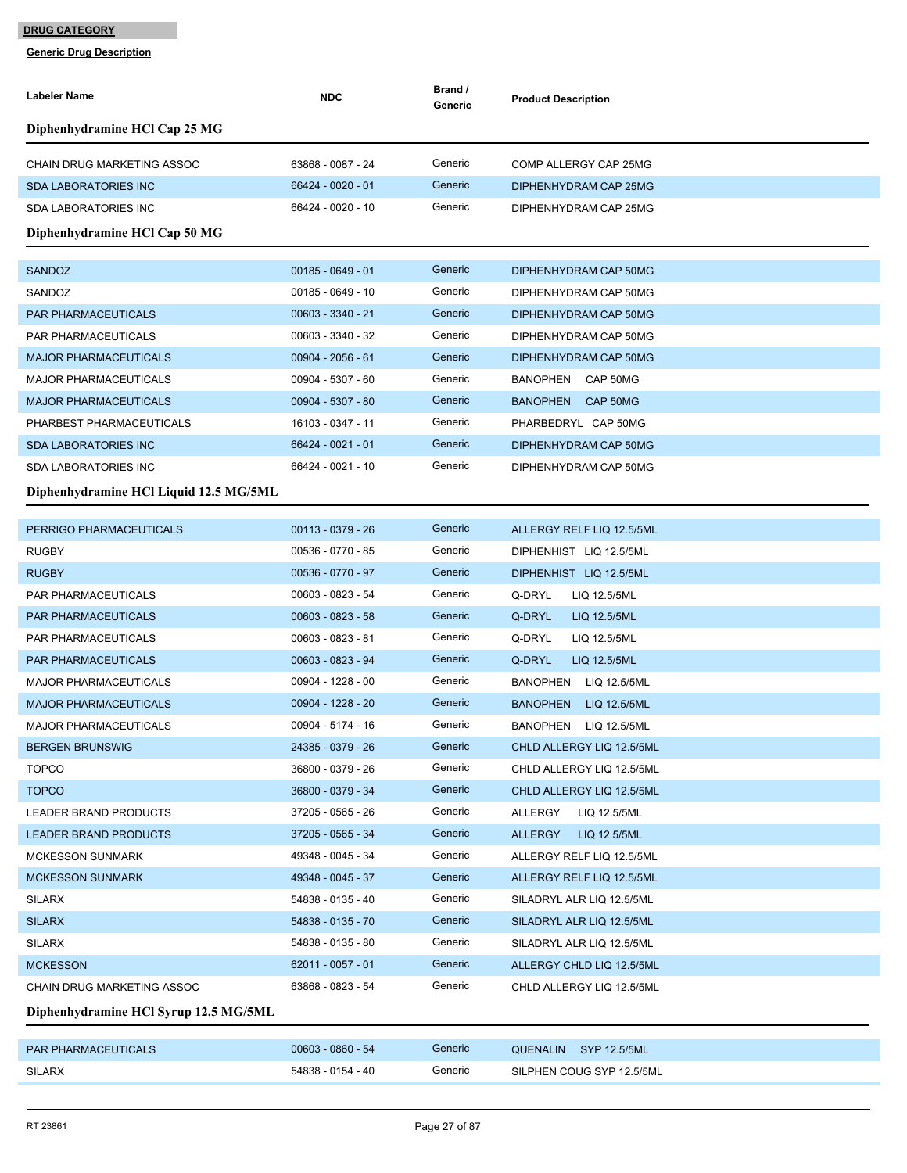| <b>Labeler Name</b>                    | <b>NDC</b>          | Brand /<br>Generic | <b>Product Description</b>      |
|----------------------------------------|---------------------|--------------------|---------------------------------|
| Diphenhydramine HCl Cap 25 MG          |                     |                    |                                 |
| <b>CHAIN DRUG MARKETING ASSOC</b>      | 63868 - 0087 - 24   | Generic            | COMP ALLERGY CAP 25MG           |
| <b>SDA LABORATORIES INC</b>            | 66424 - 0020 - 01   | Generic            | DIPHENHYDRAM CAP 25MG           |
| <b>SDA LABORATORIES INC</b>            | 66424 - 0020 - 10   | Generic            | DIPHENHYDRAM CAP 25MG           |
| Diphenhydramine HCl Cap 50 MG          |                     |                    |                                 |
| <b>SANDOZ</b>                          | $00185 - 0649 - 01$ | Generic            | DIPHENHYDRAM CAP 50MG           |
| SANDOZ                                 | $00185 - 0649 - 10$ | Generic            | DIPHENHYDRAM CAP 50MG           |
| PAR PHARMACEUTICALS                    | 00603 - 3340 - 21   | Generic            | DIPHENHYDRAM CAP 50MG           |
| PAR PHARMACEUTICALS                    | 00603 - 3340 - 32   | Generic            | DIPHENHYDRAM CAP 50MG           |
| <b>MAJOR PHARMACEUTICALS</b>           | $00904 - 2056 - 61$ | Generic            | DIPHENHYDRAM CAP 50MG           |
| <b>MAJOR PHARMACEUTICALS</b>           | 00904 - 5307 - 60   | Generic            | BANOPHEN CAP 50MG               |
| <b>MAJOR PHARMACEUTICALS</b>           | 00904 - 5307 - 80   | Generic            | BANOPHEN CAP 50MG               |
| PHARBEST PHARMACEUTICALS               | 16103 - 0347 - 11   | Generic            | PHARBEDRYL CAP 50MG             |
| <b>SDA LABORATORIES INC</b>            | 66424 - 0021 - 01   | Generic            | DIPHENHYDRAM CAP 50MG           |
| <b>SDA LABORATORIES INC</b>            | 66424 - 0021 - 10   | Generic            | DIPHENHYDRAM CAP 50MG           |
| Diphenhydramine HCl Liquid 12.5 MG/5ML |                     |                    |                                 |
| PERRIGO PHARMACEUTICALS                | $00113 - 0379 - 26$ | Generic            | ALLERGY RELF LIQ 12.5/5ML       |
| <b>RUGBY</b>                           | 00536 - 0770 - 85   | Generic            | DIPHENHIST LIQ 12.5/5ML         |
| <b>RUGBY</b>                           | 00536 - 0770 - 97   | Generic            | DIPHENHIST LIQ 12.5/5ML         |
| PAR PHARMACEUTICALS                    | 00603 - 0823 - 54   | Generic            | Q-DRYL<br>LIQ 12.5/5ML          |
| PAR PHARMACEUTICALS                    | 00603 - 0823 - 58   | Generic            | Q-DRYL<br>LIQ 12.5/5ML          |
| PAR PHARMACEUTICALS                    | 00603 - 0823 - 81   | Generic            | Q-DRYL<br>LIQ 12.5/5ML          |
| <b>PAR PHARMACEUTICALS</b>             | 00603 - 0823 - 94   | Generic            | Q-DRYL<br>LIQ 12.5/5ML          |
| <b>MAJOR PHARMACEUTICALS</b>           | 00904 - 1228 - 00   | Generic            | <b>BANOPHEN</b><br>LIQ 12.5/5ML |
| <b>MAJOR PHARMACEUTICALS</b>           | 00904 - 1228 - 20   | Generic            | <b>BANOPHEN</b><br>LIQ 12.5/5ML |
| <b>MAJOR PHARMACEUTICALS</b>           | 00904 - 5174 - 16   | Generic            | BANOPHEN LIQ 12.5/5ML           |
| <b>BERGEN BRUNSWIG</b>                 | 24385 - 0379 - 26   | Generic            | CHLD ALLERGY LIQ 12.5/5ML       |
| <b>TOPCO</b>                           | 36800 - 0379 - 26   | Generic            | CHLD ALLERGY LIQ 12.5/5ML       |
| <b>TOPCO</b>                           | 36800 - 0379 - 34   | Generic            | CHLD ALLERGY LIQ 12.5/5ML       |
| LEADER BRAND PRODUCTS                  | 37205 - 0565 - 26   | Generic            | ALLERGY<br>LIQ 12.5/5ML         |
| <b>LEADER BRAND PRODUCTS</b>           | 37205 - 0565 - 34   | Generic            | ALLERGY<br>LIQ 12.5/5ML         |
| <b>MCKESSON SUNMARK</b>                | 49348 - 0045 - 34   | Generic            | ALLERGY RELF LIQ 12.5/5ML       |
| <b>MCKESSON SUNMARK</b>                | 49348 - 0045 - 37   | Generic            | ALLERGY RELF LIQ 12.5/5ML       |
| <b>SILARX</b>                          | 54838 - 0135 - 40   | Generic            | SILADRYL ALR LIQ 12.5/5ML       |
| <b>SILARX</b>                          | 54838 - 0135 - 70   | Generic            | SILADRYL ALR LIQ 12.5/5ML       |
| <b>SILARX</b>                          | 54838 - 0135 - 80   | Generic            | SILADRYL ALR LIQ 12.5/5ML       |
| <b>MCKESSON</b>                        | 62011 - 0057 - 01   | Generic            | ALLERGY CHLD LIQ 12.5/5ML       |
| CHAIN DRUG MARKETING ASSOC             | 63868 - 0823 - 54   | Generic            | CHLD ALLERGY LIQ 12.5/5ML       |
| Diphenhydramine HCl Syrup 12.5 MG/5ML  |                     |                    |                                 |
| PAR PHARMACEUTICALS                    | $00603 - 0860 - 54$ | Generic            | QUENALIN SYP 12.5/5ML           |
| <b>SILARX</b>                          | 54838 - 0154 - 40   | Generic            | SILPHEN COUG SYP 12.5/5ML       |
|                                        |                     |                    |                                 |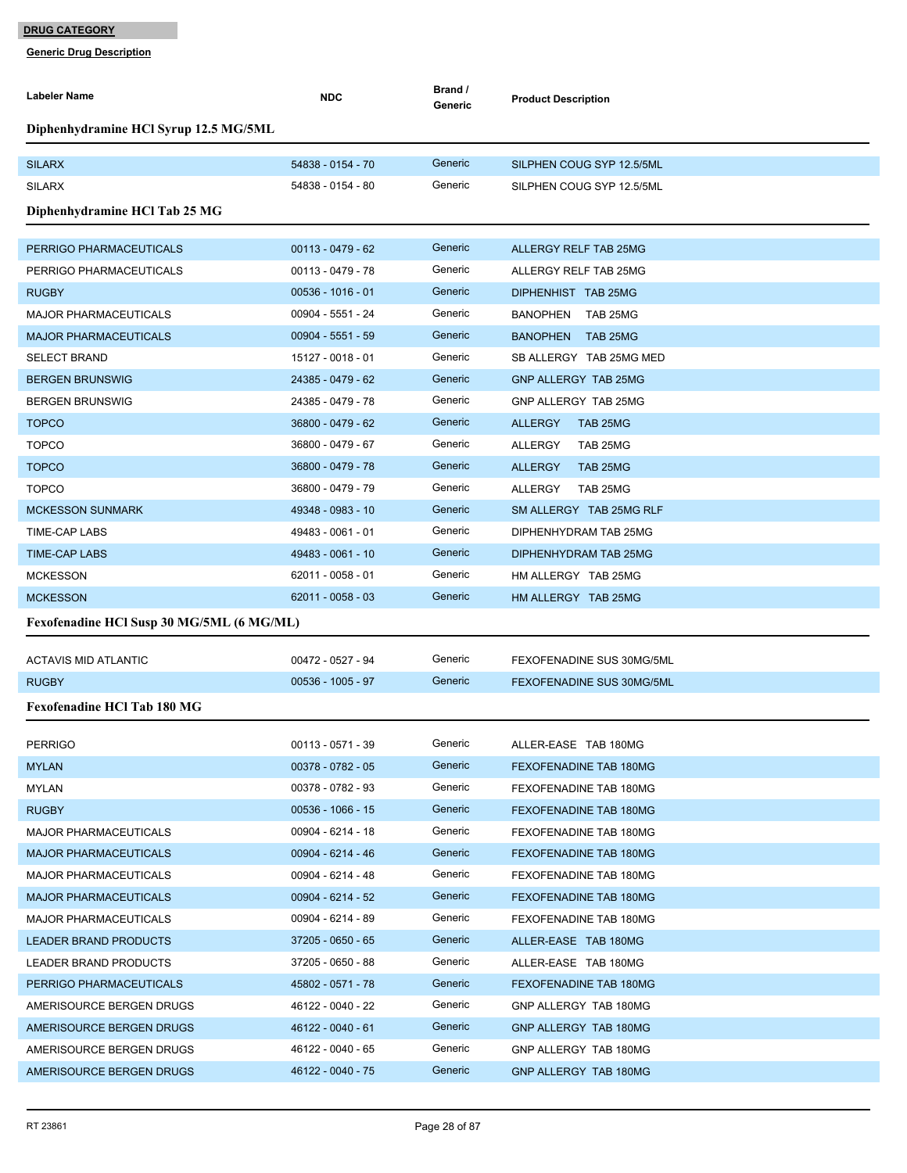| <b>Labeler Name</b>                       | <b>NDC</b>          | Brand /<br>Generic | <b>Product Description</b> |  |  |  |
|-------------------------------------------|---------------------|--------------------|----------------------------|--|--|--|
| Diphenhydramine HCl Syrup 12.5 MG/5ML     |                     |                    |                            |  |  |  |
| <b>SILARX</b>                             | 54838 - 0154 - 70   | Generic            | SILPHEN COUG SYP 12.5/5ML  |  |  |  |
| <b>SILARX</b>                             | 54838 - 0154 - 80   | Generic            | SILPHEN COUG SYP 12.5/5ML  |  |  |  |
| Diphenhydramine HCl Tab 25 MG             |                     |                    |                            |  |  |  |
|                                           |                     |                    |                            |  |  |  |
| PERRIGO PHARMACEUTICALS                   | $00113 - 0479 - 62$ | Generic            | ALLERGY RELF TAB 25MG      |  |  |  |
| PERRIGO PHARMACEUTICALS                   | 00113 - 0479 - 78   | Generic            | ALLERGY RELF TAB 25MG      |  |  |  |
| <b>RUGBY</b>                              | $00536 - 1016 - 01$ | Generic            | DIPHENHIST TAB 25MG        |  |  |  |
| <b>MAJOR PHARMACEUTICALS</b>              | 00904 - 5551 - 24   | Generic            | BANOPHEN TAB 25MG          |  |  |  |
| <b>MAJOR PHARMACEUTICALS</b>              | $00904 - 5551 - 59$ | Generic            | BANOPHEN TAB 25MG          |  |  |  |
| <b>SELECT BRAND</b>                       | 15127 - 0018 - 01   | Generic            | SB ALLERGY TAB 25MG MED    |  |  |  |
| <b>BERGEN BRUNSWIG</b>                    | 24385 - 0479 - 62   | Generic            | GNP ALLERGY TAB 25MG       |  |  |  |
| <b>BERGEN BRUNSWIG</b>                    | 24385 - 0479 - 78   | Generic            | GNP ALLERGY TAB 25MG       |  |  |  |
| <b>TOPCO</b>                              | 36800 - 0479 - 62   | Generic            | <b>ALLERGY</b><br>TAB 25MG |  |  |  |
| <b>TOPCO</b>                              | 36800 - 0479 - 67   | Generic            | <b>ALLERGY</b><br>TAB 25MG |  |  |  |
| <b>TOPCO</b>                              | 36800 - 0479 - 78   | Generic            | <b>ALLERGY</b><br>TAB 25MG |  |  |  |
| <b>TOPCO</b>                              | 36800 - 0479 - 79   | Generic            | ALLERGY<br>TAB 25MG        |  |  |  |
| <b>MCKESSON SUNMARK</b>                   | 49348 - 0983 - 10   | Generic            | SM ALLERGY TAB 25MG RLF    |  |  |  |
| <b>TIME-CAP LABS</b>                      | 49483 - 0061 - 01   | Generic            | DIPHENHYDRAM TAB 25MG      |  |  |  |
| <b>TIME-CAP LABS</b>                      | 49483 - 0061 - 10   | Generic            | DIPHENHYDRAM TAB 25MG      |  |  |  |
| <b>MCKESSON</b>                           | 62011 - 0058 - 01   | Generic            | HM ALLERGY TAB 25MG        |  |  |  |
| <b>MCKESSON</b>                           | $62011 - 0058 - 03$ | Generic            | HM ALLERGY TAB 25MG        |  |  |  |
| Fexofenadine HCl Susp 30 MG/5ML (6 MG/ML) |                     |                    |                            |  |  |  |
| <b>ACTAVIS MID ATLANTIC</b>               | 00472 - 0527 - 94   | Generic            | FEXOFENADINE SUS 30MG/5ML  |  |  |  |
| <b>RUGBY</b>                              | $00536 - 1005 - 97$ | Generic            | FEXOFENADINE SUS 30MG/5ML  |  |  |  |
| <b>Fexofenadine HCl Tab 180 MG</b>        |                     |                    |                            |  |  |  |
| <b>PERRIGO</b>                            | 00113 - 0571 - 39   | Generic            | ALLER-EASE TAB 180MG       |  |  |  |
| <b>MYLAN</b>                              | 00378 - 0782 - 05   | Generic            | FEXOFENADINE TAB 180MG     |  |  |  |
| MYLAN                                     | 00378 - 0782 - 93   | Generic            | FEXOFENADINE TAB 180MG     |  |  |  |
| <b>RUGBY</b>                              | $00536 - 1066 - 15$ | Generic            | FEXOFENADINE TAB 180MG     |  |  |  |
| <b>MAJOR PHARMACEUTICALS</b>              | 00904 - 6214 - 18   | Generic            | FEXOFENADINE TAB 180MG     |  |  |  |
| <b>MAJOR PHARMACEUTICALS</b>              | 00904 - 6214 - 46   | Generic            | FEXOFENADINE TAB 180MG     |  |  |  |
| <b>MAJOR PHARMACEUTICALS</b>              | 00904 - 6214 - 48   | Generic            | FEXOFENADINE TAB 180MG     |  |  |  |
| <b>MAJOR PHARMACEUTICALS</b>              | 00904 - 6214 - 52   | Generic            | FEXOFENADINE TAB 180MG     |  |  |  |
| <b>MAJOR PHARMACEUTICALS</b>              | 00904 - 6214 - 89   | Generic            | FEXOFENADINE TAB 180MG     |  |  |  |
| <b>LEADER BRAND PRODUCTS</b>              | 37205 - 0650 - 65   | Generic            | ALLER-EASE TAB 180MG       |  |  |  |
| LEADER BRAND PRODUCTS                     | 37205 - 0650 - 88   | Generic            | ALLER-EASE TAB 180MG       |  |  |  |
| PERRIGO PHARMACEUTICALS                   | 45802 - 0571 - 78   | Generic            | FEXOFENADINE TAB 180MG     |  |  |  |
| AMERISOURCE BERGEN DRUGS                  | 46122 - 0040 - 22   | Generic            | GNP ALLERGY TAB 180MG      |  |  |  |
| AMERISOURCE BERGEN DRUGS                  | 46122 - 0040 - 61   | Generic            | GNP ALLERGY TAB 180MG      |  |  |  |
| AMERISOURCE BERGEN DRUGS                  | 46122 - 0040 - 65   | Generic            | GNP ALLERGY TAB 180MG      |  |  |  |
| AMERISOURCE BERGEN DRUGS                  | 46122 - 0040 - 75   | Generic            | GNP ALLERGY TAB 180MG      |  |  |  |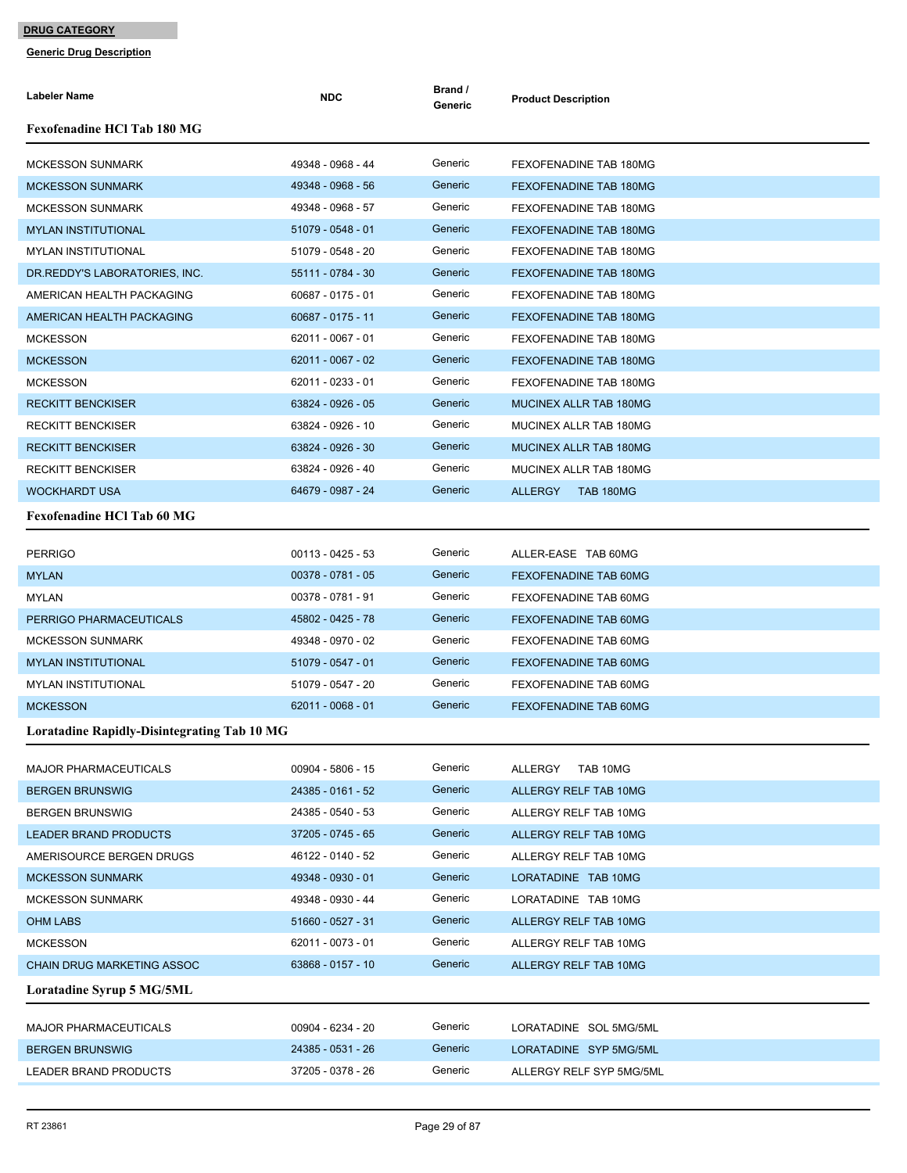| <b>Labeler Name</b>                                | <b>NDC</b>          | Brand /<br>Generic | <b>Product Description</b>         |
|----------------------------------------------------|---------------------|--------------------|------------------------------------|
| <b>Fexofenadine HCl Tab 180 MG</b>                 |                     |                    |                                    |
| <b>MCKESSON SUNMARK</b>                            | 49348 - 0968 - 44   | Generic            | FEXOFENADINE TAB 180MG             |
| <b>MCKESSON SUNMARK</b>                            | 49348 - 0968 - 56   | Generic            | <b>FEXOFENADINE TAB 180MG</b>      |
| <b>MCKESSON SUNMARK</b>                            | 49348 - 0968 - 57   | Generic            | FEXOFENADINE TAB 180MG             |
| <b>MYLAN INSTITUTIONAL</b>                         | 51079 - 0548 - 01   | Generic            | FEXOFENADINE TAB 180MG             |
| <b>MYLAN INSTITUTIONAL</b>                         | 51079 - 0548 - 20   | Generic            | FEXOFENADINE TAB 180MG             |
| DR.REDDY'S LABORATORIES, INC.                      | 55111 - 0784 - 30   | Generic            | FEXOFENADINE TAB 180MG             |
| AMERICAN HEALTH PACKAGING                          | 60687 - 0175 - 01   | Generic            | FEXOFENADINE TAB 180MG             |
| AMERICAN HEALTH PACKAGING                          | 60687 - 0175 - 11   | Generic            | FEXOFENADINE TAB 180MG             |
| <b>MCKESSON</b>                                    | 62011 - 0067 - 01   | Generic            | FEXOFENADINE TAB 180MG             |
| <b>MCKESSON</b>                                    | 62011 - 0067 - 02   | Generic            | FEXOFENADINE TAB 180MG             |
| <b>MCKESSON</b>                                    | 62011 - 0233 - 01   | Generic            | FEXOFENADINE TAB 180MG             |
| <b>RECKITT BENCKISER</b>                           | 63824 - 0926 - 05   | Generic            | MUCINEX ALLR TAB 180MG             |
| <b>RECKITT BENCKISER</b>                           | 63824 - 0926 - 10   | Generic            | MUCINEX ALLR TAB 180MG             |
| <b>RECKITT BENCKISER</b>                           | 63824 - 0926 - 30   | Generic            | MUCINEX ALLR TAB 180MG             |
| <b>RECKITT BENCKISER</b>                           | 63824 - 0926 - 40   | Generic            | MUCINEX ALLR TAB 180MG             |
| <b>WOCKHARDT USA</b>                               | 64679 - 0987 - 24   | Generic            | <b>ALLERGY</b><br><b>TAB 180MG</b> |
| <b>Fexofenadine HCl Tab 60 MG</b>                  |                     |                    |                                    |
| <b>PERRIGO</b>                                     | $00113 - 0425 - 53$ | Generic            | ALLER-EASE TAB 60MG                |
| <b>MYLAN</b>                                       | 00378 - 0781 - 05   | Generic            | <b>FEXOFENADINE TAB 60MG</b>       |
| MYLAN                                              | 00378 - 0781 - 91   | Generic            | FEXOFENADINE TAB 60MG              |
| PERRIGO PHARMACEUTICALS                            | 45802 - 0425 - 78   | Generic            | <b>FEXOFENADINE TAB 60MG</b>       |
| <b>MCKESSON SUNMARK</b>                            | 49348 - 0970 - 02   | Generic            | FEXOFENADINE TAB 60MG              |
| <b>MYLAN INSTITUTIONAL</b>                         | 51079 - 0547 - 01   | Generic            | <b>FEXOFENADINE TAB 60MG</b>       |
| <b>MYLAN INSTITUTIONAL</b>                         | 51079 - 0547 - 20   | Generic            | FEXOFENADINE TAB 60MG              |
| <b>MCKESSON</b>                                    | $62011 - 0068 - 01$ | Generic            | <b>FEXOFENADINE TAB 60MG</b>       |
| <b>Loratadine Rapidly-Disintegrating Tab 10 MG</b> |                     |                    |                                    |
| <b>MAJOR PHARMACEUTICALS</b>                       | $00904 - 5806 - 15$ | Generic            | <b>ALLERGY</b><br>TAB 10MG         |
| <b>BERGEN BRUNSWIG</b>                             | 24385 - 0161 - 52   | Generic            | ALLERGY RELF TAB 10MG              |
| <b>BERGEN BRUNSWIG</b>                             | 24385 - 0540 - 53   | Generic            | ALLERGY RELF TAB 10MG              |
| <b>LEADER BRAND PRODUCTS</b>                       | 37205 - 0745 - 65   | Generic            | ALLERGY RELF TAB 10MG              |
| AMERISOURCE BERGEN DRUGS                           | 46122 - 0140 - 52   | Generic            | ALLERGY RELF TAB 10MG              |
| <b>MCKESSON SUNMARK</b>                            | 49348 - 0930 - 01   | Generic            | LORATADINE TAB 10MG                |
| <b>MCKESSON SUNMARK</b>                            | 49348 - 0930 - 44   | Generic            | LORATADINE TAB 10MG                |
| <b>OHM LABS</b>                                    | 51660 - 0527 - 31   | Generic            | ALLERGY RELF TAB 10MG              |
| <b>MCKESSON</b>                                    | 62011 - 0073 - 01   | Generic            | ALLERGY RELF TAB 10MG              |
| <b>CHAIN DRUG MARKETING ASSOC</b>                  | 63868 - 0157 - 10   | Generic            | ALLERGY RELF TAB 10MG              |
| <b>Loratadine Syrup 5 MG/5ML</b>                   |                     |                    |                                    |
| <b>MAJOR PHARMACEUTICALS</b>                       | 00904 - 6234 - 20   | Generic            | LORATADINE SOL 5MG/5ML             |
| <b>BERGEN BRUNSWIG</b>                             | 24385 - 0531 - 26   | Generic            | LORATADINE SYP 5MG/5ML             |
| LEADER BRAND PRODUCTS                              | 37205 - 0378 - 26   | Generic            | ALLERGY RELF SYP 5MG/5ML           |
|                                                    |                     |                    |                                    |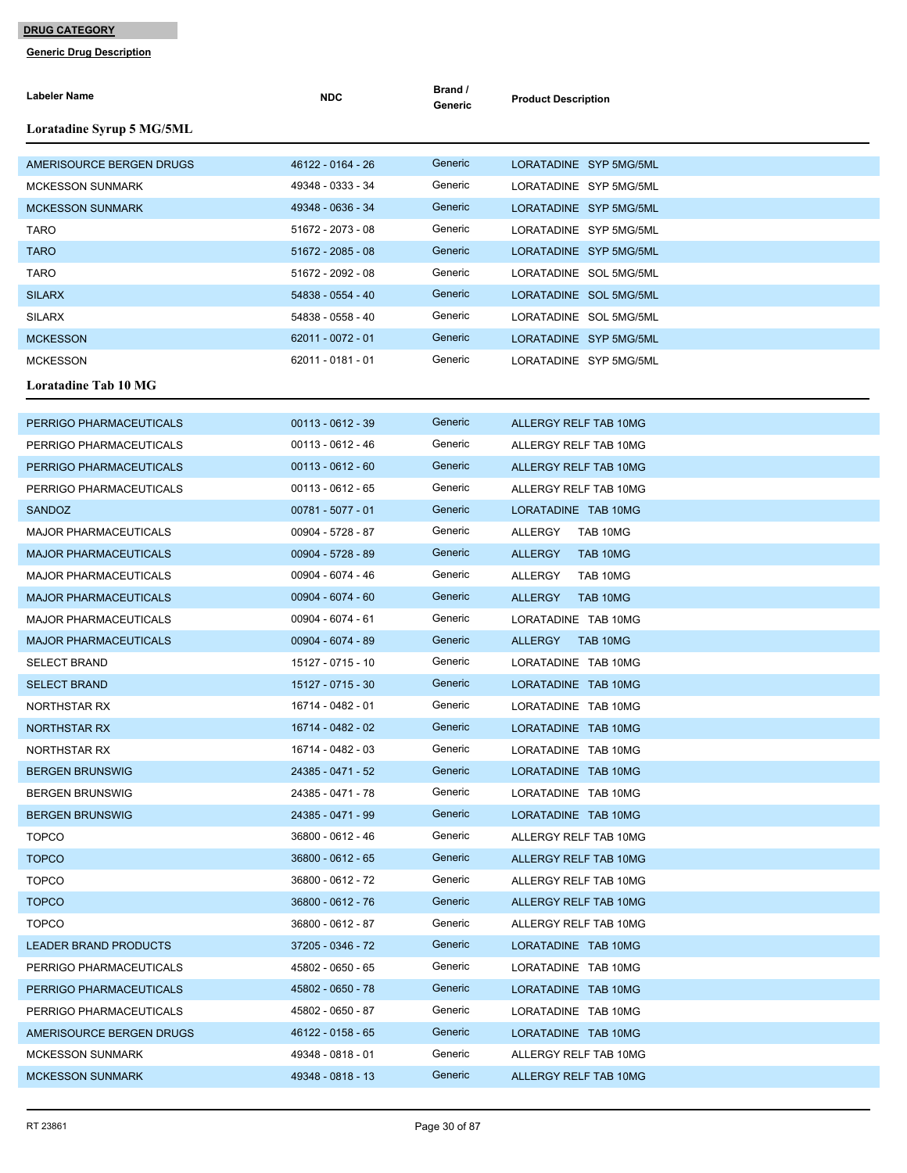| Labeler Name                                       | <b>NDC</b>          | Brand /<br>Generic | <b>Product Description</b>                     |
|----------------------------------------------------|---------------------|--------------------|------------------------------------------------|
| Loratadine Syrup 5 MG/5ML                          |                     |                    |                                                |
| AMERISOURCE BERGEN DRUGS                           | 46122 - 0164 - 26   | Generic            | LORATADINE SYP 5MG/5ML                         |
| <b>MCKESSON SUNMARK</b>                            | 49348 - 0333 - 34   | Generic            | LORATADINE SYP 5MG/5ML                         |
| <b>MCKESSON SUNMARK</b>                            | 49348 - 0636 - 34   | Generic            | LORATADINE SYP 5MG/5ML                         |
| <b>TARO</b>                                        | 51672 - 2073 - 08   | Generic            | LORATADINE SYP 5MG/5ML                         |
| <b>TARO</b>                                        | 51672 - 2085 - 08   | Generic            | LORATADINE SYP 5MG/5ML                         |
| <b>TARO</b>                                        | 51672 - 2092 - 08   | Generic            | LORATADINE SOL 5MG/5ML                         |
| <b>SILARX</b>                                      | 54838 - 0554 - 40   | Generic            | LORATADINE SOL 5MG/5ML                         |
| <b>SILARX</b>                                      | 54838 - 0558 - 40   | Generic            | LORATADINE SOL 5MG/5ML                         |
| <b>MCKESSON</b>                                    | 62011 - 0072 - 01   | Generic            | LORATADINE SYP 5MG/5ML                         |
| <b>MCKESSON</b>                                    | 62011 - 0181 - 01   | Generic            | LORATADINE SYP 5MG/5ML                         |
| <b>Loratadine Tab 10 MG</b>                        |                     |                    |                                                |
| PERRIGO PHARMACEUTICALS                            | $00113 - 0612 - 39$ | Generic            | ALLERGY RELF TAB 10MG                          |
|                                                    | $00113 - 0612 - 46$ | Generic            |                                                |
| PERRIGO PHARMACEUTICALS                            | $00113 - 0612 - 60$ | Generic            | ALLERGY RELF TAB 10MG                          |
| PERRIGO PHARMACEUTICALS<br>PERRIGO PHARMACEUTICALS | 00113 - 0612 - 65   | Generic            | ALLERGY RELF TAB 10MG<br>ALLERGY RELF TAB 10MG |
| <b>SANDOZ</b>                                      | $00781 - 5077 - 01$ | Generic            | LORATADINE TAB 10MG                            |
| <b>MAJOR PHARMACEUTICALS</b>                       | 00904 - 5728 - 87   | Generic            | ALLERGY<br>TAB 10MG                            |
| <b>MAJOR PHARMACEUTICALS</b>                       | 00904 - 5728 - 89   | Generic            | <b>ALLERGY</b><br>TAB 10MG                     |
| <b>MAJOR PHARMACEUTICALS</b>                       | 00904 - 6074 - 46   | Generic            | ALLERGY<br>TAB 10MG                            |
| <b>MAJOR PHARMACEUTICALS</b>                       | 00904 - 6074 - 60   | Generic            | <b>ALLERGY</b><br>TAB 10MG                     |
| <b>MAJOR PHARMACEUTICALS</b>                       | 00904 - 6074 - 61   | Generic            | LORATADINE TAB 10MG                            |
| <b>MAJOR PHARMACEUTICALS</b>                       | 00904 - 6074 - 89   | Generic            | <b>ALLERGY</b><br>TAB 10MG                     |
| <b>SELECT BRAND</b>                                | 15127 - 0715 - 10   | Generic            | LORATADINE TAB 10MG                            |
| <b>SELECT BRAND</b>                                | 15127 - 0715 - 30   | Generic            | LORATADINE TAB 10MG                            |
| NORTHSTAR RX                                       | 16714 - 0482 - 01   | Generic            | LORATADINE TAB 10MG                            |
| <b>NORTHSTAR RX</b>                                | 16714 - 0482 - 02   | Generic            | LORATADINE TAB 10MG                            |
| NORTHSTAR RX                                       | 16714 - 0482 - 03   | Generic            | LORATADINE TAB 10MG                            |
| <b>BERGEN BRUNSWIG</b>                             | 24385 - 0471 - 52   | Generic            | LORATADINE TAB 10MG                            |
| <b>BERGEN BRUNSWIG</b>                             | 24385 - 0471 - 78   | Generic            | LORATADINE TAB 10MG                            |
| <b>BERGEN BRUNSWIG</b>                             | 24385 - 0471 - 99   | Generic            | LORATADINE TAB 10MG                            |
| <b>TOPCO</b>                                       | 36800 - 0612 - 46   | Generic            | ALLERGY RELF TAB 10MG                          |
| <b>TOPCO</b>                                       | 36800 - 0612 - 65   | Generic            | ALLERGY RELF TAB 10MG                          |
| <b>TOPCO</b>                                       | 36800 - 0612 - 72   | Generic            | ALLERGY RELF TAB 10MG                          |
| <b>TOPCO</b>                                       | 36800 - 0612 - 76   | Generic            | ALLERGY RELF TAB 10MG                          |
| <b>TOPCO</b>                                       | 36800 - 0612 - 87   | Generic            | ALLERGY RELF TAB 10MG                          |
| <b>LEADER BRAND PRODUCTS</b>                       | 37205 - 0346 - 72   | Generic            | LORATADINE TAB 10MG                            |
| PERRIGO PHARMACEUTICALS                            | 45802 - 0650 - 65   | Generic            | LORATADINE TAB 10MG                            |
| PERRIGO PHARMACEUTICALS                            | 45802 - 0650 - 78   | Generic            | LORATADINE TAB 10MG                            |
| PERRIGO PHARMACEUTICALS                            | 45802 - 0650 - 87   | Generic            | LORATADINE TAB 10MG                            |
| AMERISOURCE BERGEN DRUGS                           | 46122 - 0158 - 65   | Generic            | LORATADINE TAB 10MG                            |
| <b>MCKESSON SUNMARK</b>                            | 49348 - 0818 - 01   | Generic            | ALLERGY RELF TAB 10MG                          |
| <b>MCKESSON SUNMARK</b>                            | 49348 - 0818 - 13   | Generic            | ALLERGY RELF TAB 10MG                          |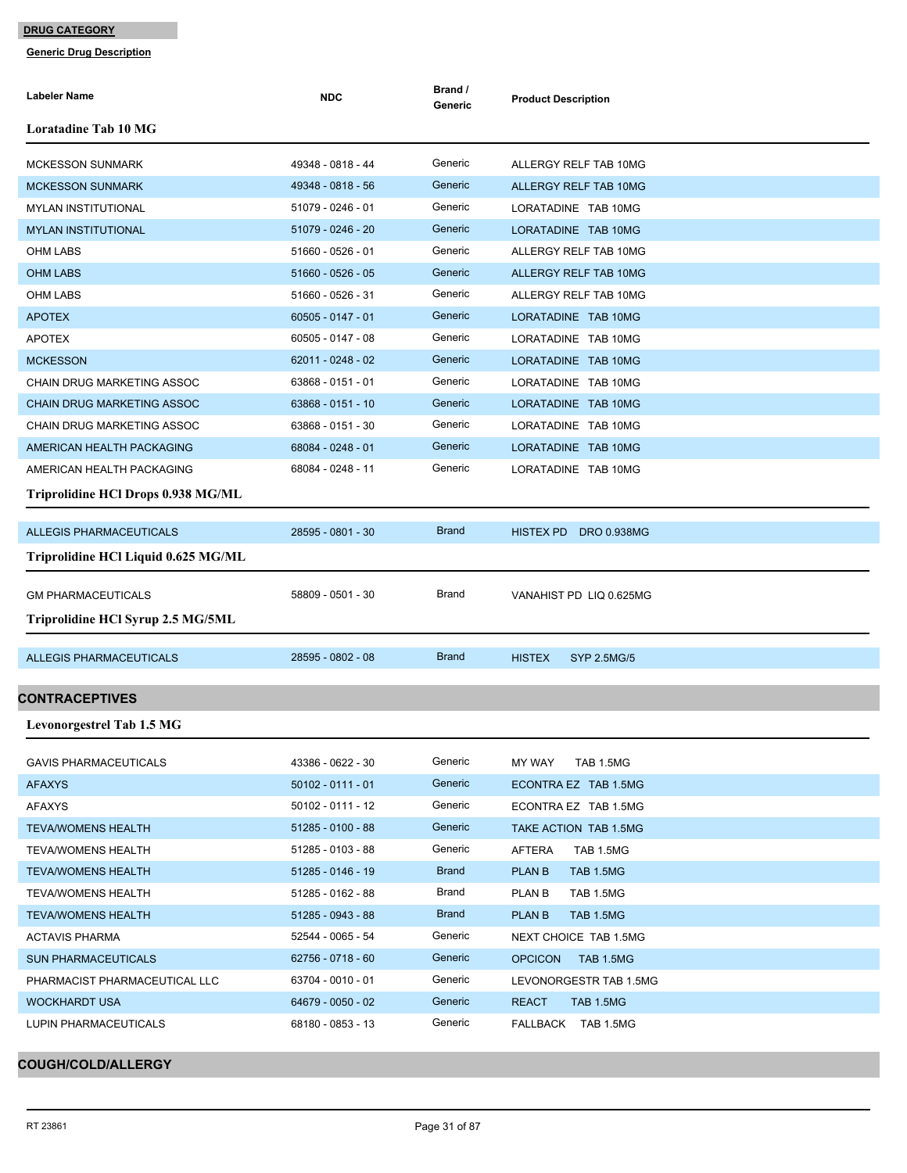**Generic Drug Description**

| Labeler Name                        | <b>NDC</b>          | Brand /<br>Generic | <b>Product Description</b>          |
|-------------------------------------|---------------------|--------------------|-------------------------------------|
| <b>Loratadine Tab 10 MG</b>         |                     |                    |                                     |
| <b>MCKESSON SUNMARK</b>             | 49348 - 0818 - 44   | Generic            | ALLERGY RELF TAB 10MG               |
| <b>MCKESSON SUNMARK</b>             | 49348 - 0818 - 56   | Generic            | <b>ALLERGY RELF TAB 10MG</b>        |
| <b>MYLAN INSTITUTIONAL</b>          | 51079 - 0246 - 01   | Generic            | LORATADINE TAB 10MG                 |
| <b>MYLAN INSTITUTIONAL</b>          | 51079 - 0246 - 20   | Generic            | LORATADINE TAB 10MG                 |
| OHM LABS                            | 51660 - 0526 - 01   | Generic            | ALLERGY RELF TAB 10MG               |
| <b>OHM LABS</b>                     | 51660 - 0526 - 05   | Generic            | <b>ALLERGY RELF TAB 10MG</b>        |
| OHM LABS                            | 51660 - 0526 - 31   | Generic            | ALLERGY RELF TAB 10MG               |
| <b>APOTEX</b>                       | $60505 - 0147 - 01$ | Generic            | LORATADINE TAB 10MG                 |
| <b>APOTEX</b>                       | 60505 - 0147 - 08   | Generic            | LORATADINE TAB 10MG                 |
| <b>MCKESSON</b>                     | 62011 - 0248 - 02   | Generic            | LORATADINE TAB 10MG                 |
| CHAIN DRUG MARKETING ASSOC          | 63868 - 0151 - 01   | Generic            | LORATADINE TAB 10MG                 |
| <b>CHAIN DRUG MARKETING ASSOC</b>   | 63868 - 0151 - 10   | Generic            | LORATADINE TAB 10MG                 |
| CHAIN DRUG MARKETING ASSOC          | 63868 - 0151 - 30   | Generic            | LORATADINE TAB 10MG                 |
| AMERICAN HEALTH PACKAGING           | 68084 - 0248 - 01   | Generic            | LORATADINE TAB 10MG                 |
| AMERICAN HEALTH PACKAGING           | 68084 - 0248 - 11   | Generic            | LORATADINE TAB 10MG                 |
| Triprolidine HCl Drops 0.938 MG/ML  |                     |                    |                                     |
| <b>ALLEGIS PHARMACEUTICALS</b>      | 28595 - 0801 - 30   | <b>Brand</b>       | HISTEX PD DRO 0.938MG               |
| Triprolidine HCl Liquid 0.625 MG/ML |                     |                    |                                     |
| <b>GM PHARMACEUTICALS</b>           | 58809 - 0501 - 30   | Brand              | VANAHIST PD LIQ 0.625MG             |
| Triprolidine HCl Syrup 2.5 MG/5ML   |                     |                    |                                     |
| <b>ALLEGIS PHARMACEUTICALS</b>      | 28595 - 0802 - 08   | <b>Brand</b>       | <b>HISTEX</b><br><b>SYP 2.5MG/5</b> |
| <b>CONTRACEPTIVES</b>               |                     |                    |                                     |
|                                     |                     |                    |                                     |
| <b>Levonorgestrel Tab 1.5 MG</b>    |                     |                    |                                     |
| <b>GAVIS PHARMACEUTICALS</b>        | 43386 - 0622 - 30   | Generic            | MY WAY<br>TAB 1.5MG                 |
| <b>AFAXYS</b>                       | $50102 - 0111 - 01$ | Generic            | ECONTRA EZ TAB 1.5MG                |
| AFAXYS                              | 50102 - 0111 - 12   | Generic            | ECONTRA EZ TAB 1.5MG                |
| <b>TEVA/WOMENS HEALTH</b>           | 51285 - 0100 - 88   | Generic            | TAKE ACTION TAB 1.5MG               |
| <b>TEVA/WOMENS HEALTH</b>           | 51285 - 0103 - 88   | Generic            | AFTERA<br>TAB 1.5MG                 |
| <b>TEVA/WOMENS HEALTH</b>           | 51285 - 0146 - 19   | <b>Brand</b>       | <b>PLAN B</b><br>TAB 1.5MG          |
| <b>TEVA/WOMENS HEALTH</b>           | 51285 - 0162 - 88   | Brand              | PLAN B<br>TAB 1.5MG                 |
| <b>TEVA/WOMENS HEALTH</b>           | 51285 - 0943 - 88   | <b>Brand</b>       | <b>PLAN B</b><br><b>TAB 1.5MG</b>   |
| <b>ACTAVIS PHARMA</b>               | 52544 - 0065 - 54   | Generic            | NEXT CHOICE TAB 1.5MG               |
| <b>SUN PHARMACEUTICALS</b>          | 62756 - 0718 - 60   | Generic            | <b>OPCICON</b><br>TAB 1.5MG         |
| PHARMACIST PHARMACEUTICAL LLC       | 63704 - 0010 - 01   | Generic            | LEVONORGESTR TAB 1.5MG              |
| WOCKHARDT USA                       | 64679 - 0050 - 02   | Generic            | <b>REACT</b><br>TAB 1.5MG           |
| LUPIN PHARMACEUTICALS               | 68180 - 0853 - 13   | Generic            | FALLBACK TAB 1.5MG                  |

## **COUGH/COLD/ALLERGY**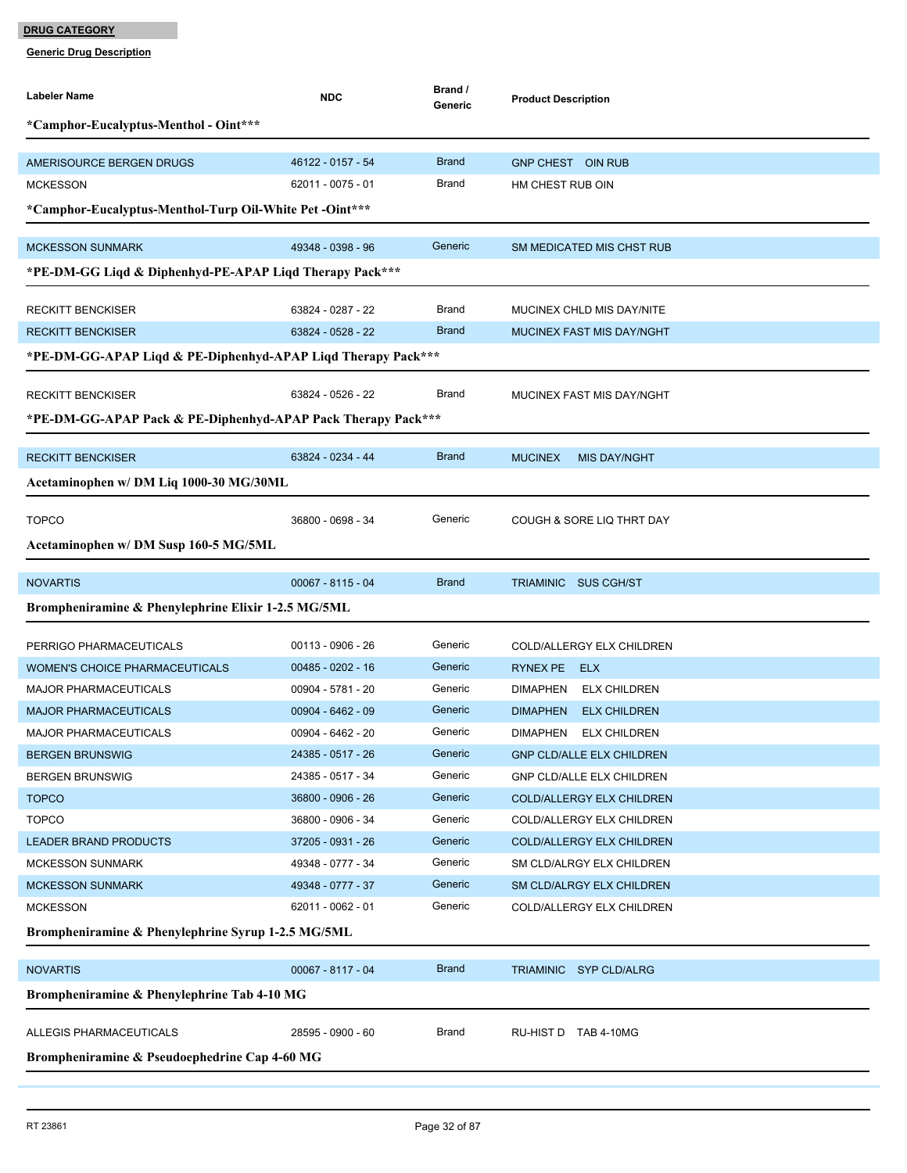| Labeler Name                                                 | <b>NDC</b>          | Brand /<br>Generic | <b>Product Description</b>             |
|--------------------------------------------------------------|---------------------|--------------------|----------------------------------------|
| *Camphor-Eucalyptus-Menthol - Oint***                        |                     |                    |                                        |
|                                                              |                     |                    |                                        |
| AMERISOURCE BERGEN DRUGS                                     | 46122 - 0157 - 54   | <b>Brand</b>       | <b>GNP CHEST OIN RUB</b>               |
| <b>MCKESSON</b>                                              | 62011 - 0075 - 01   | Brand              | HM CHEST RUB OIN                       |
| *Camphor-Eucalyptus-Menthol-Turp Oil-White Pet -Oint***      |                     |                    |                                        |
| <b>MCKESSON SUNMARK</b>                                      | 49348 - 0398 - 96   | Generic            | SM MEDICATED MIS CHST RUB              |
| *PE-DM-GG Liqd & Diphenhyd-PE-APAP Liqd Therapy Pack***      |                     |                    |                                        |
| <b>RECKITT BENCKISER</b>                                     | 63824 - 0287 - 22   | Brand              | MUCINEX CHLD MIS DAY/NITE              |
| <b>RECKITT BENCKISER</b>                                     | 63824 - 0528 - 22   | <b>Brand</b>       | <b>MUCINEX FAST MIS DAY/NGHT</b>       |
| *PE-DM-GG-APAP Liqd & PE-Diphenhyd-APAP Liqd Therapy Pack*** |                     |                    |                                        |
|                                                              |                     |                    |                                        |
| <b>RECKITT BENCKISER</b>                                     | 63824 - 0526 - 22   | Brand              | MUCINEX FAST MIS DAY/NGHT              |
| *PE-DM-GG-APAP Pack & PE-Diphenhyd-APAP Pack Therapy Pack*** |                     |                    |                                        |
|                                                              |                     |                    |                                        |
| <b>RECKITT BENCKISER</b>                                     | 63824 - 0234 - 44   | <b>Brand</b>       | <b>MUCINEX</b><br><b>MIS DAY/NGHT</b>  |
| Acetaminophen w/ DM Liq 1000-30 MG/30ML                      |                     |                    |                                        |
| <b>TOPCO</b>                                                 | 36800 - 0698 - 34   | Generic            | COUGH & SORE LIQ THRT DAY              |
| Acetaminophen w/ DM Susp 160-5 MG/5ML                        |                     |                    |                                        |
|                                                              |                     |                    |                                        |
| <b>NOVARTIS</b>                                              | $00067 - 8115 - 04$ | <b>Brand</b>       | TRIAMINIC SUS CGH/ST                   |
| Brompheniramine & Phenylephrine Elixir 1-2.5 MG/5ML          |                     |                    |                                        |
| PERRIGO PHARMACEUTICALS                                      | 00113 - 0906 - 26   | Generic            | COLD/ALLERGY ELX CHILDREN              |
| <b>WOMEN'S CHOICE PHARMACEUTICALS</b>                        | 00485 - 0202 - 16   | Generic            | RYNEX PE<br><b>ELX</b>                 |
| <b>MAJOR PHARMACEUTICALS</b>                                 | 00904 - 5781 - 20   | Generic            | <b>DIMAPHEN</b><br><b>ELX CHILDREN</b> |
| <b>MAJOR PHARMACEUTICALS</b>                                 | $00904 - 6462 - 09$ | Generic            | <b>DIMAPHEN</b><br><b>ELX CHILDREN</b> |
| <b>MAJOR PHARMACEUTICALS</b>                                 | 00904 - 6462 - 20   | Generic            | <b>DIMAPHEN</b><br><b>ELX CHILDREN</b> |
| <b>BERGEN BRUNSWIG</b>                                       | 24385 - 0517 - 26   | Generic            | <b>GNP CLD/ALLE ELX CHILDREN</b>       |
| <b>BERGEN BRUNSWIG</b>                                       | 24385 - 0517 - 34   | Generic            | <b>GNP CLD/ALLE ELX CHILDREN</b>       |
| <b>TOPCO</b>                                                 | 36800 - 0906 - 26   | Generic            | COLD/ALLERGY ELX CHILDREN              |
| <b>TOPCO</b>                                                 | 36800 - 0906 - 34   | Generic            | COLD/ALLERGY ELX CHILDREN              |
| <b>LEADER BRAND PRODUCTS</b>                                 | 37205 - 0931 - 26   | Generic            | <b>COLD/ALLERGY ELX CHILDREN</b>       |
| <b>MCKESSON SUNMARK</b>                                      | 49348 - 0777 - 34   | Generic            | SM CLD/ALRGY ELX CHILDREN              |
| <b>MCKESSON SUNMARK</b>                                      | 49348 - 0777 - 37   | Generic            | SM CLD/ALRGY ELX CHILDREN              |
| <b>MCKESSON</b>                                              | 62011 - 0062 - 01   | Generic            | COLD/ALLERGY ELX CHILDREN              |
| Brompheniramine & Phenylephrine Syrup 1-2.5 MG/5ML           |                     |                    |                                        |
| <b>NOVARTIS</b>                                              | 00067 - 8117 - 04   | <b>Brand</b>       | TRIAMINIC SYP CLD/ALRG                 |
| Brompheniramine & Phenylephrine Tab 4-10 MG                  |                     |                    |                                        |
|                                                              |                     |                    |                                        |
| ALLEGIS PHARMACEUTICALS                                      | 28595 - 0900 - 60   | Brand              | RU-HIST D TAB 4-10MG                   |
| Brompheniramine & Pseudoephedrine Cap 4-60 MG                |                     |                    |                                        |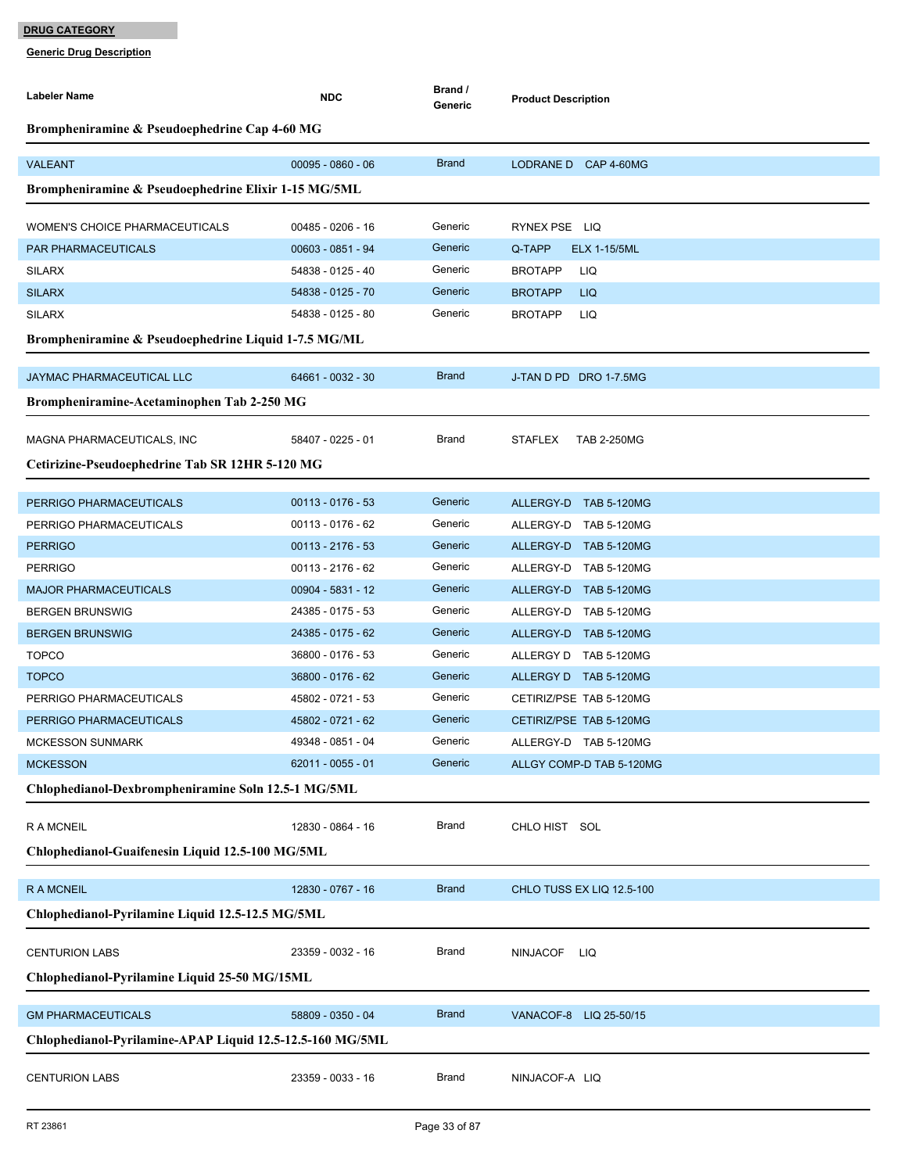| <b>Labeler Name</b>                                       | <b>NDC</b>          | Brand /<br>Generic | <b>Product Description</b>                     |
|-----------------------------------------------------------|---------------------|--------------------|------------------------------------------------|
| Brompheniramine & Pseudoephedrine Cap 4-60 MG             |                     |                    |                                                |
| <b>VALEANT</b>                                            | $00095 - 0860 - 06$ | <b>Brand</b>       | LODRANE D CAP 4-60MG                           |
| Brompheniramine & Pseudoephedrine Elixir 1-15 MG/5ML      |                     |                    |                                                |
| <b>WOMEN'S CHOICE PHARMACEUTICALS</b>                     | $00485 - 0206 - 16$ | Generic            | RYNEX PSE LIQ                                  |
| PAR PHARMACEUTICALS                                       | 00603 - 0851 - 94   | Generic            | Q-TAPP<br><b>ELX 1-15/5ML</b>                  |
| <b>SILARX</b>                                             | 54838 - 0125 - 40   | Generic            | <b>BROTAPP</b><br>LIQ                          |
| <b>SILARX</b>                                             | 54838 - 0125 - 70   | Generic            | <b>LIQ</b><br><b>BROTAPP</b>                   |
| <b>SILARX</b>                                             | 54838 - 0125 - 80   | Generic            | <b>BROTAPP</b><br>LIQ                          |
| Brompheniramine & Pseudoephedrine Liquid 1-7.5 MG/ML      |                     |                    |                                                |
| JAYMAC PHARMACEUTICAL LLC                                 | 64661 - 0032 - 30   | <b>Brand</b>       | J-TAN D PD DRO 1-7.5MG                         |
| Brompheniramine-Acetaminophen Tab 2-250 MG                |                     |                    |                                                |
| MAGNA PHARMACEUTICALS, INC                                | 58407 - 0225 - 01   | <b>Brand</b>       | <b>STAFLEX</b><br><b>TAB 2-250MG</b>           |
| Cetirizine-Pseudoephedrine Tab SR 12HR 5-120 MG           |                     |                    |                                                |
|                                                           | $00113 - 0176 - 53$ | Generic            |                                                |
| PERRIGO PHARMACEUTICALS<br>PERRIGO PHARMACEUTICALS        | $00113 - 0176 - 62$ | Generic            | ALLERGY-D TAB 5-120MG<br>ALLERGY-D TAB 5-120MG |
| <b>PERRIGO</b>                                            | $00113 - 2176 - 53$ | Generic            | ALLERGY-D TAB 5-120MG                          |
| <b>PERRIGO</b>                                            | $00113 - 2176 - 62$ | Generic            | ALLERGY-D TAB 5-120MG                          |
| <b>MAJOR PHARMACEUTICALS</b>                              | 00904 - 5831 - 12   | Generic            | ALLERGY-D TAB 5-120MG                          |
| <b>BERGEN BRUNSWIG</b>                                    | 24385 - 0175 - 53   | Generic            | ALLERGY-D TAB 5-120MG                          |
| <b>BERGEN BRUNSWIG</b>                                    | 24385 - 0175 - 62   | Generic            | ALLERGY-D TAB 5-120MG                          |
| <b>TOPCO</b>                                              | 36800 - 0176 - 53   | Generic            | ALLERGY D TAB 5-120MG                          |
| <b>TOPCO</b>                                              | 36800 - 0176 - 62   | Generic            | ALLERGY D TAB 5-120MG                          |
| PERRIGO PHARMACEUTICALS                                   | 45802 - 0721 - 53   | Generic            | CETIRIZ/PSE TAB 5-120MG                        |
| PERRIGO PHARMACEUTICALS                                   | 45802 - 0721 - 62   | Generic            | CETIRIZ/PSE TAB 5-120MG                        |
| <b>MCKESSON SUNMARK</b>                                   | 49348 - 0851 - 04   | Generic            | ALLERGY-D TAB 5-120MG                          |
| <b>MCKESSON</b>                                           | 62011 - 0055 - 01   | Generic            | ALLGY COMP-D TAB 5-120MG                       |
| Chlophedianol-Dexbrompheniramine Soln 12.5-1 MG/5ML       |                     |                    |                                                |
| <b>RAMCNEIL</b>                                           | 12830 - 0864 - 16   | <b>Brand</b>       | CHLO HIST SOL                                  |
| Chlophedianol-Guaifenesin Liquid 12.5-100 MG/5ML          |                     |                    |                                                |
| <b>RAMCNEIL</b>                                           | 12830 - 0767 - 16   | <b>Brand</b>       | CHLO TUSS EX LIQ 12.5-100                      |
| Chlophedianol-Pyrilamine Liquid 12.5-12.5 MG/5ML          |                     |                    |                                                |
|                                                           |                     |                    |                                                |
| <b>CENTURION LABS</b>                                     | 23359 - 0032 - 16   | <b>Brand</b>       | <b>NINJACOF</b><br>LIQ                         |
| Chlophedianol-Pyrilamine Liquid 25-50 MG/15ML             |                     |                    |                                                |
| <b>GM PHARMACEUTICALS</b>                                 | 58809 - 0350 - 04   | <b>Brand</b>       | VANACOF-8 LIQ 25-50/15                         |
| Chlophedianol-Pyrilamine-APAP Liquid 12.5-12.5-160 MG/5ML |                     |                    |                                                |
| <b>CENTURION LABS</b>                                     | 23359 - 0033 - 16   | <b>Brand</b>       | NINJACOF-A LIQ                                 |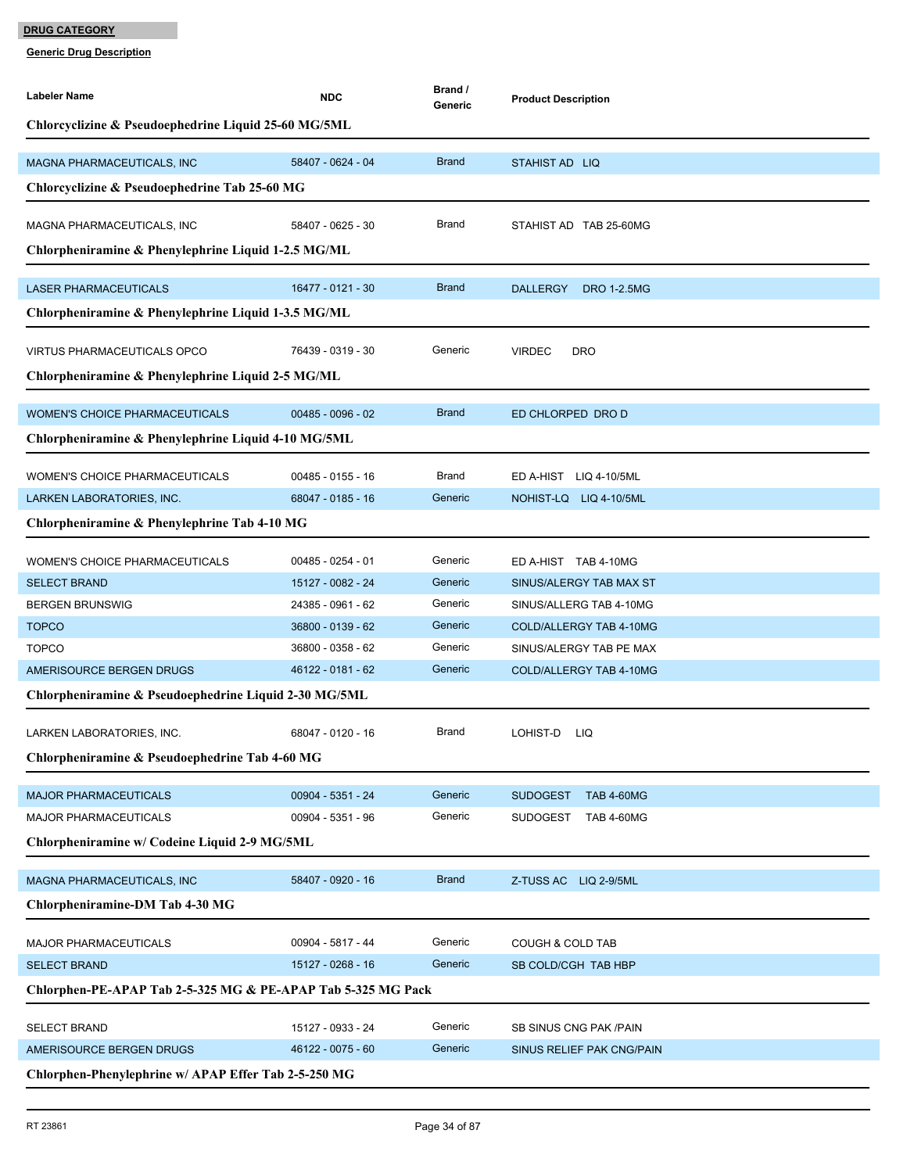| Labeler Name                                                 | <b>NDC</b>                             | Brand /<br>Generic | <b>Product Description</b>                         |  |  |
|--------------------------------------------------------------|----------------------------------------|--------------------|----------------------------------------------------|--|--|
| Chlorcyclizine & Pseudoephedrine Liquid 25-60 MG/5ML         |                                        |                    |                                                    |  |  |
|                                                              |                                        |                    |                                                    |  |  |
| MAGNA PHARMACEUTICALS, INC                                   | 58407 - 0624 - 04                      | <b>Brand</b>       | STAHIST AD LIQ                                     |  |  |
| Chlorcyclizine & Pseudoephedrine Tab 25-60 MG                |                                        |                    |                                                    |  |  |
| MAGNA PHARMACEUTICALS, INC                                   | 58407 - 0625 - 30                      | Brand              | STAHIST AD TAB 25-60MG                             |  |  |
| Chlorpheniramine & Phenylephrine Liquid 1-2.5 MG/ML          |                                        |                    |                                                    |  |  |
|                                                              |                                        |                    |                                                    |  |  |
| <b>LASER PHARMACEUTICALS</b>                                 | 16477 - 0121 - 30                      | <b>Brand</b>       | <b>DALLERGY</b><br><b>DRO 1-2.5MG</b>              |  |  |
| Chlorpheniramine & Phenylephrine Liquid 1-3.5 MG/ML          |                                        |                    |                                                    |  |  |
| <b>VIRTUS PHARMACEUTICALS OPCO</b>                           | 76439 - 0319 - 30                      | Generic            | <b>VIRDEC</b><br><b>DRO</b>                        |  |  |
| Chlorpheniramine & Phenylephrine Liquid 2-5 MG/ML            |                                        |                    |                                                    |  |  |
|                                                              |                                        |                    |                                                    |  |  |
| <b>WOMEN'S CHOICE PHARMACEUTICALS</b>                        | $00485 - 0096 - 02$                    | <b>Brand</b>       | ED CHLORPED DRO D                                  |  |  |
| Chlorpheniramine & Phenylephrine Liquid 4-10 MG/5ML          |                                        |                    |                                                    |  |  |
| WOMEN'S CHOICE PHARMACEUTICALS                               | 00485 - 0155 - 16                      | Brand              | ED A-HIST LIQ 4-10/5ML                             |  |  |
| LARKEN LABORATORIES, INC.                                    | 68047 - 0185 - 16                      | Generic            | NOHIST-LQ LIQ 4-10/5ML                             |  |  |
| Chlorpheniramine & Phenylephrine Tab 4-10 MG                 |                                        |                    |                                                    |  |  |
|                                                              |                                        |                    |                                                    |  |  |
| <b>WOMEN'S CHOICE PHARMACEUTICALS</b>                        | 00485 - 0254 - 01                      | Generic            | ED A-HIST TAB 4-10MG                               |  |  |
| <b>SELECT BRAND</b>                                          | 15127 - 0082 - 24                      | Generic<br>Generic | SINUS/ALERGY TAB MAX ST                            |  |  |
| <b>BERGEN BRUNSWIG</b><br><b>TOPCO</b>                       | 24385 - 0961 - 62<br>36800 - 0139 - 62 | Generic            | SINUS/ALLERG TAB 4-10MG<br>COLD/ALLERGY TAB 4-10MG |  |  |
| <b>TOPCO</b>                                                 | 36800 - 0358 - 62                      | Generic            | SINUS/ALERGY TAB PE MAX                            |  |  |
| AMERISOURCE BERGEN DRUGS                                     | 46122 - 0181 - 62                      | Generic            | COLD/ALLERGY TAB 4-10MG                            |  |  |
| Chlorpheniramine & Pseudoephedrine Liquid 2-30 MG/5ML        |                                        |                    |                                                    |  |  |
|                                                              |                                        |                    |                                                    |  |  |
| LARKEN LABORATORIES, INC.                                    | 68047 - 0120 - 16                      | Brand              | LOHIST-D<br>LIQ                                    |  |  |
| Chlorpheniramine & Pseudoephedrine Tab 4-60 MG               |                                        |                    |                                                    |  |  |
| <b>MAJOR PHARMACEUTICALS</b>                                 | 00904 - 5351 - 24                      | Generic            | <b>TAB 4-60MG</b>                                  |  |  |
| MAJOR PHARMACEUTICALS                                        | 00904 - 5351 - 96                      | Generic            | <b>SUDOGEST</b><br>SUDOGEST<br><b>TAB 4-60MG</b>   |  |  |
| Chlorpheniramine w/ Codeine Liquid 2-9 MG/5ML                |                                        |                    |                                                    |  |  |
|                                                              |                                        |                    |                                                    |  |  |
| MAGNA PHARMACEUTICALS, INC                                   | 58407 - 0920 - 16                      | <b>Brand</b>       | Z-TUSS AC LIQ 2-9/5ML                              |  |  |
| Chlorpheniramine-DM Tab 4-30 MG                              |                                        |                    |                                                    |  |  |
| <b>MAJOR PHARMACEUTICALS</b>                                 | 00904 - 5817 - 44                      | Generic            | <b>COUGH &amp; COLD TAB</b>                        |  |  |
| <b>SELECT BRAND</b>                                          | 15127 - 0268 - 16                      | Generic            | SB COLD/CGH TAB HBP                                |  |  |
| Chlorphen-PE-APAP Tab 2-5-325 MG & PE-APAP Tab 5-325 MG Pack |                                        |                    |                                                    |  |  |
|                                                              |                                        |                    |                                                    |  |  |
| <b>SELECT BRAND</b>                                          | 15127 - 0933 - 24                      | Generic            | SB SINUS CNG PAK /PAIN                             |  |  |
| AMERISOURCE BERGEN DRUGS                                     | 46122 - 0075 - 60                      | Generic            | SINUS RELIEF PAK CNG/PAIN                          |  |  |
| Chlorphen-Phenylephrine w/ APAP Effer Tab 2-5-250 MG         |                                        |                    |                                                    |  |  |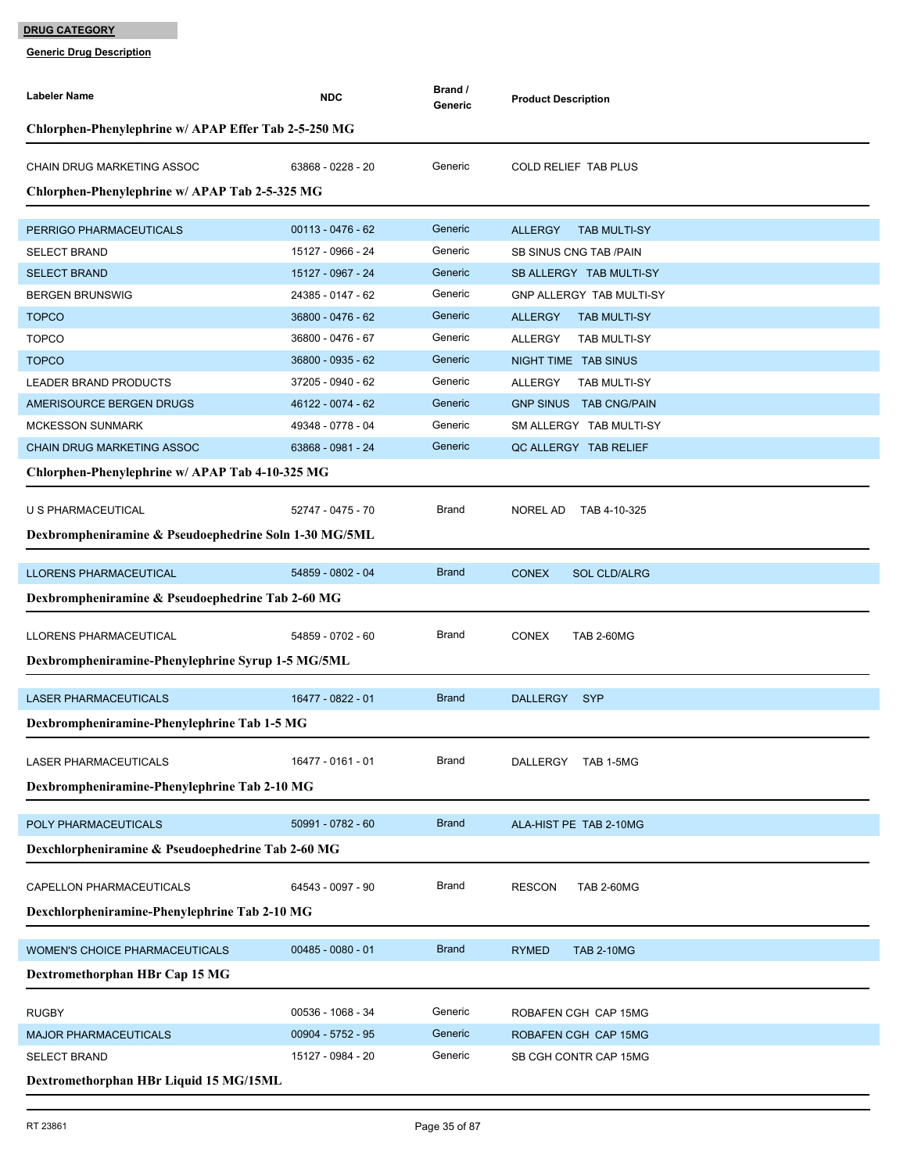| <b>Labeler Name</b>                                   | <b>NDC</b>          | Brand /<br>Generic | <b>Product Description</b>            |  |  |
|-------------------------------------------------------|---------------------|--------------------|---------------------------------------|--|--|
| Chlorphen-Phenylephrine w/ APAP Effer Tab 2-5-250 MG  |                     |                    |                                       |  |  |
| CHAIN DRUG MARKETING ASSOC                            | 63868 - 0228 - 20   | Generic            | <b>COLD RELIEF TAB PLUS</b>           |  |  |
| Chlorphen-Phenylephrine w/ APAP Tab 2-5-325 MG        |                     |                    |                                       |  |  |
| PERRIGO PHARMACEUTICALS                               | $00113 - 0476 - 62$ | Generic            | <b>ALLERGY</b><br><b>TAB MULTI-SY</b> |  |  |
| <b>SELECT BRAND</b>                                   | 15127 - 0966 - 24   | Generic            | <b>SB SINUS CNG TAB /PAIN</b>         |  |  |
| <b>SELECT BRAND</b>                                   | 15127 - 0967 - 24   | Generic            | SB ALLERGY TAB MULTI-SY               |  |  |
| <b>BERGEN BRUNSWIG</b>                                | 24385 - 0147 - 62   | Generic            | GNP ALLERGY TAB MULTI-SY              |  |  |
| <b>TOPCO</b>                                          | 36800 - 0476 - 62   | Generic            | <b>ALLERGY</b><br><b>TAB MULTI-SY</b> |  |  |
| <b>TOPCO</b>                                          | 36800 - 0476 - 67   | Generic            | ALLERGY<br><b>TAB MULTI-SY</b>        |  |  |
| <b>TOPCO</b>                                          | 36800 - 0935 - 62   | Generic            | NIGHT TIME TAB SINUS                  |  |  |
| LEADER BRAND PRODUCTS                                 | 37205 - 0940 - 62   | Generic            | ALLERGY<br><b>TAB MULTI-SY</b>        |  |  |
| AMERISOURCE BERGEN DRUGS                              | 46122 - 0074 - 62   | Generic            | GNP SINUS TAB CNG/PAIN                |  |  |
| <b>MCKESSON SUNMARK</b>                               | 49348 - 0778 - 04   | Generic            | SM ALLERGY TAB MULTI-SY               |  |  |
| <b>CHAIN DRUG MARKETING ASSOC</b>                     | 63868 - 0981 - 24   | Generic            | QC ALLERGY TAB RELIEF                 |  |  |
| Chlorphen-Phenylephrine w/ APAP Tab 4-10-325 MG       |                     |                    |                                       |  |  |
| U S PHARMACEUTICAL                                    | 52747 - 0475 - 70   | <b>Brand</b>       | <b>NOREL AD</b><br>TAB 4-10-325       |  |  |
| Dexbrompheniramine & Pseudoephedrine Soln 1-30 MG/5ML |                     |                    |                                       |  |  |
| <b>LLORENS PHARMACEUTICAL</b>                         | 54859 - 0802 - 04   | <b>Brand</b>       | <b>CONEX</b><br><b>SOL CLD/ALRG</b>   |  |  |
| Dexbrompheniramine & Pseudoephedrine Tab 2-60 MG      |                     |                    |                                       |  |  |
| LLORENS PHARMACEUTICAL                                | 54859 - 0702 - 60   | Brand              | <b>CONEX</b><br><b>TAB 2-60MG</b>     |  |  |
| Dexbrompheniramine-Phenylephrine Syrup 1-5 MG/5ML     |                     |                    |                                       |  |  |
|                                                       |                     |                    |                                       |  |  |
| <b>LASER PHARMACEUTICALS</b>                          | 16477 - 0822 - 01   | <b>Brand</b>       | <b>SYP</b><br><b>DALLERGY</b>         |  |  |
| Dexbrompheniramine-Phenylephrine Tab 1-5 MG           |                     |                    |                                       |  |  |
| LASER PHARMACEUTICALS                                 | 16477 - 0161 - 01   | <b>Brand</b>       | DALLERGY TAB 1-5MG                    |  |  |
| Dexbrompheniramine-Phenylephrine Tab 2-10 MG          |                     |                    |                                       |  |  |
| POLY PHARMACEUTICALS                                  | 50991 - 0782 - 60   | <b>Brand</b>       | ALA-HIST PE TAB 2-10MG                |  |  |
| Dexchlorpheniramine & Pseudoephedrine Tab 2-60 MG     |                     |                    |                                       |  |  |
|                                                       |                     |                    |                                       |  |  |
| CAPELLON PHARMACEUTICALS                              | 64543 - 0097 - 90   | Brand              | <b>RESCON</b><br><b>TAB 2-60MG</b>    |  |  |
| Dexchlorpheniramine-Phenylephrine Tab 2-10 MG         |                     |                    |                                       |  |  |
| WOMEN'S CHOICE PHARMACEUTICALS                        | $00485 - 0080 - 01$ | <b>Brand</b>       | <b>RYMED</b><br><b>TAB 2-10MG</b>     |  |  |
| Dextromethorphan HBr Cap 15 MG                        |                     |                    |                                       |  |  |
| <b>RUGBY</b>                                          | 00536 - 1068 - 34   | Generic            | ROBAFEN CGH CAP 15MG                  |  |  |
| <b>MAJOR PHARMACEUTICALS</b>                          | 00904 - 5752 - 95   | Generic            | ROBAFEN CGH CAP 15MG                  |  |  |
| <b>SELECT BRAND</b>                                   | 15127 - 0984 - 20   | Generic            | SB CGH CONTR CAP 15MG                 |  |  |
| Dextromethorphan HBr Liquid 15 MG/15ML                |                     |                    |                                       |  |  |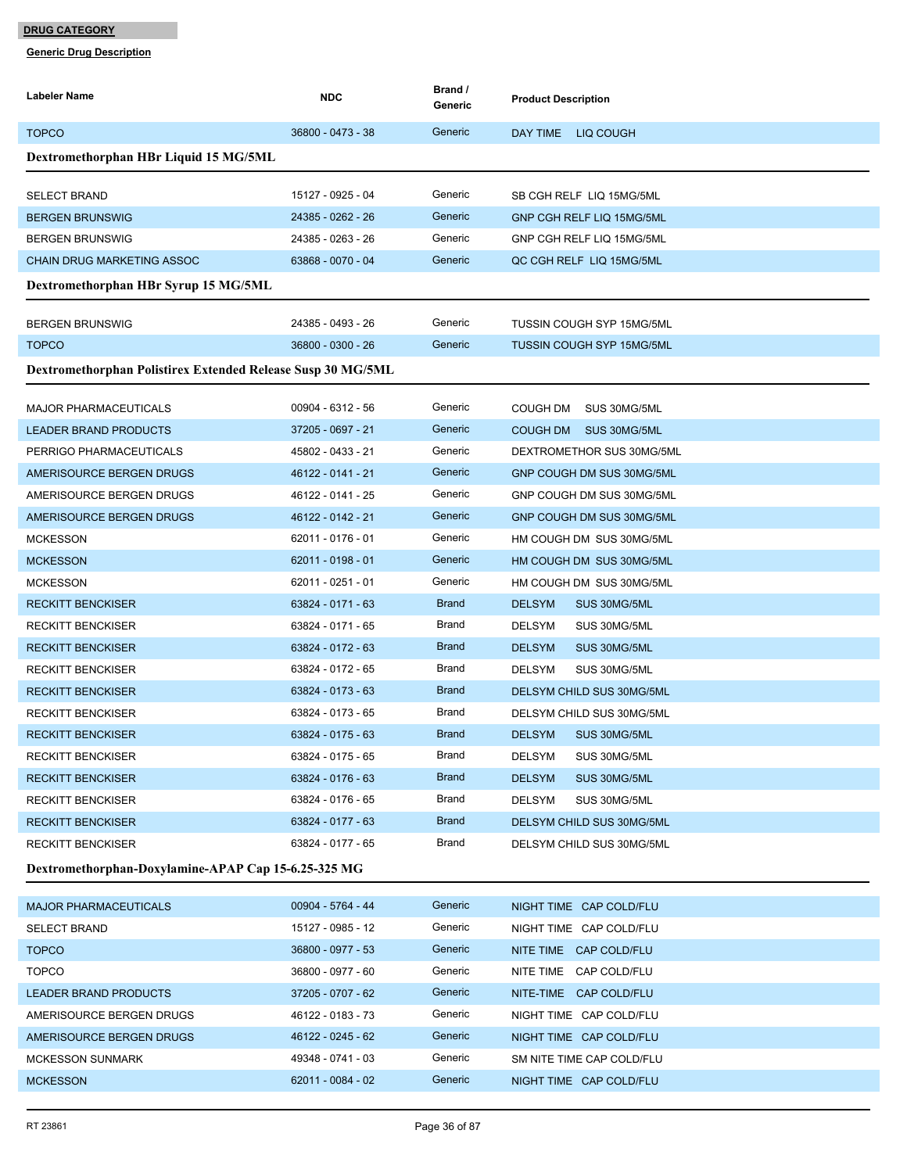I

| <b>Labeler Name</b>                                         | <b>NDC</b>          | Brand /<br>Generic | <b>Product Description</b>       |
|-------------------------------------------------------------|---------------------|--------------------|----------------------------------|
| <b>TOPCO</b>                                                | 36800 - 0473 - 38   | Generic            | DAY TIME LIQ COUGH               |
| Dextromethorphan HBr Liquid 15 MG/5ML                       |                     |                    |                                  |
| <b>SELECT BRAND</b>                                         | 15127 - 0925 - 04   | Generic            | SB CGH RELF LIQ 15MG/5ML         |
| <b>BERGEN BRUNSWIG</b>                                      | 24385 - 0262 - 26   | Generic            | GNP CGH RELF LIQ 15MG/5ML        |
| <b>BERGEN BRUNSWIG</b>                                      | 24385 - 0263 - 26   | Generic            | GNP CGH RELF LIQ 15MG/5ML        |
| <b>CHAIN DRUG MARKETING ASSOC</b>                           | 63868 - 0070 - 04   | Generic            | QC CGH RELF LIQ 15MG/5ML         |
| Dextromethorphan HBr Syrup 15 MG/5ML                        |                     |                    |                                  |
| <b>BERGEN BRUNSWIG</b>                                      | 24385 - 0493 - 26   | Generic            | <b>TUSSIN COUGH SYP 15MG/5ML</b> |
| <b>TOPCO</b>                                                | 36800 - 0300 - 26   | Generic            | <b>TUSSIN COUGH SYP 15MG/5ML</b> |
| Dextromethorphan Polistirex Extended Release Susp 30 MG/5ML |                     |                    |                                  |
| <b>MAJOR PHARMACEUTICALS</b>                                | 00904 - 6312 - 56   | Generic            | COUGH DM<br>SUS 30MG/5ML         |
| <b>LEADER BRAND PRODUCTS</b>                                | 37205 - 0697 - 21   | Generic            | COUGH DM SUS 30MG/5ML            |
| PERRIGO PHARMACEUTICALS                                     | 45802 - 0433 - 21   | Generic            | DEXTROMETHOR SUS 30MG/5ML        |
| AMERISOURCE BERGEN DRUGS                                    | 46122 - 0141 - 21   | Generic            | GNP COUGH DM SUS 30MG/5ML        |
| AMERISOURCE BERGEN DRUGS                                    | 46122 - 0141 - 25   | Generic            | GNP COUGH DM SUS 30MG/5ML        |
| AMERISOURCE BERGEN DRUGS                                    | 46122 - 0142 - 21   | Generic            | GNP COUGH DM SUS 30MG/5ML        |
| <b>MCKESSON</b>                                             | 62011 - 0176 - 01   | Generic            | HM COUGH DM SUS 30MG/5ML         |
| <b>MCKESSON</b>                                             | $62011 - 0198 - 01$ | Generic            | HM COUGH DM SUS 30MG/5ML         |
| <b>MCKESSON</b>                                             | 62011 - 0251 - 01   | Generic            | HM COUGH DM SUS 30MG/5ML         |
| <b>RECKITT BENCKISER</b>                                    | 63824 - 0171 - 63   | <b>Brand</b>       | <b>DELSYM</b><br>SUS 30MG/5ML    |
| <b>RECKITT BENCKISER</b>                                    | 63824 - 0171 - 65   | Brand              | <b>DELSYM</b><br>SUS 30MG/5ML    |
| <b>RECKITT BENCKISER</b>                                    | 63824 - 0172 - 63   | <b>Brand</b>       | <b>DELSYM</b><br>SUS 30MG/5ML    |
| <b>RECKITT BENCKISER</b>                                    | 63824 - 0172 - 65   | <b>Brand</b>       | <b>DELSYM</b><br>SUS 30MG/5ML    |
| <b>RECKITT BENCKISER</b>                                    | 63824 - 0173 - 63   | <b>Brand</b>       | DELSYM CHILD SUS 30MG/5ML        |
| <b>RECKITT BENCKISER</b>                                    | 63824 - 0173 - 65   | Brand              | DELSYM CHILD SUS 30MG/5ML        |
| <b>RECKITT BENCKISER</b>                                    | 63824 - 0175 - 63   | <b>Brand</b>       | <b>DELSYM</b><br>SUS 30MG/5ML    |
| <b>RECKITT BENCKISER</b>                                    | 63824 - 0175 - 65   | Brand              | <b>DELSYM</b><br>SUS 30MG/5ML    |
| <b>RECKITT BENCKISER</b>                                    | 63824 - 0176 - 63   | <b>Brand</b>       | <b>DELSYM</b><br>SUS 30MG/5ML    |
| <b>RECKITT BENCKISER</b>                                    | 63824 - 0176 - 65   | Brand              | DELSYM<br>SUS 30MG/5ML           |
| <b>RECKITT BENCKISER</b>                                    | 63824 - 0177 - 63   | <b>Brand</b>       | DELSYM CHILD SUS 30MG/5ML        |
| <b>RECKITT BENCKISER</b>                                    | 63824 - 0177 - 65   | Brand              | DELSYM CHILD SUS 30MG/5ML        |
| Dextromethorphan-Doxylamine-APAP Cap 15-6.25-325 MG         |                     |                    |                                  |
| <b>MAJOR PHARMACEUTICALS</b>                                | 00904 - 5764 - 44   | Generic            | NIGHT TIME CAP COLD/FLU          |
| <b>SELECT BRAND</b>                                         | 15127 - 0985 - 12   | Generic            | NIGHT TIME CAP COLD/FLU          |
| <b>TOPCO</b>                                                | 36800 - 0977 - 53   | Generic            | NITE TIME CAP COLD/FLU           |
| <b>TOPCO</b>                                                | 36800 - 0977 - 60   | Generic            | NITE TIME CAP COLD/FLU           |
| LEADER BRAND PRODUCTS                                       | 37205 - 0707 - 62   | Generic            | NITE-TIME CAP COLD/FLU           |
| AMERISOURCE BERGEN DRUGS                                    | 46122 - 0183 - 73   | Generic            | NIGHT TIME CAP COLD/FLU          |
| AMERISOURCE BERGEN DRUGS                                    | 46122 - 0245 - 62   | Generic            | NIGHT TIME CAP COLD/FLU          |
| <b>MCKESSON SUNMARK</b>                                     | 49348 - 0741 - 03   | Generic            | SM NITE TIME CAP COLD/FLU        |
| <b>MCKESSON</b>                                             | 62011 - 0084 - 02   | Generic            | NIGHT TIME CAP COLD/FLU          |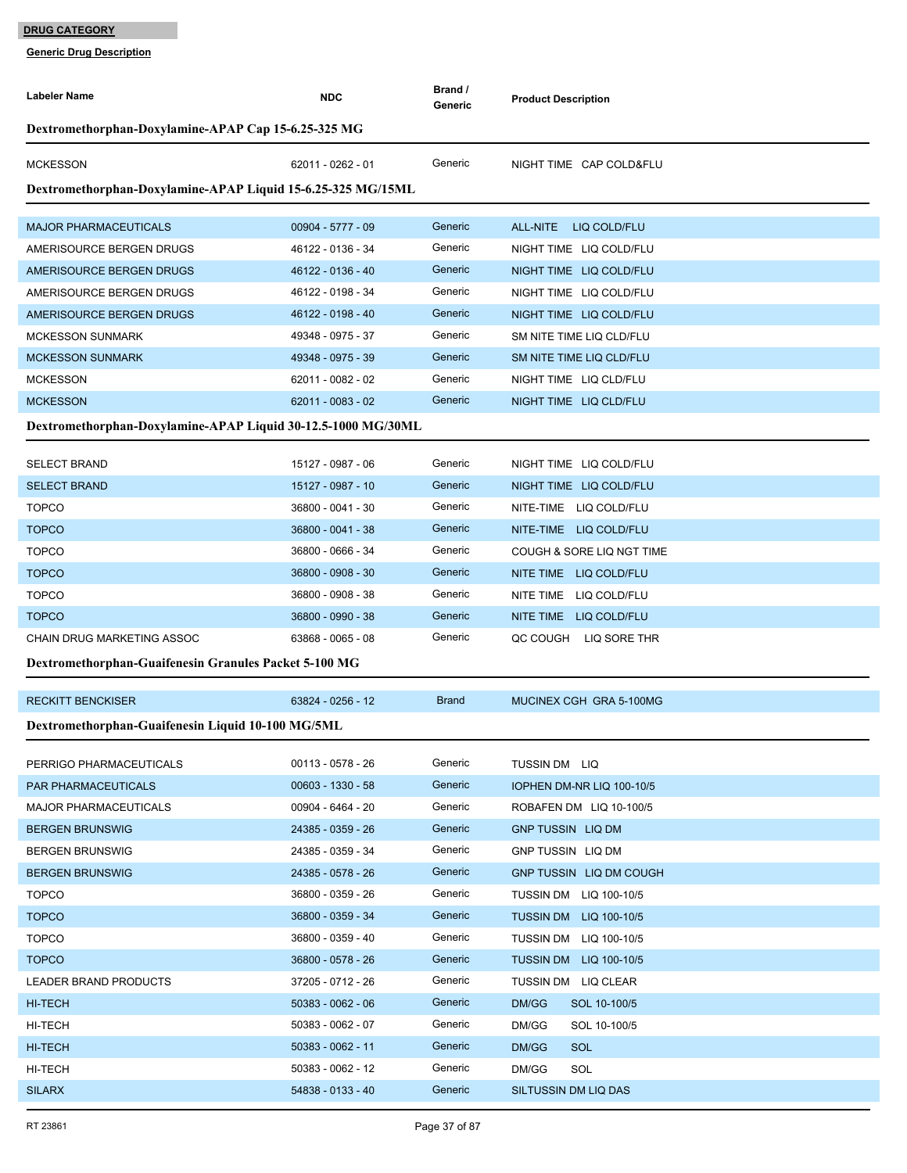| Labeler Name                                                 | <b>NDC</b>          | Brand /<br>Generic | <b>Product Description</b>    |  |  |  |  |
|--------------------------------------------------------------|---------------------|--------------------|-------------------------------|--|--|--|--|
| Dextromethorphan-Doxylamine-APAP Cap 15-6.25-325 MG          |                     |                    |                               |  |  |  |  |
| <b>MCKESSON</b>                                              | 62011 - 0262 - 01   | Generic            | NIGHT TIME CAP COLD&FLU       |  |  |  |  |
| Dextromethorphan-Doxylamine-APAP Liquid 15-6.25-325 MG/15ML  |                     |                    |                               |  |  |  |  |
| <b>MAJOR PHARMACEUTICALS</b>                                 | 00904 - 5777 - 09   | Generic            | ALL-NITE<br>LIQ COLD/FLU      |  |  |  |  |
| AMERISOURCE BERGEN DRUGS                                     | 46122 - 0136 - 34   | Generic            | NIGHT TIME LIQ COLD/FLU       |  |  |  |  |
| AMERISOURCE BERGEN DRUGS                                     | 46122 - 0136 - 40   | Generic            | NIGHT TIME LIQ COLD/FLU       |  |  |  |  |
| AMERISOURCE BERGEN DRUGS                                     | 46122 - 0198 - 34   | Generic            | NIGHT TIME LIQ COLD/FLU       |  |  |  |  |
| AMERISOURCE BERGEN DRUGS                                     | 46122 - 0198 - 40   | Generic            | NIGHT TIME LIQ COLD/FLU       |  |  |  |  |
| <b>MCKESSON SUNMARK</b>                                      | 49348 - 0975 - 37   | Generic            | SM NITE TIME LIQ CLD/FLU      |  |  |  |  |
| <b>MCKESSON SUNMARK</b>                                      | 49348 - 0975 - 39   | Generic            | SM NITE TIME LIQ CLD/FLU      |  |  |  |  |
| <b>MCKESSON</b>                                              | 62011 - 0082 - 02   | Generic            | NIGHT TIME LIQ CLD/FLU        |  |  |  |  |
| <b>MCKESSON</b>                                              | 62011 - 0083 - 02   | Generic            | NIGHT TIME LIQ CLD/FLU        |  |  |  |  |
| Dextromethorphan-Doxylamine-APAP Liquid 30-12.5-1000 MG/30ML |                     |                    |                               |  |  |  |  |
| <b>SELECT BRAND</b>                                          | 15127 - 0987 - 06   | Generic            | NIGHT TIME LIQ COLD/FLU       |  |  |  |  |
| <b>SELECT BRAND</b>                                          | 15127 - 0987 - 10   | Generic            | NIGHT TIME LIQ COLD/FLU       |  |  |  |  |
| <b>TOPCO</b>                                                 | 36800 - 0041 - 30   | Generic            | NITE-TIME LIQ COLD/FLU        |  |  |  |  |
| <b>TOPCO</b>                                                 | 36800 - 0041 - 38   | Generic            | NITE-TIME LIQ COLD/FLU        |  |  |  |  |
| <b>TOPCO</b>                                                 | 36800 - 0666 - 34   | Generic            | COUGH & SORE LIQ NGT TIME     |  |  |  |  |
| <b>TOPCO</b>                                                 | 36800 - 0908 - 30   | Generic            | NITE TIME LIQ COLD/FLU        |  |  |  |  |
| <b>TOPCO</b>                                                 | 36800 - 0908 - 38   | Generic            | NITE TIME LIQ COLD/FLU        |  |  |  |  |
| <b>TOPCO</b>                                                 | 36800 - 0990 - 38   | Generic            | NITE TIME LIQ COLD/FLU        |  |  |  |  |
| CHAIN DRUG MARKETING ASSOC                                   | 63868 - 0065 - 08   | Generic            | QC COUGH LIQ SORE THR         |  |  |  |  |
| Dextromethorphan-Guaifenesin Granules Packet 5-100 MG        |                     |                    |                               |  |  |  |  |
| <b>RECKITT BENCKISER</b>                                     | 63824 - 0256 - 12   | <b>Brand</b>       | MUCINEX CGH GRA 5-100MG       |  |  |  |  |
| Dextromethorphan-Guaifenesin Liquid 10-100 MG/5ML            |                     |                    |                               |  |  |  |  |
| PERRIGO PHARMACEUTICALS                                      | 00113 - 0578 - 26   | Generic            | TUSSIN DM LIQ                 |  |  |  |  |
| <b>PAR PHARMACEUTICALS</b>                                   | 00603 - 1330 - 58   | Generic            | IOPHEN DM-NR LIQ 100-10/5     |  |  |  |  |
| <b>MAJOR PHARMACEUTICALS</b>                                 | 00904 - 6464 - 20   | Generic            | ROBAFEN DM LIQ 10-100/5       |  |  |  |  |
| <b>BERGEN BRUNSWIG</b>                                       | 24385 - 0359 - 26   | Generic            | <b>GNP TUSSIN LIQ DM</b>      |  |  |  |  |
| <b>BERGEN BRUNSWIG</b>                                       | 24385 - 0359 - 34   | Generic            | GNP TUSSIN LIQ DM             |  |  |  |  |
| <b>BERGEN BRUNSWIG</b>                                       | 24385 - 0578 - 26   | Generic            | GNP TUSSIN LIQ DM COUGH       |  |  |  |  |
| <b>TOPCO</b>                                                 | 36800 - 0359 - 26   | Generic            | <b>TUSSIN DM LIQ 100-10/5</b> |  |  |  |  |
| <b>TOPCO</b>                                                 | 36800 - 0359 - 34   | Generic            | <b>TUSSIN DM LIQ 100-10/5</b> |  |  |  |  |
| <b>TOPCO</b>                                                 | 36800 - 0359 - 40   | Generic            | <b>TUSSIN DM LIQ 100-10/5</b> |  |  |  |  |
| <b>TOPCO</b>                                                 | 36800 - 0578 - 26   | Generic            | <b>TUSSIN DM LIQ 100-10/5</b> |  |  |  |  |
| LEADER BRAND PRODUCTS                                        | 37205 - 0712 - 26   | Generic            | TUSSIN DM LIQ CLEAR           |  |  |  |  |
| <b>HI-TECH</b>                                               | $50383 - 0062 - 06$ | Generic            | DM/GG<br>SOL 10-100/5         |  |  |  |  |
| HI-TECH                                                      | 50383 - 0062 - 07   | Generic            | DM/GG<br>SOL 10-100/5         |  |  |  |  |
| <b>HI-TECH</b>                                               | 50383 - 0062 - 11   | Generic            | DM/GG<br>SOL                  |  |  |  |  |
| HI-TECH                                                      | 50383 - 0062 - 12   | Generic            | DM/GG<br>SOL                  |  |  |  |  |
| <b>SILARX</b>                                                | 54838 - 0133 - 40   | Generic            | SILTUSSIN DM LIQ DAS          |  |  |  |  |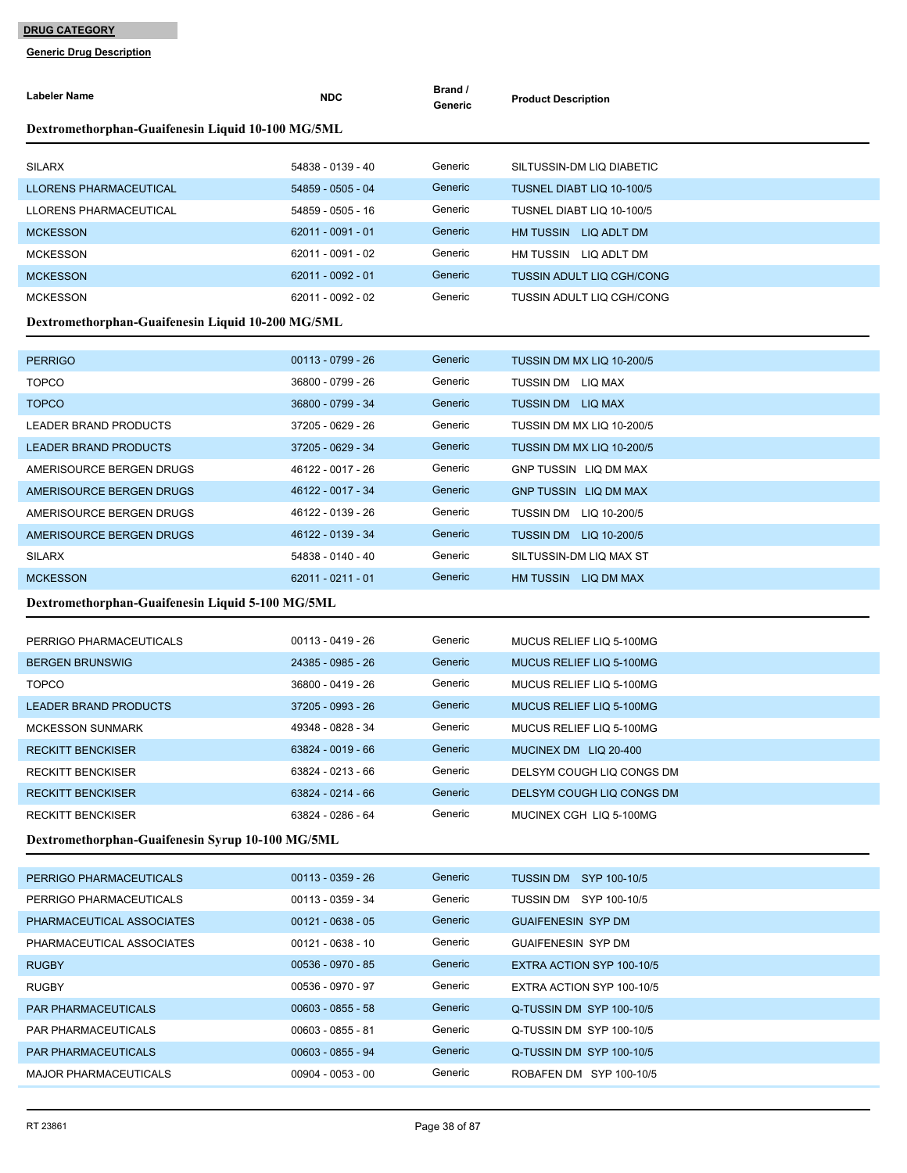| Labeler Name                                      | <b>NDC</b>          | Brand /<br>Generic | <b>Product Description</b>       |  |  |  |  |
|---------------------------------------------------|---------------------|--------------------|----------------------------------|--|--|--|--|
| Dextromethorphan-Guaifenesin Liquid 10-100 MG/5ML |                     |                    |                                  |  |  |  |  |
| <b>SILARX</b>                                     | 54838 - 0139 - 40   | Generic            | SILTUSSIN-DM LIQ DIABETIC        |  |  |  |  |
| LLORENS PHARMACEUTICAL                            | 54859 - 0505 - 04   | Generic            | TUSNEL DIABT LIQ 10-100/5        |  |  |  |  |
| LLORENS PHARMACEUTICAL                            | 54859 - 0505 - 16   | Generic            | TUSNEL DIABT LIQ 10-100/5        |  |  |  |  |
| <b>MCKESSON</b>                                   | $62011 - 0091 - 01$ | Generic            | HM TUSSIN LIQ ADLT DM            |  |  |  |  |
| <b>MCKESSON</b>                                   | 62011 - 0091 - 02   | Generic            | HM TUSSIN LIQ ADLT DM            |  |  |  |  |
| <b>MCKESSON</b>                                   | 62011 - 0092 - 01   | Generic            | <b>TUSSIN ADULT LIQ CGH/CONG</b> |  |  |  |  |
| <b>MCKESSON</b>                                   | 62011 - 0092 - 02   | Generic            | <b>TUSSIN ADULT LIQ CGH/CONG</b> |  |  |  |  |
| Dextromethorphan-Guaifenesin Liquid 10-200 MG/5ML |                     |                    |                                  |  |  |  |  |
| <b>PERRIGO</b>                                    | 00113 - 0799 - 26   | Generic            | TUSSIN DM MX LIQ 10-200/5        |  |  |  |  |
| <b>TOPCO</b>                                      | 36800 - 0799 - 26   | Generic            | TUSSIN DM LIQ MAX                |  |  |  |  |
| <b>TOPCO</b>                                      | 36800 - 0799 - 34   | Generic            | TUSSIN DM LIQ MAX                |  |  |  |  |
| LEADER BRAND PRODUCTS                             | 37205 - 0629 - 26   | Generic            | TUSSIN DM MX LIQ 10-200/5        |  |  |  |  |
| <b>LEADER BRAND PRODUCTS</b>                      | 37205 - 0629 - 34   | Generic            | TUSSIN DM MX LIQ 10-200/5        |  |  |  |  |
| AMERISOURCE BERGEN DRUGS                          | 46122 - 0017 - 26   | Generic            | GNP TUSSIN LIQ DM MAX            |  |  |  |  |
| AMERISOURCE BERGEN DRUGS                          | 46122 - 0017 - 34   | Generic            | <b>GNP TUSSIN LIQ DM MAX</b>     |  |  |  |  |
| AMERISOURCE BERGEN DRUGS                          | 46122 - 0139 - 26   | Generic            | <b>TUSSIN DM LIQ 10-200/5</b>    |  |  |  |  |
| AMERISOURCE BERGEN DRUGS                          | 46122 - 0139 - 34   | Generic            | <b>TUSSIN DM LIQ 10-200/5</b>    |  |  |  |  |
| <b>SILARX</b>                                     | 54838 - 0140 - 40   | Generic            | SILTUSSIN-DM LIQ MAX ST          |  |  |  |  |
| <b>MCKESSON</b>                                   | 62011 - 0211 - 01   | Generic            | HM TUSSIN LIQ DM MAX             |  |  |  |  |
| Dextromethorphan-Guaifenesin Liquid 5-100 MG/5ML  |                     |                    |                                  |  |  |  |  |
| PERRIGO PHARMACEUTICALS                           | 00113 - 0419 - 26   | Generic            | MUCUS RELIEF LIQ 5-100MG         |  |  |  |  |
| <b>BERGEN BRUNSWIG</b>                            | 24385 - 0985 - 26   | Generic            | MUCUS RELIEF LIQ 5-100MG         |  |  |  |  |
| <b>TOPCO</b>                                      | 36800 - 0419 - 26   | Generic            | MUCUS RELIEF LIQ 5-100MG         |  |  |  |  |
| <b>LEADER BRAND PRODUCTS</b>                      | 37205 - 0993 - 26   | Generic            | <b>MUCUS RELIEF LIQ 5-100MG</b>  |  |  |  |  |
| <b>MCKESSON SUNMARK</b>                           | 49348 - 0828 - 34   | Generic            | MUCUS RELIEF LIQ 5-100MG         |  |  |  |  |
| <b>RECKITT BENCKISER</b>                          | 63824 - 0019 - 66   | Generic            | MUCINEX DM LIQ 20-400            |  |  |  |  |
| <b>RECKITT BENCKISER</b>                          | 63824 - 0213 - 66   | Generic            | DELSYM COUGH LIQ CONGS DM        |  |  |  |  |
| <b>RECKITT BENCKISER</b>                          | 63824 - 0214 - 66   | Generic            | DELSYM COUGH LIQ CONGS DM        |  |  |  |  |
| <b>RECKITT BENCKISER</b>                          | 63824 - 0286 - 64   | Generic            | MUCINEX CGH LIQ 5-100MG          |  |  |  |  |
| Dextromethorphan-Guaifenesin Syrup 10-100 MG/5ML  |                     |                    |                                  |  |  |  |  |
| PERRIGO PHARMACEUTICALS                           | $00113 - 0359 - 26$ | Generic            | <b>TUSSIN DM SYP 100-10/5</b>    |  |  |  |  |
| PERRIGO PHARMACEUTICALS                           | 00113 - 0359 - 34   | Generic            | TUSSIN DM SYP 100-10/5           |  |  |  |  |
| PHARMACEUTICAL ASSOCIATES                         | $00121 - 0638 - 05$ | Generic            | <b>GUAIFENESIN SYP DM</b>        |  |  |  |  |
| PHARMACEUTICAL ASSOCIATES                         | 00121 - 0638 - 10   | Generic            | <b>GUAIFENESIN SYP DM</b>        |  |  |  |  |
| <b>RUGBY</b>                                      | 00536 - 0970 - 85   | Generic            | EXTRA ACTION SYP 100-10/5        |  |  |  |  |
| <b>RUGBY</b>                                      | 00536 - 0970 - 97   | Generic            | EXTRA ACTION SYP 100-10/5        |  |  |  |  |
| PAR PHARMACEUTICALS                               | $00603 - 0855 - 58$ | Generic            | Q-TUSSIN DM SYP 100-10/5         |  |  |  |  |
| PAR PHARMACEUTICALS                               | 00603 - 0855 - 81   | Generic            | Q-TUSSIN DM SYP 100-10/5         |  |  |  |  |
| PAR PHARMACEUTICALS                               | 00603 - 0855 - 94   | Generic            | Q-TUSSIN DM SYP 100-10/5         |  |  |  |  |
| <b>MAJOR PHARMACEUTICALS</b>                      | $00904 - 0053 - 00$ | Generic            | ROBAFEN DM SYP 100-10/5          |  |  |  |  |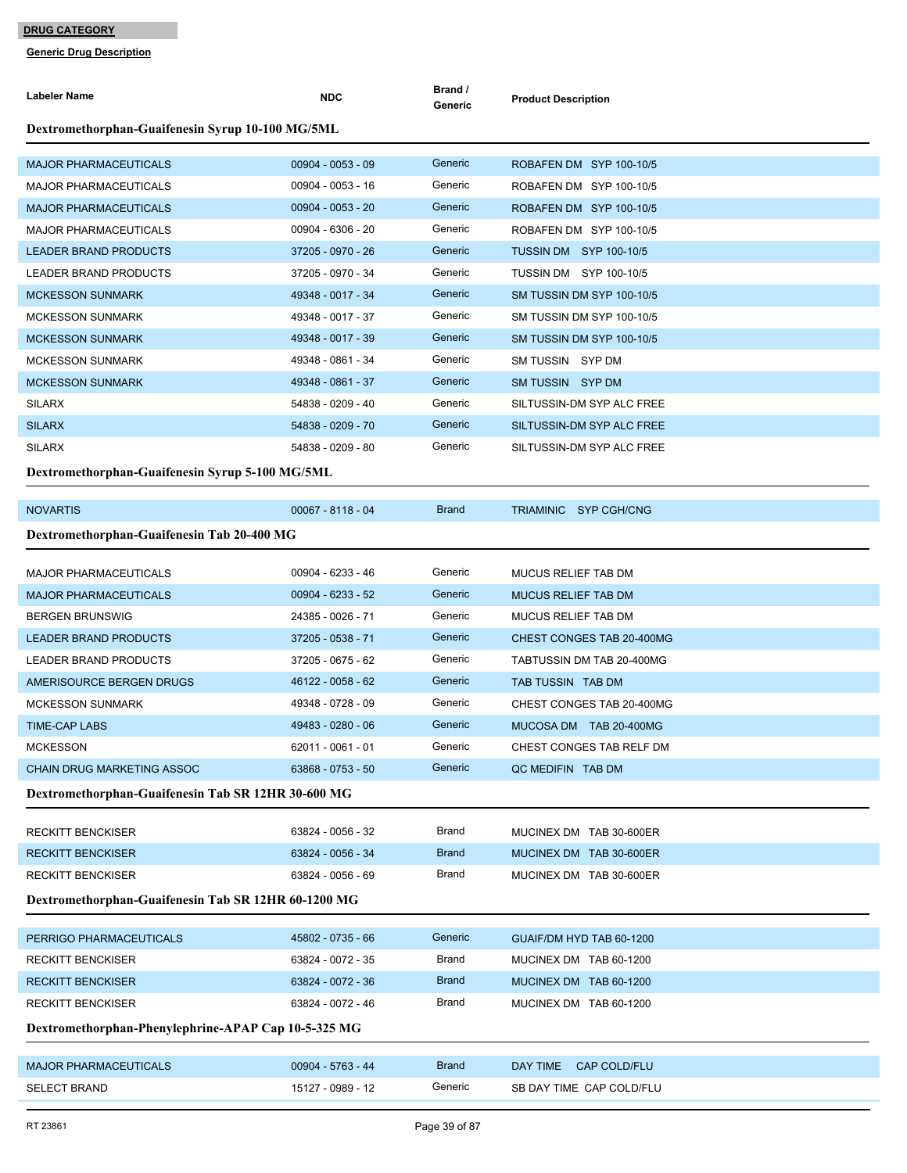| Labeler Name                                        | <b>NDC</b>          | Brand /<br>Generic | <b>Product Description</b>    |  |  |  |  |
|-----------------------------------------------------|---------------------|--------------------|-------------------------------|--|--|--|--|
| Dextromethorphan-Guaifenesin Syrup 10-100 MG/5ML    |                     |                    |                               |  |  |  |  |
| <b>MAJOR PHARMACEUTICALS</b>                        | $00904 - 0053 - 09$ | Generic            | ROBAFEN DM SYP 100-10/5       |  |  |  |  |
| <b>MAJOR PHARMACEUTICALS</b>                        | 00904 - 0053 - 16   | Generic            | ROBAFEN DM SYP 100-10/5       |  |  |  |  |
| <b>MAJOR PHARMACEUTICALS</b>                        | $00904 - 0053 - 20$ | Generic            | ROBAFEN DM SYP 100-10/5       |  |  |  |  |
| <b>MAJOR PHARMACEUTICALS</b>                        | 00904 - 6306 - 20   | Generic            | ROBAFEN DM SYP 100-10/5       |  |  |  |  |
| <b>LEADER BRAND PRODUCTS</b>                        | 37205 - 0970 - 26   | Generic            | <b>TUSSIN DM SYP 100-10/5</b> |  |  |  |  |
| <b>LEADER BRAND PRODUCTS</b>                        | 37205 - 0970 - 34   | Generic            | <b>TUSSIN DM SYP 100-10/5</b> |  |  |  |  |
| <b>MCKESSON SUNMARK</b>                             | 49348 - 0017 - 34   | Generic            | SM TUSSIN DM SYP 100-10/5     |  |  |  |  |
| <b>MCKESSON SUNMARK</b>                             | 49348 - 0017 - 37   | Generic            | SM TUSSIN DM SYP 100-10/5     |  |  |  |  |
| <b>MCKESSON SUNMARK</b>                             | 49348 - 0017 - 39   | Generic            | SM TUSSIN DM SYP 100-10/5     |  |  |  |  |
| <b>MCKESSON SUNMARK</b>                             | 49348 - 0861 - 34   | Generic            | SM TUSSIN SYP DM              |  |  |  |  |
| <b>MCKESSON SUNMARK</b>                             | 49348 - 0861 - 37   | Generic            | SM TUSSIN SYP DM              |  |  |  |  |
| <b>SILARX</b>                                       | 54838 - 0209 - 40   | Generic            | SILTUSSIN-DM SYP ALC FREE     |  |  |  |  |
| <b>SILARX</b>                                       | 54838 - 0209 - 70   | Generic            | SILTUSSIN-DM SYP ALC FREE     |  |  |  |  |
| <b>SILARX</b>                                       | 54838 - 0209 - 80   | Generic            | SILTUSSIN-DM SYP ALC FREE     |  |  |  |  |
| Dextromethorphan-Guaifenesin Syrup 5-100 MG/5ML     |                     |                    |                               |  |  |  |  |
| <b>NOVARTIS</b>                                     | 00067 - 8118 - 04   | <b>Brand</b>       | TRIAMINIC SYP CGH/CNG         |  |  |  |  |
| Dextromethorphan-Guaifenesin Tab 20-400 MG          |                     |                    |                               |  |  |  |  |
| <b>MAJOR PHARMACEUTICALS</b>                        | 00904 - 6233 - 46   | Generic            | <b>MUCUS RELIEF TAB DM</b>    |  |  |  |  |
| <b>MAJOR PHARMACEUTICALS</b>                        | 00904 - 6233 - 52   | Generic            | <b>MUCUS RELIEF TAB DM</b>    |  |  |  |  |
| <b>BERGEN BRUNSWIG</b>                              | 24385 - 0026 - 71   | Generic            | MUCUS RELIEF TAB DM           |  |  |  |  |
| <b>LEADER BRAND PRODUCTS</b>                        | 37205 - 0538 - 71   | Generic            | CHEST CONGES TAB 20-400MG     |  |  |  |  |
| <b>LEADER BRAND PRODUCTS</b>                        | 37205 - 0675 - 62   | Generic            | TABTUSSIN DM TAB 20-400MG     |  |  |  |  |
| AMERISOURCE BERGEN DRUGS                            | 46122 - 0058 - 62   | Generic            | TAB TUSSIN TAB DM             |  |  |  |  |
| <b>MCKESSON SUNMARK</b>                             | 49348 - 0728 - 09   | Generic            | CHEST CONGES TAB 20-400MG     |  |  |  |  |
| <b>TIME-CAP LABS</b>                                | 49483 - 0280 - 06   | Generic            | MUCOSA DM TAB 20-400MG        |  |  |  |  |
| <b>MCKESSON</b>                                     | 62011 - 0061 - 01   | Generic            | CHEST CONGES TAB RELF DM      |  |  |  |  |
| <b>CHAIN DRUG MARKETING ASSOC</b>                   | 63868 - 0753 - 50   | Generic            | QC MEDIFIN TAB DM             |  |  |  |  |
| Dextromethorphan-Guaifenesin Tab SR 12HR 30-600 MG  |                     |                    |                               |  |  |  |  |
| <b>RECKITT BENCKISER</b>                            | 63824 - 0056 - 32   | Brand              | MUCINEX DM TAB 30-600ER       |  |  |  |  |
| <b>RECKITT BENCKISER</b>                            | 63824 - 0056 - 34   | <b>Brand</b>       | MUCINEX DM TAB 30-600ER       |  |  |  |  |
| <b>RECKITT BENCKISER</b>                            | 63824 - 0056 - 69   | <b>Brand</b>       |                               |  |  |  |  |
| Dextromethorphan-Guaifenesin Tab SR 12HR 60-1200 MG |                     |                    | MUCINEX DM TAB 30-600ER       |  |  |  |  |
|                                                     |                     |                    |                               |  |  |  |  |
| PERRIGO PHARMACEUTICALS                             | 45802 - 0735 - 66   | Generic            | GUAIF/DM HYD TAB 60-1200      |  |  |  |  |
| RECKITT BENCKISER                                   | 63824 - 0072 - 35   | <b>Brand</b>       | MUCINEX DM TAB 60-1200        |  |  |  |  |
| <b>RECKITT BENCKISER</b>                            | 63824 - 0072 - 36   | <b>Brand</b>       | MUCINEX DM TAB 60-1200        |  |  |  |  |
| <b>RECKITT BENCKISER</b>                            | 63824 - 0072 - 46   | <b>Brand</b>       | MUCINEX DM TAB 60-1200        |  |  |  |  |
| Dextromethorphan-Phenylephrine-APAP Cap 10-5-325 MG |                     |                    |                               |  |  |  |  |
| <b>MAJOR PHARMACEUTICALS</b>                        | 00904 - 5763 - 44   | <b>Brand</b>       | DAY TIME<br>CAP COLD/FLU      |  |  |  |  |
| <b>SELECT BRAND</b>                                 | 15127 - 0989 - 12   | Generic            | SB DAY TIME CAP COLD/FLU      |  |  |  |  |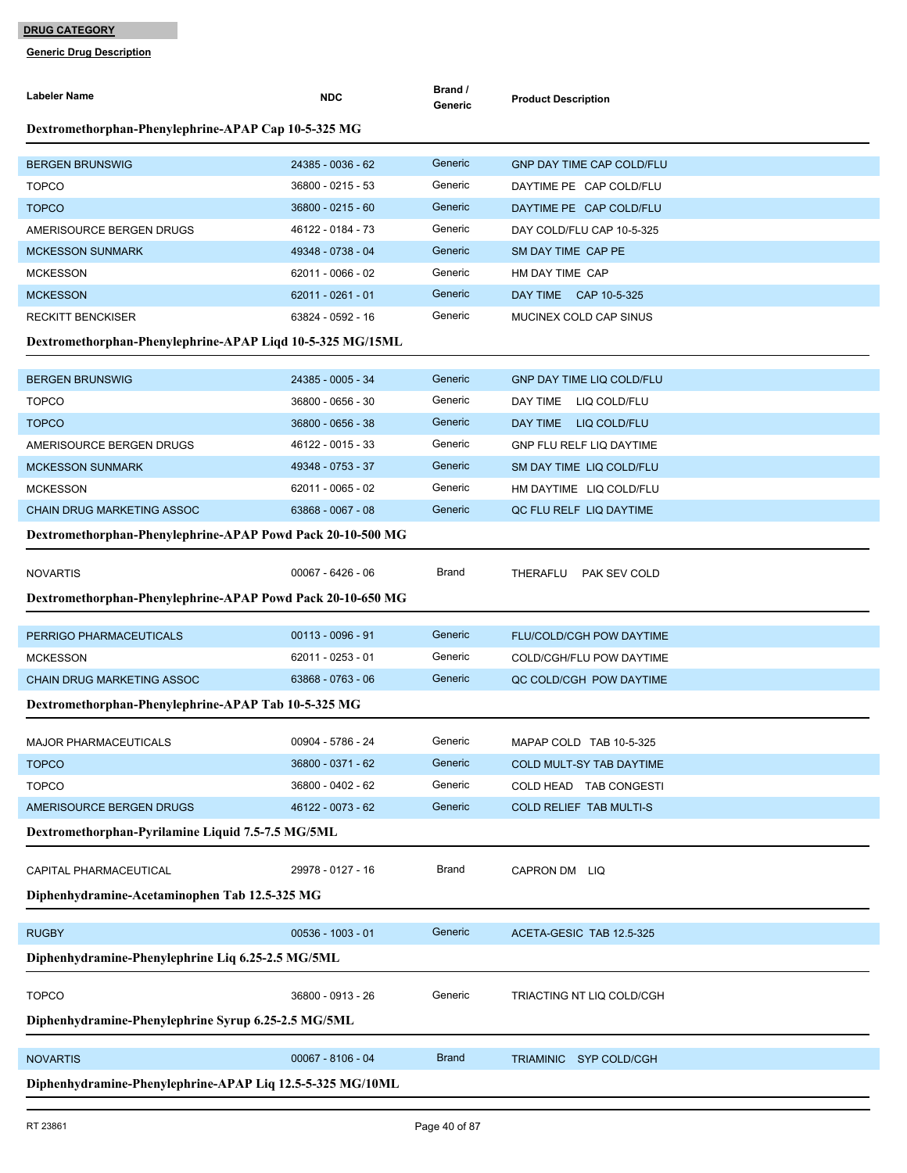| <b>Labeler Name</b>                                        | <b>NDC</b>          | Brand /<br>Generic | <b>Product Description</b>       |  |  |  |  |
|------------------------------------------------------------|---------------------|--------------------|----------------------------------|--|--|--|--|
| Dextromethorphan-Phenylephrine-APAP Cap 10-5-325 MG        |                     |                    |                                  |  |  |  |  |
| <b>BERGEN BRUNSWIG</b>                                     | 24385 - 0036 - 62   | Generic            | GNP DAY TIME CAP COLD/FLU        |  |  |  |  |
| <b>TOPCO</b>                                               | 36800 - 0215 - 53   | Generic            | DAYTIME PE CAP COLD/FLU          |  |  |  |  |
| <b>TOPCO</b>                                               | 36800 - 0215 - 60   | Generic            | DAYTIME PE CAP COLD/FLU          |  |  |  |  |
| AMERISOURCE BERGEN DRUGS                                   | 46122 - 0184 - 73   | Generic            | DAY COLD/FLU CAP 10-5-325        |  |  |  |  |
| <b>MCKESSON SUNMARK</b>                                    | 49348 - 0738 - 04   | Generic            | SM DAY TIME CAP PE               |  |  |  |  |
| <b>MCKESSON</b>                                            | 62011 - 0066 - 02   | Generic            | HM DAY TIME CAP                  |  |  |  |  |
| <b>MCKESSON</b>                                            | 62011 - 0261 - 01   | Generic            | DAY TIME CAP 10-5-325            |  |  |  |  |
| <b>RECKITT BENCKISER</b>                                   | 63824 - 0592 - 16   | Generic            | MUCINEX COLD CAP SINUS           |  |  |  |  |
| Dextromethorphan-Phenylephrine-APAP Liqd 10-5-325 MG/15ML  |                     |                    |                                  |  |  |  |  |
| <b>BERGEN BRUNSWIG</b>                                     | 24385 - 0005 - 34   | Generic            | <b>GNP DAY TIME LIQ COLD/FLU</b> |  |  |  |  |
| <b>TOPCO</b>                                               | 36800 - 0656 - 30   | Generic            | DAY TIME LIQ COLD/FLU            |  |  |  |  |
| <b>TOPCO</b>                                               | 36800 - 0656 - 38   | Generic            | DAY TIME LIQ COLD/FLU            |  |  |  |  |
| AMERISOURCE BERGEN DRUGS                                   | 46122 - 0015 - 33   | Generic            | <b>GNP FLU RELF LIQ DAYTIME</b>  |  |  |  |  |
| <b>MCKESSON SUNMARK</b>                                    | 49348 - 0753 - 37   | Generic            | SM DAY TIME LIQ COLD/FLU         |  |  |  |  |
| <b>MCKESSON</b>                                            | 62011 - 0065 - 02   | Generic            | HM DAYTIME LIQ COLD/FLU          |  |  |  |  |
| <b>CHAIN DRUG MARKETING ASSOC</b>                          | 63868 - 0067 - 08   | Generic            | QC FLU RELF LIQ DAYTIME          |  |  |  |  |
| Dextromethorphan-Phenylephrine-APAP Powd Pack 20-10-500 MG |                     |                    |                                  |  |  |  |  |
| <b>NOVARTIS</b>                                            | $00067 - 6426 - 06$ | Brand              | PAK SEV COLD<br>THERAFLU         |  |  |  |  |
| Dextromethorphan-Phenylephrine-APAP Powd Pack 20-10-650 MG |                     |                    |                                  |  |  |  |  |
| PERRIGO PHARMACEUTICALS                                    | $00113 - 0096 - 91$ | Generic            | <b>FLU/COLD/CGH POW DAYTIME</b>  |  |  |  |  |
| <b>MCKESSON</b>                                            | 62011 - 0253 - 01   | Generic            | COLD/CGH/FLU POW DAYTIME         |  |  |  |  |
| <b>CHAIN DRUG MARKETING ASSOC</b>                          | 63868 - 0763 - 06   | Generic            | QC COLD/CGH POW DAYTIME          |  |  |  |  |
| Dextromethorphan-Phenylephrine-APAP Tab 10-5-325 MG        |                     |                    |                                  |  |  |  |  |
| MAJOR PHARMACEUTICALS                                      | 00904 - 5786 - 24   | Generic            | MAPAP COLD TAB 10-5-325          |  |  |  |  |
| <b>TOPCO</b>                                               | 36800 - 0371 - 62   | Generic            | COLD MULT-SY TAB DAYTIME         |  |  |  |  |
| <b>TOPCO</b>                                               | 36800 - 0402 - 62   | Generic            | COLD HEAD TAB CONGESTI           |  |  |  |  |
| AMERISOURCE BERGEN DRUGS                                   | 46122 - 0073 - 62   | Generic            | COLD RELIEF TAB MULTI-S          |  |  |  |  |
| Dextromethorphan-Pyrilamine Liquid 7.5-7.5 MG/5ML          |                     |                    |                                  |  |  |  |  |
| CAPITAL PHARMACEUTICAL                                     | 29978 - 0127 - 16   | Brand              | CAPRON DM LIQ                    |  |  |  |  |
| Diphenhydramine-Acetaminophen Tab 12.5-325 MG              |                     |                    |                                  |  |  |  |  |
| <b>RUGBY</b>                                               | $00536 - 1003 - 01$ | Generic            | ACETA-GESIC TAB 12.5-325         |  |  |  |  |
| Diphenhydramine-Phenylephrine Liq 6.25-2.5 MG/5ML          |                     |                    |                                  |  |  |  |  |
| <b>TOPCO</b>                                               | 36800 - 0913 - 26   | Generic            | TRIACTING NT LIQ COLD/CGH        |  |  |  |  |
| Diphenhydramine-Phenylephrine Syrup 6.25-2.5 MG/5ML        |                     |                    |                                  |  |  |  |  |
| <b>NOVARTIS</b>                                            | 00067 - 8106 - 04   | <b>Brand</b>       | TRIAMINIC SYP COLD/CGH           |  |  |  |  |
| Diphenhydramine-Phenylephrine-APAP Liq 12.5-5-325 MG/10ML  |                     |                    |                                  |  |  |  |  |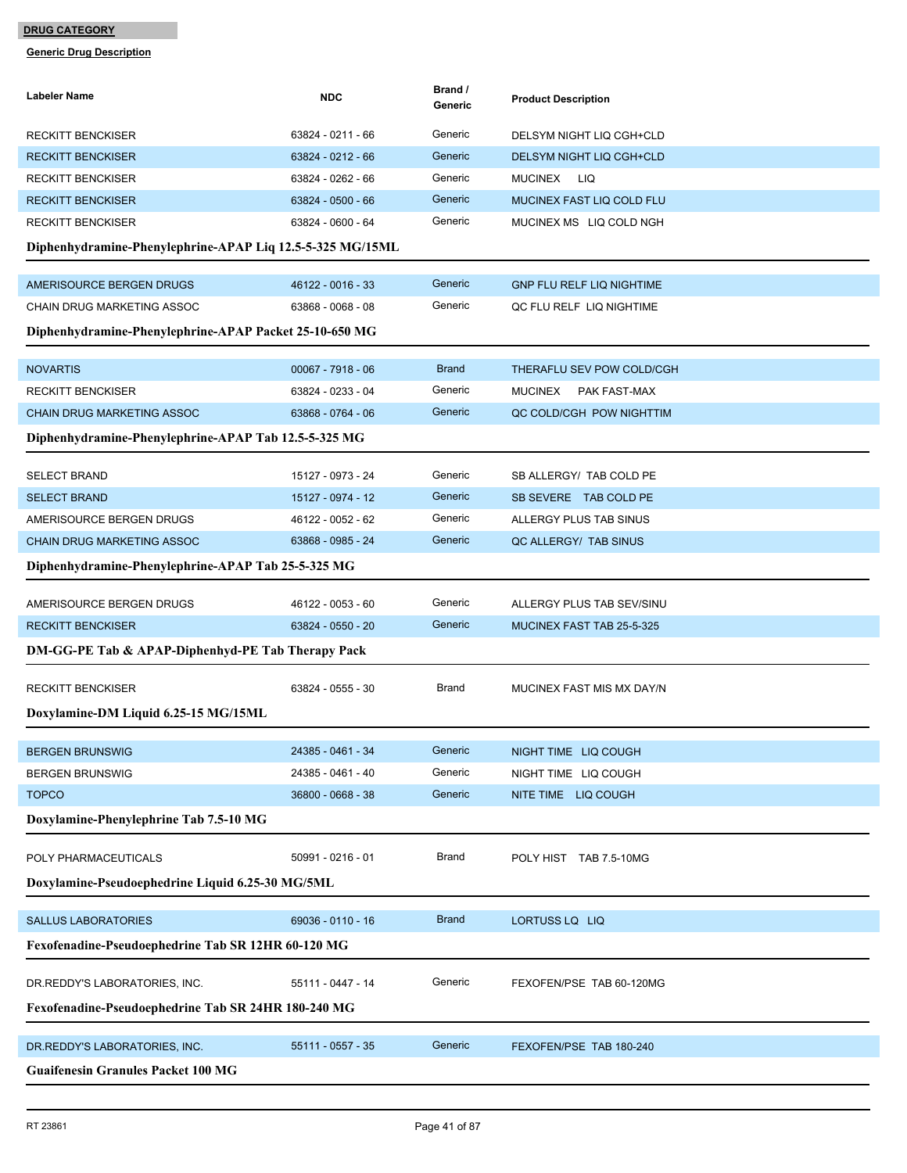| Labeler Name                                              | <b>NDC</b>          | Brand /<br>Generic | <b>Product Description</b>       |
|-----------------------------------------------------------|---------------------|--------------------|----------------------------------|
| <b>RECKITT BENCKISER</b>                                  | 63824 - 0211 - 66   | Generic            | DELSYM NIGHT LIQ CGH+CLD         |
| <b>RECKITT BENCKISER</b>                                  | 63824 - 0212 - 66   | Generic            | DELSYM NIGHT LIQ CGH+CLD         |
| <b>RECKITT BENCKISER</b>                                  | 63824 - 0262 - 66   | Generic            | <b>MUCINEX</b><br>LIQ            |
| <b>RECKITT BENCKISER</b>                                  | 63824 - 0500 - 66   | Generic            | MUCINEX FAST LIQ COLD FLU        |
| <b>RECKITT BENCKISER</b>                                  | 63824 - 0600 - 64   | Generic            | MUCINEX MS LIQ COLD NGH          |
| Diphenhydramine-Phenylephrine-APAP Liq 12.5-5-325 MG/15ML |                     |                    |                                  |
| AMERISOURCE BERGEN DRUGS                                  | 46122 - 0016 - 33   | Generic            | <b>GNP FLU RELF LIQ NIGHTIME</b> |
| CHAIN DRUG MARKETING ASSOC                                | 63868 - 0068 - 08   | Generic            | QC FLU RELF LIQ NIGHTIME         |
| Diphenhydramine-Phenylephrine-APAP Packet 25-10-650 MG    |                     |                    |                                  |
| <b>NOVARTIS</b>                                           | $00067 - 7918 - 06$ | <b>Brand</b>       | THERAFLU SEV POW COLD/CGH        |
| <b>RECKITT BENCKISER</b>                                  | 63824 - 0233 - 04   | Generic            | <b>MUCINEX</b><br>PAK FAST-MAX   |
| <b>CHAIN DRUG MARKETING ASSOC</b>                         | 63868 - 0764 - 06   | Generic            | QC COLD/CGH POW NIGHTTIM         |
| Diphenhydramine-Phenylephrine-APAP Tab 12.5-5-325 MG      |                     |                    |                                  |
|                                                           |                     |                    |                                  |
| <b>SELECT BRAND</b>                                       | 15127 - 0973 - 24   | Generic            | SB ALLERGY/ TAB COLD PE          |
| <b>SELECT BRAND</b>                                       | 15127 - 0974 - 12   | Generic            | SB SEVERE TAB COLD PE            |
| AMERISOURCE BERGEN DRUGS                                  | 46122 - 0052 - 62   | Generic            | ALLERGY PLUS TAB SINUS           |
| <b>CHAIN DRUG MARKETING ASSOC</b>                         | 63868 - 0985 - 24   | Generic            | QC ALLERGY/ TAB SINUS            |
| Diphenhydramine-Phenylephrine-APAP Tab 25-5-325 MG        |                     |                    |                                  |
| AMERISOURCE BERGEN DRUGS                                  | 46122 - 0053 - 60   | Generic            | ALLERGY PLUS TAB SEV/SINU        |
| <b>RECKITT BENCKISER</b>                                  | 63824 - 0550 - 20   | Generic            | MUCINEX FAST TAB 25-5-325        |
| DM-GG-PE Tab & APAP-Diphenhyd-PE Tab Therapy Pack         |                     |                    |                                  |
| <b>RECKITT BENCKISER</b>                                  | 63824 - 0555 - 30   | Brand              | MUCINEX FAST MIS MX DAY/N        |
| Doxylamine-DM Liquid 6.25-15 MG/15ML                      |                     |                    |                                  |
| <b>BERGEN BRUNSWIG</b>                                    | 24385 - 0461 - 34   | Generic            | NIGHT TIME LIQ COUGH             |
| <b>BERGEN BRUNSWIG</b>                                    | 24385 - 0461 - 40   | Generic            | NIGHT TIME LIQ COUGH             |
| <b>TOPCO</b>                                              | 36800 - 0668 - 38   | Generic            | NITE TIME LIQ COUGH              |
| Doxylamine-Phenylephrine Tab 7.5-10 MG                    |                     |                    |                                  |
|                                                           |                     |                    |                                  |
| POLY PHARMACEUTICALS                                      | 50991 - 0216 - 01   | Brand              | POLY HIST TAB 7.5-10MG           |
| Doxylamine-Pseudoephedrine Liquid 6.25-30 MG/5ML          |                     |                    |                                  |
| <b>SALLUS LABORATORIES</b>                                | 69036 - 0110 - 16   | <b>Brand</b>       | LORTUSS LQ LIQ                   |
| Fexofenadine-Pseudoephedrine Tab SR 12HR 60-120 MG        |                     |                    |                                  |
|                                                           |                     |                    |                                  |
| DR.REDDY'S LABORATORIES, INC.                             | 55111 - 0447 - 14   | Generic            | FEXOFEN/PSE TAB 60-120MG         |
| Fexofenadine-Pseudoephedrine Tab SR 24HR 180-240 MG       |                     |                    |                                  |
| DR.REDDY'S LABORATORIES, INC.                             | 55111 - 0557 - 35   | Generic            | FEXOFEN/PSE TAB 180-240          |
| <b>Guaifenesin Granules Packet 100 MG</b>                 |                     |                    |                                  |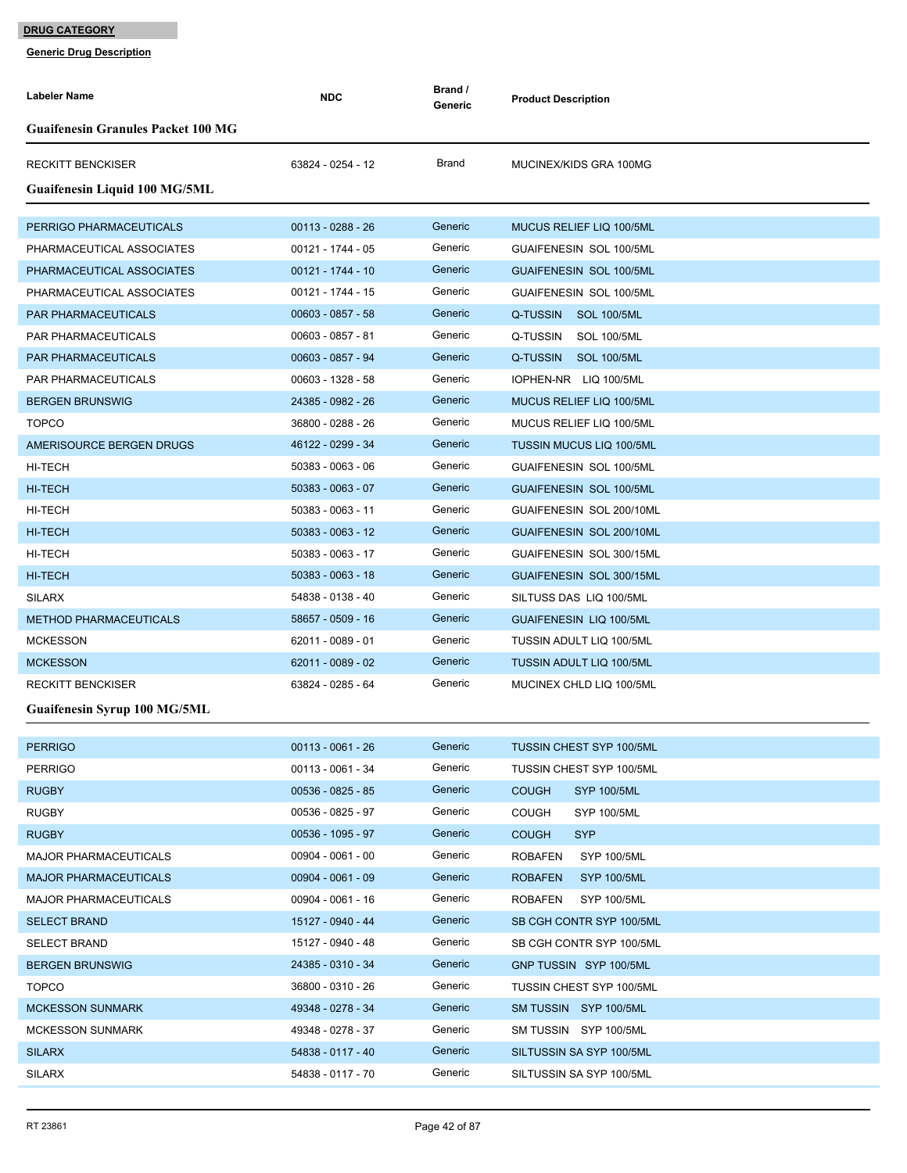| Labeler Name                              | <b>NDC</b>          | Brand /<br>Generic | <b>Product Description</b>           |
|-------------------------------------------|---------------------|--------------------|--------------------------------------|
| <b>Guaifenesin Granules Packet 100 MG</b> |                     |                    |                                      |
| <b>RECKITT BENCKISER</b>                  | 63824 - 0254 - 12   | Brand              | MUCINEX/KIDS GRA 100MG               |
| Guaifenesin Liquid 100 MG/5ML             |                     |                    |                                      |
| PERRIGO PHARMACEUTICALS                   | $00113 - 0288 - 26$ | Generic            | MUCUS RELIEF LIQ 100/5ML             |
| PHARMACEUTICAL ASSOCIATES                 | 00121 - 1744 - 05   | Generic            | GUAIFENESIN SOL 100/5ML              |
| PHARMACEUTICAL ASSOCIATES                 | 00121 - 1744 - 10   | Generic            | <b>GUAIFENESIN SOL 100/5ML</b>       |
| PHARMACEUTICAL ASSOCIATES                 | 00121 - 1744 - 15   | Generic            | GUAIFENESIN SOL 100/5ML              |
| <b>PAR PHARMACEUTICALS</b>                | $00603 - 0857 - 58$ | Generic            | Q-TUSSIN SOL 100/5ML                 |
| PAR PHARMACEUTICALS                       | 00603 - 0857 - 81   | Generic            | Q-TUSSIN<br><b>SOL 100/5ML</b>       |
| <b>PAR PHARMACEUTICALS</b>                | 00603 - 0857 - 94   | Generic            | Q-TUSSIN SOL 100/5ML                 |
| PAR PHARMACEUTICALS                       | 00603 - 1328 - 58   | Generic            | IOPHEN-NR LIQ 100/5ML                |
| <b>BERGEN BRUNSWIG</b>                    | 24385 - 0982 - 26   | Generic            | MUCUS RELIEF LIQ 100/5ML             |
| <b>TOPCO</b>                              | 36800 - 0288 - 26   | Generic            | MUCUS RELIEF LIQ 100/5ML             |
| AMERISOURCE BERGEN DRUGS                  | 46122 - 0299 - 34   | Generic            | <b>TUSSIN MUCUS LIQ 100/5ML</b>      |
| HI-TECH                                   | 50383 - 0063 - 06   | Generic            | GUAIFENESIN SOL 100/5ML              |
| <b>HI-TECH</b>                            | 50383 - 0063 - 07   | Generic            | <b>GUAIFENESIN SOL 100/5ML</b>       |
| HI-TECH                                   | 50383 - 0063 - 11   | Generic            | GUAIFENESIN SOL 200/10ML             |
| <b>HI-TECH</b>                            | 50383 - 0063 - 12   | Generic            | GUAIFENESIN SOL 200/10ML             |
| HI-TECH                                   | 50383 - 0063 - 17   | Generic            | GUAIFENESIN SOL 300/15ML             |
| <b>HI-TECH</b>                            | 50383 - 0063 - 18   | Generic            | GUAIFENESIN SOL 300/15ML             |
| <b>SILARX</b>                             | 54838 - 0138 - 40   | Generic            | SILTUSS DAS LIQ 100/5ML              |
| <b>METHOD PHARMACEUTICALS</b>             | 58657 - 0509 - 16   | Generic            | <b>GUAIFENESIN LIQ 100/5ML</b>       |
| <b>MCKESSON</b>                           | 62011 - 0089 - 01   | Generic            | <b>TUSSIN ADULT LIQ 100/5ML</b>      |
| <b>MCKESSON</b>                           | 62011 - 0089 - 02   | Generic            | <b>TUSSIN ADULT LIQ 100/5ML</b>      |
| <b>RECKITT BENCKISER</b>                  | 63824 - 0285 - 64   | Generic            | MUCINEX CHLD LIQ 100/5ML             |
| Guaifenesin Syrup 100 MG/5ML              |                     |                    |                                      |
|                                           |                     |                    |                                      |
| <b>PERRIGO</b>                            | $00113 - 0061 - 26$ | Generic            | TUSSIN CHEST SYP 100/5ML             |
| <b>PERRIGO</b>                            | 00113 - 0061 - 34   | Generic            | <b>TUSSIN CHEST SYP 100/5ML</b>      |
| <b>RUGBY</b>                              | 00536 - 0825 - 85   | Generic            | <b>COUGH</b><br><b>SYP 100/5ML</b>   |
| <b>RUGBY</b>                              | 00536 - 0825 - 97   | Generic            | <b>COUGH</b><br><b>SYP 100/5ML</b>   |
| <b>RUGBY</b>                              | 00536 - 1095 - 97   | Generic            | <b>SYP</b><br><b>COUGH</b>           |
| <b>MAJOR PHARMACEUTICALS</b>              | $00904 - 0061 - 00$ | Generic            | <b>ROBAFEN</b><br><b>SYP 100/5ML</b> |
| <b>MAJOR PHARMACEUTICALS</b>              | $00904 - 0061 - 09$ | Generic            | <b>ROBAFEN</b><br><b>SYP 100/5ML</b> |
| <b>MAJOR PHARMACEUTICALS</b>              | 00904 - 0061 - 16   | Generic            | <b>ROBAFEN</b><br>SYP 100/5ML        |
| <b>SELECT BRAND</b>                       | 15127 - 0940 - 44   | Generic            | SB CGH CONTR SYP 100/5ML             |
| <b>SELECT BRAND</b>                       | 15127 - 0940 - 48   | Generic            | SB CGH CONTR SYP 100/5ML             |
| <b>BERGEN BRUNSWIG</b>                    | 24385 - 0310 - 34   | Generic            | GNP TUSSIN SYP 100/5ML               |
| <b>TOPCO</b>                              | 36800 - 0310 - 26   | Generic            | <b>TUSSIN CHEST SYP 100/5ML</b>      |
| <b>MCKESSON SUNMARK</b>                   | 49348 - 0278 - 34   | Generic            | SM TUSSIN SYP 100/5ML                |
| <b>MCKESSON SUNMARK</b>                   | 49348 - 0278 - 37   | Generic            | SM TUSSIN SYP 100/5ML                |
| <b>SILARX</b>                             | 54838 - 0117 - 40   | Generic            | SILTUSSIN SA SYP 100/5ML             |
| <b>SILARX</b>                             | 54838 - 0117 - 70   | Generic            | SILTUSSIN SA SYP 100/5ML             |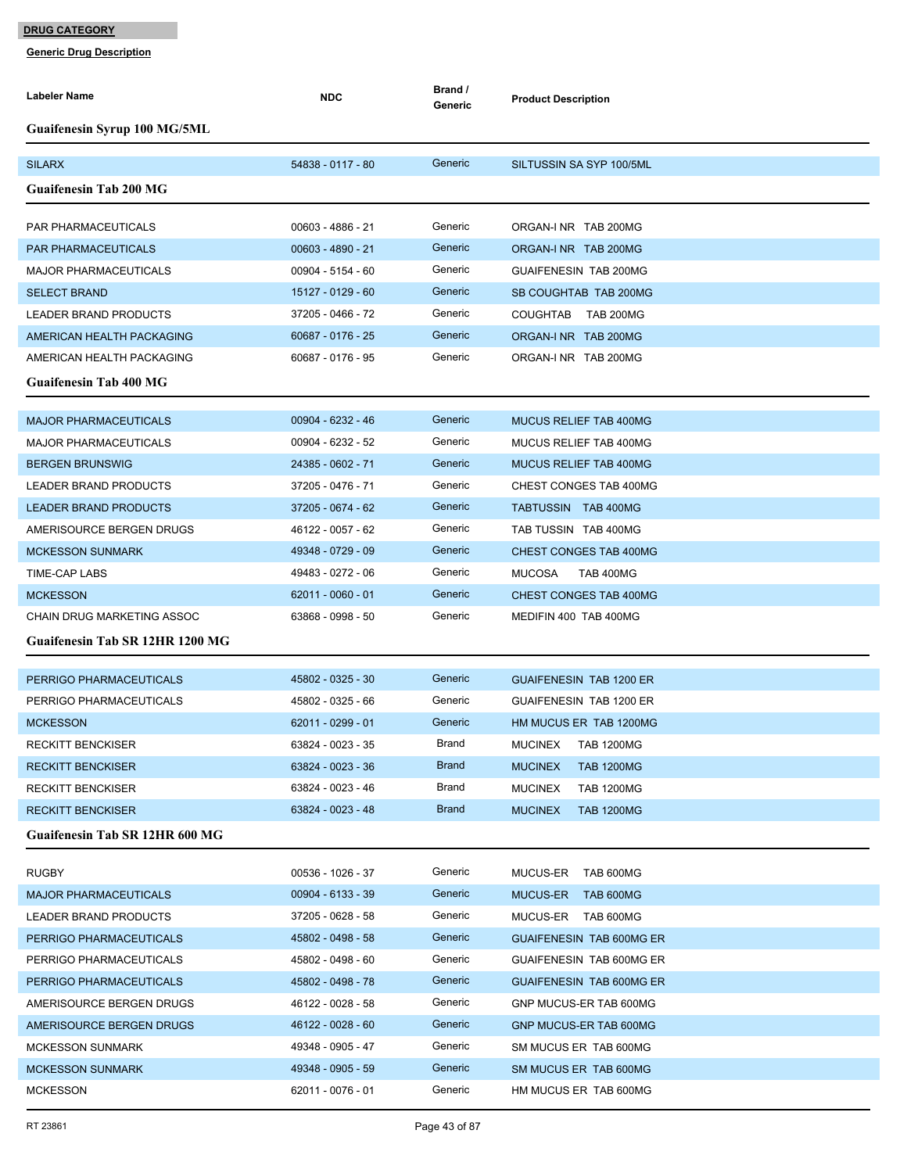| Guaifenesin Syrup 100 MG/5ML<br>54838 - 0117 - 80<br>Generic<br><b>SILARX</b><br>SILTUSSIN SA SYP 100/5ML<br><b>Guaifenesin Tab 200 MG</b><br>Generic<br>00603 - 4886 - 21<br><b>PAR PHARMACEUTICALS</b><br>ORGAN-I NR TAB 200MG<br>Generic<br>00603 - 4890 - 21<br><b>PAR PHARMACEUTICALS</b><br>ORGAN-I NR TAB 200MG<br>00904 - 5154 - 60<br>Generic<br>GUAIFENESIN TAB 200MG<br><b>MAJOR PHARMACEUTICALS</b><br>Generic<br><b>SELECT BRAND</b><br>15127 - 0129 - 60<br>SB COUGHTAB TAB 200MG<br>Generic<br>LEADER BRAND PRODUCTS<br>37205 - 0466 - 72<br>COUGHTAB TAB 200MG<br>Generic<br>60687 - 0176 - 25<br>AMERICAN HEALTH PACKAGING<br>ORGAN-I NR TAB 200MG<br>Generic<br>60687 - 0176 - 95<br>AMERICAN HEALTH PACKAGING<br>ORGAN-I NR TAB 200MG<br><b>Guaifenesin Tab 400 MG</b><br>Generic<br>00904 - 6232 - 46<br><b>MAJOR PHARMACEUTICALS</b><br><b>MUCUS RELIEF TAB 400MG</b><br>00904 - 6232 - 52<br>Generic<br><b>MAJOR PHARMACEUTICALS</b><br>MUCUS RELIEF TAB 400MG<br>Generic<br>24385 - 0602 - 71<br>MUCUS RELIEF TAB 400MG<br><b>BERGEN BRUNSWIG</b><br>Generic<br>37205 - 0476 - 71<br>LEADER BRAND PRODUCTS<br>CHEST CONGES TAB 400MG<br>Generic<br>37205 - 0674 - 62<br><b>LEADER BRAND PRODUCTS</b><br>TABTUSSIN TAB 400MG<br>Generic<br>46122 - 0057 - 62<br>AMERISOURCE BERGEN DRUGS<br>TAB TUSSIN TAB 400MG<br>49348 - 0729 - 09<br>Generic<br><b>MCKESSON SUNMARK</b><br>CHEST CONGES TAB 400MG<br>Generic<br><b>TIME-CAP LABS</b><br>49483 - 0272 - 06<br><b>TAB 400MG</b><br><b>MUCOSA</b><br>Generic<br>$62011 - 0060 - 01$<br><b>MCKESSON</b><br>CHEST CONGES TAB 400MG<br>Generic<br>63868 - 0998 - 50<br>CHAIN DRUG MARKETING ASSOC<br>MEDIFIN 400 TAB 400MG<br>Guaifenesin Tab SR 12HR 1200 MG<br>45802 - 0325 - 30<br>Generic<br>PERRIGO PHARMACEUTICALS<br><b>GUAIFENESIN TAB 1200 ER</b><br>Generic<br>45802 - 0325 - 66<br>PERRIGO PHARMACEUTICALS<br>GUAIFENESIN TAB 1200 ER<br>Generic<br><b>MCKESSON</b><br>62011 - 0299 - 01<br>HM MUCUS ER TAB 1200MG<br><b>RECKITT BENCKISER</b><br>63824 - 0023 - 35<br>Brand<br><b>MUCINEX</b><br>TAB 1200MG<br><b>Brand</b><br>63824 - 0023 - 36<br><b>RECKITT BENCKISER</b><br><b>MUCINEX</b><br><b>TAB 1200MG</b><br>Brand<br>63824 - 0023 - 46<br><b>RECKITT BENCKISER</b><br><b>MUCINEX</b><br><b>TAB 1200MG</b><br><b>Brand</b><br>63824 - 0023 - 48<br><b>MUCINEX</b><br><b>TAB 1200MG</b><br><b>RECKITT BENCKISER</b><br><b>Guaifenesin Tab SR 12HR 600 MG</b><br><b>RUGBY</b><br>00536 - 1026 - 37<br>Generic<br>MUCUS-ER<br>TAB 600MG<br>Generic<br><b>MAJOR PHARMACEUTICALS</b><br>00904 - 6133 - 39<br>MUCUS-ER<br>TAB 600MG<br>37205 - 0628 - 58<br>Generic<br><b>LEADER BRAND PRODUCTS</b><br>MUCUS-ER TAB 600MG<br>Generic<br>45802 - 0498 - 58<br>PERRIGO PHARMACEUTICALS<br>GUAIFENESIN TAB 600MG ER<br>Generic<br>45802 - 0498 - 60<br>PERRIGO PHARMACEUTICALS<br>GUAIFENESIN TAB 600MG ER<br>Generic<br>45802 - 0498 - 78<br>PERRIGO PHARMACEUTICALS<br><b>GUAIFENESIN TAB 600MG ER</b><br>Generic<br>AMERISOURCE BERGEN DRUGS<br>46122 - 0028 - 58<br>GNP MUCUS-ER TAB 600MG<br>Generic<br>AMERISOURCE BERGEN DRUGS<br>46122 - 0028 - 60<br>GNP MUCUS-ER TAB 600MG<br>Generic<br>49348 - 0905 - 47<br><b>MCKESSON SUNMARK</b><br>SM MUCUS ER TAB 600MG<br>Generic<br>49348 - 0905 - 59<br><b>MCKESSON SUNMARK</b><br>SM MUCUS ER TAB 600MG | Labeler Name | <b>NDC</b> | Brand /<br>Generic | <b>Product Description</b> |
|-----------------------------------------------------------------------------------------------------------------------------------------------------------------------------------------------------------------------------------------------------------------------------------------------------------------------------------------------------------------------------------------------------------------------------------------------------------------------------------------------------------------------------------------------------------------------------------------------------------------------------------------------------------------------------------------------------------------------------------------------------------------------------------------------------------------------------------------------------------------------------------------------------------------------------------------------------------------------------------------------------------------------------------------------------------------------------------------------------------------------------------------------------------------------------------------------------------------------------------------------------------------------------------------------------------------------------------------------------------------------------------------------------------------------------------------------------------------------------------------------------------------------------------------------------------------------------------------------------------------------------------------------------------------------------------------------------------------------------------------------------------------------------------------------------------------------------------------------------------------------------------------------------------------------------------------------------------------------------------------------------------------------------------------------------------------------------------------------------------------------------------------------------------------------------------------------------------------------------------------------------------------------------------------------------------------------------------------------------------------------------------------------------------------------------------------------------------------------------------------------------------------------------------------------------------------------------------------------------------------------------------------------------------------------------------------------------------------------------------------------------------------------------------------------------------------------------------------------------------------------------------------------------------------------------------------------------------------------------------------------------------------------------------------------------------------------------------------------------------------------------------------------------------------------------------------------------------------------------------------------------------------------------------------------------------------------------------------------|--------------|------------|--------------------|----------------------------|
|                                                                                                                                                                                                                                                                                                                                                                                                                                                                                                                                                                                                                                                                                                                                                                                                                                                                                                                                                                                                                                                                                                                                                                                                                                                                                                                                                                                                                                                                                                                                                                                                                                                                                                                                                                                                                                                                                                                                                                                                                                                                                                                                                                                                                                                                                                                                                                                                                                                                                                                                                                                                                                                                                                                                                                                                                                                                                                                                                                                                                                                                                                                                                                                                                                                                                                                                               |              |            |                    |                            |
|                                                                                                                                                                                                                                                                                                                                                                                                                                                                                                                                                                                                                                                                                                                                                                                                                                                                                                                                                                                                                                                                                                                                                                                                                                                                                                                                                                                                                                                                                                                                                                                                                                                                                                                                                                                                                                                                                                                                                                                                                                                                                                                                                                                                                                                                                                                                                                                                                                                                                                                                                                                                                                                                                                                                                                                                                                                                                                                                                                                                                                                                                                                                                                                                                                                                                                                                               |              |            |                    |                            |
|                                                                                                                                                                                                                                                                                                                                                                                                                                                                                                                                                                                                                                                                                                                                                                                                                                                                                                                                                                                                                                                                                                                                                                                                                                                                                                                                                                                                                                                                                                                                                                                                                                                                                                                                                                                                                                                                                                                                                                                                                                                                                                                                                                                                                                                                                                                                                                                                                                                                                                                                                                                                                                                                                                                                                                                                                                                                                                                                                                                                                                                                                                                                                                                                                                                                                                                                               |              |            |                    |                            |
|                                                                                                                                                                                                                                                                                                                                                                                                                                                                                                                                                                                                                                                                                                                                                                                                                                                                                                                                                                                                                                                                                                                                                                                                                                                                                                                                                                                                                                                                                                                                                                                                                                                                                                                                                                                                                                                                                                                                                                                                                                                                                                                                                                                                                                                                                                                                                                                                                                                                                                                                                                                                                                                                                                                                                                                                                                                                                                                                                                                                                                                                                                                                                                                                                                                                                                                                               |              |            |                    |                            |
|                                                                                                                                                                                                                                                                                                                                                                                                                                                                                                                                                                                                                                                                                                                                                                                                                                                                                                                                                                                                                                                                                                                                                                                                                                                                                                                                                                                                                                                                                                                                                                                                                                                                                                                                                                                                                                                                                                                                                                                                                                                                                                                                                                                                                                                                                                                                                                                                                                                                                                                                                                                                                                                                                                                                                                                                                                                                                                                                                                                                                                                                                                                                                                                                                                                                                                                                               |              |            |                    |                            |
|                                                                                                                                                                                                                                                                                                                                                                                                                                                                                                                                                                                                                                                                                                                                                                                                                                                                                                                                                                                                                                                                                                                                                                                                                                                                                                                                                                                                                                                                                                                                                                                                                                                                                                                                                                                                                                                                                                                                                                                                                                                                                                                                                                                                                                                                                                                                                                                                                                                                                                                                                                                                                                                                                                                                                                                                                                                                                                                                                                                                                                                                                                                                                                                                                                                                                                                                               |              |            |                    |                            |
|                                                                                                                                                                                                                                                                                                                                                                                                                                                                                                                                                                                                                                                                                                                                                                                                                                                                                                                                                                                                                                                                                                                                                                                                                                                                                                                                                                                                                                                                                                                                                                                                                                                                                                                                                                                                                                                                                                                                                                                                                                                                                                                                                                                                                                                                                                                                                                                                                                                                                                                                                                                                                                                                                                                                                                                                                                                                                                                                                                                                                                                                                                                                                                                                                                                                                                                                               |              |            |                    |                            |
|                                                                                                                                                                                                                                                                                                                                                                                                                                                                                                                                                                                                                                                                                                                                                                                                                                                                                                                                                                                                                                                                                                                                                                                                                                                                                                                                                                                                                                                                                                                                                                                                                                                                                                                                                                                                                                                                                                                                                                                                                                                                                                                                                                                                                                                                                                                                                                                                                                                                                                                                                                                                                                                                                                                                                                                                                                                                                                                                                                                                                                                                                                                                                                                                                                                                                                                                               |              |            |                    |                            |
|                                                                                                                                                                                                                                                                                                                                                                                                                                                                                                                                                                                                                                                                                                                                                                                                                                                                                                                                                                                                                                                                                                                                                                                                                                                                                                                                                                                                                                                                                                                                                                                                                                                                                                                                                                                                                                                                                                                                                                                                                                                                                                                                                                                                                                                                                                                                                                                                                                                                                                                                                                                                                                                                                                                                                                                                                                                                                                                                                                                                                                                                                                                                                                                                                                                                                                                                               |              |            |                    |                            |
|                                                                                                                                                                                                                                                                                                                                                                                                                                                                                                                                                                                                                                                                                                                                                                                                                                                                                                                                                                                                                                                                                                                                                                                                                                                                                                                                                                                                                                                                                                                                                                                                                                                                                                                                                                                                                                                                                                                                                                                                                                                                                                                                                                                                                                                                                                                                                                                                                                                                                                                                                                                                                                                                                                                                                                                                                                                                                                                                                                                                                                                                                                                                                                                                                                                                                                                                               |              |            |                    |                            |
|                                                                                                                                                                                                                                                                                                                                                                                                                                                                                                                                                                                                                                                                                                                                                                                                                                                                                                                                                                                                                                                                                                                                                                                                                                                                                                                                                                                                                                                                                                                                                                                                                                                                                                                                                                                                                                                                                                                                                                                                                                                                                                                                                                                                                                                                                                                                                                                                                                                                                                                                                                                                                                                                                                                                                                                                                                                                                                                                                                                                                                                                                                                                                                                                                                                                                                                                               |              |            |                    |                            |
|                                                                                                                                                                                                                                                                                                                                                                                                                                                                                                                                                                                                                                                                                                                                                                                                                                                                                                                                                                                                                                                                                                                                                                                                                                                                                                                                                                                                                                                                                                                                                                                                                                                                                                                                                                                                                                                                                                                                                                                                                                                                                                                                                                                                                                                                                                                                                                                                                                                                                                                                                                                                                                                                                                                                                                                                                                                                                                                                                                                                                                                                                                                                                                                                                                                                                                                                               |              |            |                    |                            |
|                                                                                                                                                                                                                                                                                                                                                                                                                                                                                                                                                                                                                                                                                                                                                                                                                                                                                                                                                                                                                                                                                                                                                                                                                                                                                                                                                                                                                                                                                                                                                                                                                                                                                                                                                                                                                                                                                                                                                                                                                                                                                                                                                                                                                                                                                                                                                                                                                                                                                                                                                                                                                                                                                                                                                                                                                                                                                                                                                                                                                                                                                                                                                                                                                                                                                                                                               |              |            |                    |                            |
|                                                                                                                                                                                                                                                                                                                                                                                                                                                                                                                                                                                                                                                                                                                                                                                                                                                                                                                                                                                                                                                                                                                                                                                                                                                                                                                                                                                                                                                                                                                                                                                                                                                                                                                                                                                                                                                                                                                                                                                                                                                                                                                                                                                                                                                                                                                                                                                                                                                                                                                                                                                                                                                                                                                                                                                                                                                                                                                                                                                                                                                                                                                                                                                                                                                                                                                                               |              |            |                    |                            |
|                                                                                                                                                                                                                                                                                                                                                                                                                                                                                                                                                                                                                                                                                                                                                                                                                                                                                                                                                                                                                                                                                                                                                                                                                                                                                                                                                                                                                                                                                                                                                                                                                                                                                                                                                                                                                                                                                                                                                                                                                                                                                                                                                                                                                                                                                                                                                                                                                                                                                                                                                                                                                                                                                                                                                                                                                                                                                                                                                                                                                                                                                                                                                                                                                                                                                                                                               |              |            |                    |                            |
|                                                                                                                                                                                                                                                                                                                                                                                                                                                                                                                                                                                                                                                                                                                                                                                                                                                                                                                                                                                                                                                                                                                                                                                                                                                                                                                                                                                                                                                                                                                                                                                                                                                                                                                                                                                                                                                                                                                                                                                                                                                                                                                                                                                                                                                                                                                                                                                                                                                                                                                                                                                                                                                                                                                                                                                                                                                                                                                                                                                                                                                                                                                                                                                                                                                                                                                                               |              |            |                    |                            |
|                                                                                                                                                                                                                                                                                                                                                                                                                                                                                                                                                                                                                                                                                                                                                                                                                                                                                                                                                                                                                                                                                                                                                                                                                                                                                                                                                                                                                                                                                                                                                                                                                                                                                                                                                                                                                                                                                                                                                                                                                                                                                                                                                                                                                                                                                                                                                                                                                                                                                                                                                                                                                                                                                                                                                                                                                                                                                                                                                                                                                                                                                                                                                                                                                                                                                                                                               |              |            |                    |                            |
|                                                                                                                                                                                                                                                                                                                                                                                                                                                                                                                                                                                                                                                                                                                                                                                                                                                                                                                                                                                                                                                                                                                                                                                                                                                                                                                                                                                                                                                                                                                                                                                                                                                                                                                                                                                                                                                                                                                                                                                                                                                                                                                                                                                                                                                                                                                                                                                                                                                                                                                                                                                                                                                                                                                                                                                                                                                                                                                                                                                                                                                                                                                                                                                                                                                                                                                                               |              |            |                    |                            |
|                                                                                                                                                                                                                                                                                                                                                                                                                                                                                                                                                                                                                                                                                                                                                                                                                                                                                                                                                                                                                                                                                                                                                                                                                                                                                                                                                                                                                                                                                                                                                                                                                                                                                                                                                                                                                                                                                                                                                                                                                                                                                                                                                                                                                                                                                                                                                                                                                                                                                                                                                                                                                                                                                                                                                                                                                                                                                                                                                                                                                                                                                                                                                                                                                                                                                                                                               |              |            |                    |                            |
|                                                                                                                                                                                                                                                                                                                                                                                                                                                                                                                                                                                                                                                                                                                                                                                                                                                                                                                                                                                                                                                                                                                                                                                                                                                                                                                                                                                                                                                                                                                                                                                                                                                                                                                                                                                                                                                                                                                                                                                                                                                                                                                                                                                                                                                                                                                                                                                                                                                                                                                                                                                                                                                                                                                                                                                                                                                                                                                                                                                                                                                                                                                                                                                                                                                                                                                                               |              |            |                    |                            |
|                                                                                                                                                                                                                                                                                                                                                                                                                                                                                                                                                                                                                                                                                                                                                                                                                                                                                                                                                                                                                                                                                                                                                                                                                                                                                                                                                                                                                                                                                                                                                                                                                                                                                                                                                                                                                                                                                                                                                                                                                                                                                                                                                                                                                                                                                                                                                                                                                                                                                                                                                                                                                                                                                                                                                                                                                                                                                                                                                                                                                                                                                                                                                                                                                                                                                                                                               |              |            |                    |                            |
|                                                                                                                                                                                                                                                                                                                                                                                                                                                                                                                                                                                                                                                                                                                                                                                                                                                                                                                                                                                                                                                                                                                                                                                                                                                                                                                                                                                                                                                                                                                                                                                                                                                                                                                                                                                                                                                                                                                                                                                                                                                                                                                                                                                                                                                                                                                                                                                                                                                                                                                                                                                                                                                                                                                                                                                                                                                                                                                                                                                                                                                                                                                                                                                                                                                                                                                                               |              |            |                    |                            |
|                                                                                                                                                                                                                                                                                                                                                                                                                                                                                                                                                                                                                                                                                                                                                                                                                                                                                                                                                                                                                                                                                                                                                                                                                                                                                                                                                                                                                                                                                                                                                                                                                                                                                                                                                                                                                                                                                                                                                                                                                                                                                                                                                                                                                                                                                                                                                                                                                                                                                                                                                                                                                                                                                                                                                                                                                                                                                                                                                                                                                                                                                                                                                                                                                                                                                                                                               |              |            |                    |                            |
|                                                                                                                                                                                                                                                                                                                                                                                                                                                                                                                                                                                                                                                                                                                                                                                                                                                                                                                                                                                                                                                                                                                                                                                                                                                                                                                                                                                                                                                                                                                                                                                                                                                                                                                                                                                                                                                                                                                                                                                                                                                                                                                                                                                                                                                                                                                                                                                                                                                                                                                                                                                                                                                                                                                                                                                                                                                                                                                                                                                                                                                                                                                                                                                                                                                                                                                                               |              |            |                    |                            |
|                                                                                                                                                                                                                                                                                                                                                                                                                                                                                                                                                                                                                                                                                                                                                                                                                                                                                                                                                                                                                                                                                                                                                                                                                                                                                                                                                                                                                                                                                                                                                                                                                                                                                                                                                                                                                                                                                                                                                                                                                                                                                                                                                                                                                                                                                                                                                                                                                                                                                                                                                                                                                                                                                                                                                                                                                                                                                                                                                                                                                                                                                                                                                                                                                                                                                                                                               |              |            |                    |                            |
|                                                                                                                                                                                                                                                                                                                                                                                                                                                                                                                                                                                                                                                                                                                                                                                                                                                                                                                                                                                                                                                                                                                                                                                                                                                                                                                                                                                                                                                                                                                                                                                                                                                                                                                                                                                                                                                                                                                                                                                                                                                                                                                                                                                                                                                                                                                                                                                                                                                                                                                                                                                                                                                                                                                                                                                                                                                                                                                                                                                                                                                                                                                                                                                                                                                                                                                                               |              |            |                    |                            |
|                                                                                                                                                                                                                                                                                                                                                                                                                                                                                                                                                                                                                                                                                                                                                                                                                                                                                                                                                                                                                                                                                                                                                                                                                                                                                                                                                                                                                                                                                                                                                                                                                                                                                                                                                                                                                                                                                                                                                                                                                                                                                                                                                                                                                                                                                                                                                                                                                                                                                                                                                                                                                                                                                                                                                                                                                                                                                                                                                                                                                                                                                                                                                                                                                                                                                                                                               |              |            |                    |                            |
|                                                                                                                                                                                                                                                                                                                                                                                                                                                                                                                                                                                                                                                                                                                                                                                                                                                                                                                                                                                                                                                                                                                                                                                                                                                                                                                                                                                                                                                                                                                                                                                                                                                                                                                                                                                                                                                                                                                                                                                                                                                                                                                                                                                                                                                                                                                                                                                                                                                                                                                                                                                                                                                                                                                                                                                                                                                                                                                                                                                                                                                                                                                                                                                                                                                                                                                                               |              |            |                    |                            |
|                                                                                                                                                                                                                                                                                                                                                                                                                                                                                                                                                                                                                                                                                                                                                                                                                                                                                                                                                                                                                                                                                                                                                                                                                                                                                                                                                                                                                                                                                                                                                                                                                                                                                                                                                                                                                                                                                                                                                                                                                                                                                                                                                                                                                                                                                                                                                                                                                                                                                                                                                                                                                                                                                                                                                                                                                                                                                                                                                                                                                                                                                                                                                                                                                                                                                                                                               |              |            |                    |                            |
|                                                                                                                                                                                                                                                                                                                                                                                                                                                                                                                                                                                                                                                                                                                                                                                                                                                                                                                                                                                                                                                                                                                                                                                                                                                                                                                                                                                                                                                                                                                                                                                                                                                                                                                                                                                                                                                                                                                                                                                                                                                                                                                                                                                                                                                                                                                                                                                                                                                                                                                                                                                                                                                                                                                                                                                                                                                                                                                                                                                                                                                                                                                                                                                                                                                                                                                                               |              |            |                    |                            |
|                                                                                                                                                                                                                                                                                                                                                                                                                                                                                                                                                                                                                                                                                                                                                                                                                                                                                                                                                                                                                                                                                                                                                                                                                                                                                                                                                                                                                                                                                                                                                                                                                                                                                                                                                                                                                                                                                                                                                                                                                                                                                                                                                                                                                                                                                                                                                                                                                                                                                                                                                                                                                                                                                                                                                                                                                                                                                                                                                                                                                                                                                                                                                                                                                                                                                                                                               |              |            |                    |                            |
|                                                                                                                                                                                                                                                                                                                                                                                                                                                                                                                                                                                                                                                                                                                                                                                                                                                                                                                                                                                                                                                                                                                                                                                                                                                                                                                                                                                                                                                                                                                                                                                                                                                                                                                                                                                                                                                                                                                                                                                                                                                                                                                                                                                                                                                                                                                                                                                                                                                                                                                                                                                                                                                                                                                                                                                                                                                                                                                                                                                                                                                                                                                                                                                                                                                                                                                                               |              |            |                    |                            |
|                                                                                                                                                                                                                                                                                                                                                                                                                                                                                                                                                                                                                                                                                                                                                                                                                                                                                                                                                                                                                                                                                                                                                                                                                                                                                                                                                                                                                                                                                                                                                                                                                                                                                                                                                                                                                                                                                                                                                                                                                                                                                                                                                                                                                                                                                                                                                                                                                                                                                                                                                                                                                                                                                                                                                                                                                                                                                                                                                                                                                                                                                                                                                                                                                                                                                                                                               |              |            |                    |                            |
|                                                                                                                                                                                                                                                                                                                                                                                                                                                                                                                                                                                                                                                                                                                                                                                                                                                                                                                                                                                                                                                                                                                                                                                                                                                                                                                                                                                                                                                                                                                                                                                                                                                                                                                                                                                                                                                                                                                                                                                                                                                                                                                                                                                                                                                                                                                                                                                                                                                                                                                                                                                                                                                                                                                                                                                                                                                                                                                                                                                                                                                                                                                                                                                                                                                                                                                                               |              |            |                    |                            |
|                                                                                                                                                                                                                                                                                                                                                                                                                                                                                                                                                                                                                                                                                                                                                                                                                                                                                                                                                                                                                                                                                                                                                                                                                                                                                                                                                                                                                                                                                                                                                                                                                                                                                                                                                                                                                                                                                                                                                                                                                                                                                                                                                                                                                                                                                                                                                                                                                                                                                                                                                                                                                                                                                                                                                                                                                                                                                                                                                                                                                                                                                                                                                                                                                                                                                                                                               |              |            |                    |                            |
|                                                                                                                                                                                                                                                                                                                                                                                                                                                                                                                                                                                                                                                                                                                                                                                                                                                                                                                                                                                                                                                                                                                                                                                                                                                                                                                                                                                                                                                                                                                                                                                                                                                                                                                                                                                                                                                                                                                                                                                                                                                                                                                                                                                                                                                                                                                                                                                                                                                                                                                                                                                                                                                                                                                                                                                                                                                                                                                                                                                                                                                                                                                                                                                                                                                                                                                                               |              |            |                    |                            |
|                                                                                                                                                                                                                                                                                                                                                                                                                                                                                                                                                                                                                                                                                                                                                                                                                                                                                                                                                                                                                                                                                                                                                                                                                                                                                                                                                                                                                                                                                                                                                                                                                                                                                                                                                                                                                                                                                                                                                                                                                                                                                                                                                                                                                                                                                                                                                                                                                                                                                                                                                                                                                                                                                                                                                                                                                                                                                                                                                                                                                                                                                                                                                                                                                                                                                                                                               |              |            |                    |                            |
|                                                                                                                                                                                                                                                                                                                                                                                                                                                                                                                                                                                                                                                                                                                                                                                                                                                                                                                                                                                                                                                                                                                                                                                                                                                                                                                                                                                                                                                                                                                                                                                                                                                                                                                                                                                                                                                                                                                                                                                                                                                                                                                                                                                                                                                                                                                                                                                                                                                                                                                                                                                                                                                                                                                                                                                                                                                                                                                                                                                                                                                                                                                                                                                                                                                                                                                                               |              |            |                    |                            |
|                                                                                                                                                                                                                                                                                                                                                                                                                                                                                                                                                                                                                                                                                                                                                                                                                                                                                                                                                                                                                                                                                                                                                                                                                                                                                                                                                                                                                                                                                                                                                                                                                                                                                                                                                                                                                                                                                                                                                                                                                                                                                                                                                                                                                                                                                                                                                                                                                                                                                                                                                                                                                                                                                                                                                                                                                                                                                                                                                                                                                                                                                                                                                                                                                                                                                                                                               |              |            |                    |                            |
|                                                                                                                                                                                                                                                                                                                                                                                                                                                                                                                                                                                                                                                                                                                                                                                                                                                                                                                                                                                                                                                                                                                                                                                                                                                                                                                                                                                                                                                                                                                                                                                                                                                                                                                                                                                                                                                                                                                                                                                                                                                                                                                                                                                                                                                                                                                                                                                                                                                                                                                                                                                                                                                                                                                                                                                                                                                                                                                                                                                                                                                                                                                                                                                                                                                                                                                                               |              |            |                    |                            |
|                                                                                                                                                                                                                                                                                                                                                                                                                                                                                                                                                                                                                                                                                                                                                                                                                                                                                                                                                                                                                                                                                                                                                                                                                                                                                                                                                                                                                                                                                                                                                                                                                                                                                                                                                                                                                                                                                                                                                                                                                                                                                                                                                                                                                                                                                                                                                                                                                                                                                                                                                                                                                                                                                                                                                                                                                                                                                                                                                                                                                                                                                                                                                                                                                                                                                                                                               |              |            |                    |                            |
| 62011 - 0076 - 01<br><b>MCKESSON</b><br>HM MUCUS ER TAB 600MG                                                                                                                                                                                                                                                                                                                                                                                                                                                                                                                                                                                                                                                                                                                                                                                                                                                                                                                                                                                                                                                                                                                                                                                                                                                                                                                                                                                                                                                                                                                                                                                                                                                                                                                                                                                                                                                                                                                                                                                                                                                                                                                                                                                                                                                                                                                                                                                                                                                                                                                                                                                                                                                                                                                                                                                                                                                                                                                                                                                                                                                                                                                                                                                                                                                                                 |              |            | Generic            |                            |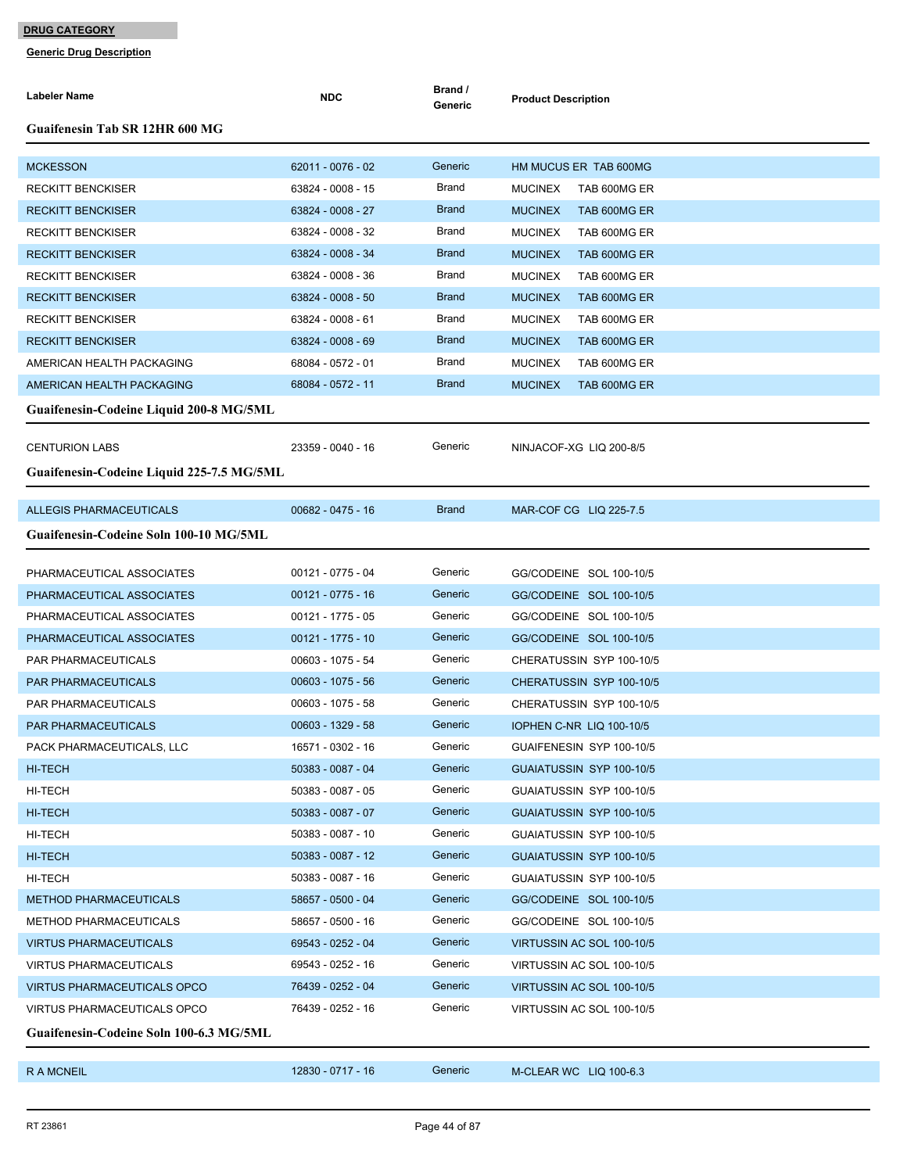| <b>Labeler Name</b>                       | <b>NDC</b>          | Brand /<br>Generic | <b>Product Description</b>      |
|-------------------------------------------|---------------------|--------------------|---------------------------------|
| <b>Guaifenesin Tab SR 12HR 600 MG</b>     |                     |                    |                                 |
| <b>MCKESSON</b>                           | 62011 - 0076 - 02   | Generic            | HM MUCUS ER TAB 600MG           |
| <b>RECKITT BENCKISER</b>                  | 63824 - 0008 - 15   | Brand              | <b>MUCINEX</b><br>TAB 600MG ER  |
| <b>RECKITT BENCKISER</b>                  | 63824 - 0008 - 27   | <b>Brand</b>       | <b>MUCINEX</b><br>TAB 600MG ER  |
| <b>RECKITT BENCKISER</b>                  | 63824 - 0008 - 32   | Brand              | <b>MUCINEX</b><br>TAB 600MG ER  |
| <b>RECKITT BENCKISER</b>                  | 63824 - 0008 - 34   | <b>Brand</b>       | <b>MUCINEX</b><br>TAB 600MG ER  |
| <b>RECKITT BENCKISER</b>                  | 63824 - 0008 - 36   | Brand              | <b>MUCINEX</b><br>TAB 600MG ER  |
| <b>RECKITT BENCKISER</b>                  | 63824 - 0008 - 50   | <b>Brand</b>       | <b>MUCINEX</b><br>TAB 600MG ER  |
| <b>RECKITT BENCKISER</b>                  | 63824 - 0008 - 61   | Brand              | <b>MUCINEX</b><br>TAB 600MG ER  |
| <b>RECKITT BENCKISER</b>                  | 63824 - 0008 - 69   | <b>Brand</b>       | <b>MUCINEX</b><br>TAB 600MG ER  |
| AMERICAN HEALTH PACKAGING                 | 68084 - 0572 - 01   | Brand              | <b>MUCINEX</b><br>TAB 600MG ER  |
| AMERICAN HEALTH PACKAGING                 | 68084 - 0572 - 11   | <b>Brand</b>       | <b>MUCINEX</b><br>TAB 600MG ER  |
| Guaifenesin-Codeine Liquid 200-8 MG/5ML   |                     |                    |                                 |
| <b>CENTURION LABS</b>                     | 23359 - 0040 - 16   | Generic            | NINJACOF-XG LIQ 200-8/5         |
| Guaifenesin-Codeine Liquid 225-7.5 MG/5ML |                     |                    |                                 |
| ALLEGIS PHARMACEUTICALS                   | 00682 - 0475 - 16   | <b>Brand</b>       | MAR-COF CG LIQ 225-7.5          |
|                                           |                     |                    |                                 |
| Guaifenesin-Codeine Soln 100-10 MG/5ML    |                     |                    |                                 |
| PHARMACEUTICAL ASSOCIATES                 | 00121 - 0775 - 04   | Generic            | GG/CODEINE SOL 100-10/5         |
| PHARMACEUTICAL ASSOCIATES                 | $00121 - 0775 - 16$ | Generic            | GG/CODEINE SOL 100-10/5         |
| PHARMACEUTICAL ASSOCIATES                 | 00121 - 1775 - 05   | Generic            | GG/CODEINE SOL 100-10/5         |
| PHARMACEUTICAL ASSOCIATES                 | 00121 - 1775 - 10   | Generic            | GG/CODEINE SOL 100-10/5         |
| PAR PHARMACEUTICALS                       | 00603 - 1075 - 54   | Generic            | CHERATUSSIN SYP 100-10/5        |
| <b>PAR PHARMACEUTICALS</b>                | $00603 - 1075 - 56$ | Generic            | CHERATUSSIN SYP 100-10/5        |
| PAR PHARMACEUTICALS                       | 00603 - 1075 - 58   | Generic            | CHERATUSSIN SYP 100-10/5        |
| <b>PAR PHARMACEUTICALS</b>                | 00603 - 1329 - 58   | Generic            | <b>IOPHEN C-NR LIQ 100-10/5</b> |
| PACK PHARMACEUTICALS, LLC                 | 16571 - 0302 - 16   | Generic            | GUAIFENESIN SYP 100-10/5        |
| HI-TECH                                   | 50383 - 0087 - 04   | Generic            | GUAIATUSSIN SYP 100-10/5        |
| HI-TECH                                   | 50383 - 0087 - 05   | Generic            | GUAIATUSSIN SYP 100-10/5        |
| HI-TECH                                   | 50383 - 0087 - 07   | Generic            | GUAIATUSSIN SYP 100-10/5        |
| HI-TECH                                   | 50383 - 0087 - 10   | Generic            | GUAIATUSSIN SYP 100-10/5        |
| HI-TECH                                   | 50383 - 0087 - 12   | Generic            | GUAIATUSSIN SYP 100-10/5        |
| HI-TECH                                   | 50383 - 0087 - 16   | Generic            | GUAIATUSSIN SYP 100-10/5        |
| <b>METHOD PHARMACEUTICALS</b>             | 58657 - 0500 - 04   | Generic            | GG/CODEINE SOL 100-10/5         |
| <b>METHOD PHARMACEUTICALS</b>             | 58657 - 0500 - 16   | Generic            | GG/CODEINE SOL 100-10/5         |
| <b>VIRTUS PHARMACEUTICALS</b>             | 69543 - 0252 - 04   | Generic            | VIRTUSSIN AC SOL 100-10/5       |
| <b>VIRTUS PHARMACEUTICALS</b>             | 69543 - 0252 - 16   | Generic            | VIRTUSSIN AC SOL 100-10/5       |
| <b>VIRTUS PHARMACEUTICALS OPCO</b>        | 76439 - 0252 - 04   | Generic            | VIRTUSSIN AC SOL 100-10/5       |
| VIRTUS PHARMACEUTICALS OPCO               | 76439 - 0252 - 16   | Generic            | VIRTUSSIN AC SOL 100-10/5       |
| Guaifenesin-Codeine Soln 100-6.3 MG/5ML   |                     |                    |                                 |
| R A MCNEIL                                | 12830 - 0717 - 16   | Generic            | M-CLEAR WC LIQ 100-6.3          |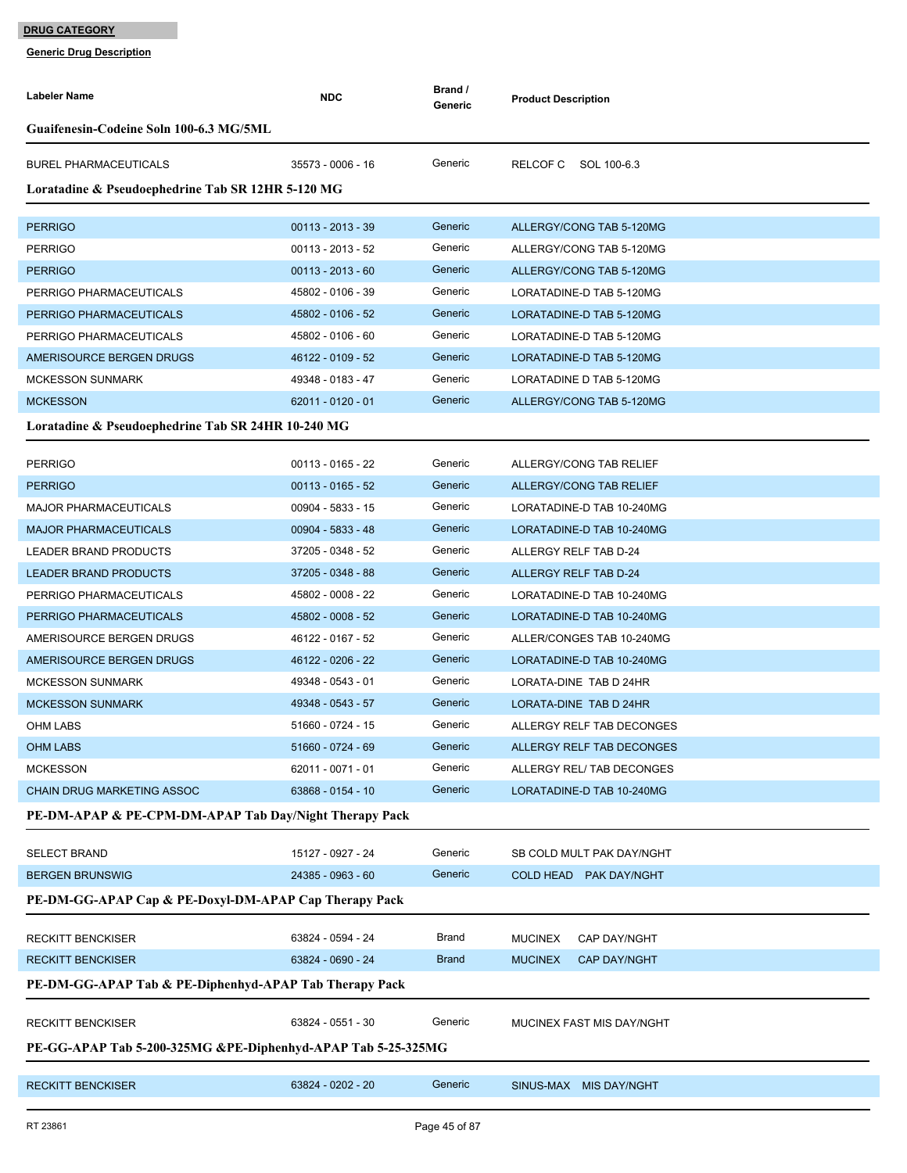| Labeler Name                                                 | <b>NDC</b>          | Brand /<br>Generic | <b>Product Description</b>            |  |  |  |  |
|--------------------------------------------------------------|---------------------|--------------------|---------------------------------------|--|--|--|--|
| Guaifenesin-Codeine Soln 100-6.3 MG/5ML                      |                     |                    |                                       |  |  |  |  |
| <b>BUREL PHARMACEUTICALS</b>                                 | 35573 - 0006 - 16   | Generic            | RELCOF C<br>SOL 100-6.3               |  |  |  |  |
| Loratadine & Pseudoephedrine Tab SR 12HR 5-120 MG            |                     |                    |                                       |  |  |  |  |
| <b>PERRIGO</b>                                               | $00113 - 2013 - 39$ | Generic            | ALLERGY/CONG TAB 5-120MG              |  |  |  |  |
| <b>PERRIGO</b>                                               | $00113 - 2013 - 52$ | Generic            | ALLERGY/CONG TAB 5-120MG              |  |  |  |  |
| <b>PERRIGO</b>                                               | $00113 - 2013 - 60$ | Generic            | ALLERGY/CONG TAB 5-120MG              |  |  |  |  |
| PERRIGO PHARMACEUTICALS                                      | 45802 - 0106 - 39   | Generic            | LORATADINE-D TAB 5-120MG              |  |  |  |  |
| PERRIGO PHARMACEUTICALS                                      | 45802 - 0106 - 52   | Generic            | LORATADINE-D TAB 5-120MG              |  |  |  |  |
| PERRIGO PHARMACEUTICALS                                      | 45802 - 0106 - 60   | Generic            | LORATADINE-D TAB 5-120MG              |  |  |  |  |
| AMERISOURCE BERGEN DRUGS                                     | 46122 - 0109 - 52   | Generic            | LORATADINE-D TAB 5-120MG              |  |  |  |  |
| <b>MCKESSON SUNMARK</b>                                      | 49348 - 0183 - 47   | Generic            | LORATADINE D TAB 5-120MG              |  |  |  |  |
| <b>MCKESSON</b>                                              | 62011 - 0120 - 01   | Generic            | ALLERGY/CONG TAB 5-120MG              |  |  |  |  |
| Loratadine & Pseudoephedrine Tab SR 24HR 10-240 MG           |                     |                    |                                       |  |  |  |  |
|                                                              |                     |                    |                                       |  |  |  |  |
| <b>PERRIGO</b>                                               | 00113 - 0165 - 22   | Generic            | ALLERGY/CONG TAB RELIEF               |  |  |  |  |
| <b>PERRIGO</b>                                               | $00113 - 0165 - 52$ | Generic            | ALLERGY/CONG TAB RELIEF               |  |  |  |  |
| <b>MAJOR PHARMACEUTICALS</b>                                 | 00904 - 5833 - 15   | Generic            | LORATADINE-D TAB 10-240MG             |  |  |  |  |
| <b>MAJOR PHARMACEUTICALS</b>                                 | 00904 - 5833 - 48   | Generic            | LORATADINE-D TAB 10-240MG             |  |  |  |  |
| LEADER BRAND PRODUCTS                                        | 37205 - 0348 - 52   | Generic            | ALLERGY RELF TAB D-24                 |  |  |  |  |
| LEADER BRAND PRODUCTS                                        | 37205 - 0348 - 88   | Generic            | ALLERGY RELF TAB D-24                 |  |  |  |  |
| PERRIGO PHARMACEUTICALS                                      | 45802 - 0008 - 22   | Generic            | LORATADINE-D TAB 10-240MG             |  |  |  |  |
| PERRIGO PHARMACEUTICALS                                      | 45802 - 0008 - 52   | Generic            | LORATADINE-D TAB 10-240MG             |  |  |  |  |
| AMERISOURCE BERGEN DRUGS                                     | 46122 - 0167 - 52   | Generic            | ALLER/CONGES TAB 10-240MG             |  |  |  |  |
| AMERISOURCE BERGEN DRUGS                                     | 46122 - 0206 - 22   | Generic            | LORATADINE-D TAB 10-240MG             |  |  |  |  |
| <b>MCKESSON SUNMARK</b>                                      | 49348 - 0543 - 01   | Generic            | LORATA-DINE TAB D 24HR                |  |  |  |  |
| <b>MCKESSON SUNMARK</b>                                      | 49348 - 0543 - 57   | Generic            | LORATA-DINE TAB D 24HR                |  |  |  |  |
| OHM LABS                                                     | 51660 - 0724 - 15   | Generic            | ALLERGY RELF TAB DECONGES             |  |  |  |  |
| <b>OHM LABS</b>                                              | 51660 - 0724 - 69   | Generic            | ALLERGY RELF TAB DECONGES             |  |  |  |  |
| <b>MCKESSON</b>                                              | 62011 - 0071 - 01   | Generic            | ALLERGY REL/ TAB DECONGES             |  |  |  |  |
| <b>CHAIN DRUG MARKETING ASSOC</b>                            | 63868 - 0154 - 10   | Generic            | LORATADINE-D TAB 10-240MG             |  |  |  |  |
| PE-DM-APAP & PE-CPM-DM-APAP Tab Day/Night Therapy Pack       |                     |                    |                                       |  |  |  |  |
| <b>SELECT BRAND</b>                                          | 15127 - 0927 - 24   | Generic            | SB COLD MULT PAK DAY/NGHT             |  |  |  |  |
| <b>BERGEN BRUNSWIG</b>                                       | 24385 - 0963 - 60   | Generic            | COLD HEAD PAK DAY/NGHT                |  |  |  |  |
| PE-DM-GG-APAP Cap & PE-Doxyl-DM-APAP Cap Therapy Pack        |                     |                    |                                       |  |  |  |  |
| RECKITT BENCKISER                                            | 63824 - 0594 - 24   | Brand              | <b>MUCINEX</b><br><b>CAP DAY/NGHT</b> |  |  |  |  |
| <b>RECKITT BENCKISER</b>                                     | 63824 - 0690 - 24   | <b>Brand</b>       | <b>CAP DAY/NGHT</b><br><b>MUCINEX</b> |  |  |  |  |
| PE-DM-GG-APAP Tab & PE-Diphenhyd-APAP Tab Therapy Pack       |                     |                    |                                       |  |  |  |  |
|                                                              |                     |                    |                                       |  |  |  |  |
| RECKITT BENCKISER                                            | 63824 - 0551 - 30   | Generic            | MUCINEX FAST MIS DAY/NGHT             |  |  |  |  |
| PE-GG-APAP Tab 5-200-325MG &PE-Diphenhyd-APAP Tab 5-25-325MG |                     |                    |                                       |  |  |  |  |
| <b>RECKITT BENCKISER</b>                                     | 63824 - 0202 - 20   | Generic            | SINUS-MAX MIS DAY/NGHT                |  |  |  |  |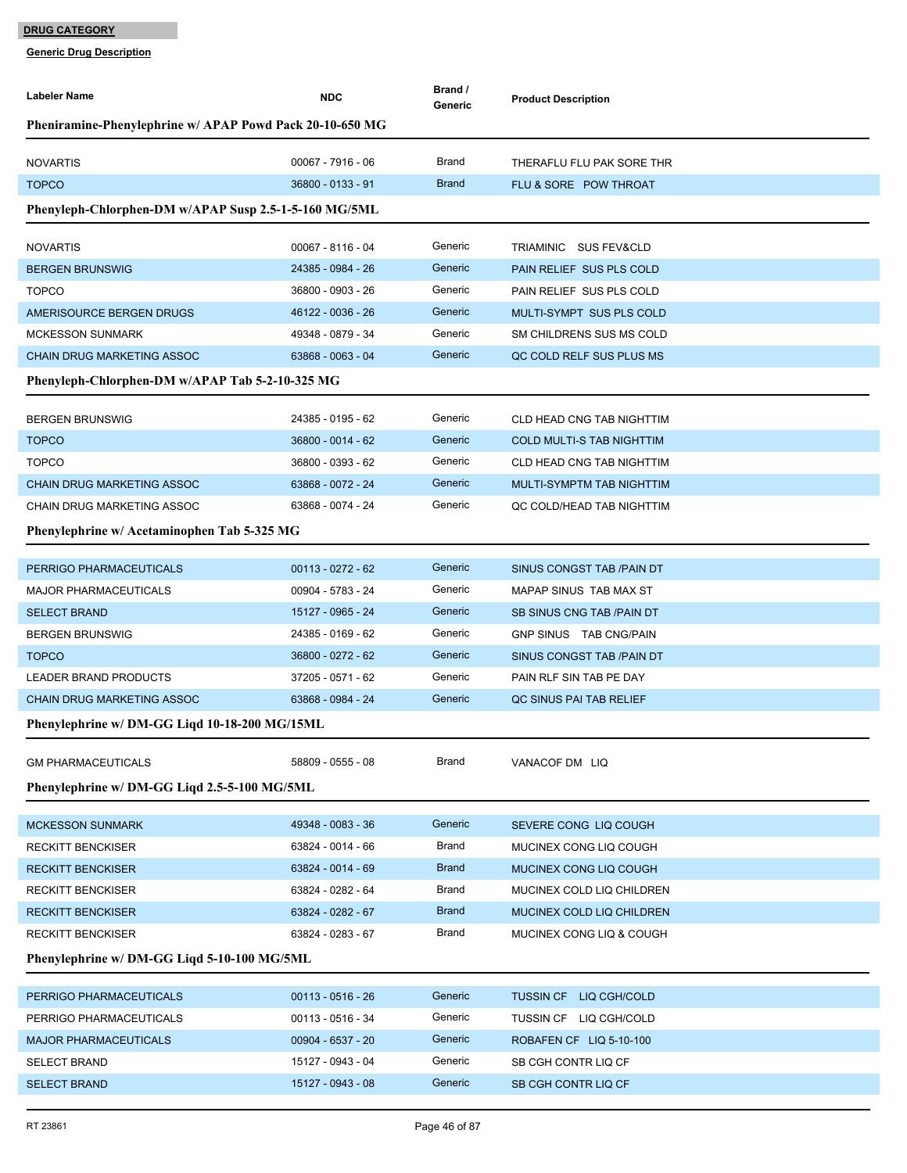| <b>Labeler Name</b>                                      | <b>NDC</b>          | Brand /<br>Generic | <b>Product Description</b>       |
|----------------------------------------------------------|---------------------|--------------------|----------------------------------|
| Pheniramine-Phenylephrine w/ APAP Powd Pack 20-10-650 MG |                     |                    |                                  |
|                                                          |                     |                    |                                  |
| <b>NOVARTIS</b>                                          | 00067 - 7916 - 06   | Brand              | THERAFLU FLU PAK SORE THR        |
| <b>TOPCO</b>                                             | 36800 - 0133 - 91   | <b>Brand</b>       | FLU & SORE POW THROAT            |
| Phenyleph-Chlorphen-DM w/APAP Susp 2.5-1-5-160 MG/5ML    |                     |                    |                                  |
| <b>NOVARTIS</b>                                          | 00067 - 8116 - 04   | Generic            | TRIAMINIC SUS FEV&CLD            |
| <b>BERGEN BRUNSWIG</b>                                   | 24385 - 0984 - 26   | Generic            | PAIN RELIEF SUS PLS COLD         |
| <b>TOPCO</b>                                             | 36800 - 0903 - 26   | Generic            | PAIN RELIEF SUS PLS COLD         |
| AMERISOURCE BERGEN DRUGS                                 | 46122 - 0036 - 26   | Generic            | MULTI-SYMPT SUS PLS COLD         |
| <b>MCKESSON SUNMARK</b>                                  | 49348 - 0879 - 34   | Generic            | SM CHILDRENS SUS MS COLD         |
| <b>CHAIN DRUG MARKETING ASSOC</b>                        | 63868 - 0063 - 04   | Generic            | QC COLD RELF SUS PLUS MS         |
| Phenyleph-Chlorphen-DM w/APAP Tab 5-2-10-325 MG          |                     |                    |                                  |
| <b>BERGEN BRUNSWIG</b>                                   | 24385 - 0195 - 62   | Generic            | <b>CLD HEAD CNG TAB NIGHTTIM</b> |
| <b>TOPCO</b>                                             | 36800 - 0014 - 62   | Generic            | <b>COLD MULTI-S TAB NIGHTTIM</b> |
| <b>TOPCO</b>                                             | 36800 - 0393 - 62   | Generic            | <b>CLD HEAD CNG TAB NIGHTTIM</b> |
| <b>CHAIN DRUG MARKETING ASSOC</b>                        | 63868 - 0072 - 24   | Generic            | MULTI-SYMPTM TAB NIGHTTIM        |
| CHAIN DRUG MARKETING ASSOC                               | 63868 - 0074 - 24   | Generic            | QC COLD/HEAD TAB NIGHTTIM        |
| Phenylephrine w/ Acetaminophen Tab 5-325 MG              |                     |                    |                                  |
|                                                          |                     |                    |                                  |
| PERRIGO PHARMACEUTICALS                                  | 00113 - 0272 - 62   | Generic            | SINUS CONGST TAB /PAIN DT        |
| <b>MAJOR PHARMACEUTICALS</b>                             | 00904 - 5783 - 24   | Generic            | MAPAP SINUS TAB MAX ST           |
| <b>SELECT BRAND</b>                                      | 15127 - 0965 - 24   | Generic            | SB SINUS CNG TAB / PAIN DT       |
| <b>BERGEN BRUNSWIG</b>                                   | 24385 - 0169 - 62   | Generic            | GNP SINUS TAB CNG/PAIN           |
| <b>TOPCO</b>                                             | 36800 - 0272 - 62   | Generic            | SINUS CONGST TAB / PAIN DT       |
| LEADER BRAND PRODUCTS                                    | 37205 - 0571 - 62   | Generic            | PAIN RLF SIN TAB PE DAY          |
| <b>CHAIN DRUG MARKETING ASSOC</b>                        | 63868 - 0984 - 24   | Generic            | QC SINUS PAI TAB RELIEF          |
| Phenylephrine w/ DM-GG Liqd 10-18-200 MG/15ML            |                     |                    |                                  |
| <b>GM PHARMACEUTICALS</b>                                | 58809 - 0555 - 08   | Brand              | VANACOF DM LIQ                   |
|                                                          |                     |                    |                                  |
| Phenylephrine w/ DM-GG Liqd 2.5-5-100 MG/5ML             |                     |                    |                                  |
| <b>MCKESSON SUNMARK</b>                                  | 49348 - 0083 - 36   | Generic            | SEVERE CONG LIQ COUGH            |
| RECKITT BENCKISER                                        | 63824 - 0014 - 66   | Brand              | MUCINEX CONG LIQ COUGH           |
| <b>RECKITT BENCKISER</b>                                 | 63824 - 0014 - 69   | <b>Brand</b>       | MUCINEX CONG LIQ COUGH           |
| <b>RECKITT BENCKISER</b>                                 | 63824 - 0282 - 64   | Brand              | MUCINEX COLD LIQ CHILDREN        |
| <b>RECKITT BENCKISER</b>                                 | 63824 - 0282 - 67   | <b>Brand</b>       | MUCINEX COLD LIQ CHILDREN        |
| <b>RECKITT BENCKISER</b>                                 | 63824 - 0283 - 67   | <b>Brand</b>       | MUCINEX CONG LIQ & COUGH         |
| Phenylephrine w/ DM-GG Ligd 5-10-100 MG/5ML              |                     |                    |                                  |
| PERRIGO PHARMACEUTICALS                                  | $00113 - 0516 - 26$ | Generic            | TUSSIN CF LIQ CGH/COLD           |
| PERRIGO PHARMACEUTICALS                                  | 00113 - 0516 - 34   | Generic            | TUSSIN CF LIQ CGH/COLD           |
| <b>MAJOR PHARMACEUTICALS</b>                             |                     |                    |                                  |
|                                                          | 00904 - 6537 - 20   | Generic            | ROBAFEN CF LIQ 5-10-100          |
| <b>SELECT BRAND</b>                                      | 15127 - 0943 - 04   | Generic            | SB CGH CONTR LIQ CF              |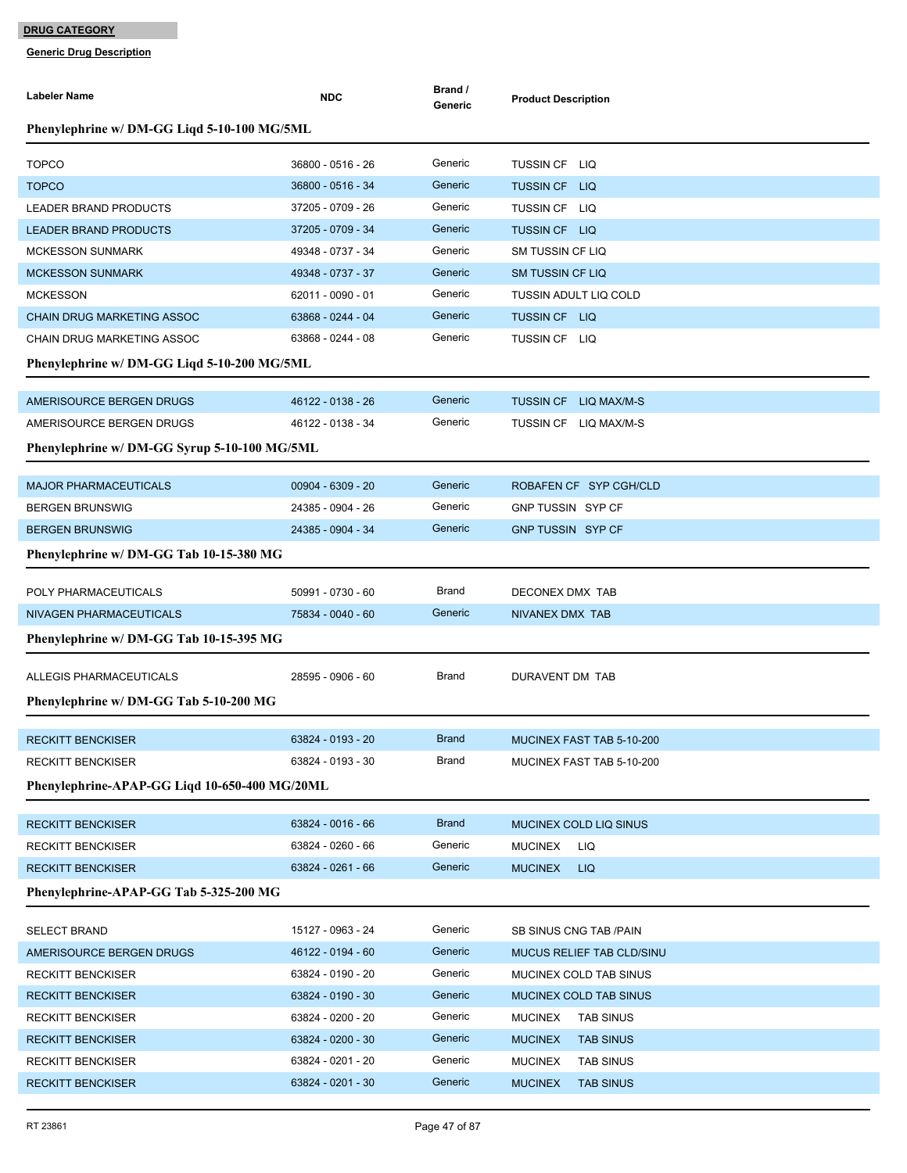| <b>Labeler Name</b>                                  | <b>NDC</b>                             | Brand /<br>Generic | <b>Product Description</b>                                   |
|------------------------------------------------------|----------------------------------------|--------------------|--------------------------------------------------------------|
| Phenylephrine w/ DM-GG Liqd 5-10-100 MG/5ML          |                                        |                    |                                                              |
| <b>TOPCO</b>                                         | 36800 - 0516 - 26                      | Generic            | TUSSIN CF LIQ                                                |
| <b>TOPCO</b>                                         | 36800 - 0516 - 34                      | Generic            | TUSSIN CF LIQ                                                |
| LEADER BRAND PRODUCTS                                | 37205 - 0709 - 26                      | Generic            | TUSSIN CF LIQ                                                |
| <b>LEADER BRAND PRODUCTS</b>                         | 37205 - 0709 - 34                      | Generic            | TUSSIN CF LIQ                                                |
| <b>MCKESSON SUNMARK</b>                              | 49348 - 0737 - 34                      | Generic            | <b>SM TUSSIN CF LIQ</b>                                      |
| <b>MCKESSON SUNMARK</b>                              | 49348 - 0737 - 37                      | Generic            | <b>SM TUSSIN CF LIQ</b>                                      |
| <b>MCKESSON</b>                                      | 62011 - 0090 - 01                      | Generic            | <b>TUSSIN ADULT LIQ COLD</b>                                 |
| <b>CHAIN DRUG MARKETING ASSOC</b>                    | 63868 - 0244 - 04                      | Generic            | TUSSIN CF LIQ                                                |
| CHAIN DRUG MARKETING ASSOC                           | 63868 - 0244 - 08                      | Generic            | TUSSIN CF LIQ                                                |
| Phenylephrine w/ DM-GG Liqd 5-10-200 MG/5ML          |                                        |                    |                                                              |
| AMERISOURCE BERGEN DRUGS                             | 46122 - 0138 - 26                      | Generic            | <b>TUSSIN CF</b><br>LIQ MAX/M-S                              |
| AMERISOURCE BERGEN DRUGS                             | 46122 - 0138 - 34                      | Generic            | TUSSIN CF LIQ MAX/M-S                                        |
| Phenylephrine w/ DM-GG Syrup 5-10-100 MG/5ML         |                                        |                    |                                                              |
| <b>MAJOR PHARMACEUTICALS</b>                         | 00904 - 6309 - 20                      | Generic            | ROBAFEN CF SYP CGH/CLD                                       |
| <b>BERGEN BRUNSWIG</b>                               | 24385 - 0904 - 26                      | Generic            | GNP TUSSIN SYP CF                                            |
| <b>BERGEN BRUNSWIG</b>                               | 24385 - 0904 - 34                      | Generic            | <b>GNP TUSSIN SYP CF</b>                                     |
| Phenylephrine w/ DM-GG Tab 10-15-380 MG              |                                        |                    |                                                              |
|                                                      |                                        |                    |                                                              |
| POLY PHARMACEUTICALS                                 | 50991 - 0730 - 60                      | Brand              | DECONEX DMX TAB                                              |
| NIVAGEN PHARMACEUTICALS                              | 75834 - 0040 - 60                      | Generic            | NIVANEX DMX TAB                                              |
| Phenylephrine w/ DM-GG Tab 10-15-395 MG              |                                        |                    |                                                              |
| ALLEGIS PHARMACEUTICALS                              | 28595 - 0906 - 60                      | Brand              | DURAVENT DM TAB                                              |
| Phenylephrine w/ DM-GG Tab 5-10-200 MG               |                                        |                    |                                                              |
| <b>RECKITT BENCKISER</b>                             | 63824 - 0193 - 20                      | <b>Brand</b>       | MUCINEX FAST TAB 5-10-200                                    |
| <b>RECKITT BENCKISER</b>                             | 63824 - 0193 - 30                      | Brand              | MUCINEX FAST TAB 5-10-200                                    |
| Phenylephrine-APAP-GG Liqd 10-650-400 MG/20ML        |                                        |                    |                                                              |
| <b>RECKITT BENCKISER</b>                             | 63824 - 0016 - 66                      | <b>Brand</b>       | MUCINEX COLD LIQ SINUS                                       |
| <b>RECKITT BENCKISER</b>                             | 63824 - 0260 - 66                      | Generic            | LIQ<br><b>MUCINEX</b>                                        |
| <b>RECKITT BENCKISER</b>                             | 63824 - 0261 - 66                      | Generic            | <b>MUCINEX</b><br>LIQ                                        |
| Phenylephrine-APAP-GG Tab 5-325-200 MG               |                                        |                    |                                                              |
|                                                      |                                        |                    |                                                              |
| <b>SELECT BRAND</b>                                  | 15127 - 0963 - 24                      | Generic            | SB SINUS CNG TAB /PAIN                                       |
| AMERISOURCE BERGEN DRUGS                             | 46122 - 0194 - 60                      | Generic<br>Generic | MUCUS RELIEF TAB CLD/SINU                                    |
| <b>RECKITT BENCKISER</b>                             | 63824 - 0190 - 20                      | Generic            | MUCINEX COLD TAB SINUS                                       |
| <b>RECKITT BENCKISER</b><br><b>RECKITT BENCKISER</b> | 63824 - 0190 - 30<br>63824 - 0200 - 20 | Generic            | MUCINEX COLD TAB SINUS<br><b>MUCINEX</b><br><b>TAB SINUS</b> |
| <b>RECKITT BENCKISER</b>                             | 63824 - 0200 - 30                      | Generic            | <b>TAB SINUS</b><br><b>MUCINEX</b>                           |
| <b>RECKITT BENCKISER</b>                             | 63824 - 0201 - 20                      | Generic            | <b>MUCINEX</b><br><b>TAB SINUS</b>                           |
| <b>RECKITT BENCKISER</b>                             | 63824 - 0201 - 30                      | Generic            | <b>TAB SINUS</b><br><b>MUCINEX</b>                           |
|                                                      |                                        |                    |                                                              |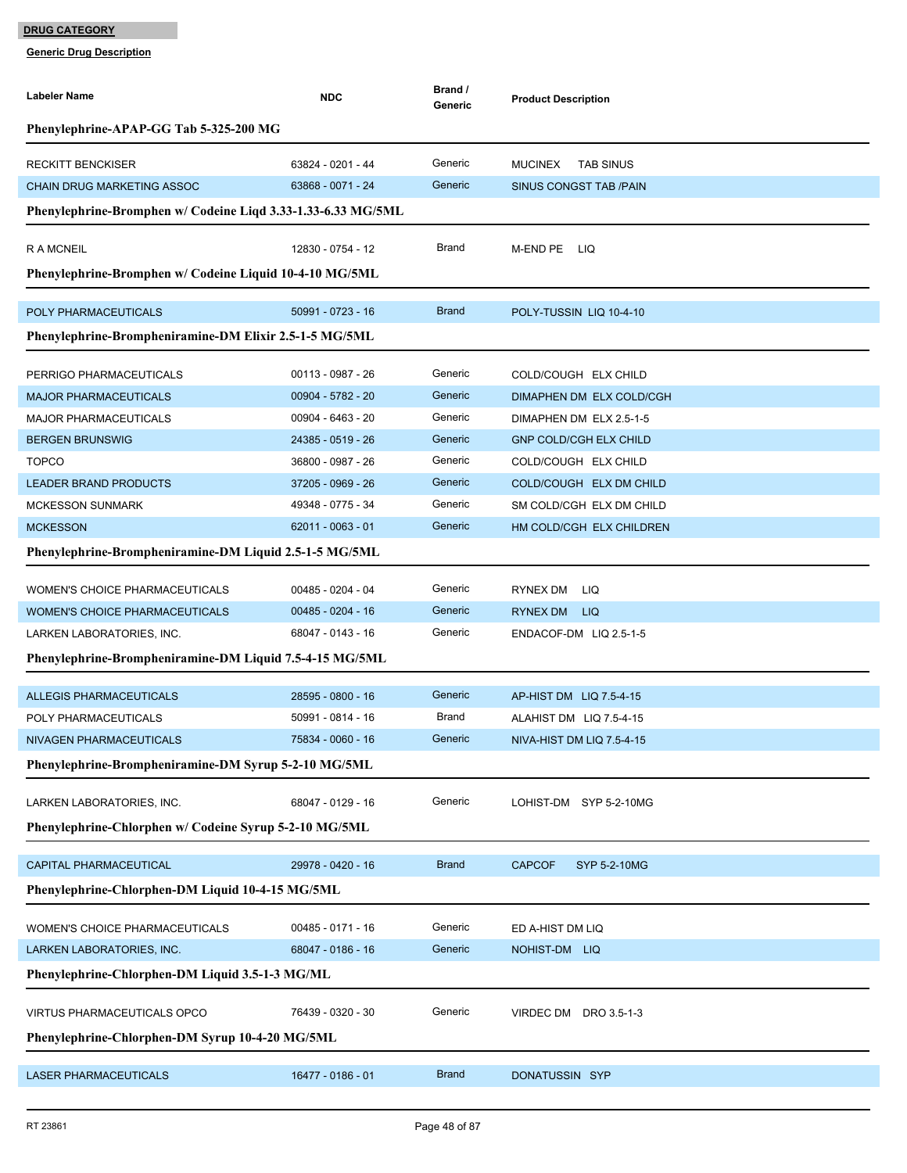| Labeler Name                                                 | <b>NDC</b>          | Brand /<br>Generic | <b>Product Description</b>           |  |  |  |  |
|--------------------------------------------------------------|---------------------|--------------------|--------------------------------------|--|--|--|--|
| Phenylephrine-APAP-GG Tab 5-325-200 MG                       |                     |                    |                                      |  |  |  |  |
| <b>RECKITT BENCKISER</b>                                     | 63824 - 0201 - 44   | Generic            | <b>TAB SINUS</b><br><b>MUCINEX</b>   |  |  |  |  |
| <b>CHAIN DRUG MARKETING ASSOC</b>                            | 63868 - 0071 - 24   | Generic            | <b>SINUS CONGST TAB /PAIN</b>        |  |  |  |  |
| Phenylephrine-Bromphen w/ Codeine Liqd 3.33-1.33-6.33 MG/5ML |                     |                    |                                      |  |  |  |  |
| <b>RAMCNEIL</b>                                              | 12830 - 0754 - 12   | Brand              | M-END PE LIQ                         |  |  |  |  |
| Phenylephrine-Bromphen w/ Codeine Liquid 10-4-10 MG/5ML      |                     |                    |                                      |  |  |  |  |
| POLY PHARMACEUTICALS                                         | 50991 - 0723 - 16   | <b>Brand</b>       | POLY-TUSSIN LIQ 10-4-10              |  |  |  |  |
| Phenylephrine-Brompheniramine-DM Elixir 2.5-1-5 MG/5ML       |                     |                    |                                      |  |  |  |  |
|                                                              |                     |                    |                                      |  |  |  |  |
| PERRIGO PHARMACEUTICALS                                      | 00113 - 0987 - 26   | Generic            | COLD/COUGH ELX CHILD                 |  |  |  |  |
| <b>MAJOR PHARMACEUTICALS</b>                                 | 00904 - 5782 - 20   | Generic            | DIMAPHEN DM ELX COLD/CGH             |  |  |  |  |
| <b>MAJOR PHARMACEUTICALS</b>                                 | 00904 - 6463 - 20   | Generic            | DIMAPHEN DM ELX 2.5-1-5              |  |  |  |  |
| <b>BERGEN BRUNSWIG</b>                                       | 24385 - 0519 - 26   | Generic            | <b>GNP COLD/CGH ELX CHILD</b>        |  |  |  |  |
| <b>TOPCO</b>                                                 | 36800 - 0987 - 26   | Generic            | COLD/COUGH ELX CHILD                 |  |  |  |  |
| <b>LEADER BRAND PRODUCTS</b>                                 | 37205 - 0969 - 26   | Generic            | COLD/COUGH ELX DM CHILD              |  |  |  |  |
| <b>MCKESSON SUNMARK</b>                                      | 49348 - 0775 - 34   | Generic            | SM COLD/CGH ELX DM CHILD             |  |  |  |  |
| <b>MCKESSON</b>                                              | 62011 - 0063 - 01   | Generic            | HM COLD/CGH ELX CHILDREN             |  |  |  |  |
| Phenylephrine-Brompheniramine-DM Liquid 2.5-1-5 MG/5ML       |                     |                    |                                      |  |  |  |  |
| WOMEN'S CHOICE PHARMACEUTICALS                               | 00485 - 0204 - 04   | Generic            | RYNEX DM LIQ                         |  |  |  |  |
| WOMEN'S CHOICE PHARMACEUTICALS                               | $00485 - 0204 - 16$ | Generic            | RYNEX DM LIQ                         |  |  |  |  |
| LARKEN LABORATORIES, INC.                                    | 68047 - 0143 - 16   | Generic            | ENDACOF-DM LIQ 2.5-1-5               |  |  |  |  |
| Phenylephrine-Brompheniramine-DM Liquid 7.5-4-15 MG/5ML      |                     |                    |                                      |  |  |  |  |
| <b>ALLEGIS PHARMACEUTICALS</b>                               | 28595 - 0800 - 16   | Generic            | AP-HIST DM LIQ 7.5-4-15              |  |  |  |  |
| POLY PHARMACEUTICALS                                         | 50991 - 0814 - 16   | Brand              | ALAHIST DM LIQ 7.5-4-15              |  |  |  |  |
| NIVAGEN PHARMACEUTICALS                                      | 75834 - 0060 - 16   | Generic            | NIVA-HIST DM LIQ 7.5-4-15            |  |  |  |  |
| Phenylephrine-Brompheniramine-DM Syrup 5-2-10 MG/5ML         |                     |                    |                                      |  |  |  |  |
|                                                              |                     |                    |                                      |  |  |  |  |
| LARKEN LABORATORIES, INC.                                    | 68047 - 0129 - 16   | Generic            | LOHIST-DM SYP 5-2-10MG               |  |  |  |  |
| Phenylephrine-Chlorphen w/ Codeine Syrup 5-2-10 MG/5ML       |                     |                    |                                      |  |  |  |  |
| CAPITAL PHARMACEUTICAL                                       | 29978 - 0420 - 16   | <b>Brand</b>       | <b>CAPCOF</b><br><b>SYP 5-2-10MG</b> |  |  |  |  |
| Phenylephrine-Chlorphen-DM Liquid 10-4-15 MG/5ML             |                     |                    |                                      |  |  |  |  |
| WOMEN'S CHOICE PHARMACEUTICALS                               | $00485 - 0171 - 16$ | Generic            | ED A-HIST DM LIQ                     |  |  |  |  |
| LARKEN LABORATORIES, INC.                                    | 68047 - 0186 - 16   | Generic            | NOHIST-DM LIQ                        |  |  |  |  |
| Phenylephrine-Chlorphen-DM Liquid 3.5-1-3 MG/ML              |                     |                    |                                      |  |  |  |  |
| VIRTUS PHARMACEUTICALS OPCO                                  | 76439 - 0320 - 30   | Generic            | VIRDEC DM DRO 3.5-1-3                |  |  |  |  |
| Phenylephrine-Chlorphen-DM Syrup 10-4-20 MG/5ML              |                     |                    |                                      |  |  |  |  |
|                                                              |                     |                    |                                      |  |  |  |  |
| <b>LASER PHARMACEUTICALS</b>                                 | 16477 - 0186 - 01   | <b>Brand</b>       | DONATUSSIN SYP                       |  |  |  |  |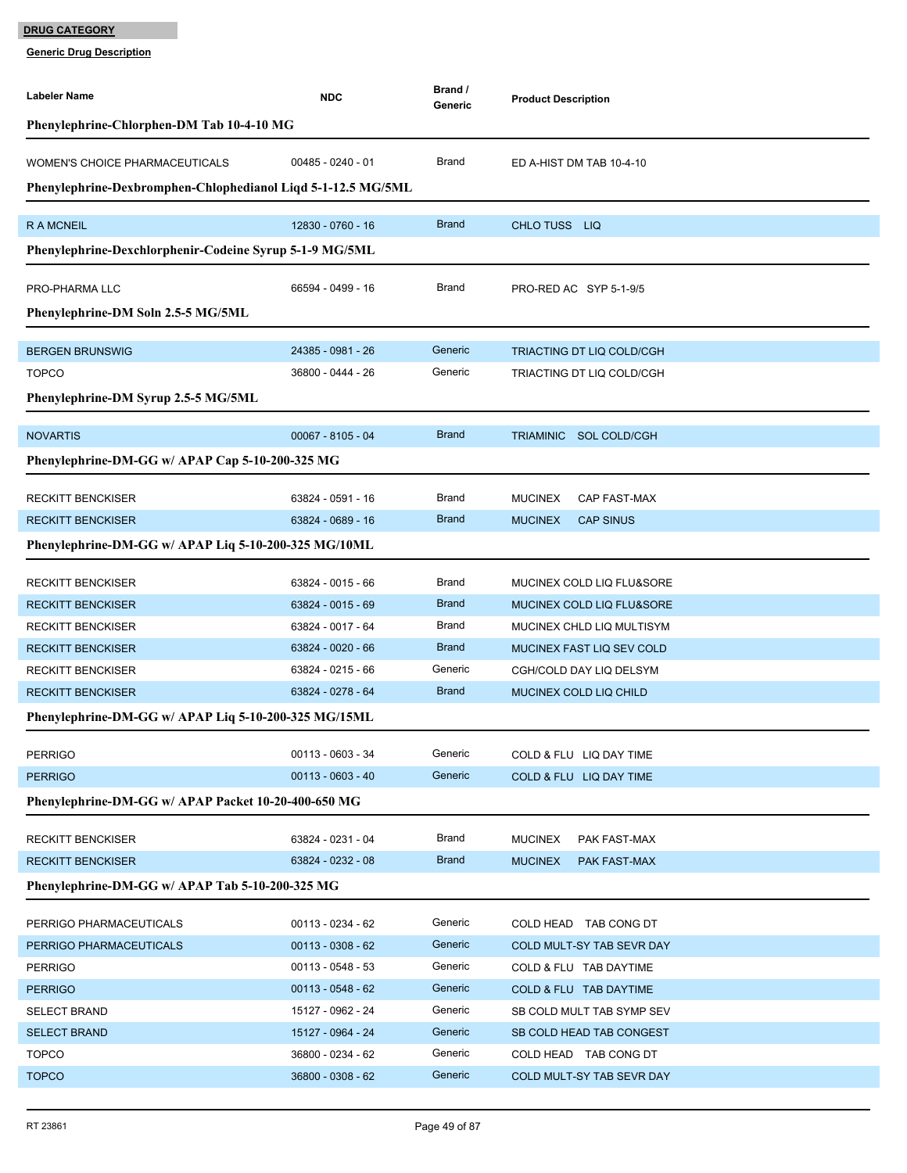| Labeler Name                                                 | <b>NDC</b>                             | Brand /<br>Generic    | <b>Product Description</b>                                           |  |  |
|--------------------------------------------------------------|----------------------------------------|-----------------------|----------------------------------------------------------------------|--|--|
| Phenylephrine-Chlorphen-DM Tab 10-4-10 MG                    |                                        |                       |                                                                      |  |  |
|                                                              |                                        |                       |                                                                      |  |  |
| <b>WOMEN'S CHOICE PHARMACEUTICALS</b>                        | $00485 - 0240 - 01$                    | Brand                 | ED A-HIST DM TAB 10-4-10                                             |  |  |
| Phenylephrine-Dexbromphen-Chlophedianol Liqd 5-1-12.5 MG/5ML |                                        |                       |                                                                      |  |  |
| <b>RAMCNEIL</b>                                              | 12830 - 0760 - 16                      | <b>Brand</b>          | CHLO TUSS LIQ                                                        |  |  |
| Phenylephrine-Dexchlorphenir-Codeine Syrup 5-1-9 MG/5ML      |                                        |                       |                                                                      |  |  |
|                                                              |                                        |                       |                                                                      |  |  |
| PRO-PHARMA LLC                                               | 66594 - 0499 - 16                      | Brand                 | PRO-RED AC SYP 5-1-9/5                                               |  |  |
| Phenylephrine-DM Soln 2.5-5 MG/5ML                           |                                        |                       |                                                                      |  |  |
| <b>BERGEN BRUNSWIG</b>                                       | 24385 - 0981 - 26                      | Generic               | TRIACTING DT LIQ COLD/CGH                                            |  |  |
| <b>TOPCO</b>                                                 | 36800 - 0444 - 26                      | Generic               | TRIACTING DT LIQ COLD/CGH                                            |  |  |
| Phenylephrine-DM Syrup 2.5-5 MG/5ML                          |                                        |                       |                                                                      |  |  |
|                                                              |                                        |                       |                                                                      |  |  |
| <b>NOVARTIS</b>                                              | $00067 - 8105 - 04$                    | <b>Brand</b>          | TRIAMINIC SOL COLD/CGH                                               |  |  |
| Phenylephrine-DM-GG w/ APAP Cap 5-10-200-325 MG              |                                        |                       |                                                                      |  |  |
|                                                              |                                        |                       |                                                                      |  |  |
| <b>RECKITT BENCKISER</b>                                     | 63824 - 0591 - 16<br>63824 - 0689 - 16 | Brand<br><b>Brand</b> | <b>MUCINEX</b><br>CAP FAST-MAX<br><b>CAP SINUS</b><br><b>MUCINEX</b> |  |  |
| <b>RECKITT BENCKISER</b>                                     |                                        |                       |                                                                      |  |  |
| Phenylephrine-DM-GG w/ APAP Liq 5-10-200-325 MG/10ML         |                                        |                       |                                                                      |  |  |
| <b>RECKITT BENCKISER</b>                                     | 63824 - 0015 - 66                      | Brand                 | MUCINEX COLD LIQ FLU&SORE                                            |  |  |
| <b>RECKITT BENCKISER</b>                                     | 63824 - 0015 - 69                      | <b>Brand</b>          | MUCINEX COLD LIQ FLU&SORE                                            |  |  |
| <b>RECKITT BENCKISER</b>                                     | 63824 - 0017 - 64                      | Brand                 | MUCINEX CHLD LIQ MULTISYM                                            |  |  |
| <b>RECKITT BENCKISER</b>                                     | 63824 - 0020 - 66                      | <b>Brand</b>          | MUCINEX FAST LIQ SEV COLD                                            |  |  |
| <b>RECKITT BENCKISER</b>                                     | 63824 - 0215 - 66                      | Generic               | CGH/COLD DAY LIQ DELSYM                                              |  |  |
| <b>RECKITT BENCKISER</b>                                     | 63824 - 0278 - 64                      | <b>Brand</b>          | MUCINEX COLD LIQ CHILD                                               |  |  |
| Phenylephrine-DM-GG w/ APAP Liq 5-10-200-325 MG/15ML         |                                        |                       |                                                                      |  |  |
| <b>PERRIGO</b>                                               | 00113 - 0603 - 34                      | Generic               | COLD & FLU LIQ DAY TIME                                              |  |  |
| <b>PERRIGO</b>                                               | $00113 - 0603 - 40$                    | Generic               | COLD & FLU LIQ DAY TIME                                              |  |  |
| Phenylephrine-DM-GG w/ APAP Packet 10-20-400-650 MG          |                                        |                       |                                                                      |  |  |
|                                                              |                                        |                       |                                                                      |  |  |
| <b>RECKITT BENCKISER</b>                                     | 63824 - 0231 - 04                      | Brand                 | <b>MUCINEX</b><br>PAK FAST-MAX                                       |  |  |
| <b>RECKITT BENCKISER</b>                                     | 63824 - 0232 - 08                      | <b>Brand</b>          | <b>MUCINEX</b><br>PAK FAST-MAX                                       |  |  |
| Phenylephrine-DM-GG w/ APAP Tab 5-10-200-325 MG              |                                        |                       |                                                                      |  |  |
| PERRIGO PHARMACEUTICALS                                      | 00113 - 0234 - 62                      | Generic               | COLD HEAD TAB CONG DT                                                |  |  |
| PERRIGO PHARMACEUTICALS                                      | $00113 - 0308 - 62$                    | Generic               | COLD MULT-SY TAB SEVR DAY                                            |  |  |
| <b>PERRIGO</b>                                               | $00113 - 0548 - 53$                    | Generic               | COLD & FLU TAB DAYTIME                                               |  |  |
| <b>PERRIGO</b>                                               | $00113 - 0548 - 62$                    | Generic               | COLD & FLU TAB DAYTIME                                               |  |  |
| <b>SELECT BRAND</b>                                          | 15127 - 0962 - 24                      | Generic               | SB COLD MULT TAB SYMP SEV                                            |  |  |
| <b>SELECT BRAND</b>                                          | 15127 - 0964 - 24                      | Generic               | SB COLD HEAD TAB CONGEST                                             |  |  |
| <b>TOPCO</b>                                                 | 36800 - 0234 - 62                      | Generic               | COLD HEAD TAB CONG DT                                                |  |  |
| <b>TOPCO</b>                                                 | 36800 - 0308 - 62                      | Generic               | COLD MULT-SY TAB SEVR DAY                                            |  |  |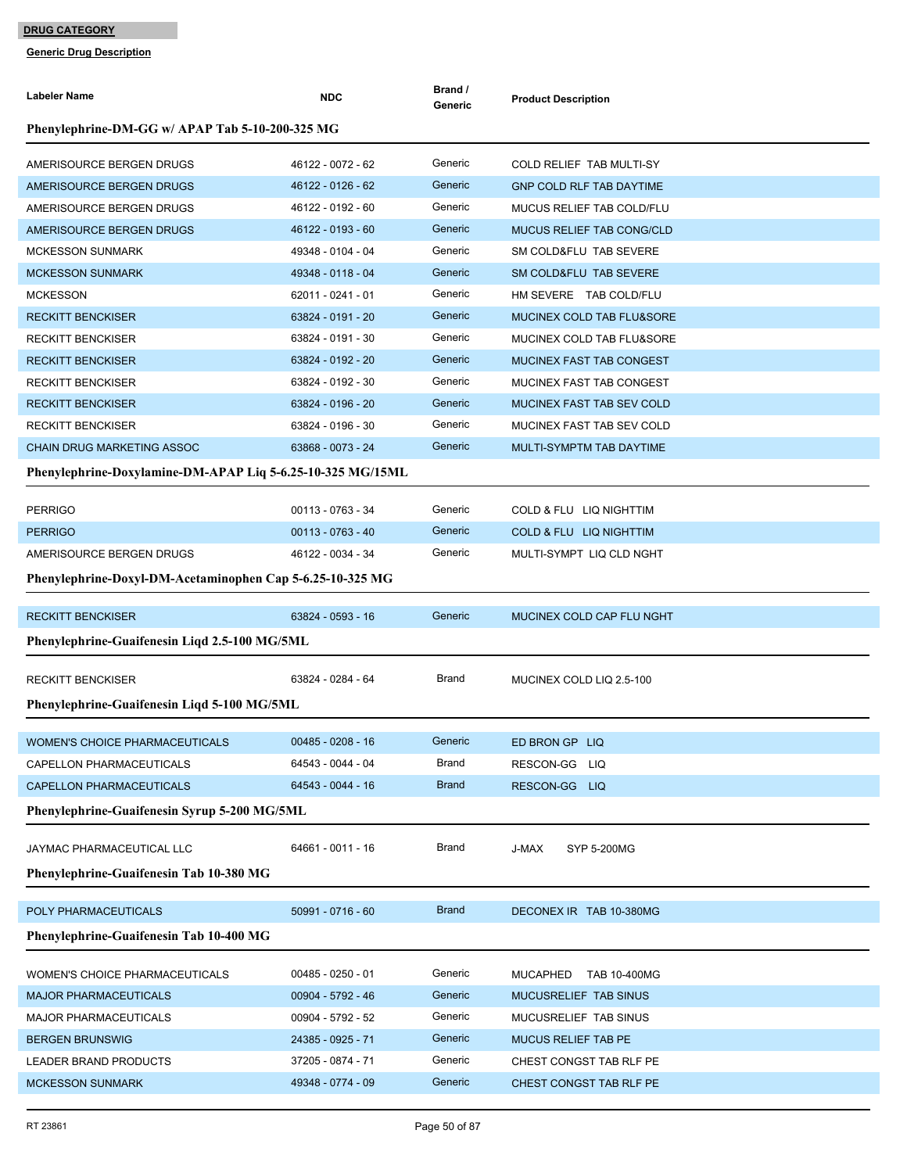| Labeler Name                                               | <b>NDC</b>          | Brand /<br>Generic | <b>Product Description</b>      |  |  |  |
|------------------------------------------------------------|---------------------|--------------------|---------------------------------|--|--|--|
| Phenylephrine-DM-GG w/ APAP Tab 5-10-200-325 MG            |                     |                    |                                 |  |  |  |
| AMERISOURCE BERGEN DRUGS                                   | 46122 - 0072 - 62   | Generic            | COLD RELIEF TAB MULTI-SY        |  |  |  |
| AMERISOURCE BERGEN DRUGS                                   | 46122 - 0126 - 62   | Generic            | <b>GNP COLD RLF TAB DAYTIME</b> |  |  |  |
| AMERISOURCE BERGEN DRUGS                                   | 46122 - 0192 - 60   | Generic            | MUCUS RELIEF TAB COLD/FLU       |  |  |  |
| AMERISOURCE BERGEN DRUGS                                   | 46122 - 0193 - 60   | Generic            | MUCUS RELIEF TAB CONG/CLD       |  |  |  |
| <b>MCKESSON SUNMARK</b>                                    | 49348 - 0104 - 04   | Generic            | SM COLD&FLU TAB SEVERE          |  |  |  |
| <b>MCKESSON SUNMARK</b>                                    | 49348 - 0118 - 04   | Generic            | SM COLD&FLU TAB SEVERE          |  |  |  |
| <b>MCKESSON</b>                                            | 62011 - 0241 - 01   | Generic            | HM SEVERE TAB COLD/FLU          |  |  |  |
| <b>RECKITT BENCKISER</b>                                   | 63824 - 0191 - 20   | Generic            | MUCINEX COLD TAB FLU&SORE       |  |  |  |
| <b>RECKITT BENCKISER</b>                                   | 63824 - 0191 - 30   | Generic            | MUCINEX COLD TAB FLU&SORE       |  |  |  |
| <b>RECKITT BENCKISER</b>                                   | 63824 - 0192 - 20   | Generic            | MUCINEX FAST TAB CONGEST        |  |  |  |
| <b>RECKITT BENCKISER</b>                                   | 63824 - 0192 - 30   | Generic            | MUCINEX FAST TAB CONGEST        |  |  |  |
| <b>RECKITT BENCKISER</b>                                   | 63824 - 0196 - 20   | Generic            | MUCINEX FAST TAB SEV COLD       |  |  |  |
| <b>RECKITT BENCKISER</b>                                   | 63824 - 0196 - 30   | Generic            | MUCINEX FAST TAB SEV COLD       |  |  |  |
| <b>CHAIN DRUG MARKETING ASSOC</b>                          | 63868 - 0073 - 24   | Generic            | MULTI-SYMPTM TAB DAYTIME        |  |  |  |
| Phenylephrine-Doxylamine-DM-APAP Liq 5-6.25-10-325 MG/15ML |                     |                    |                                 |  |  |  |
| <b>PERRIGO</b>                                             | 00113 - 0763 - 34   | Generic            | COLD & FLU LIQ NIGHTTIM         |  |  |  |
| <b>PERRIGO</b>                                             | 00113 - 0763 - 40   | Generic            | COLD & FLU LIQ NIGHTTIM         |  |  |  |
| AMERISOURCE BERGEN DRUGS                                   | 46122 - 0034 - 34   | Generic            | MULTI-SYMPT LIQ CLD NGHT        |  |  |  |
| Phenylephrine-Doxyl-DM-Acetaminophen Cap 5-6.25-10-325 MG  |                     |                    |                                 |  |  |  |
| <b>RECKITT BENCKISER</b>                                   | 63824 - 0593 - 16   | Generic            | MUCINEX COLD CAP FLU NGHT       |  |  |  |
| Phenylephrine-Guaifenesin Liqd 2.5-100 MG/5ML              |                     |                    |                                 |  |  |  |
| <b>RECKITT BENCKISER</b>                                   | 63824 - 0284 - 64   | Brand              | MUCINEX COLD LIQ 2.5-100        |  |  |  |
| Phenylephrine-Guaifenesin Liqd 5-100 MG/5ML                |                     |                    |                                 |  |  |  |
|                                                            |                     |                    |                                 |  |  |  |
| <b>WOMEN'S CHOICE PHARMACEUTICALS</b>                      | $00485 - 0208 - 16$ | Generic            | ED BRON GP LIQ                  |  |  |  |
| CAPELLON PHARMACEUTICALS                                   | 64543 - 0044 - 04   | Brand              | RESCON-GG LIQ                   |  |  |  |
| CAPELLON PHARMACEUTICALS                                   | 64543 - 0044 - 16   | <b>Brand</b>       | RESCON-GG LIQ                   |  |  |  |
| Phenylephrine-Guaifenesin Syrup 5-200 MG/5ML               |                     |                    |                                 |  |  |  |
| JAYMAC PHARMACEUTICAL LLC                                  | 64661 - 0011 - 16   | Brand              | J-MAX<br>SYP 5-200MG            |  |  |  |
| Phenylephrine-Guaifenesin Tab 10-380 MG                    |                     |                    |                                 |  |  |  |
| POLY PHARMACEUTICALS                                       | 50991 - 0716 - 60   | <b>Brand</b>       | DECONEX IR TAB 10-380MG         |  |  |  |
| Phenylephrine-Guaifenesin Tab 10-400 MG                    |                     |                    |                                 |  |  |  |
| <b>WOMEN'S CHOICE PHARMACEUTICALS</b>                      | $00485 - 0250 - 01$ | Generic            | MUCAPHED TAB 10-400MG           |  |  |  |
| <b>MAJOR PHARMACEUTICALS</b>                               | 00904 - 5792 - 46   | Generic            | MUCUSRELIEF TAB SINUS           |  |  |  |
| <b>MAJOR PHARMACEUTICALS</b>                               | 00904 - 5792 - 52   | Generic            | MUCUSRELIEF TAB SINUS           |  |  |  |
| <b>BERGEN BRUNSWIG</b>                                     | 24385 - 0925 - 71   | Generic            | <b>MUCUS RELIEF TAB PE</b>      |  |  |  |
| <b>LEADER BRAND PRODUCTS</b>                               | 37205 - 0874 - 71   | Generic            | CHEST CONGST TAB RLF PE         |  |  |  |
| <b>MCKESSON SUNMARK</b>                                    | 49348 - 0774 - 09   | Generic            | CHEST CONGST TAB RLF PE         |  |  |  |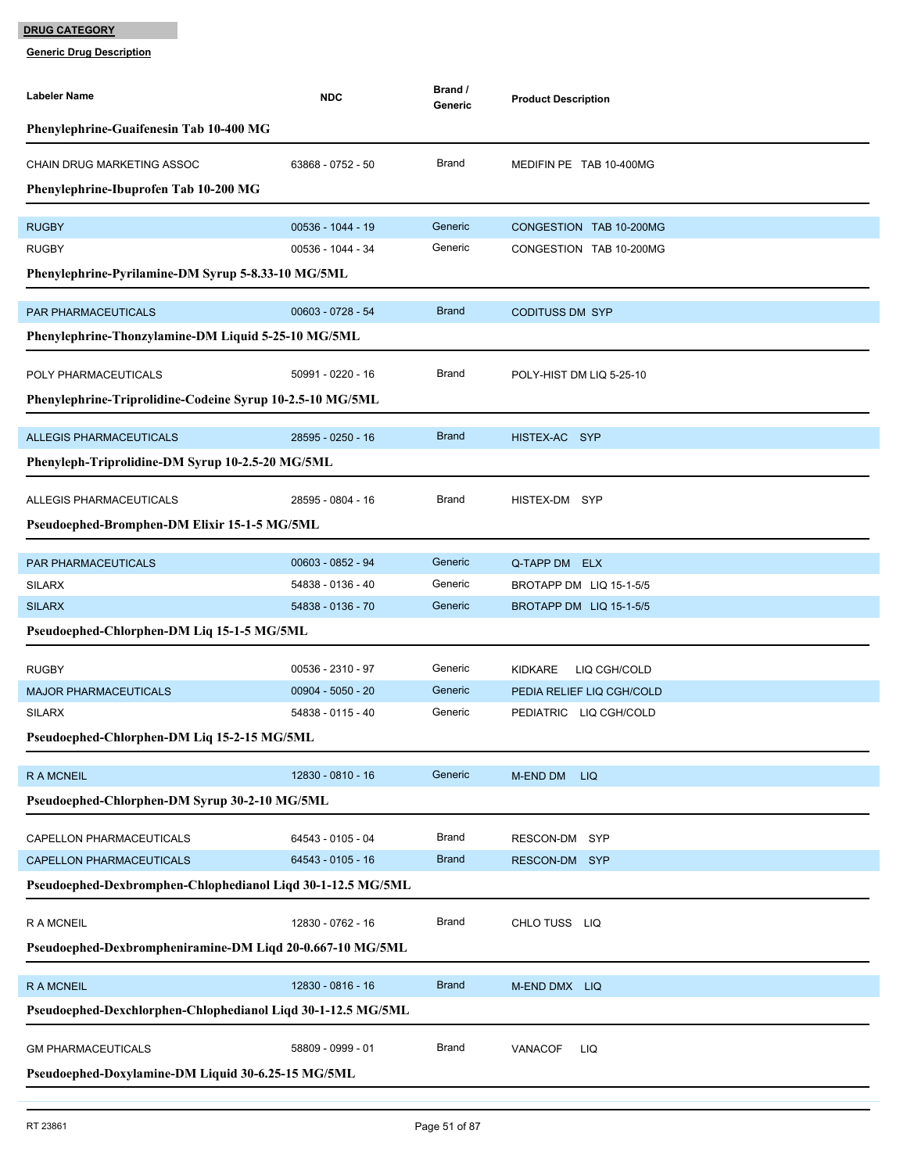| <b>Labeler Name</b>                                          | <b>NDC</b>          | Brand /<br>Generic | <b>Product Description</b>     |  |  |  |
|--------------------------------------------------------------|---------------------|--------------------|--------------------------------|--|--|--|
| Phenylephrine-Guaifenesin Tab 10-400 MG                      |                     |                    |                                |  |  |  |
| <b>CHAIN DRUG MARKETING ASSOC</b>                            | 63868 - 0752 - 50   | Brand              | MEDIFIN PE TAB 10-400MG        |  |  |  |
| Phenylephrine-Ibuprofen Tab 10-200 MG                        |                     |                    |                                |  |  |  |
| <b>RUGBY</b>                                                 | 00536 - 1044 - 19   | Generic            | CONGESTION TAB 10-200MG        |  |  |  |
| <b>RUGBY</b>                                                 | 00536 - 1044 - 34   | Generic            | CONGESTION TAB 10-200MG        |  |  |  |
| Phenylephrine-Pyrilamine-DM Syrup 5-8.33-10 MG/5ML           |                     |                    |                                |  |  |  |
| PAR PHARMACEUTICALS                                          | 00603 - 0728 - 54   | <b>Brand</b>       | <b>CODITUSS DM SYP</b>         |  |  |  |
| Phenylephrine-Thonzylamine-DM Liquid 5-25-10 MG/5ML          |                     |                    |                                |  |  |  |
|                                                              |                     |                    |                                |  |  |  |
| POLY PHARMACEUTICALS                                         | 50991 - 0220 - 16   | Brand              | POLY-HIST DM LIQ 5-25-10       |  |  |  |
| Phenylephrine-Triprolidine-Codeine Syrup 10-2.5-10 MG/5ML    |                     |                    |                                |  |  |  |
| <b>ALLEGIS PHARMACEUTICALS</b>                               | 28595 - 0250 - 16   | <b>Brand</b>       | HISTEX-AC SYP                  |  |  |  |
| Phenyleph-Triprolidine-DM Syrup 10-2.5-20 MG/5ML             |                     |                    |                                |  |  |  |
| <b>ALLEGIS PHARMACEUTICALS</b>                               | 28595 - 0804 - 16   | Brand              | HISTEX-DM SYP                  |  |  |  |
| Pseudoephed-Bromphen-DM Elixir 15-1-5 MG/5ML                 |                     |                    |                                |  |  |  |
|                                                              |                     |                    |                                |  |  |  |
| PAR PHARMACEUTICALS                                          | 00603 - 0852 - 94   | Generic            | Q-TAPP DM ELX                  |  |  |  |
| <b>SILARX</b>                                                | 54838 - 0136 - 40   | Generic            | BROTAPP DM LIQ 15-1-5/5        |  |  |  |
| <b>SILARX</b>                                                | 54838 - 0136 - 70   | Generic            | BROTAPP DM LIQ 15-1-5/5        |  |  |  |
| Pseudoephed-Chlorphen-DM Liq 15-1-5 MG/5ML                   |                     |                    |                                |  |  |  |
| <b>RUGBY</b>                                                 | 00536 - 2310 - 97   | Generic            | <b>KIDKARE</b><br>LIQ CGH/COLD |  |  |  |
| <b>MAJOR PHARMACEUTICALS</b>                                 | $00904 - 5050 - 20$ | Generic            | PEDIA RELIEF LIQ CGH/COLD      |  |  |  |
| <b>SILARX</b>                                                | 54838 - 0115 - 40   | Generic            | PEDIATRIC LIQ CGH/COLD         |  |  |  |
| Pseudoephed-Chlorphen-DM Liq 15-2-15 MG/5ML                  |                     |                    |                                |  |  |  |
| <b>RAMCNEIL</b>                                              | 12830 - 0810 - 16   | Generic            | M-END DM<br><b>LIQ</b>         |  |  |  |
| Pseudoephed-Chlorphen-DM Syrup 30-2-10 MG/5ML                |                     |                    |                                |  |  |  |
| CAPELLON PHARMACEUTICALS                                     | 64543 - 0105 - 04   | <b>Brand</b>       | RESCON-DM SYP                  |  |  |  |
| CAPELLON PHARMACEUTICALS                                     | 64543 - 0105 - 16   | <b>Brand</b>       | RESCON-DM SYP                  |  |  |  |
| Pseudoephed-Dexbromphen-Chlophedianol Liqd 30-1-12.5 MG/5ML  |                     |                    |                                |  |  |  |
| R A MCNEIL                                                   | 12830 - 0762 - 16   | <b>Brand</b>       | CHLO TUSS LIQ                  |  |  |  |
| Pseudoephed-Dexbrompheniramine-DM Liqd 20-0.667-10 MG/5ML    |                     |                    |                                |  |  |  |
|                                                              |                     |                    |                                |  |  |  |
| <b>RAMCNEIL</b>                                              | 12830 - 0816 - 16   | <b>Brand</b>       | M-END DMX LIQ                  |  |  |  |
| Pseudoephed-Dexchlorphen-Chlophedianol Liqd 30-1-12.5 MG/5ML |                     |                    |                                |  |  |  |
| <b>GM PHARMACEUTICALS</b>                                    | 58809 - 0999 - 01   | Brand              | VANACOF<br>LIQ                 |  |  |  |
| Pseudoephed-Doxylamine-DM Liquid 30-6.25-15 MG/5ML           |                     |                    |                                |  |  |  |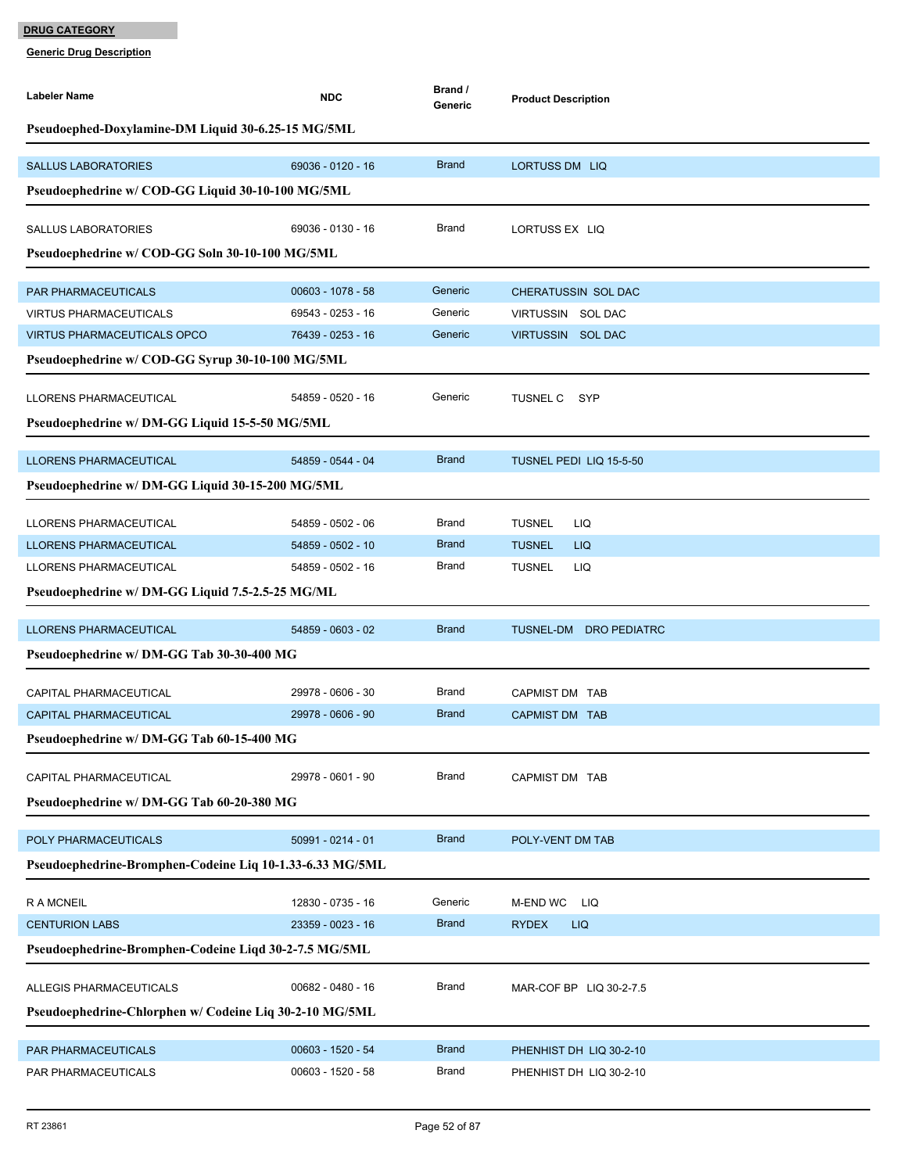| <b>Labeler Name</b>                                      | <b>NDC</b>          | Brand /<br>Generic | <b>Product Description</b> |
|----------------------------------------------------------|---------------------|--------------------|----------------------------|
| Pseudoephed-Doxylamine-DM Liquid 30-6.25-15 MG/5ML       |                     |                    |                            |
| <b>SALLUS LABORATORIES</b>                               | 69036 - 0120 - 16   | <b>Brand</b>       | LORTUSS DM LIQ             |
| Pseudoephedrine w/ COD-GG Liquid 30-10-100 MG/5ML        |                     |                    |                            |
| <b>SALLUS LABORATORIES</b>                               | 69036 - 0130 - 16   | Brand              | LORTUSS EX LIQ             |
| Pseudoephedrine w/ COD-GG Soln 30-10-100 MG/5ML          |                     |                    |                            |
| <b>PAR PHARMACEUTICALS</b>                               | 00603 - 1078 - 58   | Generic            | <b>CHERATUSSIN SOL DAC</b> |
| <b>VIRTUS PHARMACEUTICALS</b>                            | 69543 - 0253 - 16   | Generic            | VIRTUSSIN SOL DAC          |
| <b>VIRTUS PHARMACEUTICALS OPCO</b>                       | 76439 - 0253 - 16   | Generic            | VIRTUSSIN SOL DAC          |
| Pseudoephedrine w/ COD-GG Syrup 30-10-100 MG/5ML         |                     |                    |                            |
| LLORENS PHARMACEUTICAL                                   | 54859 - 0520 - 16   | Generic            | TUSNEL C SYP               |
| Pseudoephedrine w/ DM-GG Liquid 15-5-50 MG/5ML           |                     |                    |                            |
| <b>LLORENS PHARMACEUTICAL</b>                            | 54859 - 0544 - 04   | <b>Brand</b>       | TUSNEL PEDI LIQ 15-5-50    |
| Pseudoephedrine w/ DM-GG Liquid 30-15-200 MG/5ML         |                     |                    |                            |
|                                                          |                     |                    |                            |
| LLORENS PHARMACEUTICAL                                   | 54859 - 0502 - 06   | Brand              | <b>TUSNEL</b><br>LIQ       |
| LLORENS PHARMACEUTICAL                                   | 54859 - 0502 - 10   | <b>Brand</b>       | <b>TUSNEL</b><br>LIQ       |
| LLORENS PHARMACEUTICAL                                   | 54859 - 0502 - 16   | Brand              | <b>TUSNEL</b><br>LIQ       |
| Pseudoephedrine w/ DM-GG Liquid 7.5-2.5-25 MG/ML         |                     |                    |                            |
| <b>LLORENS PHARMACEUTICAL</b>                            | 54859 - 0603 - 02   | <b>Brand</b>       | TUSNEL-DM DRO PEDIATRC     |
| Pseudoephedrine w/ DM-GG Tab 30-30-400 MG                |                     |                    |                            |
|                                                          |                     |                    |                            |
| CAPITAL PHARMACEUTICAL                                   | 29978 - 0606 - 30   | <b>Brand</b>       | CAPMIST DM TAB             |
| <b>CAPITAL PHARMACEUTICAL</b>                            | 29978 - 0606 - 90   | <b>Brand</b>       | <b>CAPMIST DM TAB</b>      |
| Pseudoephedrine w/ DM-GG Tab 60-15-400 MG                |                     |                    |                            |
| CAPITAL PHARMACEUTICAL                                   | 29978 - 0601 - 90   | Brand              | CAPMIST DM TAB             |
| Pseudoephedrine w/ DM-GG Tab 60-20-380 MG                |                     |                    |                            |
| POLY PHARMACEUTICALS                                     | 50991 - 0214 - 01   | <b>Brand</b>       | POLY-VENT DM TAB           |
| Pseudoephedrine-Bromphen-Codeine Liq 10-1.33-6.33 MG/5ML |                     |                    |                            |
| <b>RAMCNEIL</b>                                          | 12830 - 0735 - 16   | Generic            | M-END WC<br><b>LIQ</b>     |
| <b>CENTURION LABS</b>                                    | 23359 - 0023 - 16   | <b>Brand</b>       | <b>RYDEX</b><br><b>LIQ</b> |
| Pseudoephedrine-Bromphen-Codeine Liqd 30-2-7.5 MG/5ML    |                     |                    |                            |
|                                                          |                     |                    |                            |
| ALLEGIS PHARMACEUTICALS                                  | 00682 - 0480 - 16   | <b>Brand</b>       | MAR-COF BP LIQ 30-2-7.5    |
| Pseudoephedrine-Chlorphen w/ Codeine Liq 30-2-10 MG/5ML  |                     |                    |                            |
| PAR PHARMACEUTICALS                                      | $00603 - 1520 - 54$ | <b>Brand</b>       | PHENHIST DH LIQ 30-2-10    |
| PAR PHARMACEUTICALS                                      | $00603 - 1520 - 58$ | Brand              | PHENHIST DH LIQ 30-2-10    |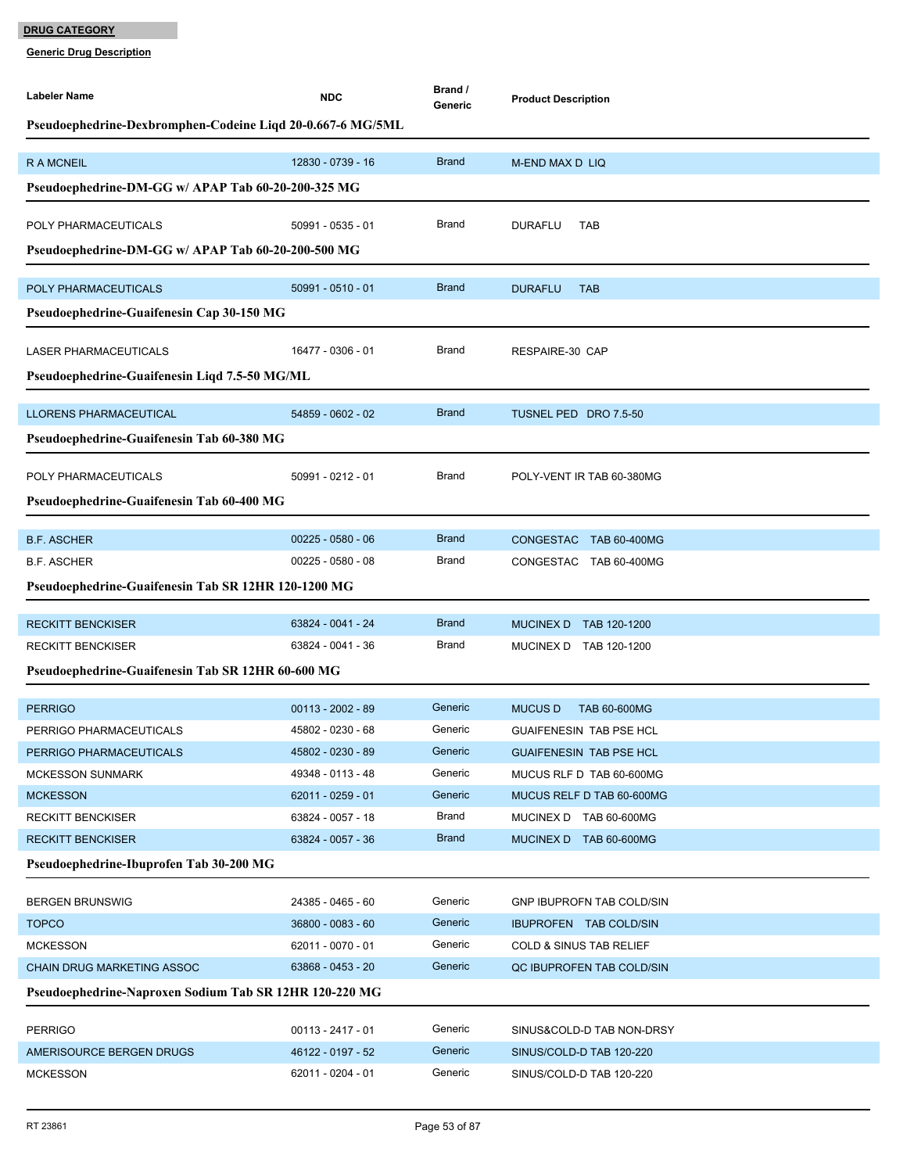| Labeler Name                                               | <b>NDC</b>                             | Brand /<br>Generic | <b>Product Description</b>                           |  |  |
|------------------------------------------------------------|----------------------------------------|--------------------|------------------------------------------------------|--|--|
| Pseudoephedrine-Dexbromphen-Codeine Liqd 20-0.667-6 MG/5ML |                                        |                    |                                                      |  |  |
|                                                            |                                        |                    |                                                      |  |  |
| <b>RAMCNEIL</b>                                            | 12830 - 0739 - 16                      | <b>Brand</b>       | M-END MAX D LIQ                                      |  |  |
| Pseudoephedrine-DM-GG w/ APAP Tab 60-20-200-325 MG         |                                        |                    |                                                      |  |  |
| POLY PHARMACEUTICALS                                       | 50991 - 0535 - 01                      | Brand              | <b>DURAFLU</b><br><b>TAB</b>                         |  |  |
| Pseudoephedrine-DM-GG w/ APAP Tab 60-20-200-500 MG         |                                        |                    |                                                      |  |  |
|                                                            |                                        |                    |                                                      |  |  |
| POLY PHARMACEUTICALS                                       | $50991 - 0510 - 01$                    | <b>Brand</b>       | <b>DURAFLU</b><br><b>TAB</b>                         |  |  |
| Pseudoephedrine-Guaifenesin Cap 30-150 MG                  |                                        |                    |                                                      |  |  |
| LASER PHARMACEUTICALS                                      | 16477 - 0306 - 01                      | Brand              | RESPAIRE-30 CAP                                      |  |  |
| Pseudoephedrine-Guaifenesin Liqd 7.5-50 MG/ML              |                                        |                    |                                                      |  |  |
|                                                            |                                        |                    |                                                      |  |  |
| <b>LLORENS PHARMACEUTICAL</b>                              | 54859 - 0602 - 02                      | <b>Brand</b>       | TUSNEL PED DRO 7.5-50                                |  |  |
| Pseudoephedrine-Guaifenesin Tab 60-380 MG                  |                                        |                    |                                                      |  |  |
| POLY PHARMACEUTICALS                                       | 50991 - 0212 - 01                      | Brand              | POLY-VENT IR TAB 60-380MG                            |  |  |
| Pseudoephedrine-Guaifenesin Tab 60-400 MG                  |                                        |                    |                                                      |  |  |
|                                                            |                                        |                    |                                                      |  |  |
| <b>B.F. ASCHER</b>                                         | $00225 - 0580 - 06$                    | <b>Brand</b>       | <b>CONGESTAC</b><br>TAB 60-400MG                     |  |  |
| <b>B.F. ASCHER</b>                                         | $00225 - 0580 - 08$                    | Brand              | CONGESTAC TAB 60-400MG                               |  |  |
| Pseudoephedrine-Guaifenesin Tab SR 12HR 120-1200 MG        |                                        |                    |                                                      |  |  |
| <b>RECKITT BENCKISER</b>                                   | 63824 - 0041 - 24                      | <b>Brand</b>       | MUCINEX D TAB 120-1200                               |  |  |
| <b>RECKITT BENCKISER</b>                                   | 63824 - 0041 - 36                      | Brand              | MUCINEX D TAB 120-1200                               |  |  |
| Pseudoephedrine-Guaifenesin Tab SR 12HR 60-600 MG          |                                        |                    |                                                      |  |  |
|                                                            |                                        |                    |                                                      |  |  |
| <b>PERRIGO</b>                                             | 00113 - 2002 - 89                      | Generic            | <b>MUCUS D</b><br><b>TAB 60-600MG</b>                |  |  |
| PERRIGO PHARMACEUTICALS                                    | 45802 - 0230 - 68                      | Generic            | <b>GUAIFENESIN TAB PSE HCL</b>                       |  |  |
| PERRIGO PHARMACEUTICALS                                    | 45802 - 0230 - 89                      | Generic            | <b>GUAIFENESIN TAB PSE HCL</b>                       |  |  |
| <b>MCKESSON SUNMARK</b>                                    | 49348 - 0113 - 48                      | Generic            | MUCUS RLF D TAB 60-600MG                             |  |  |
| <b>MCKESSON</b>                                            | 62011 - 0259 - 01                      | Generic            | MUCUS RELF D TAB 60-600MG                            |  |  |
| <b>RECKITT BENCKISER</b>                                   | 63824 - 0057 - 18                      | Brand              | MUCINEX D TAB 60-600MG                               |  |  |
| <b>RECKITT BENCKISER</b>                                   | 63824 - 0057 - 36                      | <b>Brand</b>       | MUCINEX D TAB 60-600MG                               |  |  |
| Pseudoephedrine-Ibuprofen Tab 30-200 MG                    |                                        |                    |                                                      |  |  |
| <b>BERGEN BRUNSWIG</b>                                     | 24385 - 0465 - 60                      | Generic            | GNP IBUPROFN TAB COLD/SIN                            |  |  |
| <b>TOPCO</b>                                               | 36800 - 0083 - 60                      | Generic            | IBUPROFEN TAB COLD/SIN                               |  |  |
| <b>MCKESSON</b>                                            | 62011 - 0070 - 01                      | Generic            | COLD & SINUS TAB RELIEF                              |  |  |
| CHAIN DRUG MARKETING ASSOC                                 | 63868 - 0453 - 20                      | Generic            | QC IBUPROFEN TAB COLD/SIN                            |  |  |
| Pseudoephedrine-Naproxen Sodium Tab SR 12HR 120-220 MG     |                                        |                    |                                                      |  |  |
|                                                            |                                        |                    |                                                      |  |  |
| <b>PERRIGO</b>                                             | $00113 - 2417 - 01$                    | Generic<br>Generic | SINUS&COLD-D TAB NON-DRSY                            |  |  |
| AMERISOURCE BERGEN DRUGS<br><b>MCKESSON</b>                | 46122 - 0197 - 52<br>62011 - 0204 - 01 | Generic            | SINUS/COLD-D TAB 120-220<br>SINUS/COLD-D TAB 120-220 |  |  |
|                                                            |                                        |                    |                                                      |  |  |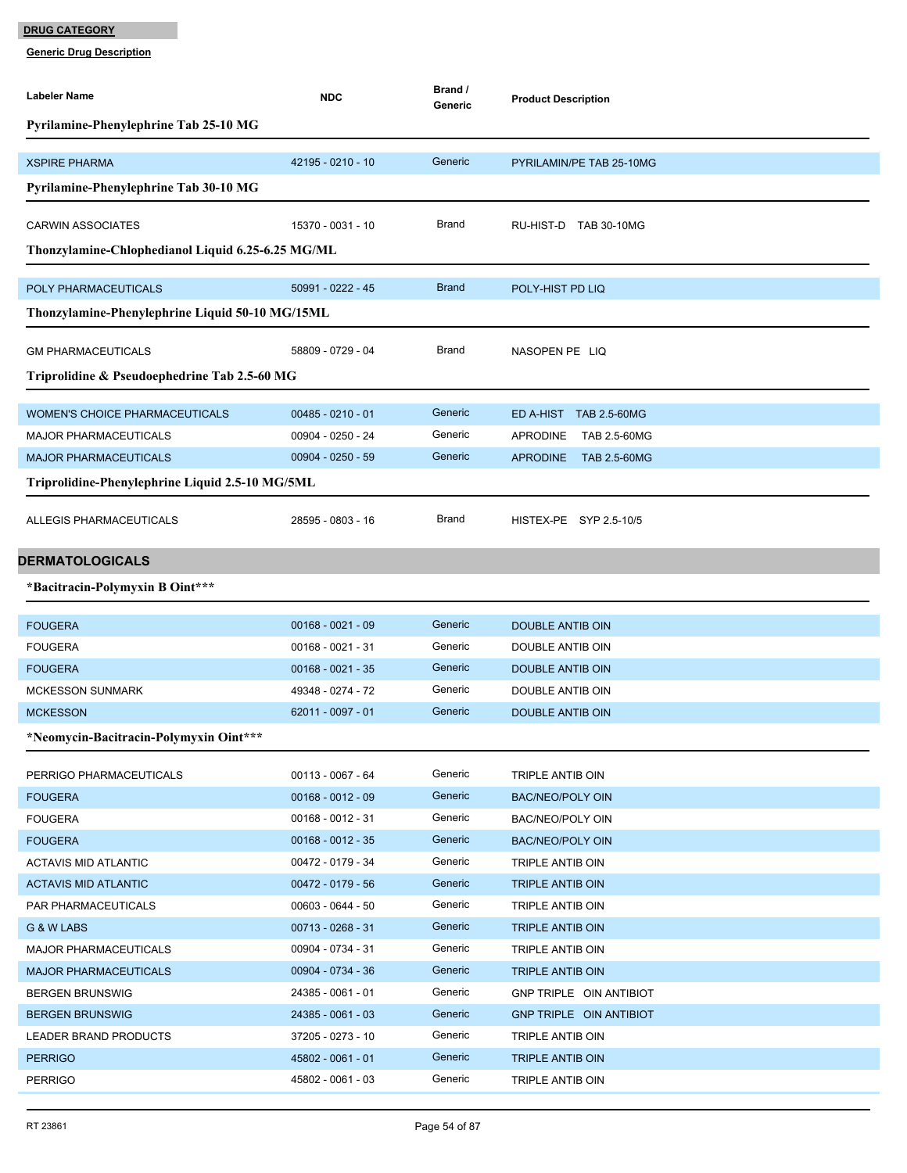| Labeler Name                                      | <b>NDC</b>                             | Brand /<br>Generic | <b>Product Description</b>           |
|---------------------------------------------------|----------------------------------------|--------------------|--------------------------------------|
| Pyrilamine-Phenylephrine Tab 25-10 MG             |                                        |                    |                                      |
|                                                   |                                        |                    |                                      |
| <b>XSPIRE PHARMA</b>                              | 42195 - 0210 - 10                      | Generic            | PYRILAMIN/PE TAB 25-10MG             |
| Pyrilamine-Phenylephrine Tab 30-10 MG             |                                        |                    |                                      |
| <b>CARWIN ASSOCIATES</b>                          | 15370 - 0031 - 10                      | Brand              | RU-HIST-D TAB 30-10MG                |
| Thonzylamine-Chlophedianol Liquid 6.25-6.25 MG/ML |                                        |                    |                                      |
|                                                   |                                        |                    |                                      |
| POLY PHARMACEUTICALS                              | 50991 - 0222 - 45                      | <b>Brand</b>       | POLY-HIST PD LIQ                     |
| Thonzylamine-Phenylephrine Liquid 50-10 MG/15ML   |                                        |                    |                                      |
| <b>GM PHARMACEUTICALS</b>                         | 58809 - 0729 - 04                      | <b>Brand</b>       | NASOPEN PE LIQ                       |
|                                                   |                                        |                    |                                      |
| Triprolidine & Pseudoephedrine Tab 2.5-60 MG      |                                        |                    |                                      |
| <b>WOMEN'S CHOICE PHARMACEUTICALS</b>             | $00485 - 0210 - 01$                    | Generic            | ED A-HIST TAB 2.5-60MG               |
| <b>MAJOR PHARMACEUTICALS</b>                      | 00904 - 0250 - 24                      | Generic            | TAB 2.5-60MG<br><b>APRODINE</b>      |
| <b>MAJOR PHARMACEUTICALS</b>                      | $00904 - 0250 - 59$                    | Generic            | APRODINE TAB 2.5-60MG                |
| Triprolidine-Phenylephrine Liquid 2.5-10 MG/5ML   |                                        |                    |                                      |
| <b>ALLEGIS PHARMACEUTICALS</b>                    | 28595 - 0803 - 16                      | Brand              | HISTEX-PE SYP 2.5-10/5               |
| <b>DERMATOLOGICALS</b>                            |                                        |                    |                                      |
| *Bacitracin-Polymyxin B Oint***                   |                                        |                    |                                      |
|                                                   |                                        |                    |                                      |
| <b>FOUGERA</b>                                    | $00168 - 0021 - 09$                    | Generic            | DOUBLE ANTIB OIN                     |
| <b>FOUGERA</b>                                    | 00168 - 0021 - 31                      | Generic            | DOUBLE ANTIB OIN                     |
| <b>FOUGERA</b>                                    | $00168 - 0021 - 35$                    | Generic            | DOUBLE ANTIB OIN                     |
| <b>MCKESSON SUNMARK</b>                           | 49348 - 0274 - 72                      | Generic            | <b>DOUBLE ANTIB OIN</b>              |
| <b>MCKESSON</b>                                   | 62011 - 0097 - 01                      | Generic            | DOUBLE ANTIB OIN                     |
| *Neomycin-Bacitracin-Polymyxin Oint***            |                                        |                    |                                      |
| PERRIGO PHARMACEUTICALS                           | 00113 - 0067 - 64                      | Generic            | TRIPLE ANTIB OIN                     |
| <b>FOUGERA</b>                                    | $00168 - 0012 - 09$                    | Generic            | <b>BAC/NEO/POLY OIN</b>              |
| <b>FOUGERA</b>                                    | 00168 - 0012 - 31                      | Generic            | BAC/NEO/POLY OIN                     |
| <b>FOUGERA</b>                                    | $00168 - 0012 - 35$                    | Generic            | BAC/NEO/POLY OIN                     |
| ACTAVIS MID ATLANTIC                              | 00472 - 0179 - 34                      | Generic            | TRIPLE ANTIB OIN                     |
| <b>ACTAVIS MID ATLANTIC</b>                       | 00472 - 0179 - 56                      | Generic            | TRIPLE ANTIB OIN                     |
| <b>PAR PHARMACEUTICALS</b>                        | 00603 - 0644 - 50                      | Generic            | TRIPLE ANTIB OIN                     |
| G & W LABS                                        | 00713 - 0268 - 31                      | Generic            | <b>TRIPLE ANTIB OIN</b>              |
| <b>MAJOR PHARMACEUTICALS</b>                      | 00904 - 0734 - 31                      | Generic            | TRIPLE ANTIB OIN                     |
| <b>MAJOR PHARMACEUTICALS</b>                      | 00904 - 0734 - 36                      | Generic            | TRIPLE ANTIB OIN                     |
| <b>BERGEN BRUNSWIG</b>                            | 24385 - 0061 - 01                      | Generic            | GNP TRIPLE OIN ANTIBIOT              |
| <b>BERGEN BRUNSWIG</b>                            | 24385 - 0061 - 03                      | Generic<br>Generic | <b>GNP TRIPLE OIN ANTIBIOT</b>       |
| LEADER BRAND PRODUCTS                             | 37205 - 0273 - 10<br>45802 - 0061 - 01 | Generic            | TRIPLE ANTIB OIN                     |
| <b>PERRIGO</b><br><b>PERRIGO</b>                  | 45802 - 0061 - 03                      | Generic            | TRIPLE ANTIB OIN<br>TRIPLE ANTIB OIN |
|                                                   |                                        |                    |                                      |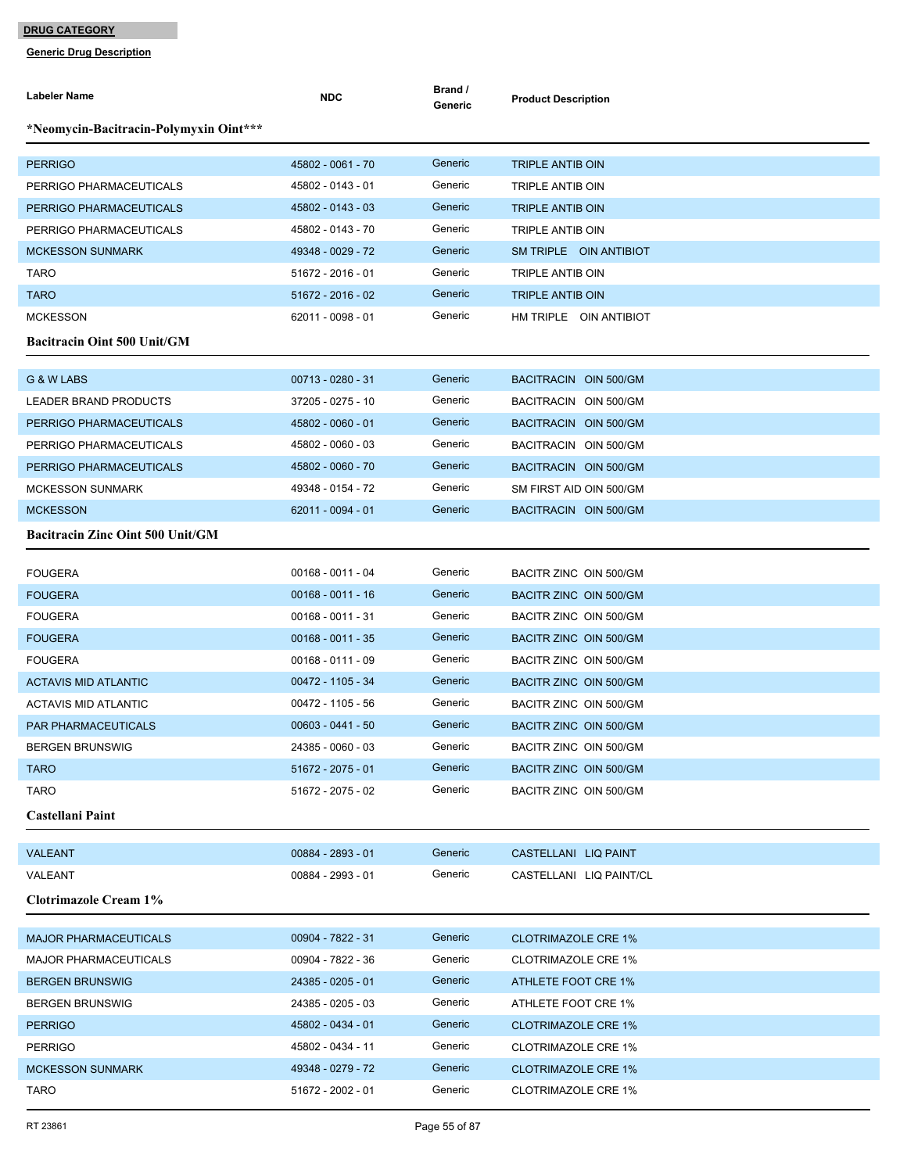| <b>Labeler Name</b>                     | <b>NDC</b>          | Brand /<br>Generic | <b>Product Description</b> |
|-----------------------------------------|---------------------|--------------------|----------------------------|
| *Neomycin-Bacitracin-Polymyxin Oint***  |                     |                    |                            |
| <b>PERRIGO</b>                          | 45802 - 0061 - 70   | Generic            | <b>TRIPLE ANTIB OIN</b>    |
| PERRIGO PHARMACEUTICALS                 | 45802 - 0143 - 01   | Generic            | TRIPLE ANTIB OIN           |
| PERRIGO PHARMACEUTICALS                 | 45802 - 0143 - 03   | Generic            | <b>TRIPLE ANTIB OIN</b>    |
| PERRIGO PHARMACEUTICALS                 | 45802 - 0143 - 70   | Generic            | <b>TRIPLE ANTIB OIN</b>    |
| <b>MCKESSON SUNMARK</b>                 | 49348 - 0029 - 72   | Generic            | SM TRIPLE OIN ANTIBIOT     |
| <b>TARO</b>                             | 51672 - 2016 - 01   | Generic            | TRIPLE ANTIB OIN           |
| <b>TARO</b>                             | 51672 - 2016 - 02   | Generic            | <b>TRIPLE ANTIB OIN</b>    |
| <b>MCKESSON</b>                         | 62011 - 0098 - 01   | Generic            | HM TRIPLE OIN ANTIBIOT     |
| <b>Bacitracin Oint 500 Unit/GM</b>      |                     |                    |                            |
| G & W LABS                              | 00713 - 0280 - 31   | Generic            | BACITRACIN OIN 500/GM      |
| LEADER BRAND PRODUCTS                   | 37205 - 0275 - 10   | Generic            | BACITRACIN OIN 500/GM      |
| PERRIGO PHARMACEUTICALS                 | 45802 - 0060 - 01   | Generic            | BACITRACIN OIN 500/GM      |
| PERRIGO PHARMACEUTICALS                 | 45802 - 0060 - 03   | Generic            | BACITRACIN OIN 500/GM      |
| PERRIGO PHARMACEUTICALS                 | 45802 - 0060 - 70   | Generic            | BACITRACIN OIN 500/GM      |
| <b>MCKESSON SUNMARK</b>                 | 49348 - 0154 - 72   | Generic            | SM FIRST AID OIN 500/GM    |
| <b>MCKESSON</b>                         | 62011 - 0094 - 01   | Generic            | BACITRACIN OIN 500/GM      |
| <b>Bacitracin Zinc Oint 500 Unit/GM</b> |                     |                    |                            |
| <b>FOUGERA</b>                          | 00168 - 0011 - 04   | Generic            | BACITR ZINC OIN 500/GM     |
| <b>FOUGERA</b>                          | $00168 - 0011 - 16$ | Generic            | BACITR ZINC OIN 500/GM     |
| <b>FOUGERA</b>                          | $00168 - 0011 - 31$ | Generic            | BACITR ZINC OIN 500/GM     |
| <b>FOUGERA</b>                          | $00168 - 0011 - 35$ | Generic            | BACITR ZINC OIN 500/GM     |
| <b>FOUGERA</b>                          | $00168 - 0111 - 09$ | Generic            | BACITR ZINC OIN 500/GM     |
| <b>ACTAVIS MID ATLANTIC</b>             | 00472 - 1105 - 34   | Generic            | BACITR ZINC OIN 500/GM     |
| <b>ACTAVIS MID ATLANTIC</b>             | 00472 - 1105 - 56   | Generic            | BACITR ZINC OIN 500/GM     |
| <b>PAR PHARMACEUTICALS</b>              | $00603 - 0441 - 50$ | Generic            | BACITR ZINC OIN 500/GM     |
| <b>BERGEN BRUNSWIG</b>                  | 24385 - 0060 - 03   | Generic            | BACITR ZINC OIN 500/GM     |
| <b>TARO</b>                             | 51672 - 2075 - 01   | Generic            | BACITR ZINC OIN 500/GM     |
| <b>TARO</b>                             | 51672 - 2075 - 02   | Generic            | BACITR ZINC OIN 500/GM     |
| Castellani Paint                        |                     |                    |                            |
| <b>VALEANT</b>                          | 00884 - 2893 - 01   | Generic            | CASTELLANI LIQ PAINT       |
| VALEANT                                 | 00884 - 2993 - 01   | Generic            | CASTELLANI LIQ PAINT/CL    |
| <b>Clotrimazole Cream 1%</b>            |                     |                    |                            |
| <b>MAJOR PHARMACEUTICALS</b>            | 00904 - 7822 - 31   | Generic            | <b>CLOTRIMAZOLE CRE 1%</b> |
| <b>MAJOR PHARMACEUTICALS</b>            | 00904 - 7822 - 36   | Generic            | <b>CLOTRIMAZOLE CRE 1%</b> |
| <b>BERGEN BRUNSWIG</b>                  | 24385 - 0205 - 01   | Generic            | ATHLETE FOOT CRE 1%        |
| <b>BERGEN BRUNSWIG</b>                  | 24385 - 0205 - 03   | Generic            | ATHLETE FOOT CRE 1%        |
| <b>PERRIGO</b>                          | 45802 - 0434 - 01   | Generic            | <b>CLOTRIMAZOLE CRE 1%</b> |
| <b>PERRIGO</b>                          | 45802 - 0434 - 11   | Generic            | <b>CLOTRIMAZOLE CRE 1%</b> |
| <b>MCKESSON SUNMARK</b>                 | 49348 - 0279 - 72   | Generic            | <b>CLOTRIMAZOLE CRE 1%</b> |
| <b>TARO</b>                             | 51672 - 2002 - 01   | Generic            | <b>CLOTRIMAZOLE CRE 1%</b> |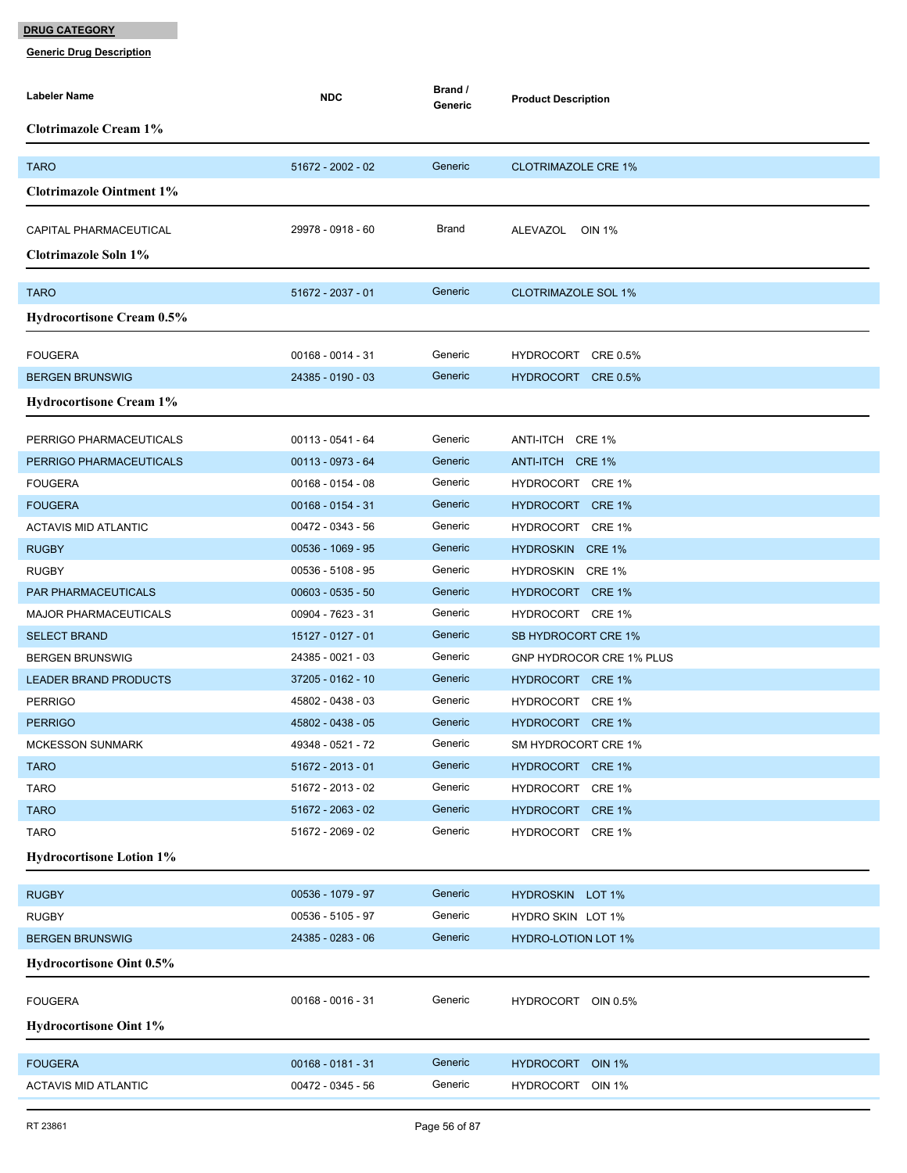| <b>Labeler Name</b>                            | <b>NDC</b>          | Brand /<br>Generic | <b>Product Description</b>           |
|------------------------------------------------|---------------------|--------------------|--------------------------------------|
| <b>Clotrimazole Cream 1%</b>                   |                     |                    |                                      |
| <b>TARO</b>                                    | 51672 - 2002 - 02   | Generic            | <b>CLOTRIMAZOLE CRE 1%</b>           |
| <b>Clotrimazole Ointment 1%</b>                |                     |                    |                                      |
|                                                |                     |                    |                                      |
| CAPITAL PHARMACEUTICAL                         | 29978 - 0918 - 60   | Brand              | ALEVAZOL OIN 1%                      |
| Clotrimazole Soln 1%                           |                     |                    |                                      |
| <b>TARO</b>                                    | 51672 - 2037 - 01   | Generic            | <b>CLOTRIMAZOLE SOL 1%</b>           |
| Hydrocortisone Cream 0.5%                      |                     |                    |                                      |
|                                                |                     |                    |                                      |
| <b>FOUGERA</b>                                 | $00168 - 0014 - 31$ | Generic            | HYDROCORT CRE 0.5%                   |
| <b>BERGEN BRUNSWIG</b>                         | 24385 - 0190 - 03   | Generic            | HYDROCORT CRE 0.5%                   |
| <b>Hydrocortisone Cream 1%</b>                 |                     |                    |                                      |
| PERRIGO PHARMACEUTICALS                        | 00113 - 0541 - 64   | Generic            | ANTI-ITCH CRE 1%                     |
| PERRIGO PHARMACEUTICALS                        | 00113 - 0973 - 64   | Generic            | ANTI-ITCH CRE 1%                     |
| <b>FOUGERA</b>                                 | $00168 - 0154 - 08$ | Generic            | HYDROCORT CRE 1%                     |
| <b>FOUGERA</b>                                 | $00168 - 0154 - 31$ | Generic            | HYDROCORT CRE 1%                     |
| <b>ACTAVIS MID ATLANTIC</b>                    | 00472 - 0343 - 56   | Generic            | HYDROCORT CRE 1%                     |
| <b>RUGBY</b>                                   | 00536 - 1069 - 95   | Generic            | HYDROSKIN CRE 1%                     |
| <b>RUGBY</b>                                   | 00536 - 5108 - 95   | Generic            | HYDROSKIN CRE 1%                     |
| PAR PHARMACEUTICALS                            | $00603 - 0535 - 50$ | Generic            | HYDROCORT CRE 1%                     |
| <b>MAJOR PHARMACEUTICALS</b>                   | 00904 - 7623 - 31   | Generic            | HYDROCORT CRE 1%                     |
| <b>SELECT BRAND</b>                            | 15127 - 0127 - 01   | Generic            | SB HYDROCORT CRE 1%                  |
| <b>BERGEN BRUNSWIG</b>                         | 24385 - 0021 - 03   | Generic            | GNP HYDROCOR CRE 1% PLUS             |
| <b>LEADER BRAND PRODUCTS</b>                   | 37205 - 0162 - 10   | Generic            | HYDROCORT CRE 1%                     |
| <b>PERRIGO</b>                                 | 45802 - 0438 - 03   | Generic            | HYDROCORT CRE 1%                     |
| <b>PERRIGO</b>                                 | 45802 - 0438 - 05   | Generic            | HYDROCORT CRE 1%                     |
| MCKESSON SUNMARK                               | 49348 - 0521 - 72   | Generic            | SM HYDROCORT CRE 1%                  |
| <b>TARO</b>                                    | 51672 - 2013 - 01   | Generic            | HYDROCORT CRE 1%                     |
| <b>TARO</b>                                    | 51672 - 2013 - 02   | Generic            | HYDROCORT CRE 1%                     |
| <b>TARO</b>                                    | 51672 - 2063 - 02   | Generic<br>Generic | HYDROCORT CRE 1%                     |
| <b>TARO</b><br><b>Hydrocortisone Lotion 1%</b> | 51672 - 2069 - 02   |                    | HYDROCORT CRE 1%                     |
|                                                |                     |                    |                                      |
| <b>RUGBY</b>                                   | 00536 - 1079 - 97   | Generic            | HYDROSKIN LOT 1%                     |
| <b>RUGBY</b>                                   | 00536 - 5105 - 97   | Generic            | HYDRO SKIN LOT 1%                    |
| <b>BERGEN BRUNSWIG</b>                         | 24385 - 0283 - 06   | Generic            | <b>HYDRO-LOTION LOT 1%</b>           |
| <b>Hydrocortisone Oint 0.5%</b>                |                     |                    |                                      |
| <b>FOUGERA</b>                                 | $00168 - 0016 - 31$ | Generic            | HYDROCORT OIN 0.5%                   |
| <b>Hydrocortisone Oint 1%</b>                  |                     |                    |                                      |
|                                                | $00168 - 0181 - 31$ | Generic            |                                      |
| <b>FOUGERA</b><br><b>ACTAVIS MID ATLANTIC</b>  | 00472 - 0345 - 56   | Generic            | HYDROCORT OIN 1%<br>HYDROCORT OIN 1% |
|                                                |                     |                    |                                      |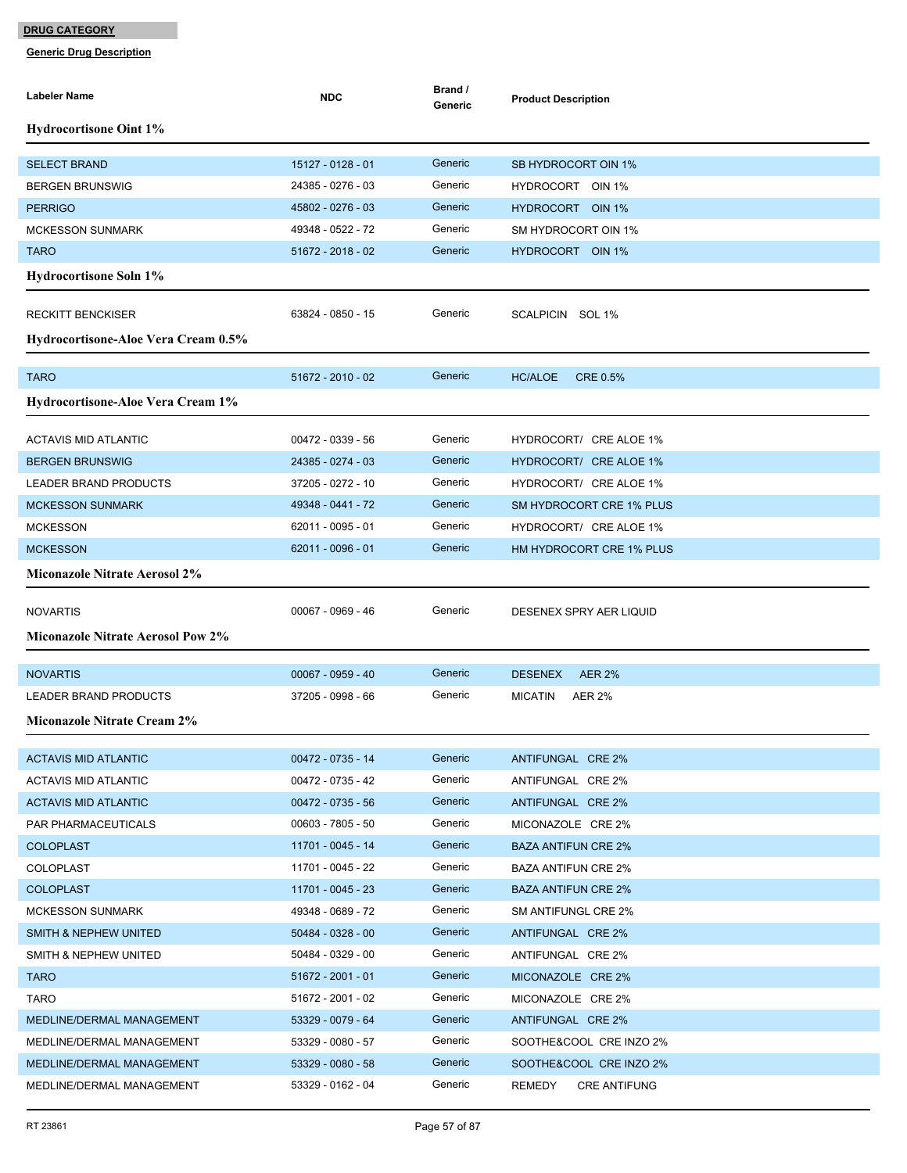| Labeler Name                             | <b>NDC</b>        | Brand /<br>Generic | <b>Product Description</b>      |
|------------------------------------------|-------------------|--------------------|---------------------------------|
| <b>Hydrocortisone Oint 1%</b>            |                   |                    |                                 |
| <b>SELECT BRAND</b>                      | 15127 - 0128 - 01 | Generic            | SB HYDROCORT OIN 1%             |
| <b>BERGEN BRUNSWIG</b>                   | 24385 - 0276 - 03 | Generic            | HYDROCORT OIN 1%                |
| <b>PERRIGO</b>                           | 45802 - 0276 - 03 | Generic            | HYDROCORT OIN 1%                |
| <b>MCKESSON SUNMARK</b>                  | 49348 - 0522 - 72 | Generic            | SM HYDROCORT OIN 1%             |
| <b>TARO</b>                              | 51672 - 2018 - 02 | Generic            | HYDROCORT OIN 1%                |
| <b>Hydrocortisone Soln 1%</b>            |                   |                    |                                 |
| <b>RECKITT BENCKISER</b>                 | 63824 - 0850 - 15 | Generic            | SCALPICIN SOL 1%                |
| Hydrocortisone-Aloe Vera Cream 0.5%      |                   |                    |                                 |
|                                          |                   |                    |                                 |
| <b>TARO</b>                              | 51672 - 2010 - 02 | Generic            | HC/ALOE<br><b>CRE 0.5%</b>      |
| Hydrocortisone-Aloe Vera Cream 1%        |                   |                    |                                 |
| <b>ACTAVIS MID ATLANTIC</b>              | 00472 - 0339 - 56 | Generic            | HYDROCORT/ CRE ALOE 1%          |
| <b>BERGEN BRUNSWIG</b>                   | 24385 - 0274 - 03 | Generic            | HYDROCORT/ CRE ALOE 1%          |
| LEADER BRAND PRODUCTS                    | 37205 - 0272 - 10 | Generic            | HYDROCORT/ CRE ALOE 1%          |
| <b>MCKESSON SUNMARK</b>                  | 49348 - 0441 - 72 | Generic            | SM HYDROCORT CRE 1% PLUS        |
| <b>MCKESSON</b>                          | 62011 - 0095 - 01 | Generic            | HYDROCORT/ CRE ALOE 1%          |
| <b>MCKESSON</b>                          | 62011 - 0096 - 01 | Generic            | HM HYDROCORT CRE 1% PLUS        |
| <b>Miconazole Nitrate Aerosol 2%</b>     |                   |                    |                                 |
| <b>NOVARTIS</b>                          | 00067 - 0969 - 46 | Generic            | DESENEX SPRY AER LIQUID         |
| <b>Miconazole Nitrate Aerosol Pow 2%</b> |                   |                    |                                 |
|                                          |                   |                    |                                 |
| <b>NOVARTIS</b>                          | 00067 - 0959 - 40 | Generic            | <b>DESENEX</b><br><b>AER 2%</b> |
| <b>LEADER BRAND PRODUCTS</b>             | 37205 - 0998 - 66 | Generic            | <b>MICATIN</b><br><b>AER 2%</b> |
| <b>Miconazole Nitrate Cream 2%</b>       |                   |                    |                                 |
| <b>ACTAVIS MID ATLANTIC</b>              | 00472 - 0735 - 14 | Generic            | ANTIFUNGAL CRE 2%               |
| ACTAVIS MID ATLANTIC                     | 00472 - 0735 - 42 | Generic            | ANTIFUNGAL CRE 2%               |
| <b>ACTAVIS MID ATLANTIC</b>              | 00472 - 0735 - 56 | Generic            | ANTIFUNGAL CRE 2%               |
| PAR PHARMACEUTICALS                      | 00603 - 7805 - 50 | Generic            | MICONAZOLE CRE 2%               |
| <b>COLOPLAST</b>                         | 11701 - 0045 - 14 | Generic            | <b>BAZA ANTIFUN CRE 2%</b>      |
| <b>COLOPLAST</b>                         | 11701 - 0045 - 22 | Generic            | <b>BAZA ANTIFUN CRE 2%</b>      |
| <b>COLOPLAST</b>                         | 11701 - 0045 - 23 | Generic            | BAZA ANTIFUN CRE 2%             |
| <b>MCKESSON SUNMARK</b>                  | 49348 - 0689 - 72 | Generic            | SM ANTIFUNGL CRE 2%             |
| SMITH & NEPHEW UNITED                    | 50484 - 0328 - 00 | Generic            | ANTIFUNGAL CRE 2%               |
| <b>SMITH &amp; NEPHEW UNITED</b>         | 50484 - 0329 - 00 | Generic            | ANTIFUNGAL CRE 2%               |
| <b>TARO</b>                              | 51672 - 2001 - 01 | Generic            | MICONAZOLE CRE 2%               |
| <b>TARO</b>                              | 51672 - 2001 - 02 | Generic            | MICONAZOLE CRE 2%               |
| MEDLINE/DERMAL MANAGEMENT                | 53329 - 0079 - 64 | Generic            | ANTIFUNGAL CRE 2%               |
| MEDLINE/DERMAL MANAGEMENT                | 53329 - 0080 - 57 | Generic            | SOOTHE&COOL CRE INZO 2%         |
| MEDLINE/DERMAL MANAGEMENT                | 53329 - 0080 - 58 | Generic            | SOOTHE&COOL CRE INZO 2%         |
| MEDLINE/DERMAL MANAGEMENT                | 53329 - 0162 - 04 | Generic            | REMEDY<br><b>CRE ANTIFUNG</b>   |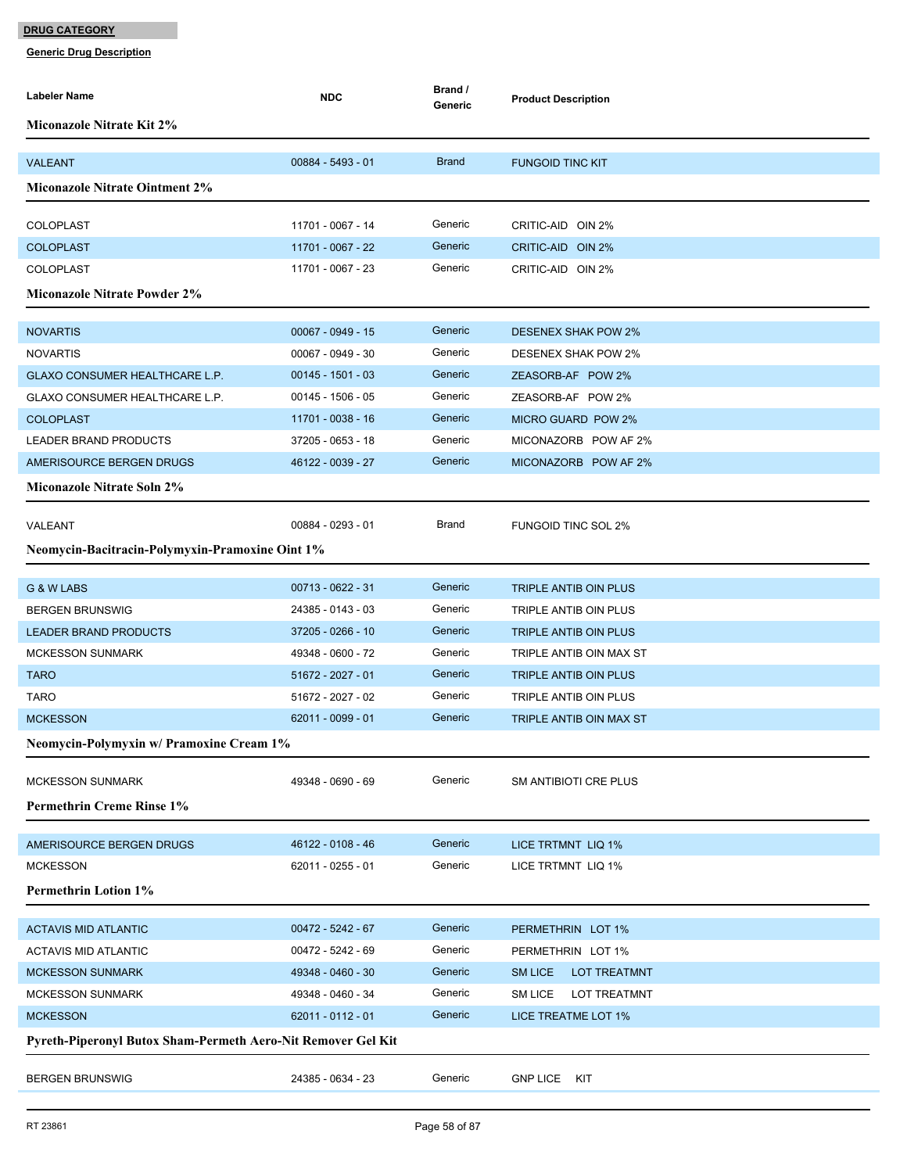| Labeler Name                                                 | <b>NDC</b>                             | Brand /<br>Generic | <b>Product Description</b>                       |  |  |
|--------------------------------------------------------------|----------------------------------------|--------------------|--------------------------------------------------|--|--|
| <b>Miconazole Nitrate Kit 2%</b>                             |                                        |                    |                                                  |  |  |
|                                                              |                                        |                    |                                                  |  |  |
| <b>VALEANT</b>                                               | $00884 - 5493 - 01$                    | <b>Brand</b>       | <b>FUNGOID TINC KIT</b>                          |  |  |
| <b>Miconazole Nitrate Ointment 2%</b>                        |                                        |                    |                                                  |  |  |
| <b>COLOPLAST</b>                                             | 11701 - 0067 - 14                      | Generic            | CRITIC-AID OIN 2%                                |  |  |
| <b>COLOPLAST</b>                                             | 11701 - 0067 - 22                      | Generic            | CRITIC-AID OIN 2%                                |  |  |
| COLOPLAST                                                    | 11701 - 0067 - 23                      | Generic            | CRITIC-AID OIN 2%                                |  |  |
| <b>Miconazole Nitrate Powder 2%</b>                          |                                        |                    |                                                  |  |  |
|                                                              |                                        |                    |                                                  |  |  |
| <b>NOVARTIS</b>                                              | $00067 - 0949 - 15$                    | Generic            | <b>DESENEX SHAK POW 2%</b>                       |  |  |
| <b>NOVARTIS</b>                                              | 00067 - 0949 - 30                      | Generic            | <b>DESENEX SHAK POW 2%</b>                       |  |  |
| GLAXO CONSUMER HEALTHCARE L.P.                               | $00145 - 1501 - 03$                    | Generic            | ZEASORB-AF POW 2%                                |  |  |
| GLAXO CONSUMER HEALTHCARE L.P.                               | $00145 - 1506 - 05$                    | Generic            | ZEASORB-AF POW 2%                                |  |  |
| <b>COLOPLAST</b>                                             | 11701 - 0038 - 16                      | Generic            | <b>MICRO GUARD POW 2%</b>                        |  |  |
| <b>LEADER BRAND PRODUCTS</b>                                 | 37205 - 0653 - 18                      | Generic            | MICONAZORB POW AF 2%                             |  |  |
| AMERISOURCE BERGEN DRUGS                                     | 46122 - 0039 - 27                      | Generic            | MICONAZORB POW AF 2%                             |  |  |
| <b>Miconazole Nitrate Soln 2%</b>                            |                                        |                    |                                                  |  |  |
| VALEANT                                                      | 00884 - 0293 - 01                      | Brand              | <b>FUNGOID TINC SOL 2%</b>                       |  |  |
| Neomycin-Bacitracin-Polymyxin-Pramoxine Oint 1%              |                                        |                    |                                                  |  |  |
|                                                              |                                        |                    |                                                  |  |  |
| G & W LABS                                                   | 00713 - 0622 - 31                      | Generic            | TRIPLE ANTIB OIN PLUS                            |  |  |
| <b>BERGEN BRUNSWIG</b>                                       | 24385 - 0143 - 03                      | Generic            | TRIPLE ANTIB OIN PLUS                            |  |  |
| <b>LEADER BRAND PRODUCTS</b>                                 | 37205 - 0266 - 10<br>49348 - 0600 - 72 | Generic<br>Generic | TRIPLE ANTIB OIN PLUS<br>TRIPLE ANTIB OIN MAX ST |  |  |
| <b>MCKESSON SUNMARK</b>                                      |                                        | Generic            |                                                  |  |  |
| <b>TARO</b><br><b>TARO</b>                                   | 51672 - 2027 - 01<br>51672 - 2027 - 02 | Generic            | TRIPLE ANTIB OIN PLUS                            |  |  |
| <b>MCKESSON</b>                                              | 62011 - 0099 - 01                      | Generic            | TRIPLE ANTIB OIN PLUS                            |  |  |
|                                                              |                                        |                    | TRIPLE ANTIB OIN MAX ST                          |  |  |
| Neomycin-Polymyxin w/ Pramoxine Cream 1%                     |                                        |                    |                                                  |  |  |
| <b>MCKESSON SUNMARK</b>                                      | 49348 - 0690 - 69                      | Generic            | SM ANTIBIOTI CRE PLUS                            |  |  |
| <b>Permethrin Creme Rinse 1%</b>                             |                                        |                    |                                                  |  |  |
|                                                              |                                        | Generic            |                                                  |  |  |
| AMERISOURCE BERGEN DRUGS<br><b>MCKESSON</b>                  | 46122 - 0108 - 46<br>62011 - 0255 - 01 | Generic            | LICE TRTMNT LIQ 1%<br>LICE TRTMNT LIQ 1%         |  |  |
| <b>Permethrin Lotion 1%</b>                                  |                                        |                    |                                                  |  |  |
|                                                              |                                        |                    |                                                  |  |  |
| <b>ACTAVIS MID ATLANTIC</b>                                  | $00472 - 5242 - 67$                    | Generic            | PERMETHRIN LOT 1%                                |  |  |
| <b>ACTAVIS MID ATLANTIC</b>                                  | 00472 - 5242 - 69                      | Generic            | PERMETHRIN LOT 1%                                |  |  |
| <b>MCKESSON SUNMARK</b>                                      | 49348 - 0460 - 30                      | Generic            | <b>SM LICE</b><br><b>LOT TREATMNT</b>            |  |  |
| <b>MCKESSON SUNMARK</b>                                      | 49348 - 0460 - 34                      | Generic            | SM LICE<br><b>LOT TREATMNT</b>                   |  |  |
| <b>MCKESSON</b>                                              | 62011 - 0112 - 01                      | Generic            | LICE TREATME LOT 1%                              |  |  |
| Pyreth-Piperonyl Butox Sham-Permeth Aero-Nit Remover Gel Kit |                                        |                    |                                                  |  |  |
| <b>BERGEN BRUNSWIG</b>                                       | 24385 - 0634 - 23                      | Generic            | <b>GNP LICE</b><br>KIT                           |  |  |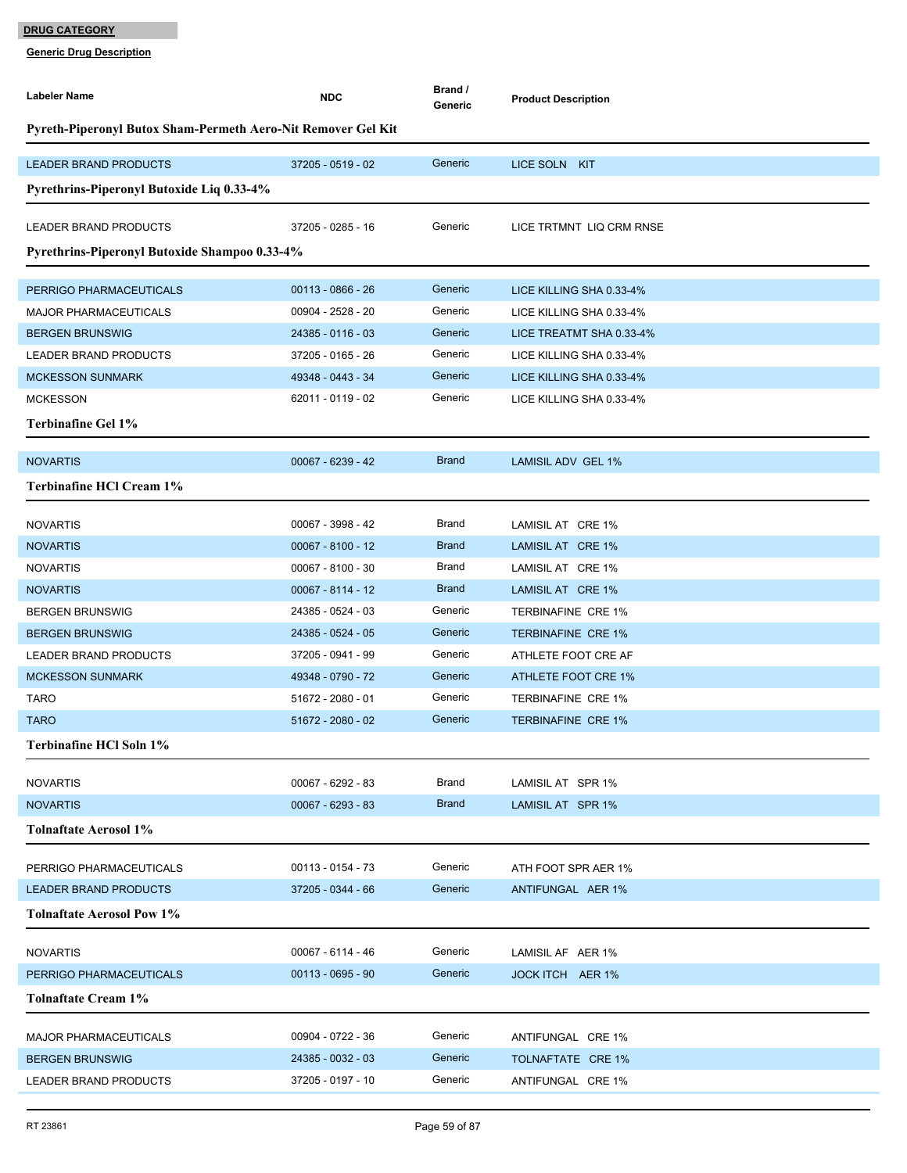| Labeler Name                                                 | <b>NDC</b>          | Brand /<br>Generic | <b>Product Description</b> |  |  |  |
|--------------------------------------------------------------|---------------------|--------------------|----------------------------|--|--|--|
| Pyreth-Piperonyl Butox Sham-Permeth Aero-Nit Remover Gel Kit |                     |                    |                            |  |  |  |
| <b>LEADER BRAND PRODUCTS</b>                                 | 37205 - 0519 - 02   | Generic            | LICE SOLN KIT              |  |  |  |
| Pyrethrins-Piperonyl Butoxide Liq 0.33-4%                    |                     |                    |                            |  |  |  |
| LEADER BRAND PRODUCTS                                        | 37205 - 0285 - 16   | Generic            | LICE TRTMNT LIQ CRM RNSE   |  |  |  |
| Pyrethrins-Piperonyl Butoxide Shampoo 0.33-4%                |                     |                    |                            |  |  |  |
| PERRIGO PHARMACEUTICALS                                      | 00113 - 0866 - 26   | Generic            | LICE KILLING SHA 0.33-4%   |  |  |  |
| <b>MAJOR PHARMACEUTICALS</b>                                 | 00904 - 2528 - 20   | Generic            | LICE KILLING SHA 0.33-4%   |  |  |  |
| <b>BERGEN BRUNSWIG</b>                                       | 24385 - 0116 - 03   | Generic            | LICE TREATMT SHA 0.33-4%   |  |  |  |
| LEADER BRAND PRODUCTS                                        | 37205 - 0165 - 26   | Generic            | LICE KILLING SHA 0.33-4%   |  |  |  |
| <b>MCKESSON SUNMARK</b>                                      | 49348 - 0443 - 34   | Generic            | LICE KILLING SHA 0.33-4%   |  |  |  |
| <b>MCKESSON</b>                                              | 62011 - 0119 - 02   | Generic            | LICE KILLING SHA 0.33-4%   |  |  |  |
| Terbinafine Gel 1%                                           |                     |                    |                            |  |  |  |
|                                                              |                     |                    |                            |  |  |  |
| <b>NOVARTIS</b>                                              | 00067 - 6239 - 42   | <b>Brand</b>       | <b>LAMISIL ADV GEL 1%</b>  |  |  |  |
| Terbinafine HCl Cream 1%                                     |                     |                    |                            |  |  |  |
| <b>NOVARTIS</b>                                              | 00067 - 3998 - 42   | Brand              | LAMISIL AT CRE 1%          |  |  |  |
| <b>NOVARTIS</b>                                              | $00067 - 8100 - 12$ | <b>Brand</b>       | LAMISIL AT CRE 1%          |  |  |  |
| <b>NOVARTIS</b>                                              | $00067 - 8100 - 30$ | Brand              | LAMISIL AT CRE 1%          |  |  |  |
| <b>NOVARTIS</b>                                              | 00067 - 8114 - 12   | <b>Brand</b>       | LAMISIL AT CRE 1%          |  |  |  |
| <b>BERGEN BRUNSWIG</b>                                       | 24385 - 0524 - 03   | Generic            | <b>TERBINAFINE CRE 1%</b>  |  |  |  |
| <b>BERGEN BRUNSWIG</b>                                       | 24385 - 0524 - 05   | Generic            | <b>TERBINAFINE CRE 1%</b>  |  |  |  |
| LEADER BRAND PRODUCTS                                        | 37205 - 0941 - 99   | Generic            | ATHLETE FOOT CRE AF        |  |  |  |
| <b>MCKESSON SUNMARK</b>                                      | 49348 - 0790 - 72   | Generic            | <b>ATHLETE FOOT CRE 1%</b> |  |  |  |
| <b>TARO</b>                                                  | 51672 - 2080 - 01   | Generic            | <b>TERBINAFINE CRE 1%</b>  |  |  |  |
| <b>TARO</b>                                                  | 51672 - 2080 - 02   | Generic            | <b>TERBINAFINE CRE 1%</b>  |  |  |  |
| <b>Terbinafine HCl Soln 1%</b>                               |                     |                    |                            |  |  |  |
| <b>NOVARTIS</b>                                              | 00067 - 6292 - 83   | Brand              | LAMISIL AT SPR 1%          |  |  |  |
| <b>NOVARTIS</b>                                              | 00067 - 6293 - 83   | <b>Brand</b>       | LAMISIL AT SPR 1%          |  |  |  |
| <b>Tolnaftate Aerosol 1%</b>                                 |                     |                    |                            |  |  |  |
|                                                              |                     |                    |                            |  |  |  |
| PERRIGO PHARMACEUTICALS                                      | 00113 - 0154 - 73   | Generic            | ATH FOOT SPR AER 1%        |  |  |  |
| <b>LEADER BRAND PRODUCTS</b>                                 | 37205 - 0344 - 66   | Generic            | ANTIFUNGAL AER 1%          |  |  |  |
| <b>Tolnaftate Aerosol Pow 1%</b>                             |                     |                    |                            |  |  |  |
| <b>NOVARTIS</b>                                              | 00067 - 6114 - 46   | Generic            | LAMISIL AF AER 1%          |  |  |  |
| PERRIGO PHARMACEUTICALS                                      | $00113 - 0695 - 90$ | Generic            | JOCK ITCH AER 1%           |  |  |  |
| Tolnaftate Cream 1%                                          |                     |                    |                            |  |  |  |
|                                                              |                     |                    |                            |  |  |  |
| <b>MAJOR PHARMACEUTICALS</b>                                 | 00904 - 0722 - 36   | Generic<br>Generic | ANTIFUNGAL CRE 1%          |  |  |  |
| <b>BERGEN BRUNSWIG</b>                                       | 24385 - 0032 - 03   | Generic            | TOLNAFTATE CRE 1%          |  |  |  |
| LEADER BRAND PRODUCTS                                        | 37205 - 0197 - 10   |                    | ANTIFUNGAL CRE 1%          |  |  |  |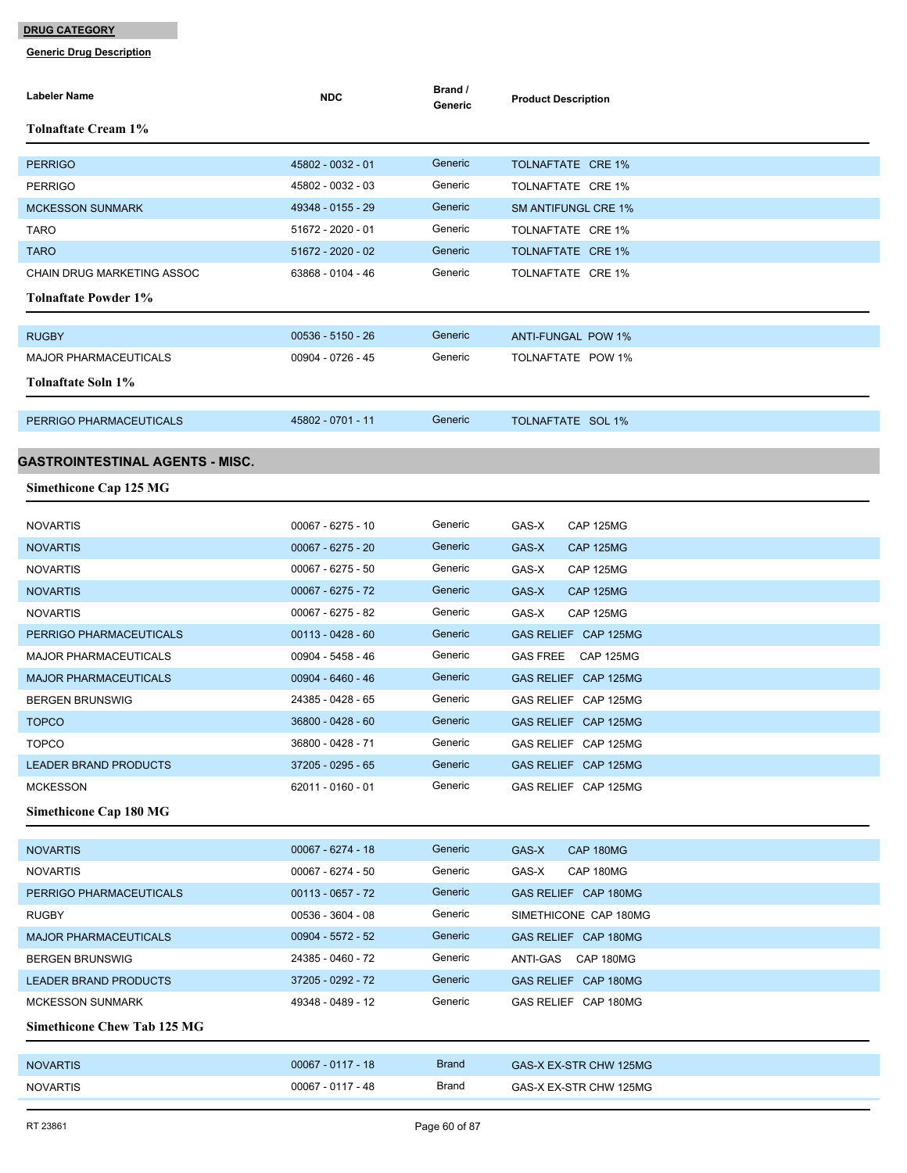| Labeler Name                           | <b>NDC</b>          | Brand /<br>Generic | <b>Product Description</b>   |
|----------------------------------------|---------------------|--------------------|------------------------------|
| Tolnaftate Cream 1%                    |                     |                    |                              |
| <b>PERRIGO</b>                         | 45802 - 0032 - 01   | Generic            | TOLNAFTATE CRE 1%            |
| <b>PERRIGO</b>                         | 45802 - 0032 - 03   | Generic            | TOLNAFTATE CRE 1%            |
| <b>MCKESSON SUNMARK</b>                | 49348 - 0155 - 29   | Generic            | <b>SM ANTIFUNGL CRE 1%</b>   |
| <b>TARO</b>                            | 51672 - 2020 - 01   | Generic            | TOLNAFTATE CRE 1%            |
| <b>TARO</b>                            | 51672 - 2020 - 02   | Generic            | <b>TOLNAFTATE CRE 1%</b>     |
| CHAIN DRUG MARKETING ASSOC             | 63868 - 0104 - 46   | Generic            | TOLNAFTATE CRE 1%            |
| <b>Tolnaftate Powder 1%</b>            |                     |                    |                              |
|                                        |                     |                    |                              |
| <b>RUGBY</b>                           | $00536 - 5150 - 26$ | Generic            | <b>ANTI-FUNGAL POW 1%</b>    |
| <b>MAJOR PHARMACEUTICALS</b>           | 00904 - 0726 - 45   | Generic            | TOLNAFTATE POW 1%            |
| Tolnaftate Soln 1%                     |                     |                    |                              |
| PERRIGO PHARMACEUTICALS                | 45802 - 0701 - 11   | Generic            | TOLNAFTATE SOL 1%            |
|                                        |                     |                    |                              |
| <b>GASTROINTESTINAL AGENTS - MISC.</b> |                     |                    |                              |
| <b>Simethicone Cap 125 MG</b>          |                     |                    |                              |
| <b>NOVARTIS</b>                        | 00067 - 6275 - 10   | Generic            | GAS-X<br>CAP 125MG           |
| <b>NOVARTIS</b>                        | 00067 - 6275 - 20   | Generic            | GAS-X<br><b>CAP 125MG</b>    |
| <b>NOVARTIS</b>                        | 00067 - 6275 - 50   | Generic            | GAS-X<br>CAP 125MG           |
| <b>NOVARTIS</b>                        | 00067 - 6275 - 72   | Generic            | GAS-X<br><b>CAP 125MG</b>    |
| <b>NOVARTIS</b>                        | 00067 - 6275 - 82   | Generic            | GAS-X<br>CAP 125MG           |
| PERRIGO PHARMACEUTICALS                | $00113 - 0428 - 60$ | Generic            | GAS RELIEF CAP 125MG         |
| <b>MAJOR PHARMACEUTICALS</b>           | 00904 - 5458 - 46   | Generic            | <b>GAS FREE</b><br>CAP 125MG |
| <b>MAJOR PHARMACEUTICALS</b>           | 00904 - 6460 - 46   | Generic            | GAS RELIEF CAP 125MG         |
| <b>BERGEN BRUNSWIG</b>                 | 24385 - 0428 - 65   | Generic            | GAS RELIEF CAP 125MG         |
| <b>TOPCO</b>                           | 36800 - 0428 - 60   | Generic            | GAS RELIEF CAP 125MG         |
| <b>TOPCO</b>                           | 36800 - 0428 - 71   | Generic            | GAS RELIEF CAP 125MG         |
| <b>LEADER BRAND PRODUCTS</b>           | 37205 - 0295 - 65   | Generic            | GAS RELIEF CAP 125MG         |
| <b>MCKESSON</b>                        | 62011 - 0160 - 01   | Generic            | GAS RELIEF CAP 125MG         |
| <b>Simethicone Cap 180 MG</b>          |                     |                    |                              |
| <b>NOVARTIS</b>                        | 00067 - 6274 - 18   | Generic            | GAS-X<br>CAP 180MG           |
| <b>NOVARTIS</b>                        | 00067 - 6274 - 50   | Generic            | GAS-X<br>CAP 180MG           |
| PERRIGO PHARMACEUTICALS                | 00113 - 0657 - 72   | Generic            | GAS RELIEF CAP 180MG         |
| <b>RUGBY</b>                           | 00536 - 3604 - 08   | Generic            | SIMETHICONE CAP 180MG        |
| <b>MAJOR PHARMACEUTICALS</b>           | 00904 - 5572 - 52   | Generic            | GAS RELIEF CAP 180MG         |
| <b>BERGEN BRUNSWIG</b>                 | 24385 - 0460 - 72   | Generic            | ANTI-GAS CAP 180MG           |
| <b>LEADER BRAND PRODUCTS</b>           | 37205 - 0292 - 72   | Generic            | GAS RELIEF CAP 180MG         |
| <b>MCKESSON SUNMARK</b>                | 49348 - 0489 - 12   | Generic            | GAS RELIEF CAP 180MG         |
| <b>Simethicone Chew Tab 125 MG</b>     |                     |                    |                              |
| <b>NOVARTIS</b>                        | $00067 - 0117 - 18$ | <b>Brand</b>       | GAS-X EX-STR CHW 125MG       |
| <b>NOVARTIS</b>                        | 00067 - 0117 - 48   | <b>Brand</b>       | GAS-X EX-STR CHW 125MG       |
|                                        |                     |                    |                              |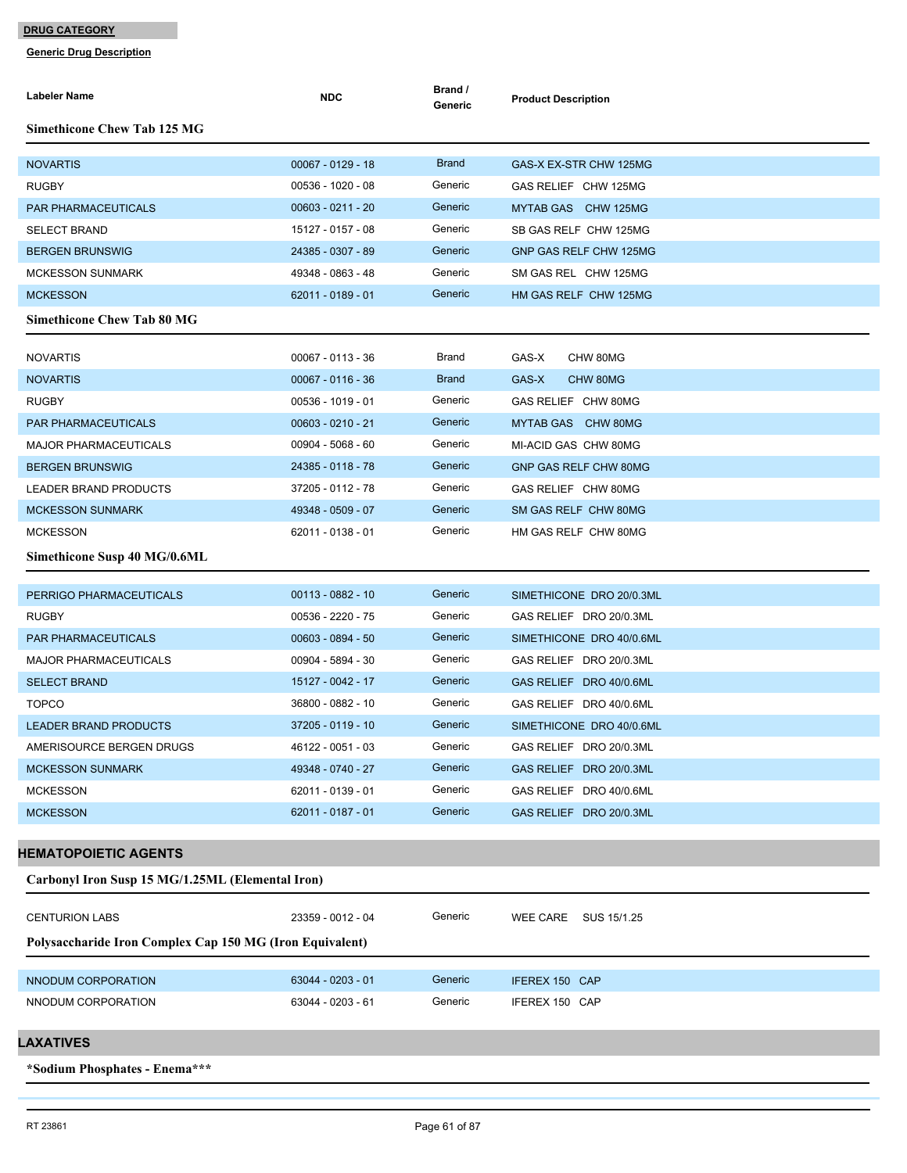| Labeler Name                                             | <b>NDC</b>          | Brand /<br>Generic | <b>Product Description</b> |
|----------------------------------------------------------|---------------------|--------------------|----------------------------|
| <b>Simethicone Chew Tab 125 MG</b>                       |                     |                    |                            |
| <b>NOVARTIS</b>                                          | $00067 - 0129 - 18$ | <b>Brand</b>       | GAS-X EX-STR CHW 125MG     |
| <b>RUGBY</b>                                             | $00536 - 1020 - 08$ | Generic            | GAS RELIEF CHW 125MG       |
| <b>PAR PHARMACEUTICALS</b>                               | $00603 - 0211 - 20$ | Generic            | MYTAB GAS CHW 125MG        |
| <b>SELECT BRAND</b>                                      | 15127 - 0157 - 08   | Generic            | SB GAS RELF CHW 125MG      |
| <b>BERGEN BRUNSWIG</b>                                   | 24385 - 0307 - 89   | Generic            | GNP GAS RELF CHW 125MG     |
| <b>MCKESSON SUNMARK</b>                                  | 49348 - 0863 - 48   | Generic            | SM GAS REL CHW 125MG       |
| <b>MCKESSON</b>                                          | 62011 - 0189 - 01   | Generic            | HM GAS RELF CHW 125MG      |
| <b>Simethicone Chew Tab 80 MG</b>                        |                     |                    |                            |
| <b>NOVARTIS</b>                                          | 00067 - 0113 - 36   | Brand              | GAS-X<br>CHW 80MG          |
| <b>NOVARTIS</b>                                          | $00067 - 0116 - 36$ | <b>Brand</b>       | GAS-X<br>CHW 80MG          |
| <b>RUGBY</b>                                             | 00536 - 1019 - 01   | Generic            | GAS RELIEF CHW 80MG        |
| <b>PAR PHARMACEUTICALS</b>                               | $00603 - 0210 - 21$ | Generic            | MYTAB GAS CHW 80MG         |
| <b>MAJOR PHARMACEUTICALS</b>                             | 00904 - 5068 - 60   | Generic            | MI-ACID GAS CHW 80MG       |
| <b>BERGEN BRUNSWIG</b>                                   | 24385 - 0118 - 78   | Generic            | GNP GAS RELF CHW 80MG      |
| LEADER BRAND PRODUCTS                                    | 37205 - 0112 - 78   | Generic            | GAS RELIEF CHW 80MG        |
| <b>MCKESSON SUNMARK</b>                                  | 49348 - 0509 - 07   | Generic            | SM GAS RELF CHW 80MG       |
| <b>MCKESSON</b>                                          | 62011 - 0138 - 01   | Generic            | HM GAS RELF CHW 80MG       |
| Simethicone Susp 40 MG/0.6ML                             |                     |                    |                            |
| PERRIGO PHARMACEUTICALS                                  | 00113 - 0882 - 10   | Generic            | SIMETHICONE DRO 20/0.3ML   |
| <b>RUGBY</b>                                             | 00536 - 2220 - 75   | Generic            | GAS RELIEF DRO 20/0.3ML    |
| <b>PAR PHARMACEUTICALS</b>                               | $00603 - 0894 - 50$ | Generic            | SIMETHICONE DRO 40/0.6ML   |
| <b>MAJOR PHARMACEUTICALS</b>                             | 00904 - 5894 - 30   | Generic            | GAS RELIEF DRO 20/0.3ML    |
| <b>SELECT BRAND</b>                                      | 15127 - 0042 - 17   | Generic            | GAS RELIEF DRO 40/0.6ML    |
| <b>TOPCO</b>                                             | 36800 - 0882 - 10   | Generic            | GAS RELIEF DRO 40/0.6ML    |
| <b>LEADER BRAND PRODUCTS</b>                             | 37205 - 0119 - 10   | Generic            | SIMETHICONE DRO 40/0.6ML   |
| AMERISOURCE BERGEN DRUGS                                 | 46122 - 0051 - 03   | Generic            | GAS RELIEF DRO 20/0.3ML    |
| <b>MCKESSON SUNMARK</b>                                  | 49348 - 0740 - 27   | Generic            | GAS RELIEF DRO 20/0.3ML    |
| <b>MCKESSON</b>                                          | 62011 - 0139 - 01   | Generic            | GAS RELIEF DRO 40/0.6ML    |
| <b>MCKESSON</b>                                          | 62011 - 0187 - 01   | Generic            | GAS RELIEF DRO 20/0.3ML    |
|                                                          |                     |                    |                            |
| <b>HEMATOPOIETIC AGENTS</b>                              |                     |                    |                            |
| Carbonyl Iron Susp 15 MG/1.25ML (Elemental Iron)         |                     |                    |                            |
| <b>CENTURION LABS</b>                                    | 23359 - 0012 - 04   | Generic            | WEE CARE SUS 15/1.25       |
| Polysaccharide Iron Complex Cap 150 MG (Iron Equivalent) |                     |                    |                            |
| NNODUM CORPORATION                                       | 63044 - 0203 - 01   | Generic            | IFEREX 150 CAP             |
| NNODUM CORPORATION                                       | 63044 - 0203 - 61   | Generic            | IFEREX 150 CAP             |
| LAXATIVES                                                |                     |                    |                            |
|                                                          |                     |                    |                            |
| *Sodium Phosphates - Enema***                            |                     |                    |                            |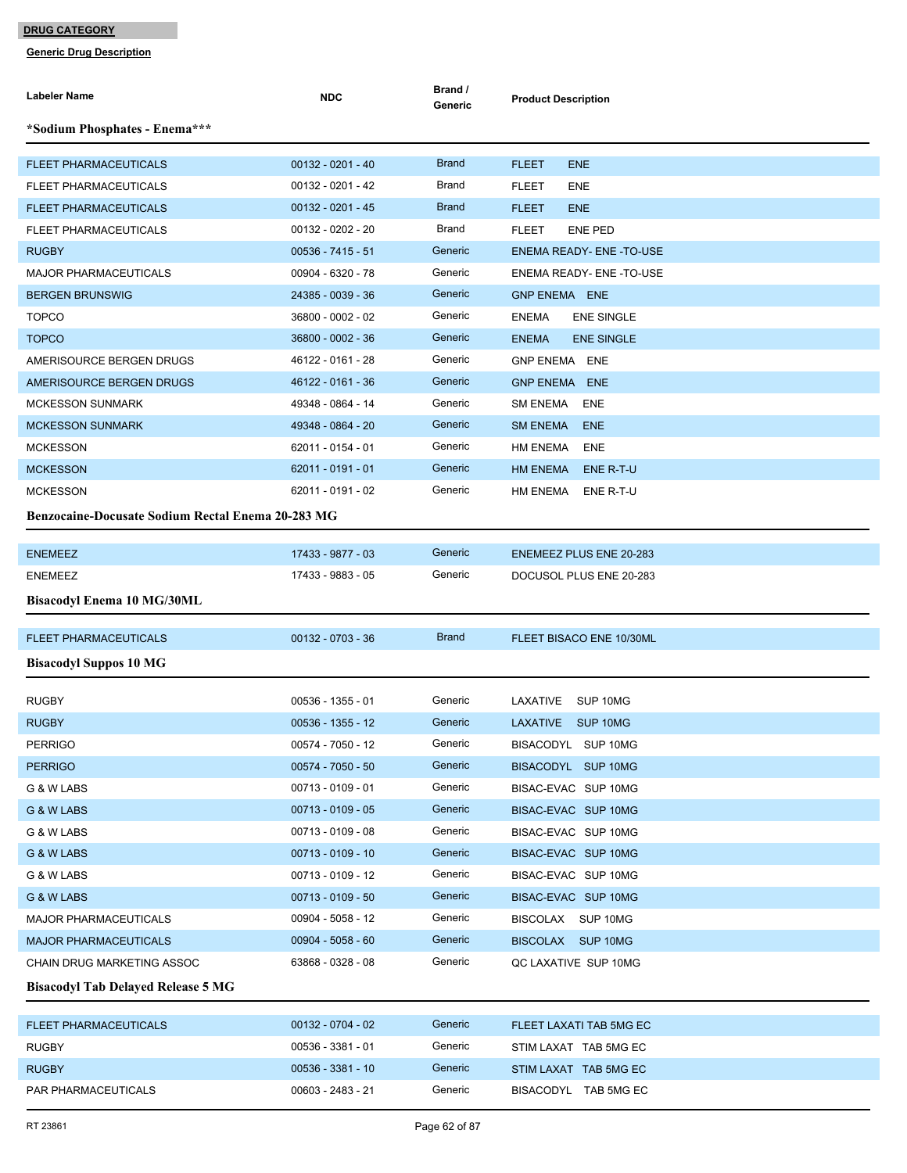| Labeler Name                                             | <b>NDC</b>          | Brand /<br>Generic | <b>Product Description</b>        |
|----------------------------------------------------------|---------------------|--------------------|-----------------------------------|
| *Sodium Phosphates - Enema***                            |                     |                    |                                   |
| FLEET PHARMACEUTICALS                                    | $00132 - 0201 - 40$ | <b>Brand</b>       | <b>FLEET</b><br><b>ENE</b>        |
| FLEET PHARMACEUTICALS                                    | 00132 - 0201 - 42   | <b>Brand</b>       | <b>FLEET</b><br>ENE               |
| <b>FLEET PHARMACEUTICALS</b>                             | $00132 - 0201 - 45$ | <b>Brand</b>       | <b>FLEET</b><br><b>ENE</b>        |
| <b>FLEET PHARMACEUTICALS</b>                             | 00132 - 0202 - 20   | Brand              | <b>FLEET</b><br><b>ENE PED</b>    |
| <b>RUGBY</b>                                             | 00536 - 7415 - 51   | Generic            | <b>ENEMA READY- ENE-TO-USE</b>    |
| <b>MAJOR PHARMACEUTICALS</b>                             | 00904 - 6320 - 78   | Generic            | <b>ENEMA READY- ENE -TO-USE</b>   |
| <b>BERGEN BRUNSWIG</b>                                   | 24385 - 0039 - 36   | Generic            | <b>GNP ENEMA ENE</b>              |
| <b>TOPCO</b>                                             | 36800 - 0002 - 02   | Generic            | <b>ENEMA</b><br><b>ENE SINGLE</b> |
| <b>TOPCO</b>                                             | 36800 - 0002 - 36   | Generic            | <b>ENE SINGLE</b><br><b>ENEMA</b> |
| AMERISOURCE BERGEN DRUGS                                 | 46122 - 0161 - 28   | Generic            | <b>GNP ENEMA ENE</b>              |
| AMERISOURCE BERGEN DRUGS                                 | 46122 - 0161 - 36   | Generic            | <b>GNP ENEMA ENE</b>              |
| <b>MCKESSON SUNMARK</b>                                  | 49348 - 0864 - 14   | Generic            | <b>SM ENEMA</b><br>ENE            |
| <b>MCKESSON SUNMARK</b>                                  | 49348 - 0864 - 20   | Generic            | <b>SM ENEMA</b><br><b>ENE</b>     |
| <b>MCKESSON</b>                                          | 62011 - 0154 - 01   | Generic            | HM ENEMA<br>ENE                   |
| <b>MCKESSON</b>                                          | 62011 - 0191 - 01   | Generic            | HM ENEMA<br>ENE R-T-U             |
| <b>MCKESSON</b>                                          | 62011 - 0191 - 02   | Generic            | HM ENEMA ENE R-T-U                |
| <b>Benzocaine-Docusate Sodium Rectal Enema 20-283 MG</b> |                     |                    |                                   |
|                                                          |                     |                    |                                   |
| <b>ENEMEEZ</b>                                           | 17433 - 9877 - 03   | Generic            | <b>ENEMEEZ PLUS ENE 20-283</b>    |
| <b>ENEMEEZ</b>                                           | 17433 - 9883 - 05   | Generic            | DOCUSOL PLUS ENE 20-283           |
| <b>Bisacodyl Enema 10 MG/30ML</b>                        |                     |                    |                                   |
| <b>FLEET PHARMACEUTICALS</b>                             | 00132 - 0703 - 36   | <b>Brand</b>       | FLEET BISACO ENE 10/30ML          |
| <b>Bisacodyl Suppos 10 MG</b>                            |                     |                    |                                   |
| <b>RUGBY</b>                                             | 00536 - 1355 - 01   | Generic            | LAXATIVE<br>SUP 10MG              |
| <b>RUGBY</b>                                             | 00536 - 1355 - 12   | Generic            | LAXATIVE SUP 10MG                 |
| <b>PERRIGO</b>                                           | 00574 - 7050 - 12   | Generic            | BISACODYL SUP 10MG                |
| <b>PERRIGO</b>                                           | $00574 - 7050 - 50$ | Generic            | BISACODYL SUP 10MG                |
| G & W LABS                                               | 00713 - 0109 - 01   | Generic            | BISAC-EVAC SUP 10MG               |
| G & W LABS                                               | 00713 - 0109 - 05   | Generic            | BISAC-EVAC SUP 10MG               |
| G & W LABS                                               | 00713 - 0109 - 08   | Generic            | BISAC-EVAC SUP 10MG               |
| G & W LABS                                               | 00713 - 0109 - 10   | Generic            | BISAC-EVAC SUP 10MG               |
| G & W LABS                                               | 00713 - 0109 - 12   | Generic            | BISAC-EVAC SUP 10MG               |
| G & W LABS                                               | 00713 - 0109 - 50   | Generic            | BISAC-EVAC SUP 10MG               |
| <b>MAJOR PHARMACEUTICALS</b>                             | 00904 - 5058 - 12   | Generic            | BISCOLAX SUP 10MG                 |
| <b>MAJOR PHARMACEUTICALS</b>                             | $00904 - 5058 - 60$ | Generic            | BISCOLAX SUP 10MG                 |
| CHAIN DRUG MARKETING ASSOC                               | 63868 - 0328 - 08   | Generic            | QC LAXATIVE SUP 10MG              |
| <b>Bisacodyl Tab Delayed Release 5 MG</b>                |                     |                    |                                   |
|                                                          |                     |                    |                                   |
| <b>FLEET PHARMACEUTICALS</b>                             | $00132 - 0704 - 02$ | Generic            | FLEET LAXATI TAB 5MG EC           |
| <b>RUGBY</b>                                             | 00536 - 3381 - 01   | Generic            | STIM LAXAT TAB 5MG EC             |
| <b>RUGBY</b>                                             | 00536 - 3381 - 10   | Generic            | STIM LAXAT TAB 5MG EC             |
| PAR PHARMACEUTICALS                                      | 00603 - 2483 - 21   | Generic            | BISACODYL TAB 5MG EC              |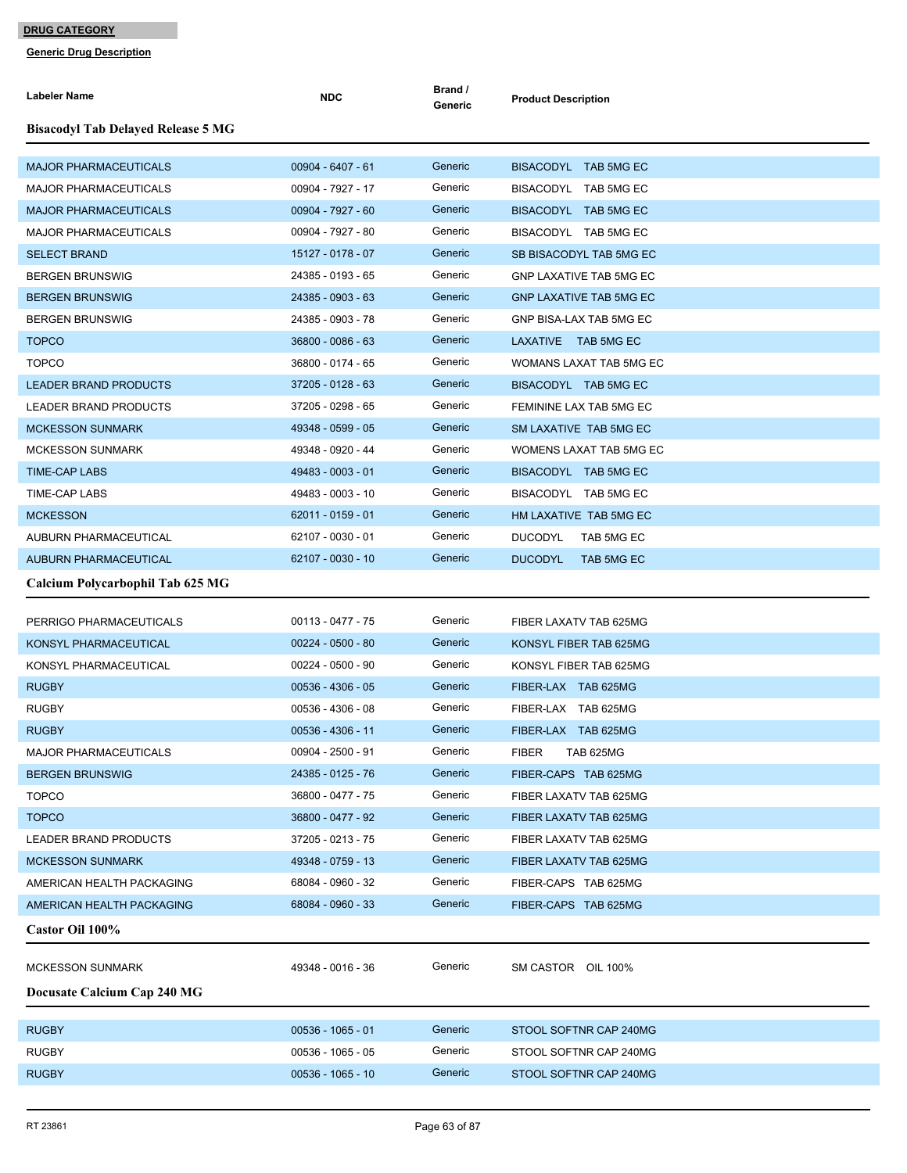| <b>Labeler Name</b>                       | <b>NDC</b>          | Brand /<br>Generic | <b>Product Description</b>     |
|-------------------------------------------|---------------------|--------------------|--------------------------------|
| <b>Bisacodyl Tab Delayed Release 5 MG</b> |                     |                    |                                |
| <b>MAJOR PHARMACEUTICALS</b>              | $00904 - 6407 - 61$ | Generic            | BISACODYL TAB 5MG EC           |
| <b>MAJOR PHARMACEUTICALS</b>              | 00904 - 7927 - 17   | Generic            | BISACODYL TAB 5MG EC           |
| <b>MAJOR PHARMACEUTICALS</b>              | 00904 - 7927 - 60   | Generic            | BISACODYL TAB 5MG EC           |
| <b>MAJOR PHARMACEUTICALS</b>              | 00904 - 7927 - 80   | Generic            | BISACODYL TAB 5MG EC           |
| <b>SELECT BRAND</b>                       | 15127 - 0178 - 07   | Generic            | SB BISACODYL TAB 5MG EC        |
| <b>BERGEN BRUNSWIG</b>                    | 24385 - 0193 - 65   | Generic            | <b>GNP LAXATIVE TAB 5MG EC</b> |
| <b>BERGEN BRUNSWIG</b>                    | 24385 - 0903 - 63   | Generic            | <b>GNP LAXATIVE TAB 5MG EC</b> |
| <b>BERGEN BRUNSWIG</b>                    | 24385 - 0903 - 78   | Generic            | GNP BISA-LAX TAB 5MG EC        |
| <b>TOPCO</b>                              | 36800 - 0086 - 63   | Generic            | LAXATIVE TAB 5MG EC            |
| <b>TOPCO</b>                              | 36800 - 0174 - 65   | Generic            | WOMANS LAXAT TAB 5MG EC        |
| <b>LEADER BRAND PRODUCTS</b>              | 37205 - 0128 - 63   | Generic            | BISACODYL TAB 5MG EC           |
| <b>LEADER BRAND PRODUCTS</b>              | 37205 - 0298 - 65   | Generic            | FEMININE LAX TAB 5MG EC        |
| <b>MCKESSON SUNMARK</b>                   | 49348 - 0599 - 05   | Generic            | SM LAXATIVE TAB 5MG EC         |
| <b>MCKESSON SUNMARK</b>                   | 49348 - 0920 - 44   | Generic            | WOMENS LAXAT TAB 5MG EC        |
| <b>TIME-CAP LABS</b>                      | 49483 - 0003 - 01   | Generic            | BISACODYL TAB 5MG EC           |
| <b>TIME-CAP LABS</b>                      | 49483 - 0003 - 10   | Generic            | BISACODYL TAB 5MG EC           |
| <b>MCKESSON</b>                           | $62011 - 0159 - 01$ | Generic            | HM LAXATIVE TAB 5MG EC         |
| AUBURN PHARMACEUTICAL                     | 62107 - 0030 - 01   | Generic            | <b>DUCODYL</b><br>TAB 5MG EC   |
| <b>AUBURN PHARMACEUTICAL</b>              | 62107 - 0030 - 10   | Generic            | <b>DUCODYL</b><br>TAB 5MG EC   |
| Calcium Polycarbophil Tab 625 MG          |                     |                    |                                |
| PERRIGO PHARMACEUTICALS                   | 00113 - 0477 - 75   | Generic            | FIBER LAXATV TAB 625MG         |
| KONSYL PHARMACEUTICAL                     | $00224 - 0500 - 80$ | Generic            | KONSYL FIBER TAB 625MG         |
| KONSYL PHARMACEUTICAL                     | 00224 - 0500 - 90   | Generic            | KONSYL FIBER TAB 625MG         |
| <b>RUGBY</b>                              | $00536 - 4306 - 05$ | Generic            | FIBER-LAX TAB 625MG            |
| <b>RUGBY</b>                              | 00536 - 4306 - 08   | Generic            | FIBER-LAX TAB 625MG            |
| <b>RUGBY</b>                              | 00536 - 4306 - 11   | Generic            | FIBER-LAX TAB 625MG            |
| <b>MAJOR PHARMACEUTICALS</b>              | 00904 - 2500 - 91   | Generic            | <b>FIBER</b><br>TAB 625MG      |
| <b>BERGEN BRUNSWIG</b>                    | 24385 - 0125 - 76   | Generic            | FIBER-CAPS TAB 625MG           |
| <b>TOPCO</b>                              | 36800 - 0477 - 75   | Generic            | FIBER LAXATV TAB 625MG         |
| <b>TOPCO</b>                              | 36800 - 0477 - 92   | Generic            | FIBER LAXATV TAB 625MG         |
| <b>LEADER BRAND PRODUCTS</b>              | 37205 - 0213 - 75   | Generic            | FIBER LAXATV TAB 625MG         |
| <b>MCKESSON SUNMARK</b>                   | 49348 - 0759 - 13   | Generic            | FIBER LAXATV TAB 625MG         |
| AMERICAN HEALTH PACKAGING                 | 68084 - 0960 - 32   | Generic            | FIBER-CAPS TAB 625MG           |
| AMERICAN HEALTH PACKAGING                 | 68084 - 0960 - 33   | Generic            | FIBER-CAPS TAB 625MG           |
| Castor Oil 100%                           |                     |                    |                                |
|                                           |                     |                    |                                |
| <b>MCKESSON SUNMARK</b>                   | 49348 - 0016 - 36   | Generic            | SM CASTOR OIL 100%             |
| Docusate Calcium Cap 240 MG               |                     |                    |                                |
| <b>RUGBY</b>                              | $00536 - 1065 - 01$ | Generic            | STOOL SOFTNR CAP 240MG         |
| <b>RUGBY</b>                              | 00536 - 1065 - 05   | Generic            | STOOL SOFTNR CAP 240MG         |
| <b>RUGBY</b>                              | $00536 - 1065 - 10$ | Generic            | STOOL SOFTNR CAP 240MG         |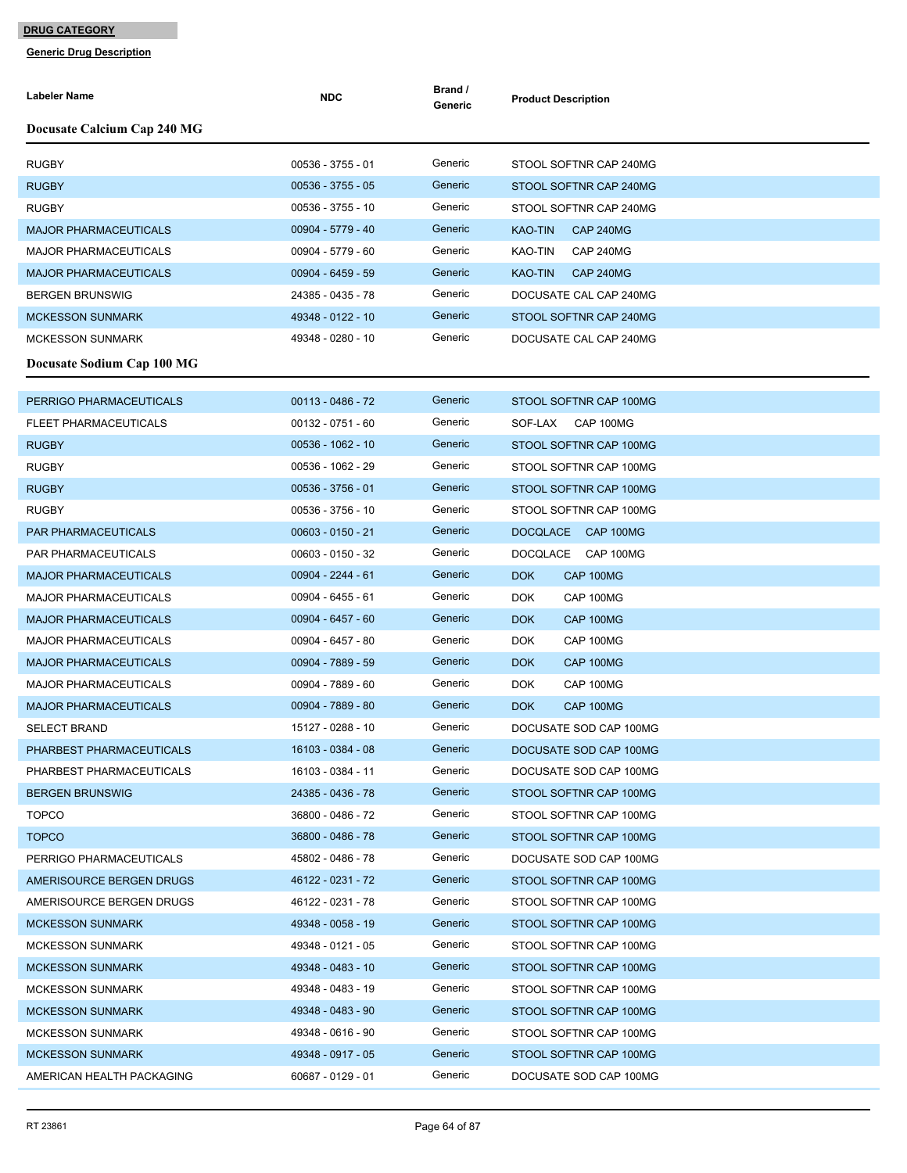| Labeler Name                 | <b>NDC</b>          | Brand /<br>Generic | <b>Product Description</b>         |
|------------------------------|---------------------|--------------------|------------------------------------|
| Docusate Calcium Cap 240 MG  |                     |                    |                                    |
| <b>RUGBY</b>                 | 00536 - 3755 - 01   | Generic            | STOOL SOFTNR CAP 240MG             |
| <b>RUGBY</b>                 | $00536 - 3755 - 05$ | Generic            | STOOL SOFTNR CAP 240MG             |
| <b>RUGBY</b>                 | 00536 - 3755 - 10   | Generic            | STOOL SOFTNR CAP 240MG             |
| <b>MAJOR PHARMACEUTICALS</b> | 00904 - 5779 - 40   | Generic            | <b>KAO-TIN</b><br><b>CAP 240MG</b> |
| <b>MAJOR PHARMACEUTICALS</b> | 00904 - 5779 - 60   | Generic            | KAO-TIN<br>CAP 240MG               |
| <b>MAJOR PHARMACEUTICALS</b> | 00904 - 6459 - 59   | Generic            | <b>KAO-TIN</b><br><b>CAP 240MG</b> |
| <b>BERGEN BRUNSWIG</b>       | 24385 - 0435 - 78   | Generic            | DOCUSATE CAL CAP 240MG             |
| <b>MCKESSON SUNMARK</b>      | 49348 - 0122 - 10   | Generic            | STOOL SOFTNR CAP 240MG             |
| <b>MCKESSON SUNMARK</b>      | 49348 - 0280 - 10   | Generic            | DOCUSATE CAL CAP 240MG             |
| Docusate Sodium Cap 100 MG   |                     |                    |                                    |
| PERRIGO PHARMACEUTICALS      | $00113 - 0486 - 72$ | Generic            | STOOL SOFTNR CAP 100MG             |
| <b>FLEET PHARMACEUTICALS</b> | $00132 - 0751 - 60$ | Generic            | SOF-LAX CAP 100MG                  |
| <b>RUGBY</b>                 | 00536 - 1062 - 10   | Generic            | STOOL SOFTNR CAP 100MG             |
| <b>RUGBY</b>                 | 00536 - 1062 - 29   | Generic            | STOOL SOFTNR CAP 100MG             |
| <b>RUGBY</b>                 | $00536 - 3756 - 01$ | Generic            | STOOL SOFTNR CAP 100MG             |
| <b>RUGBY</b>                 | 00536 - 3756 - 10   | Generic            | STOOL SOFTNR CAP 100MG             |
| <b>PAR PHARMACEUTICALS</b>   | $00603 - 0150 - 21$ | Generic            | DOCQLACE CAP 100MG                 |
| PAR PHARMACEUTICALS          | 00603 - 0150 - 32   | Generic            | DOCQLACE<br>CAP 100MG              |
| <b>MAJOR PHARMACEUTICALS</b> | 00904 - 2244 - 61   | Generic            | <b>DOK</b><br>CAP 100MG            |
| <b>MAJOR PHARMACEUTICALS</b> | 00904 - 6455 - 61   | Generic            | <b>DOK</b><br>CAP 100MG            |
| <b>MAJOR PHARMACEUTICALS</b> | 00904 - 6457 - 60   | Generic            | <b>DOK</b><br>CAP 100MG            |
| <b>MAJOR PHARMACEUTICALS</b> | 00904 - 6457 - 80   | Generic            | <b>DOK</b><br>CAP 100MG            |
| <b>MAJOR PHARMACEUTICALS</b> | 00904 - 7889 - 59   | Generic            | <b>DOK</b><br>CAP 100MG            |
| <b>MAJOR PHARMACEUTICALS</b> | 00904 - 7889 - 60   | Generic            | <b>DOK</b><br>CAP 100MG            |
| <b>MAJOR PHARMACEUTICALS</b> | 00904 - 7889 - 80   | Generic            | <b>DOK</b><br>CAP 100MG            |
| <b>SELECT BRAND</b>          | 15127 - 0288 - 10   | Generic            | DOCUSATE SOD CAP 100MG             |
| PHARBEST PHARMACEUTICALS     | 16103 - 0384 - 08   | Generic            | DOCUSATE SOD CAP 100MG             |
| PHARBEST PHARMACEUTICALS     | 16103 - 0384 - 11   | Generic            | DOCUSATE SOD CAP 100MG             |
| <b>BERGEN BRUNSWIG</b>       | 24385 - 0436 - 78   | Generic            | STOOL SOFTNR CAP 100MG             |
| <b>TOPCO</b>                 | 36800 - 0486 - 72   | Generic            | STOOL SOFTNR CAP 100MG             |
| <b>TOPCO</b>                 | 36800 - 0486 - 78   | Generic            | STOOL SOFTNR CAP 100MG             |
| PERRIGO PHARMACEUTICALS      | 45802 - 0486 - 78   | Generic            | DOCUSATE SOD CAP 100MG             |
| AMERISOURCE BERGEN DRUGS     | 46122 - 0231 - 72   | Generic            | STOOL SOFTNR CAP 100MG             |
| AMERISOURCE BERGEN DRUGS     | 46122 - 0231 - 78   | Generic            | STOOL SOFTNR CAP 100MG             |
| <b>MCKESSON SUNMARK</b>      | 49348 - 0058 - 19   | Generic            | STOOL SOFTNR CAP 100MG             |
| <b>MCKESSON SUNMARK</b>      | 49348 - 0121 - 05   | Generic            | STOOL SOFTNR CAP 100MG             |
| <b>MCKESSON SUNMARK</b>      | 49348 - 0483 - 10   | Generic            | STOOL SOFTNR CAP 100MG             |
| <b>MCKESSON SUNMARK</b>      | 49348 - 0483 - 19   | Generic            | STOOL SOFTNR CAP 100MG             |
| <b>MCKESSON SUNMARK</b>      | 49348 - 0483 - 90   | Generic            | STOOL SOFTNR CAP 100MG             |
| <b>MCKESSON SUNMARK</b>      | 49348 - 0616 - 90   | Generic            | STOOL SOFTNR CAP 100MG             |
| <b>MCKESSON SUNMARK</b>      | 49348 - 0917 - 05   | Generic            | STOOL SOFTNR CAP 100MG             |
| AMERICAN HEALTH PACKAGING    | 60687 - 0129 - 01   | Generic            | DOCUSATE SOD CAP 100MG             |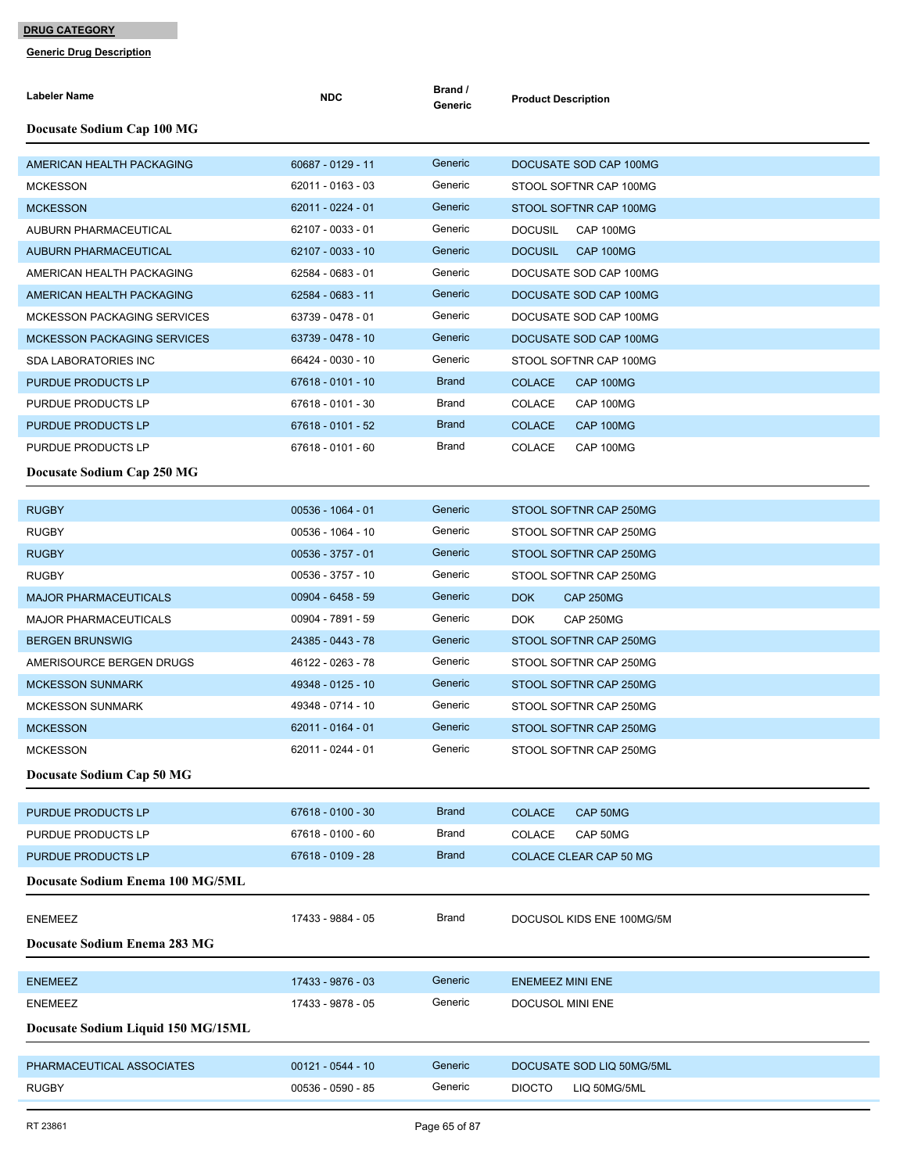| Labeler Name                       | <b>NDC</b>          | Brand /<br>Generic | <b>Product Description</b>         |
|------------------------------------|---------------------|--------------------|------------------------------------|
| Docusate Sodium Cap 100 MG         |                     |                    |                                    |
| AMERICAN HEALTH PACKAGING          | 60687 - 0129 - 11   | Generic            | DOCUSATE SOD CAP 100MG             |
| <b>MCKESSON</b>                    | 62011 - 0163 - 03   | Generic            | STOOL SOFTNR CAP 100MG             |
| <b>MCKESSON</b>                    | 62011 - 0224 - 01   | Generic            | STOOL SOFTNR CAP 100MG             |
| AUBURN PHARMACEUTICAL              | 62107 - 0033 - 01   | Generic            | <b>CAP 100MG</b><br><b>DOCUSIL</b> |
| <b>AUBURN PHARMACEUTICAL</b>       | 62107 - 0033 - 10   | Generic            | <b>DOCUSIL</b><br>CAP 100MG        |
| AMERICAN HEALTH PACKAGING          | 62584 - 0683 - 01   | Generic            | DOCUSATE SOD CAP 100MG             |
| AMERICAN HEALTH PACKAGING          | 62584 - 0683 - 11   | Generic            | DOCUSATE SOD CAP 100MG             |
| <b>MCKESSON PACKAGING SERVICES</b> | 63739 - 0478 - 01   | Generic            | DOCUSATE SOD CAP 100MG             |
| <b>MCKESSON PACKAGING SERVICES</b> | 63739 - 0478 - 10   | Generic            | DOCUSATE SOD CAP 100MG             |
| <b>SDA LABORATORIES INC</b>        | 66424 - 0030 - 10   | Generic            | STOOL SOFTNR CAP 100MG             |
| PURDUE PRODUCTS LP                 | 67618 - 0101 - 10   | <b>Brand</b>       | <b>COLACE</b><br>CAP 100MG         |
| PURDUE PRODUCTS LP                 | 67618 - 0101 - 30   | Brand              | <b>COLACE</b><br>CAP 100MG         |
| PURDUE PRODUCTS LP                 | 67618 - 0101 - 52   | <b>Brand</b>       | <b>COLACE</b><br>CAP 100MG         |
| PURDUE PRODUCTS LP                 | 67618 - 0101 - 60   | Brand              | <b>COLACE</b><br>CAP 100MG         |
| Docusate Sodium Cap 250 MG         |                     |                    |                                    |
| <b>RUGBY</b>                       | $00536 - 1064 - 01$ | Generic            | STOOL SOFTNR CAP 250MG             |
| <b>RUGBY</b>                       | 00536 - 1064 - 10   | Generic            | STOOL SOFTNR CAP 250MG             |
| <b>RUGBY</b>                       | 00536 - 3757 - 01   | Generic            | STOOL SOFTNR CAP 250MG             |
| <b>RUGBY</b>                       | 00536 - 3757 - 10   | Generic            | STOOL SOFTNR CAP 250MG             |
| <b>MAJOR PHARMACEUTICALS</b>       | $00904 - 6458 - 59$ | Generic            | DOK<br><b>CAP 250MG</b>            |
| <b>MAJOR PHARMACEUTICALS</b>       | 00904 - 7891 - 59   | Generic            | <b>DOK</b><br>CAP 250MG            |
| <b>BERGEN BRUNSWIG</b>             | 24385 - 0443 - 78   | Generic            | STOOL SOFTNR CAP 250MG             |
| AMERISOURCE BERGEN DRUGS           | 46122 - 0263 - 78   | Generic            | STOOL SOFTNR CAP 250MG             |
| <b>MCKESSON SUNMARK</b>            | 49348 - 0125 - 10   | Generic            | STOOL SOFTNR CAP 250MG             |
| <b>MCKESSON SUNMARK</b>            | 49348 - 0714 - 10   | Generic            | STOOL SOFTNR CAP 250MG             |
| <b>MCKESSON</b>                    | 62011 - 0164 - 01   | Generic            | STOOL SOFTNR CAP 250MG             |
| <b>MCKESSON</b>                    | 62011 - 0244 - 01   | Generic            | STOOL SOFTNR CAP 250MG             |
| Docusate Sodium Cap 50 MG          |                     |                    |                                    |
| PURDUE PRODUCTS LP                 | 67618 - 0100 - 30   | <b>Brand</b>       | CAP 50MG<br><b>COLACE</b>          |
| PURDUE PRODUCTS LP                 | 67618 - 0100 - 60   | Brand              | <b>COLACE</b><br>CAP 50MG          |
| PURDUE PRODUCTS LP                 | 67618 - 0109 - 28   | <b>Brand</b>       | COLACE CLEAR CAP 50 MG             |
| Docusate Sodium Enema 100 MG/5ML   |                     |                    |                                    |
| <b>ENEMEEZ</b>                     | 17433 - 9884 - 05   | Brand              | DOCUSOL KIDS ENE 100MG/5M          |
| Docusate Sodium Enema 283 MG       |                     |                    |                                    |
|                                    |                     |                    |                                    |
| <b>ENEMEEZ</b>                     | 17433 - 9876 - 03   | Generic            | <b>ENEMEEZ MINI ENE</b>            |
| <b>ENEMEEZ</b>                     | 17433 - 9878 - 05   | Generic            | DOCUSOL MINI ENE                   |
| Docusate Sodium Liquid 150 MG/15ML |                     |                    |                                    |
| PHARMACEUTICAL ASSOCIATES          | $00121 - 0544 - 10$ | Generic            | DOCUSATE SOD LIQ 50MG/5ML          |
| <b>RUGBY</b>                       | 00536 - 0590 - 85   | Generic            | <b>DIOCTO</b><br>LIQ 50MG/5ML      |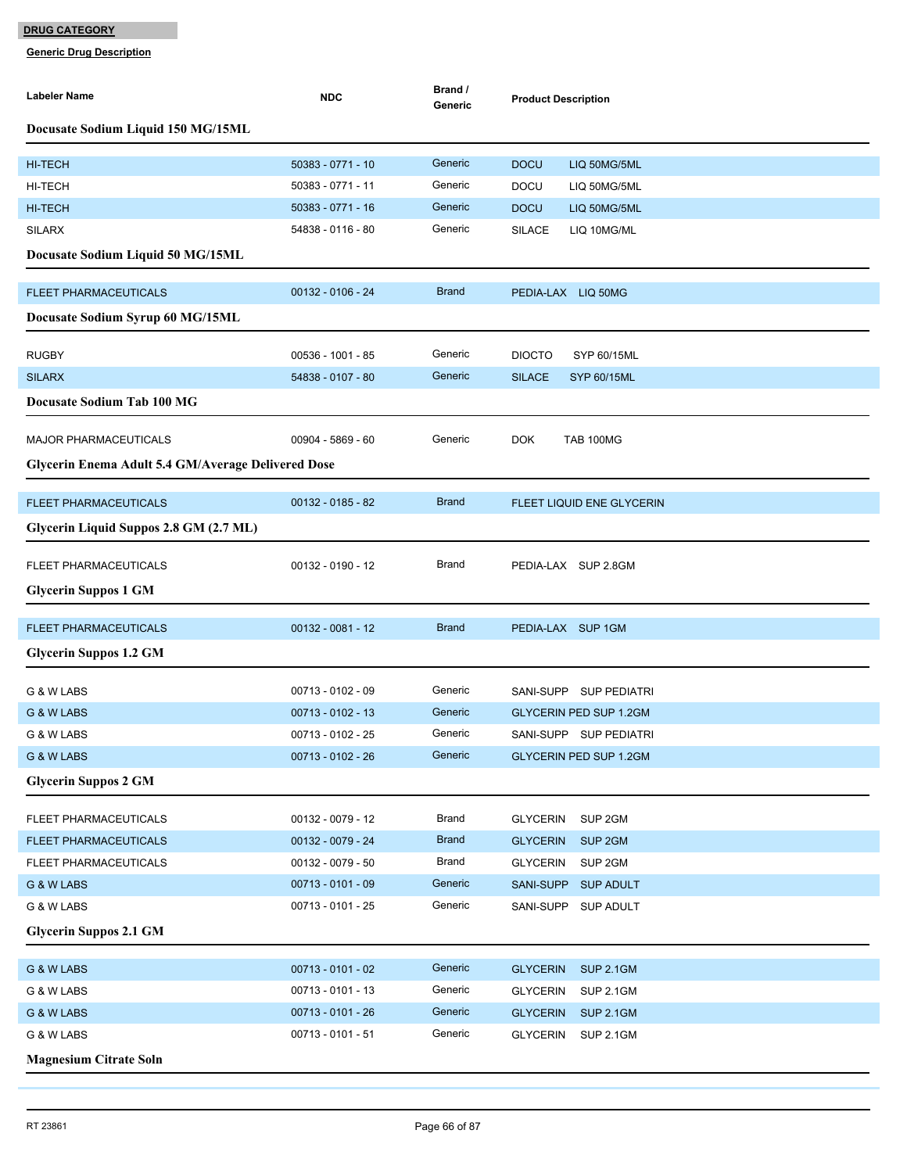| Labeler Name                                       | <b>NDC</b>          | Brand /<br>Generic | <b>Product Description</b>            |
|----------------------------------------------------|---------------------|--------------------|---------------------------------------|
| Docusate Sodium Liquid 150 MG/15ML                 |                     |                    |                                       |
| <b>HI-TECH</b>                                     | 50383 - 0771 - 10   | Generic            | <b>DOCU</b><br>LIQ 50MG/5ML           |
| <b>HI-TECH</b>                                     | 50383 - 0771 - 11   | Generic            | <b>DOCU</b><br>LIQ 50MG/5ML           |
| <b>HI-TECH</b>                                     | 50383 - 0771 - 16   | Generic            | <b>DOCU</b><br>LIQ 50MG/5ML           |
| <b>SILARX</b>                                      | 54838 - 0116 - 80   | Generic            | <b>SILACE</b><br>LIQ 10MG/ML          |
| Docusate Sodium Liquid 50 MG/15ML                  |                     |                    |                                       |
| <b>FLEET PHARMACEUTICALS</b>                       | 00132 - 0106 - 24   | <b>Brand</b>       | PEDIA-LAX LIQ 50MG                    |
| Docusate Sodium Syrup 60 MG/15ML                   |                     |                    |                                       |
| <b>RUGBY</b>                                       | 00536 - 1001 - 85   | Generic            | <b>DIOCTO</b><br>SYP 60/15ML          |
| <b>SILARX</b>                                      | 54838 - 0107 - 80   | Generic            | <b>SILACE</b><br>SYP 60/15ML          |
| <b>Docusate Sodium Tab 100 MG</b>                  |                     |                    |                                       |
| <b>MAJOR PHARMACEUTICALS</b>                       | 00904 - 5869 - 60   | Generic            | <b>DOK</b><br><b>TAB 100MG</b>        |
| Glycerin Enema Adult 5.4 GM/Average Delivered Dose |                     |                    |                                       |
| <b>FLEET PHARMACEUTICALS</b>                       | 00132 - 0185 - 82   | <b>Brand</b>       | FLEET LIQUID ENE GLYCERIN             |
| Glycerin Liquid Suppos 2.8 GM (2.7 ML)             |                     |                    |                                       |
| FLEET PHARMACEUTICALS                              | $00132 - 0190 - 12$ | Brand              | PEDIA-LAX SUP 2.8GM                   |
| <b>Glycerin Suppos 1 GM</b>                        |                     |                    |                                       |
| <b>FLEET PHARMACEUTICALS</b>                       | $00132 - 0081 - 12$ | <b>Brand</b>       | PEDIA-LAX SUP 1GM                     |
| <b>Glycerin Suppos 1.2 GM</b>                      |                     |                    |                                       |
| G & W LABS                                         | 00713 - 0102 - 09   | Generic            | SANI-SUPP SUP PEDIATRI                |
| G & W LABS                                         | $00713 - 0102 - 13$ | Generic            | <b>GLYCERIN PED SUP 1.2GM</b>         |
| G & W LABS                                         | 00713 - 0102 - 25   | Generic            | SANI-SUPP SUP PEDIATRI                |
| G & W LABS                                         | 00713 - 0102 - 26   | Generic            | <b>GLYCERIN PED SUP 1.2GM</b>         |
| <b>Glycerin Suppos 2 GM</b>                        |                     |                    |                                       |
| FLEET PHARMACEUTICALS                              | 00132 - 0079 - 12   | <b>Brand</b>       | <b>GLYCERIN</b><br>SUP 2GM            |
| <b>FLEET PHARMACEUTICALS</b>                       | 00132 - 0079 - 24   | <b>Brand</b>       | <b>GLYCERIN</b><br>SUP <sub>2GM</sub> |
| FLEET PHARMACEUTICALS                              | $00132 - 0079 - 50$ | <b>Brand</b>       | <b>GLYCERIN</b><br>SUP <sub>2GM</sub> |
| G & W LABS                                         | $00713 - 0101 - 09$ | Generic            | SANI-SUPP<br><b>SUP ADULT</b>         |
| G & W LABS                                         | 00713 - 0101 - 25   | Generic            | SANI-SUPP SUP ADULT                   |
| <b>Glycerin Suppos 2.1 GM</b>                      |                     |                    |                                       |
| G & W LABS                                         | $00713 - 0101 - 02$ | Generic            | <b>GLYCERIN</b><br><b>SUP 2.1GM</b>   |
| G & W LABS                                         | 00713 - 0101 - 13   | Generic            | <b>SUP 2.1GM</b><br><b>GLYCERIN</b>   |
| G & W LABS                                         | $00713 - 0101 - 26$ | Generic            | <b>GLYCERIN</b><br><b>SUP 2.1GM</b>   |
| G & W LABS                                         | 00713 - 0101 - 51   | Generic            | <b>SUP 2.1GM</b><br><b>GLYCERIN</b>   |
| <b>Magnesium Citrate Soln</b>                      |                     |                    |                                       |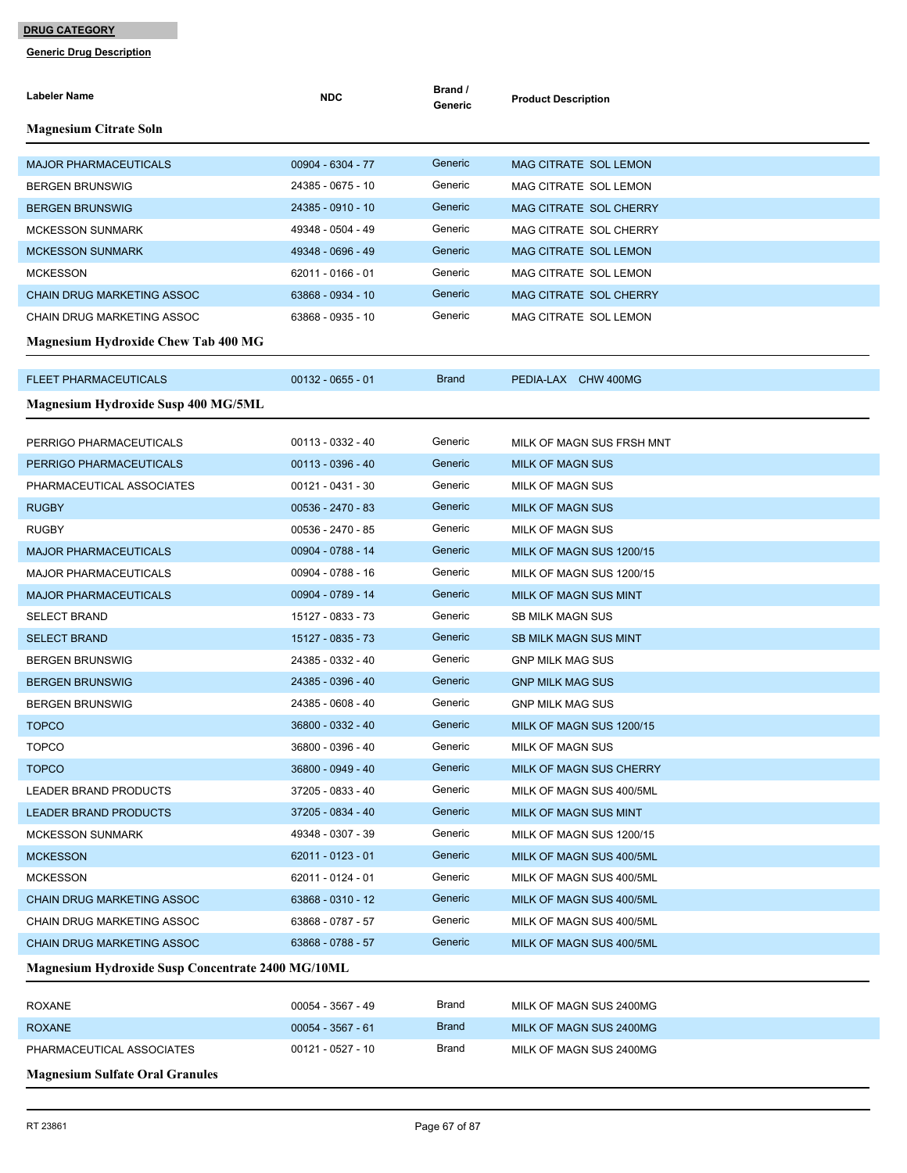| Labeler Name                                      | <b>NDC</b>          | Brand /<br>Generic | <b>Product Description</b>   |
|---------------------------------------------------|---------------------|--------------------|------------------------------|
| <b>Magnesium Citrate Soln</b>                     |                     |                    |                              |
| <b>MAJOR PHARMACEUTICALS</b>                      | 00904 - 6304 - 77   | Generic            | <b>MAG CITRATE SOL LEMON</b> |
| <b>BERGEN BRUNSWIG</b>                            | 24385 - 0675 - 10   | Generic            | MAG CITRATE SOL LEMON        |
| <b>BERGEN BRUNSWIG</b>                            | 24385 - 0910 - 10   | Generic            | MAG CITRATE SOL CHERRY       |
| <b>MCKESSON SUNMARK</b>                           | 49348 - 0504 - 49   | Generic            | MAG CITRATE SOL CHERRY       |
| <b>MCKESSON SUNMARK</b>                           | 49348 - 0696 - 49   | Generic            | <b>MAG CITRATE SOL LEMON</b> |
| <b>MCKESSON</b>                                   | 62011 - 0166 - 01   | Generic            | MAG CITRATE SOL LEMON        |
| <b>CHAIN DRUG MARKETING ASSOC</b>                 | 63868 - 0934 - 10   | Generic            | MAG CITRATE SOL CHERRY       |
| CHAIN DRUG MARKETING ASSOC                        | 63868 - 0935 - 10   | Generic            | MAG CITRATE SOL LEMON        |
| <b>Magnesium Hydroxide Chew Tab 400 MG</b>        |                     |                    |                              |
| <b>FLEET PHARMACEUTICALS</b>                      | $00132 - 0655 - 01$ | <b>Brand</b>       | PEDIA-LAX CHW 400MG          |
| <b>Magnesium Hydroxide Susp 400 MG/5ML</b>        |                     |                    |                              |
| PERRIGO PHARMACEUTICALS                           | 00113 - 0332 - 40   | Generic            | MILK OF MAGN SUS FRSH MNT    |
| PERRIGO PHARMACEUTICALS                           | $00113 - 0396 - 40$ | Generic            | <b>MILK OF MAGN SUS</b>      |
| PHARMACEUTICAL ASSOCIATES                         | 00121 - 0431 - 30   | Generic            | <b>MILK OF MAGN SUS</b>      |
| <b>RUGBY</b>                                      | 00536 - 2470 - 83   | Generic            | <b>MILK OF MAGN SUS</b>      |
| <b>RUGBY</b>                                      | 00536 - 2470 - 85   | Generic            | <b>MILK OF MAGN SUS</b>      |
| <b>MAJOR PHARMACEUTICALS</b>                      | 00904 - 0788 - 14   | Generic            | MILK OF MAGN SUS 1200/15     |
| <b>MAJOR PHARMACEUTICALS</b>                      | 00904 - 0788 - 16   | Generic            | MILK OF MAGN SUS 1200/15     |
| <b>MAJOR PHARMACEUTICALS</b>                      | 00904 - 0789 - 14   | Generic            | MILK OF MAGN SUS MINT        |
| <b>SELECT BRAND</b>                               | 15127 - 0833 - 73   | Generic            | <b>SB MILK MAGN SUS</b>      |
| <b>SELECT BRAND</b>                               | 15127 - 0835 - 73   | Generic            | <b>SB MILK MAGN SUS MINT</b> |
| <b>BERGEN BRUNSWIG</b>                            | 24385 - 0332 - 40   | Generic            | <b>GNP MILK MAG SUS</b>      |
| <b>BERGEN BRUNSWIG</b>                            | 24385 - 0396 - 40   | Generic            | <b>GNP MILK MAG SUS</b>      |
| <b>BERGEN BRUNSWIG</b>                            | 24385 - 0608 - 40   | Generic            | <b>GNP MILK MAG SUS</b>      |
| <b>TOPCO</b>                                      | 36800 - 0332 - 40   | Generic            | MILK OF MAGN SUS 1200/15     |
| TOPCO                                             | 36800 - 0396 - 40   | Generic            | MILK OF MAGN SUS             |
| <b>TOPCO</b>                                      | 36800 - 0949 - 40   | Generic            | MILK OF MAGN SUS CHERRY      |
| LEADER BRAND PRODUCTS                             | 37205 - 0833 - 40   | Generic            | MILK OF MAGN SUS 400/5ML     |
| <b>LEADER BRAND PRODUCTS</b>                      | 37205 - 0834 - 40   | Generic            | MILK OF MAGN SUS MINT        |
| <b>MCKESSON SUNMARK</b>                           | 49348 - 0307 - 39   | Generic            | MILK OF MAGN SUS 1200/15     |
| <b>MCKESSON</b>                                   | 62011 - 0123 - 01   | Generic            | MILK OF MAGN SUS 400/5ML     |
| <b>MCKESSON</b>                                   | 62011 - 0124 - 01   | Generic            | MILK OF MAGN SUS 400/5ML     |
| <b>CHAIN DRUG MARKETING ASSOC</b>                 | 63868 - 0310 - 12   | Generic            | MILK OF MAGN SUS 400/5ML     |
| <b>CHAIN DRUG MARKETING ASSOC</b>                 | 63868 - 0787 - 57   | Generic            | MILK OF MAGN SUS 400/5ML     |
| <b>CHAIN DRUG MARKETING ASSOC</b>                 | 63868 - 0788 - 57   | Generic            | MILK OF MAGN SUS 400/5ML     |
| Magnesium Hydroxide Susp Concentrate 2400 MG/10ML |                     |                    |                              |
| ROXANE                                            | 00054 - 3567 - 49   | Brand              | MILK OF MAGN SUS 2400MG      |
| <b>ROXANE</b>                                     | $00054 - 3567 - 61$ | <b>Brand</b>       | MILK OF MAGN SUS 2400MG      |
| PHARMACEUTICAL ASSOCIATES                         | 00121 - 0527 - 10   | Brand              | MILK OF MAGN SUS 2400MG      |
| <b>Magnesium Sulfate Oral Granules</b>            |                     |                    |                              |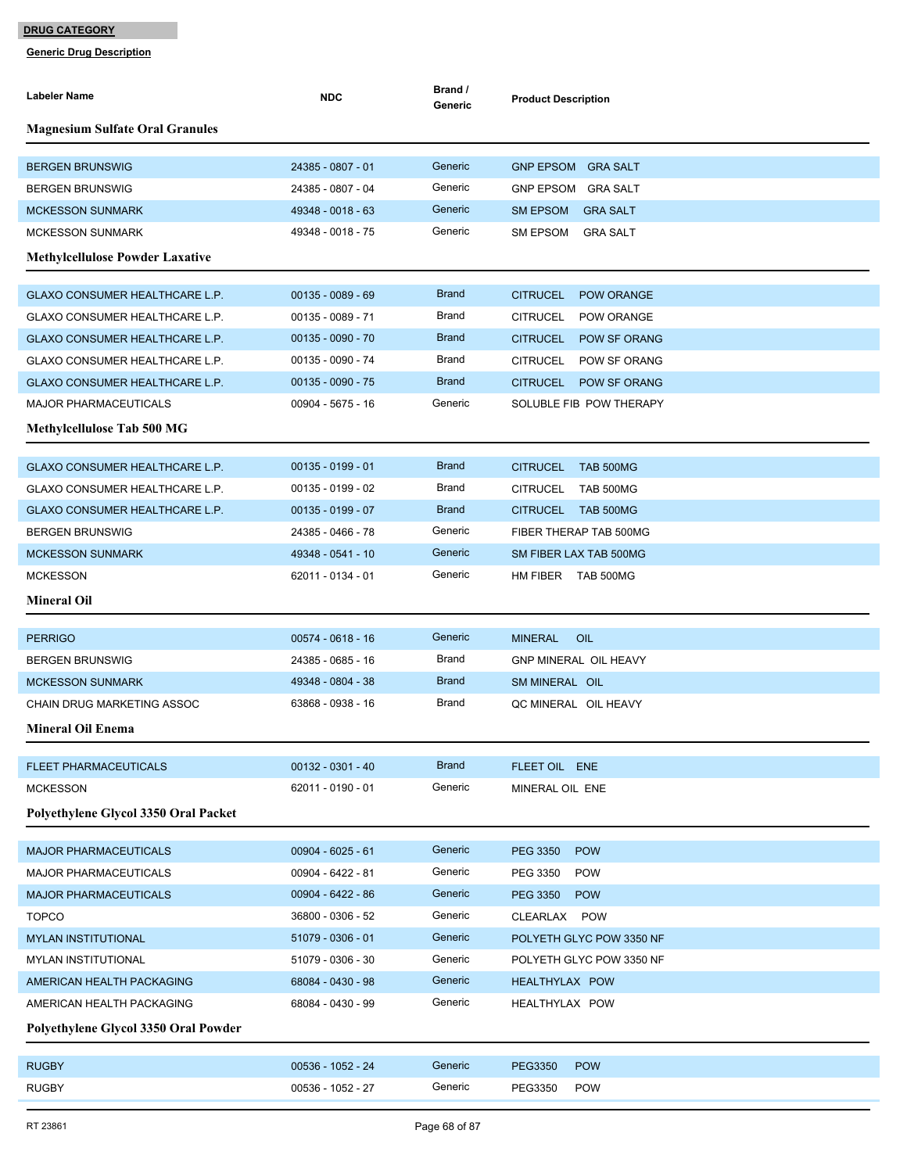| <b>Magnesium Sulfate Oral Granules</b><br>24385 - 0807 - 01<br>Generic<br><b>BERGEN BRUNSWIG</b><br>GNP EPSOM GRA SALT<br>24385 - 0807 - 04<br>Generic<br><b>BERGEN BRUNSWIG</b><br>GNP EPSOM GRA SALT<br>Generic<br>49348 - 0018 - 63<br>SM EPSOM GRA SALT<br><b>MCKESSON SUNMARK</b><br>Generic<br>49348 - 0018 - 75<br><b>MCKESSON SUNMARK</b><br>SM EPSOM<br>GRA SALT<br><b>Methylcellulose Powder Laxative</b><br><b>Brand</b><br>$00135 - 0089 - 69$<br>GLAXO CONSUMER HEALTHCARE L.P.<br><b>CITRUCEL</b><br><b>POW ORANGE</b><br>GLAXO CONSUMER HEALTHCARE L.P.<br>00135 - 0089 - 71<br>Brand<br>CITRUCEL<br><b>POW ORANGE</b><br><b>Brand</b><br>GLAXO CONSUMER HEALTHCARE L.P.<br>$00135 - 0090 - 70$<br><b>CITRUCEL</b><br>POW SF ORANG<br>Brand<br>00135 - 0090 - 74<br>GLAXO CONSUMER HEALTHCARE L.P.<br>CITRUCEL<br>POW SF ORANG<br><b>Brand</b><br>$00135 - 0090 - 75$<br><b>GLAXO CONSUMER HEALTHCARE L.P.</b><br><b>CITRUCEL</b><br><b>POW SF ORANG</b><br>Generic<br>00904 - 5675 - 16<br>SOLUBLE FIB POW THERAPY<br><b>MAJOR PHARMACEUTICALS</b><br><b>Methylcellulose Tab 500 MG</b><br><b>Brand</b><br>$00135 - 0199 - 01$<br>GLAXO CONSUMER HEALTHCARE L.P.<br><b>CITRUCEL</b><br>TAB 500MG<br>Brand<br><b>TAB 500MG</b><br>GLAXO CONSUMER HEALTHCARE L.P.<br>$00135 - 0199 - 02$<br>CITRUCEL | Labeler Name | <b>NDC</b> | Brand /<br>Generic | <b>Product Description</b> |
|--------------------------------------------------------------------------------------------------------------------------------------------------------------------------------------------------------------------------------------------------------------------------------------------------------------------------------------------------------------------------------------------------------------------------------------------------------------------------------------------------------------------------------------------------------------------------------------------------------------------------------------------------------------------------------------------------------------------------------------------------------------------------------------------------------------------------------------------------------------------------------------------------------------------------------------------------------------------------------------------------------------------------------------------------------------------------------------------------------------------------------------------------------------------------------------------------------------------------------------------------------------------------------------------------------------------|--------------|------------|--------------------|----------------------------|
|                                                                                                                                                                                                                                                                                                                                                                                                                                                                                                                                                                                                                                                                                                                                                                                                                                                                                                                                                                                                                                                                                                                                                                                                                                                                                                                    |              |            |                    |                            |
|                                                                                                                                                                                                                                                                                                                                                                                                                                                                                                                                                                                                                                                                                                                                                                                                                                                                                                                                                                                                                                                                                                                                                                                                                                                                                                                    |              |            |                    |                            |
|                                                                                                                                                                                                                                                                                                                                                                                                                                                                                                                                                                                                                                                                                                                                                                                                                                                                                                                                                                                                                                                                                                                                                                                                                                                                                                                    |              |            |                    |                            |
|                                                                                                                                                                                                                                                                                                                                                                                                                                                                                                                                                                                                                                                                                                                                                                                                                                                                                                                                                                                                                                                                                                                                                                                                                                                                                                                    |              |            |                    |                            |
|                                                                                                                                                                                                                                                                                                                                                                                                                                                                                                                                                                                                                                                                                                                                                                                                                                                                                                                                                                                                                                                                                                                                                                                                                                                                                                                    |              |            |                    |                            |
|                                                                                                                                                                                                                                                                                                                                                                                                                                                                                                                                                                                                                                                                                                                                                                                                                                                                                                                                                                                                                                                                                                                                                                                                                                                                                                                    |              |            |                    |                            |
|                                                                                                                                                                                                                                                                                                                                                                                                                                                                                                                                                                                                                                                                                                                                                                                                                                                                                                                                                                                                                                                                                                                                                                                                                                                                                                                    |              |            |                    |                            |
|                                                                                                                                                                                                                                                                                                                                                                                                                                                                                                                                                                                                                                                                                                                                                                                                                                                                                                                                                                                                                                                                                                                                                                                                                                                                                                                    |              |            |                    |                            |
|                                                                                                                                                                                                                                                                                                                                                                                                                                                                                                                                                                                                                                                                                                                                                                                                                                                                                                                                                                                                                                                                                                                                                                                                                                                                                                                    |              |            |                    |                            |
|                                                                                                                                                                                                                                                                                                                                                                                                                                                                                                                                                                                                                                                                                                                                                                                                                                                                                                                                                                                                                                                                                                                                                                                                                                                                                                                    |              |            |                    |                            |
|                                                                                                                                                                                                                                                                                                                                                                                                                                                                                                                                                                                                                                                                                                                                                                                                                                                                                                                                                                                                                                                                                                                                                                                                                                                                                                                    |              |            |                    |                            |
|                                                                                                                                                                                                                                                                                                                                                                                                                                                                                                                                                                                                                                                                                                                                                                                                                                                                                                                                                                                                                                                                                                                                                                                                                                                                                                                    |              |            |                    |                            |
|                                                                                                                                                                                                                                                                                                                                                                                                                                                                                                                                                                                                                                                                                                                                                                                                                                                                                                                                                                                                                                                                                                                                                                                                                                                                                                                    |              |            |                    |                            |
|                                                                                                                                                                                                                                                                                                                                                                                                                                                                                                                                                                                                                                                                                                                                                                                                                                                                                                                                                                                                                                                                                                                                                                                                                                                                                                                    |              |            |                    |                            |
|                                                                                                                                                                                                                                                                                                                                                                                                                                                                                                                                                                                                                                                                                                                                                                                                                                                                                                                                                                                                                                                                                                                                                                                                                                                                                                                    |              |            |                    |                            |
| <b>Brand</b><br>GLAXO CONSUMER HEALTHCARE L.P.<br>$00135 - 0199 - 07$<br>CITRUCEL TAB 500MG                                                                                                                                                                                                                                                                                                                                                                                                                                                                                                                                                                                                                                                                                                                                                                                                                                                                                                                                                                                                                                                                                                                                                                                                                        |              |            |                    |                            |
| Generic<br>24385 - 0466 - 78<br>FIBER THERAP TAB 500MG<br><b>BERGEN BRUNSWIG</b>                                                                                                                                                                                                                                                                                                                                                                                                                                                                                                                                                                                                                                                                                                                                                                                                                                                                                                                                                                                                                                                                                                                                                                                                                                   |              |            |                    |                            |
| Generic<br>49348 - 0541 - 10<br><b>MCKESSON SUNMARK</b><br>SM FIBER LAX TAB 500MG                                                                                                                                                                                                                                                                                                                                                                                                                                                                                                                                                                                                                                                                                                                                                                                                                                                                                                                                                                                                                                                                                                                                                                                                                                  |              |            |                    |                            |
| 62011 - 0134 - 01<br>Generic<br><b>MCKESSON</b><br>HM FIBER TAB 500MG                                                                                                                                                                                                                                                                                                                                                                                                                                                                                                                                                                                                                                                                                                                                                                                                                                                                                                                                                                                                                                                                                                                                                                                                                                              |              |            |                    |                            |
| <b>Mineral Oil</b>                                                                                                                                                                                                                                                                                                                                                                                                                                                                                                                                                                                                                                                                                                                                                                                                                                                                                                                                                                                                                                                                                                                                                                                                                                                                                                 |              |            |                    |                            |
| $00574 - 0618 - 16$<br>Generic<br><b>PERRIGO</b><br><b>MINERAL</b><br>OIL                                                                                                                                                                                                                                                                                                                                                                                                                                                                                                                                                                                                                                                                                                                                                                                                                                                                                                                                                                                                                                                                                                                                                                                                                                          |              |            |                    |                            |
| Brand<br><b>GNP MINERAL OIL HEAVY</b><br><b>BERGEN BRUNSWIG</b><br>24385 - 0685 - 16                                                                                                                                                                                                                                                                                                                                                                                                                                                                                                                                                                                                                                                                                                                                                                                                                                                                                                                                                                                                                                                                                                                                                                                                                               |              |            |                    |                            |
| <b>Brand</b><br>49348 - 0804 - 38<br>SM MINERAL OIL<br><b>MCKESSON SUNMARK</b>                                                                                                                                                                                                                                                                                                                                                                                                                                                                                                                                                                                                                                                                                                                                                                                                                                                                                                                                                                                                                                                                                                                                                                                                                                     |              |            |                    |                            |
| Brand<br>63868 - 0938 - 16<br>CHAIN DRUG MARKETING ASSOC<br>QC MINERAL OIL HEAVY                                                                                                                                                                                                                                                                                                                                                                                                                                                                                                                                                                                                                                                                                                                                                                                                                                                                                                                                                                                                                                                                                                                                                                                                                                   |              |            |                    |                            |
| <b>Mineral Oil Enema</b>                                                                                                                                                                                                                                                                                                                                                                                                                                                                                                                                                                                                                                                                                                                                                                                                                                                                                                                                                                                                                                                                                                                                                                                                                                                                                           |              |            |                    |                            |
| <b>Brand</b><br>$00132 - 0301 - 40$<br>FLEET OIL ENE<br><b>FLEET PHARMACEUTICALS</b>                                                                                                                                                                                                                                                                                                                                                                                                                                                                                                                                                                                                                                                                                                                                                                                                                                                                                                                                                                                                                                                                                                                                                                                                                               |              |            |                    |                            |
| 62011 - 0190 - 01<br>Generic<br><b>MCKESSON</b><br>MINERAL OIL ENE                                                                                                                                                                                                                                                                                                                                                                                                                                                                                                                                                                                                                                                                                                                                                                                                                                                                                                                                                                                                                                                                                                                                                                                                                                                 |              |            |                    |                            |
| Polyethylene Glycol 3350 Oral Packet                                                                                                                                                                                                                                                                                                                                                                                                                                                                                                                                                                                                                                                                                                                                                                                                                                                                                                                                                                                                                                                                                                                                                                                                                                                                               |              |            |                    |                            |
| Generic<br>$00904 - 6025 - 61$<br><b>MAJOR PHARMACEUTICALS</b><br>PEG 3350<br><b>POW</b>                                                                                                                                                                                                                                                                                                                                                                                                                                                                                                                                                                                                                                                                                                                                                                                                                                                                                                                                                                                                                                                                                                                                                                                                                           |              |            |                    |                            |
| Generic<br><b>MAJOR PHARMACEUTICALS</b><br>00904 - 6422 - 81<br>PEG 3350<br><b>POW</b>                                                                                                                                                                                                                                                                                                                                                                                                                                                                                                                                                                                                                                                                                                                                                                                                                                                                                                                                                                                                                                                                                                                                                                                                                             |              |            |                    |                            |
| Generic<br>00904 - 6422 - 86<br><b>POW</b><br><b>MAJOR PHARMACEUTICALS</b><br><b>PEG 3350</b>                                                                                                                                                                                                                                                                                                                                                                                                                                                                                                                                                                                                                                                                                                                                                                                                                                                                                                                                                                                                                                                                                                                                                                                                                      |              |            |                    |                            |
| Generic<br>36800 - 0306 - 52<br><b>TOPCO</b><br>CLEARLAX POW                                                                                                                                                                                                                                                                                                                                                                                                                                                                                                                                                                                                                                                                                                                                                                                                                                                                                                                                                                                                                                                                                                                                                                                                                                                       |              |            |                    |                            |
| Generic<br>51079 - 0306 - 01<br><b>MYLAN INSTITUTIONAL</b><br>POLYETH GLYC POW 3350 NF                                                                                                                                                                                                                                                                                                                                                                                                                                                                                                                                                                                                                                                                                                                                                                                                                                                                                                                                                                                                                                                                                                                                                                                                                             |              |            |                    |                            |
| Generic<br>51079 - 0306 - 30<br><b>MYLAN INSTITUTIONAL</b><br>POLYETH GLYC POW 3350 NF                                                                                                                                                                                                                                                                                                                                                                                                                                                                                                                                                                                                                                                                                                                                                                                                                                                                                                                                                                                                                                                                                                                                                                                                                             |              |            |                    |                            |
| Generic<br>68084 - 0430 - 98<br>AMERICAN HEALTH PACKAGING<br>HEALTHYLAX POW                                                                                                                                                                                                                                                                                                                                                                                                                                                                                                                                                                                                                                                                                                                                                                                                                                                                                                                                                                                                                                                                                                                                                                                                                                        |              |            |                    |                            |
| 68084 - 0430 - 99<br>Generic<br>AMERICAN HEALTH PACKAGING<br>HEALTHYLAX POW                                                                                                                                                                                                                                                                                                                                                                                                                                                                                                                                                                                                                                                                                                                                                                                                                                                                                                                                                                                                                                                                                                                                                                                                                                        |              |            |                    |                            |
| Polyethylene Glycol 3350 Oral Powder                                                                                                                                                                                                                                                                                                                                                                                                                                                                                                                                                                                                                                                                                                                                                                                                                                                                                                                                                                                                                                                                                                                                                                                                                                                                               |              |            |                    |                            |
| Generic<br><b>RUGBY</b><br>00536 - 1052 - 24<br><b>POW</b><br><b>PEG3350</b>                                                                                                                                                                                                                                                                                                                                                                                                                                                                                                                                                                                                                                                                                                                                                                                                                                                                                                                                                                                                                                                                                                                                                                                                                                       |              |            |                    |                            |
| <b>RUGBY</b><br>00536 - 1052 - 27<br>Generic<br>PEG3350<br><b>POW</b>                                                                                                                                                                                                                                                                                                                                                                                                                                                                                                                                                                                                                                                                                                                                                                                                                                                                                                                                                                                                                                                                                                                                                                                                                                              |              |            |                    |                            |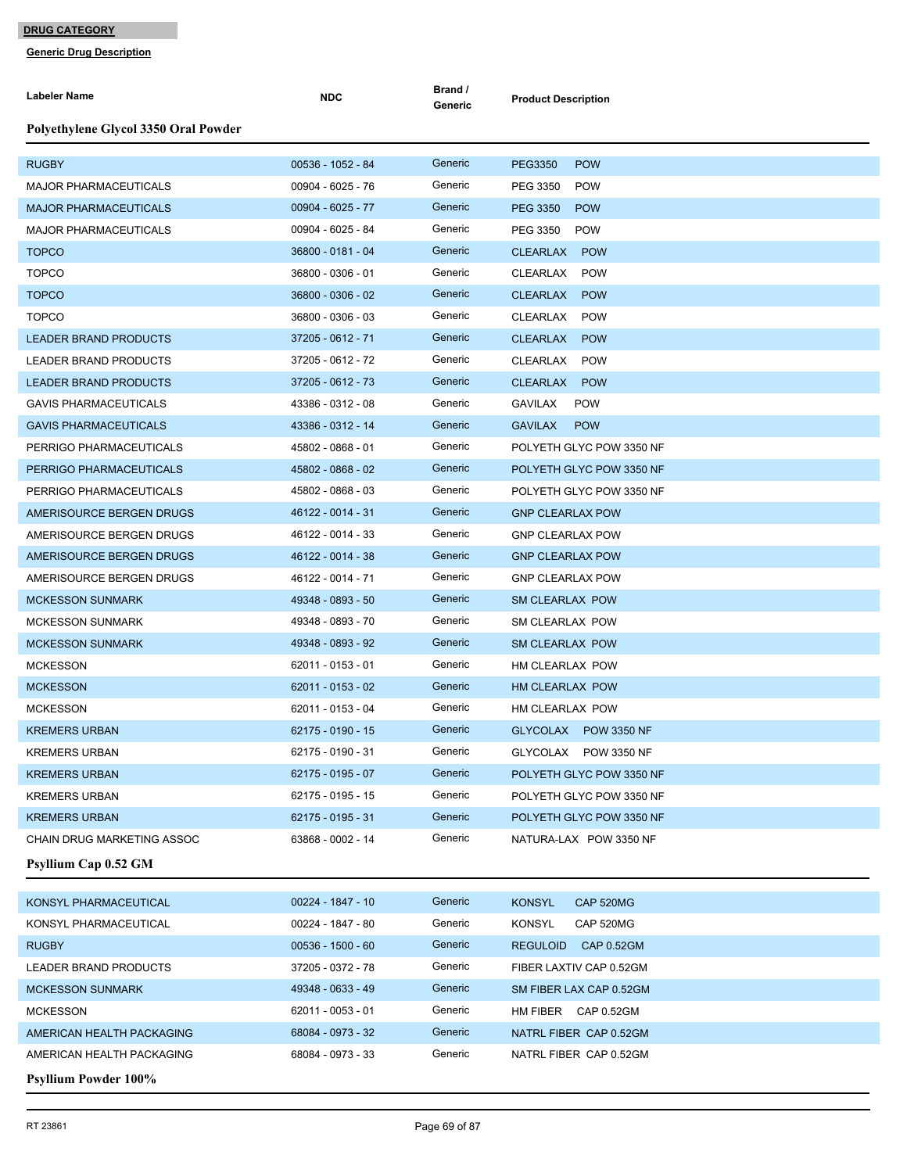| Labeler Name                         | <b>NDC</b>          | Brand /<br>Generic | <b>Product Description</b>    |
|--------------------------------------|---------------------|--------------------|-------------------------------|
| Polyethylene Glycol 3350 Oral Powder |                     |                    |                               |
| <b>RUGBY</b>                         | 00536 - 1052 - 84   | Generic            | <b>PEG3350</b><br><b>POW</b>  |
| <b>MAJOR PHARMACEUTICALS</b>         | 00904 - 6025 - 76   | Generic            | PEG 3350<br><b>POW</b>        |
| <b>MAJOR PHARMACEUTICALS</b>         | 00904 - 6025 - 77   | Generic            | PEG 3350<br><b>POW</b>        |
| <b>MAJOR PHARMACEUTICALS</b>         | 00904 - 6025 - 84   | Generic            | PEG 3350<br><b>POW</b>        |
| <b>TOPCO</b>                         | 36800 - 0181 - 04   | Generic            | CLEARLAX POW                  |
| <b>TOPCO</b>                         | 36800 - 0306 - 01   | Generic            | CLEARLAX<br><b>POW</b>        |
| <b>TOPCO</b>                         | 36800 - 0306 - 02   | Generic            | <b>CLEARLAX</b><br><b>POW</b> |
| <b>TOPCO</b>                         | 36800 - 0306 - 03   | Generic            | <b>POW</b><br>CLEARLAX        |
| <b>LEADER BRAND PRODUCTS</b>         | 37205 - 0612 - 71   | Generic            | CLEARLAX POW                  |
| LEADER BRAND PRODUCTS                | 37205 - 0612 - 72   | Generic            | CLEARLAX<br><b>POW</b>        |
| <b>LEADER BRAND PRODUCTS</b>         | 37205 - 0612 - 73   | Generic            | CLEARLAX POW                  |
| <b>GAVIS PHARMACEUTICALS</b>         | 43386 - 0312 - 08   | Generic            | GAVILAX<br><b>POW</b>         |
| <b>GAVIS PHARMACEUTICALS</b>         | 43386 - 0312 - 14   | Generic            | <b>GAVILAX</b><br><b>POW</b>  |
| PERRIGO PHARMACEUTICALS              | 45802 - 0868 - 01   | Generic            | POLYETH GLYC POW 3350 NF      |
| PERRIGO PHARMACEUTICALS              | 45802 - 0868 - 02   | Generic            | POLYETH GLYC POW 3350 NF      |
| PERRIGO PHARMACEUTICALS              | 45802 - 0868 - 03   | Generic            | POLYETH GLYC POW 3350 NF      |
| AMERISOURCE BERGEN DRUGS             | 46122 - 0014 - 31   | Generic            | <b>GNP CLEARLAX POW</b>       |
| AMERISOURCE BERGEN DRUGS             | 46122 - 0014 - 33   | Generic            | <b>GNP CLEARLAX POW</b>       |
| AMERISOURCE BERGEN DRUGS             | 46122 - 0014 - 38   | Generic            | <b>GNP CLEARLAX POW</b>       |
| AMERISOURCE BERGEN DRUGS             | 46122 - 0014 - 71   | Generic            | <b>GNP CLEARLAX POW</b>       |
| <b>MCKESSON SUNMARK</b>              | 49348 - 0893 - 50   | Generic            | <b>SM CLEARLAX POW</b>        |
| <b>MCKESSON SUNMARK</b>              | 49348 - 0893 - 70   | Generic            | SM CLEARLAX POW               |
| <b>MCKESSON SUNMARK</b>              | 49348 - 0893 - 92   | Generic            | <b>SM CLEARLAX POW</b>        |
| <b>MCKESSON</b>                      | 62011 - 0153 - 01   | Generic            | HM CLEARLAX POW               |
| <b>MCKESSON</b>                      | 62011 - 0153 - 02   | Generic            | HM CLEARLAX POW               |
| <b>MCKESSON</b>                      | 62011 - 0153 - 04   | Generic            | HM CLEARLAX POW               |
| <b>KREMERS URBAN</b>                 | 62175 - 0190 - 15   | Generic            | GLYCOLAX POW 3350 NF          |
| <b>KREMERS URBAN</b>                 | 62175 - 0190 - 31   | Generic            | GLYCOLAX POW 3350 NF          |
| <b>KREMERS URBAN</b>                 | 62175 - 0195 - 07   | Generic            | POLYETH GLYC POW 3350 NF      |
| <b>KREMERS URBAN</b>                 | 62175 - 0195 - 15   | Generic            | POLYETH GLYC POW 3350 NF      |
| <b>KREMERS URBAN</b>                 | 62175 - 0195 - 31   | Generic            | POLYETH GLYC POW 3350 NF      |
| CHAIN DRUG MARKETING ASSOC           | 63868 - 0002 - 14   | Generic            | NATURA-LAX POW 3350 NF        |
| <b>Psyllium Cap 0.52 GM</b>          |                     |                    |                               |
| KONSYL PHARMACEUTICAL                | 00224 - 1847 - 10   | Generic            | <b>KONSYL</b><br>CAP 520MG    |
| KONSYL PHARMACEUTICAL                | 00224 - 1847 - 80   | Generic            | <b>KONSYL</b><br>CAP 520MG    |
| <b>RUGBY</b>                         | $00536 - 1500 - 60$ | Generic            | REGULOID CAP 0.52GM           |
| LEADER BRAND PRODUCTS                | 37205 - 0372 - 78   | Generic            | FIBER LAXTIV CAP 0.52GM       |
| <b>MCKESSON SUNMARK</b>              | 49348 - 0633 - 49   | Generic            | SM FIBER LAX CAP 0.52GM       |
| <b>MCKESSON</b>                      | 62011 - 0053 - 01   | Generic            | HM FIBER CAP 0.52GM           |
| AMERICAN HEALTH PACKAGING            | 68084 - 0973 - 32   | Generic            | NATRL FIBER CAP 0.52GM        |
| AMERICAN HEALTH PACKAGING            | 68084 - 0973 - 33   | Generic            | NATRL FIBER CAP 0.52GM        |
| <b>Psyllium Powder 100%</b>          |                     |                    |                               |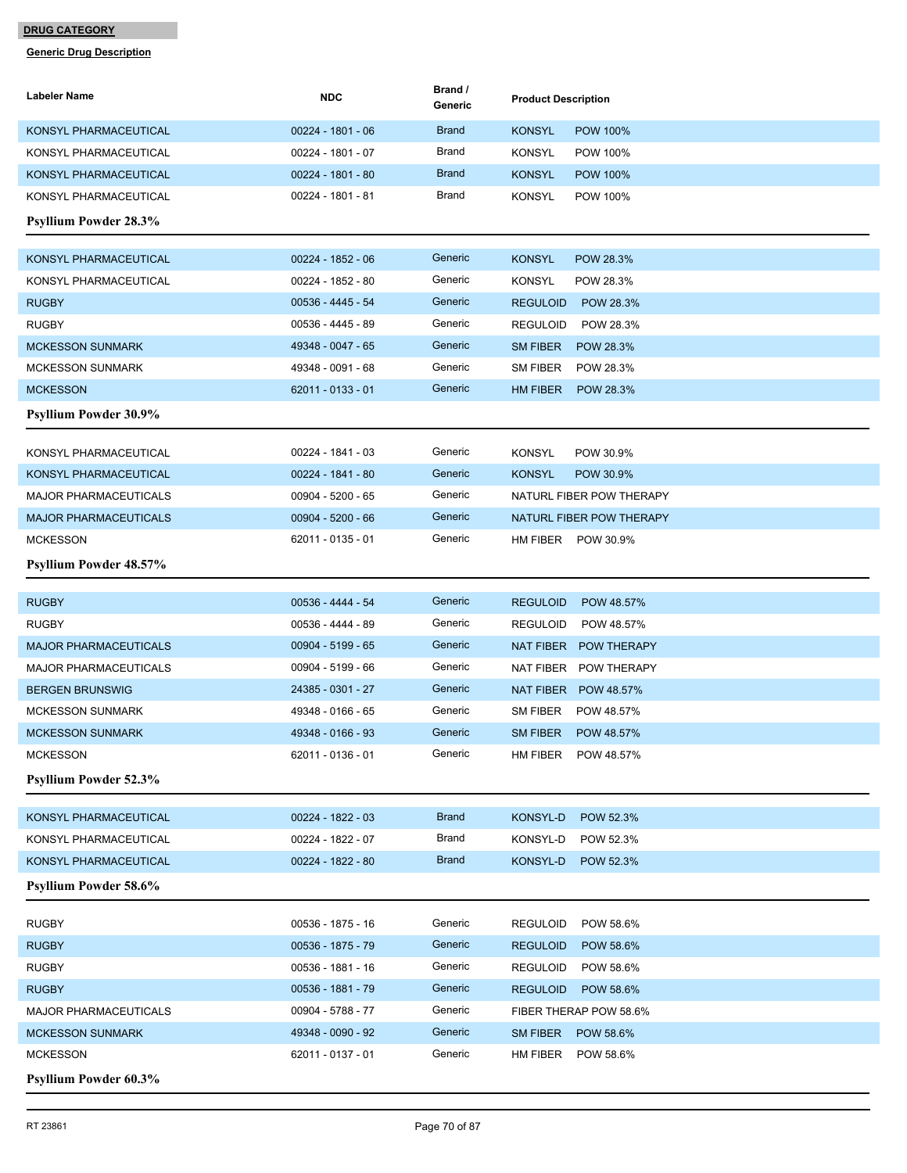| Labeler Name                  | <b>NDC</b>        | Brand /<br>Generic | <b>Product Description</b>       |
|-------------------------------|-------------------|--------------------|----------------------------------|
| KONSYL PHARMACEUTICAL         | 00224 - 1801 - 06 | <b>Brand</b>       | <b>KONSYL</b><br><b>POW 100%</b> |
| KONSYL PHARMACEUTICAL         | 00224 - 1801 - 07 | Brand              | <b>KONSYL</b><br><b>POW 100%</b> |
| KONSYL PHARMACEUTICAL         | 00224 - 1801 - 80 | <b>Brand</b>       | <b>KONSYL</b><br><b>POW 100%</b> |
| KONSYL PHARMACEUTICAL         | 00224 - 1801 - 81 | Brand              | <b>KONSYL</b><br><b>POW 100%</b> |
| <b>Psyllium Powder 28.3%</b>  |                   |                    |                                  |
| KONSYL PHARMACEUTICAL         | 00224 - 1852 - 06 | Generic            | <b>KONSYL</b><br>POW 28.3%       |
| KONSYL PHARMACEUTICAL         | 00224 - 1852 - 80 | Generic            | <b>KONSYL</b><br>POW 28.3%       |
| <b>RUGBY</b>                  | 00536 - 4445 - 54 | Generic            | <b>REGULOID</b><br>POW 28.3%     |
| <b>RUGBY</b>                  | 00536 - 4445 - 89 | Generic            | <b>REGULOID</b><br>POW 28.3%     |
| <b>MCKESSON SUNMARK</b>       | 49348 - 0047 - 65 | Generic            | SM FIBER<br>POW 28.3%            |
| <b>MCKESSON SUNMARK</b>       | 49348 - 0091 - 68 | Generic            | <b>SM FIBER</b><br>POW 28.3%     |
| <b>MCKESSON</b>               | 62011 - 0133 - 01 | Generic            | HM FIBER<br>POW 28.3%            |
| <b>Psyllium Powder 30.9%</b>  |                   |                    |                                  |
| KONSYL PHARMACEUTICAL         | 00224 - 1841 - 03 | Generic            | <b>KONSYL</b><br>POW 30.9%       |
| <b>KONSYL PHARMACEUTICAL</b>  | 00224 - 1841 - 80 | Generic            | <b>KONSYL</b><br>POW 30.9%       |
| <b>MAJOR PHARMACEUTICALS</b>  | 00904 - 5200 - 65 | Generic            | NATURL FIBER POW THERAPY         |
| <b>MAJOR PHARMACEUTICALS</b>  | 00904 - 5200 - 66 | Generic            | NATURL FIBER POW THERAPY         |
| <b>MCKESSON</b>               | 62011 - 0135 - 01 | Generic            | HM FIBER POW 30.9%               |
| <b>Psyllium Powder 48.57%</b> |                   |                    |                                  |
| <b>RUGBY</b>                  | 00536 - 4444 - 54 | Generic            | <b>REGULOID</b><br>POW 48.57%    |
| <b>RUGBY</b>                  | 00536 - 4444 - 89 | Generic            | REGULOID<br>POW 48.57%           |
| <b>MAJOR PHARMACEUTICALS</b>  | 00904 - 5199 - 65 | Generic            | NAT FIBER POW THERAPY            |
| <b>MAJOR PHARMACEUTICALS</b>  | 00904 - 5199 - 66 | Generic            | NAT FIBER POW THERAPY            |
| <b>BERGEN BRUNSWIG</b>        | 24385 - 0301 - 27 | Generic            | NAT FIBER POW 48.57%             |
| <b>MCKESSON SUNMARK</b>       | 49348 - 0166 - 65 | Generic            | <b>SM FIBER</b><br>POW 48.57%    |
| <b>MCKESSON SUNMARK</b>       | 49348 - 0166 - 93 | Generic            | <b>SM FIBER</b><br>POW 48.57%    |
| <b>MCKESSON</b>               | 62011 - 0136 - 01 | Generic            | HM FIBER<br>POW 48.57%           |
| <b>Psyllium Powder 52.3%</b>  |                   |                    |                                  |
|                               |                   |                    |                                  |
| KONSYL PHARMACEUTICAL         | 00224 - 1822 - 03 | <b>Brand</b>       | KONSYL-D<br>POW 52.3%            |
| KONSYL PHARMACEUTICAL         | 00224 - 1822 - 07 | Brand              | KONSYL-D<br>POW 52.3%            |
| KONSYL PHARMACEUTICAL         | 00224 - 1822 - 80 | <b>Brand</b>       | KONSYL-D<br>POW 52.3%            |
| Psyllium Powder 58.6%         |                   |                    |                                  |
| <b>RUGBY</b>                  | 00536 - 1875 - 16 | Generic            | <b>REGULOID</b><br>POW 58.6%     |
| <b>RUGBY</b>                  | 00536 - 1875 - 79 | Generic            | <b>REGULOID</b><br>POW 58.6%     |
| <b>RUGBY</b>                  | 00536 - 1881 - 16 | Generic            | POW 58.6%<br><b>REGULOID</b>     |
| <b>RUGBY</b>                  | 00536 - 1881 - 79 | Generic            | <b>REGULOID</b><br>POW 58.6%     |
| <b>MAJOR PHARMACEUTICALS</b>  | 00904 - 5788 - 77 | Generic            | FIBER THERAP POW 58.6%           |
| <b>MCKESSON SUNMARK</b>       | 49348 - 0090 - 92 | Generic            | SM FIBER<br>POW 58.6%            |
| <b>MCKESSON</b>               | 62011 - 0137 - 01 | Generic            | HM FIBER<br>POW 58.6%            |
| <b>Psyllium Powder 60.3%</b>  |                   |                    |                                  |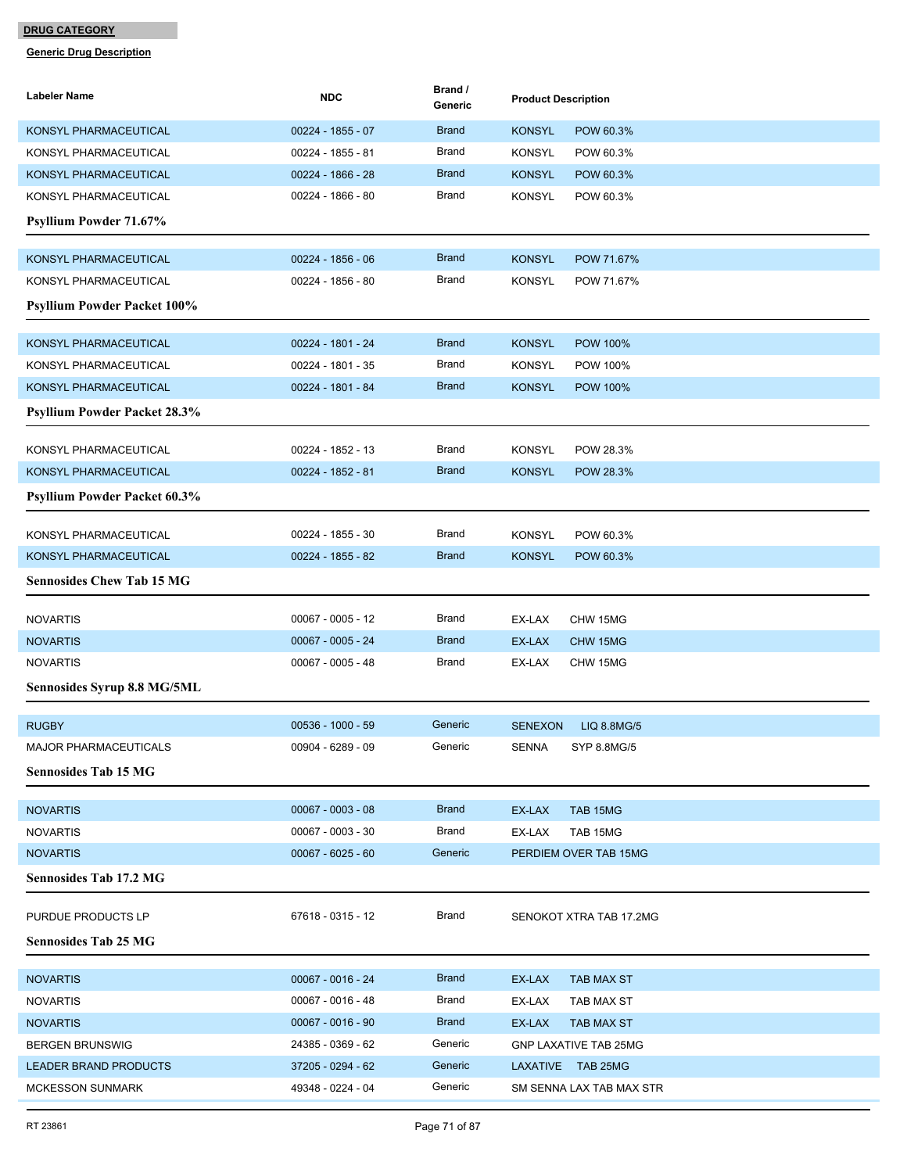| Labeler Name                        | <b>NDC</b>          | Brand /<br>Generic | <b>Product Description</b>       |
|-------------------------------------|---------------------|--------------------|----------------------------------|
| KONSYL PHARMACEUTICAL               | $00224 - 1855 - 07$ | <b>Brand</b>       | <b>KONSYL</b><br>POW 60.3%       |
| KONSYL PHARMACEUTICAL               | 00224 - 1855 - 81   | Brand              | <b>KONSYL</b><br>POW 60.3%       |
| KONSYL PHARMACEUTICAL               | 00224 - 1866 - 28   | <b>Brand</b>       | <b>KONSYL</b><br>POW 60.3%       |
| KONSYL PHARMACEUTICAL               | 00224 - 1866 - 80   | Brand              | <b>KONSYL</b><br>POW 60.3%       |
| <b>Psyllium Powder 71.67%</b>       |                     |                    |                                  |
| KONSYL PHARMACEUTICAL               | 00224 - 1856 - 06   | <b>Brand</b>       | <b>KONSYL</b><br>POW 71.67%      |
| KONSYL PHARMACEUTICAL               | 00224 - 1856 - 80   | Brand              | <b>KONSYL</b><br>POW 71.67%      |
| <b>Psyllium Powder Packet 100%</b>  |                     |                    |                                  |
| KONSYL PHARMACEUTICAL               | 00224 - 1801 - 24   | <b>Brand</b>       | <b>KONSYL</b><br><b>POW 100%</b> |
| KONSYL PHARMACEUTICAL               | 00224 - 1801 - 35   | Brand              | <b>KONSYL</b><br>POW 100%        |
| KONSYL PHARMACEUTICAL               | 00224 - 1801 - 84   | <b>Brand</b>       | <b>KONSYL</b><br><b>POW 100%</b> |
| <b>Psyllium Powder Packet 28.3%</b> |                     |                    |                                  |
| KONSYL PHARMACEUTICAL               | 00224 - 1852 - 13   | <b>Brand</b>       | <b>KONSYL</b><br>POW 28.3%       |
| KONSYL PHARMACEUTICAL               | 00224 - 1852 - 81   | <b>Brand</b>       | <b>KONSYL</b><br>POW 28.3%       |
| Psyllium Powder Packet 60.3%        |                     |                    |                                  |
| KONSYL PHARMACEUTICAL               | 00224 - 1855 - 30   | Brand              | <b>KONSYL</b><br>POW 60.3%       |
| KONSYL PHARMACEUTICAL               | 00224 - 1855 - 82   | <b>Brand</b>       | <b>KONSYL</b><br>POW 60.3%       |
| <b>Sennosides Chew Tab 15 MG</b>    |                     |                    |                                  |
| <b>NOVARTIS</b>                     | $00067 - 0005 - 12$ | Brand              | EX-LAX<br>CHW 15MG               |
| <b>NOVARTIS</b>                     | $00067 - 0005 - 24$ | <b>Brand</b>       | EX-LAX<br>CHW 15MG               |
| <b>NOVARTIS</b>                     | $00067 - 0005 - 48$ | Brand              | EX-LAX<br>CHW 15MG               |
| Sennosides Syrup 8.8 MG/5ML         |                     |                    |                                  |
| <b>RUGBY</b>                        | 00536 - 1000 - 59   | Generic            | <b>SENEXON</b><br>LIQ 8.8MG/5    |
| MAJOR PHARMACEUTICALS               | 00904 - 6289 - 09   | Generic            | SENNA<br>SYP 8.8MG/5             |
| <b>Sennosides Tab 15 MG</b>         |                     |                    |                                  |
| <b>NOVARTIS</b>                     | $00067 - 0003 - 08$ | <b>Brand</b>       | TAB 15MG<br>EX-LAX               |
| <b>NOVARTIS</b>                     | $00067 - 0003 - 30$ | <b>Brand</b>       | TAB 15MG<br>EX-LAX               |
| <b>NOVARTIS</b>                     | $00067 - 6025 - 60$ | Generic            | PERDIEM OVER TAB 15MG            |
| <b>Sennosides Tab 17.2 MG</b>       |                     |                    |                                  |
| PURDUE PRODUCTS LP                  | 67618 - 0315 - 12   | Brand              | SENOKOT XTRA TAB 17.2MG          |
| <b>Sennosides Tab 25 MG</b>         |                     |                    |                                  |
| <b>NOVARTIS</b>                     | $00067 - 0016 - 24$ | <b>Brand</b>       | EX-LAX<br>TAB MAX ST             |
| <b>NOVARTIS</b>                     | $00067 - 0016 - 48$ | <b>Brand</b>       | EX-LAX<br>TAB MAX ST             |
| <b>NOVARTIS</b>                     | $00067 - 0016 - 90$ | <b>Brand</b>       | EX-LAX<br><b>TAB MAX ST</b>      |
| <b>BERGEN BRUNSWIG</b>              | 24385 - 0369 - 62   | Generic            | <b>GNP LAXATIVE TAB 25MG</b>     |
| <b>LEADER BRAND PRODUCTS</b>        | 37205 - 0294 - 62   | Generic            | LAXATIVE TAB 25MG                |
| <b>MCKESSON SUNMARK</b>             | 49348 - 0224 - 04   | Generic            | SM SENNA LAX TAB MAX STR         |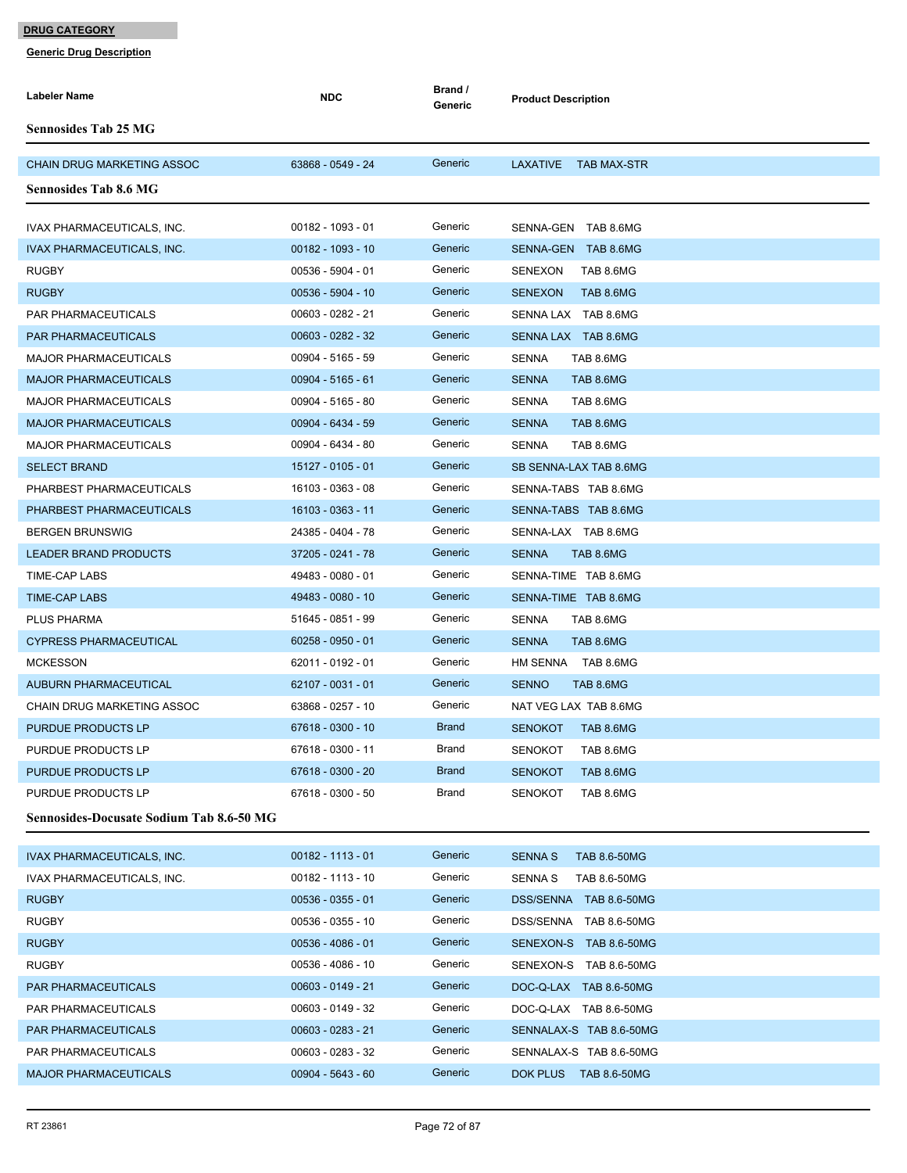| <b>Labeler Name</b>                             | <b>NDC</b>          | Brand /<br>Generic | <b>Product Description</b>     |
|-------------------------------------------------|---------------------|--------------------|--------------------------------|
| <b>Sennosides Tab 25 MG</b>                     |                     |                    |                                |
| <b>CHAIN DRUG MARKETING ASSOC</b>               | 63868 - 0549 - 24   | Generic            | LAXATIVE<br>TAB MAX-STR        |
| <b>Sennosides Tab 8.6 MG</b>                    |                     |                    |                                |
| IVAX PHARMACEUTICALS, INC.                      | 00182 - 1093 - 01   | Generic            | SENNA-GEN TAB 8.6MG            |
| IVAX PHARMACEUTICALS, INC.                      | 00182 - 1093 - 10   | Generic            | SENNA-GEN TAB 8.6MG            |
| <b>RUGBY</b>                                    | 00536 - 5904 - 01   | Generic            | SENEXON<br>TAB 8.6MG           |
| <b>RUGBY</b>                                    | $00536 - 5904 - 10$ | Generic            | <b>SENEXON</b><br>TAB 8.6MG    |
| PAR PHARMACEUTICALS                             | 00603 - 0282 - 21   | Generic            | SENNA LAX TAB 8.6MG            |
| <b>PAR PHARMACEUTICALS</b>                      | 00603 - 0282 - 32   | Generic            | SENNA LAX TAB 8.6MG            |
| <b>MAJOR PHARMACEUTICALS</b>                    | 00904 - 5165 - 59   | Generic            | SENNA<br>TAB 8.6MG             |
| <b>MAJOR PHARMACEUTICALS</b>                    | $00904 - 5165 - 61$ | Generic            | <b>SENNA</b><br>TAB 8.6MG      |
| <b>MAJOR PHARMACEUTICALS</b>                    | 00904 - 5165 - 80   | Generic            | <b>SENNA</b><br>TAB 8.6MG      |
| <b>MAJOR PHARMACEUTICALS</b>                    | 00904 - 6434 - 59   | Generic            | <b>SENNA</b><br>TAB 8.6MG      |
| <b>MAJOR PHARMACEUTICALS</b>                    | 00904 - 6434 - 80   | Generic            | <b>SENNA</b><br>TAB 8.6MG      |
| <b>SELECT BRAND</b>                             | 15127 - 0105 - 01   | Generic            | SB SENNA-LAX TAB 8.6MG         |
| PHARBEST PHARMACEUTICALS                        | 16103 - 0363 - 08   | Generic            | SENNA-TABS TAB 8.6MG           |
| PHARBEST PHARMACEUTICALS                        | 16103 - 0363 - 11   | Generic            | SENNA-TABS TAB 8.6MG           |
| <b>BERGEN BRUNSWIG</b>                          | 24385 - 0404 - 78   | Generic            | SENNA-LAX TAB 8.6MG            |
| <b>LEADER BRAND PRODUCTS</b>                    | 37205 - 0241 - 78   | Generic            | TAB 8.6MG<br><b>SENNA</b>      |
| TIME-CAP LABS                                   | 49483 - 0080 - 01   | Generic            | SENNA-TIME TAB 8.6MG           |
| <b>TIME-CAP LABS</b>                            | 49483 - 0080 - 10   | Generic            | SENNA-TIME TAB 8.6MG           |
| <b>PLUS PHARMA</b>                              | 51645 - 0851 - 99   | Generic            | <b>SENNA</b><br>TAB 8.6MG      |
| <b>CYPRESS PHARMACEUTICAL</b>                   | $60258 - 0950 - 01$ | Generic            | <b>SENNA</b><br>TAB 8.6MG      |
| <b>MCKESSON</b>                                 | 62011 - 0192 - 01   | Generic            | HM SENNA TAB 8.6MG             |
| <b>AUBURN PHARMACEUTICAL</b>                    | 62107 - 0031 - 01   | Generic            | <b>SENNO</b><br>TAB 8.6MG      |
| <b>CHAIN DRUG MARKETING ASSOC</b>               | 63868 - 0257 - 10   | Generic            | NAT VEG LAX TAB 8.6MG          |
| PURDUE PRODUCTS LP                              | 67618 - 0300 - 10   | <b>Brand</b>       | <b>SENOKOT</b><br>TAB 8.6MG    |
| PURDUE PRODUCTS LP                              | 67618 - 0300 - 11   | Brand              | <b>SENOKOT</b><br>TAB 8.6MG    |
| PURDUE PRODUCTS LP                              | 67618 - 0300 - 20   | <b>Brand</b>       | <b>SENOKOT</b><br>TAB 8.6MG    |
| PURDUE PRODUCTS LP                              | 67618 - 0300 - 50   | Brand              | TAB 8.6MG<br><b>SENOKOT</b>    |
| <b>Sennosides-Docusate Sodium Tab 8.6-50 MG</b> |                     |                    |                                |
| <b>IVAX PHARMACEUTICALS, INC.</b>               | $00182 - 1113 - 01$ | Generic            | <b>SENNA S</b><br>TAB 8.6-50MG |
| IVAX PHARMACEUTICALS, INC.                      | 00182 - 1113 - 10   | Generic            | SENNA S<br>TAB 8.6-50MG        |
| <b>RUGBY</b>                                    | $00536 - 0355 - 01$ | Generic            | DSS/SENNA TAB 8.6-50MG         |
| <b>RUGBY</b>                                    | 00536 - 0355 - 10   | Generic            | DSS/SENNA TAB 8.6-50MG         |
| <b>RUGBY</b>                                    | $00536 - 4086 - 01$ | Generic            | SENEXON-S TAB 8.6-50MG         |
| <b>RUGBY</b>                                    | 00536 - 4086 - 10   | Generic            | SENEXON-S TAB 8.6-50MG         |
| PAR PHARMACEUTICALS                             | $00603 - 0149 - 21$ | Generic            | DOC-Q-LAX TAB 8.6-50MG         |
| PAR PHARMACEUTICALS                             | 00603 - 0149 - 32   | Generic            | DOC-Q-LAX TAB 8.6-50MG         |
| <b>PAR PHARMACEUTICALS</b>                      | $00603 - 0283 - 21$ | Generic            | SENNALAX-S TAB 8.6-50MG        |
| PAR PHARMACEUTICALS                             | 00603 - 0283 - 32   | Generic            | SENNALAX-S TAB 8.6-50MG        |
|                                                 |                     |                    |                                |
| <b>MAJOR PHARMACEUTICALS</b>                    | $00904 - 5643 - 60$ | Generic            | DOK PLUS TAB 8.6-50MG          |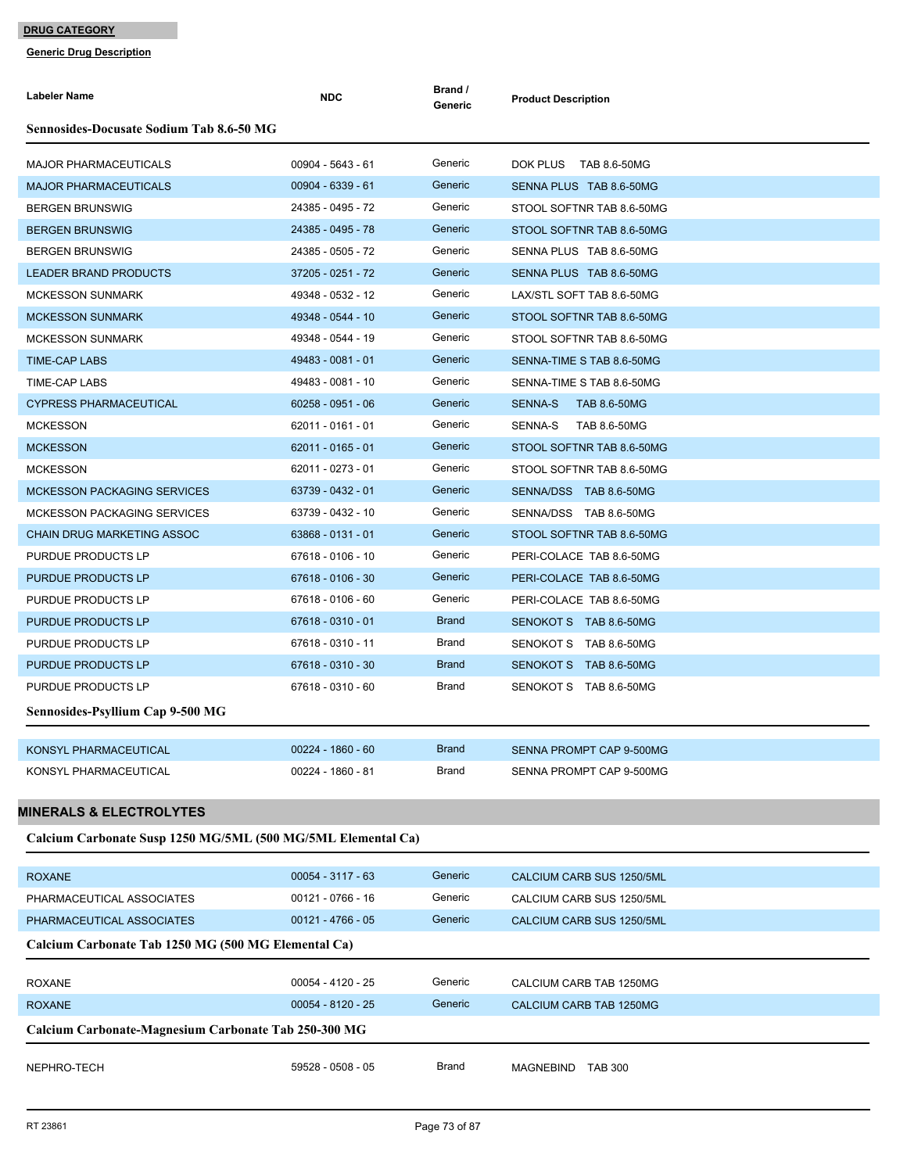| Labeler Name                                                 | <b>NDC</b>          | Brand /<br>Generic | <b>Product Description</b>            |
|--------------------------------------------------------------|---------------------|--------------------|---------------------------------------|
| <b>Sennosides-Docusate Sodium Tab 8.6-50 MG</b>              |                     |                    |                                       |
| <b>MAJOR PHARMACEUTICALS</b>                                 | 00904 - 5643 - 61   | Generic            | DOK PLUS TAB 8.6-50MG                 |
| <b>MAJOR PHARMACEUTICALS</b>                                 | 00904 - 6339 - 61   | Generic            | SENNA PLUS TAB 8.6-50MG               |
| <b>BERGEN BRUNSWIG</b>                                       | 24385 - 0495 - 72   | Generic            | STOOL SOFTNR TAB 8.6-50MG             |
| <b>BERGEN BRUNSWIG</b>                                       | 24385 - 0495 - 78   | Generic            | STOOL SOFTNR TAB 8.6-50MG             |
| <b>BERGEN BRUNSWIG</b>                                       | 24385 - 0505 - 72   | Generic            | SENNA PLUS TAB 8.6-50MG               |
| <b>LEADER BRAND PRODUCTS</b>                                 | 37205 - 0251 - 72   | Generic            | SENNA PLUS TAB 8.6-50MG               |
| <b>MCKESSON SUNMARK</b>                                      | 49348 - 0532 - 12   | Generic            | LAX/STL SOFT TAB 8.6-50MG             |
| <b>MCKESSON SUNMARK</b>                                      | 49348 - 0544 - 10   | Generic            | STOOL SOFTNR TAB 8.6-50MG             |
| <b>MCKESSON SUNMARK</b>                                      | 49348 - 0544 - 19   | Generic            | STOOL SOFTNR TAB 8.6-50MG             |
| <b>TIME-CAP LABS</b>                                         | 49483 - 0081 - 01   | Generic            | SENNA-TIME S TAB 8.6-50MG             |
| TIME-CAP LABS                                                | 49483 - 0081 - 10   | Generic            | SENNA-TIME S TAB 8.6-50MG             |
| <b>CYPRESS PHARMACEUTICAL</b>                                | $60258 - 0951 - 06$ | Generic            | <b>SENNA-S</b><br><b>TAB 8.6-50MG</b> |
| <b>MCKESSON</b>                                              | 62011 - 0161 - 01   | Generic            | SENNA-S<br><b>TAB 8.6-50MG</b>        |
| <b>MCKESSON</b>                                              | 62011 - 0165 - 01   | Generic            | STOOL SOFTNR TAB 8.6-50MG             |
| <b>MCKESSON</b>                                              | 62011 - 0273 - 01   | Generic            | STOOL SOFTNR TAB 8.6-50MG             |
| <b>MCKESSON PACKAGING SERVICES</b>                           | 63739 - 0432 - 01   | Generic            | SENNA/DSS TAB 8.6-50MG                |
| <b>MCKESSON PACKAGING SERVICES</b>                           | 63739 - 0432 - 10   | Generic            | SENNA/DSS TAB 8.6-50MG                |
| <b>CHAIN DRUG MARKETING ASSOC</b>                            | 63868 - 0131 - 01   | Generic            | STOOL SOFTNR TAB 8.6-50MG             |
| PURDUE PRODUCTS LP                                           | 67618 - 0106 - 10   | Generic            | PERI-COLACE TAB 8.6-50MG              |
| PURDUE PRODUCTS LP                                           | 67618 - 0106 - 30   | Generic            | PERI-COLACE TAB 8.6-50MG              |
| PURDUE PRODUCTS LP                                           | 67618 - 0106 - 60   | Generic            | PERI-COLACE TAB 8.6-50MG              |
| PURDUE PRODUCTS LP                                           | 67618 - 0310 - 01   | <b>Brand</b>       | SENOKOT S TAB 8.6-50MG                |
| PURDUE PRODUCTS LP                                           | 67618 - 0310 - 11   | Brand              | SENOKOT S TAB 8.6-50MG                |
| <b>PURDUE PRODUCTS LP</b>                                    | 67618 - 0310 - 30   | <b>Brand</b>       | SENOKOT S TAB 8.6-50MG                |
| PURDUE PRODUCTS LP                                           | 67618 - 0310 - 60   | Brand              | SENOKOT S TAB 8.6-50MG                |
| Sennosides-Psyllium Cap 9-500 MG                             |                     |                    |                                       |
| KONSYL PHARMACEUTICAL                                        | 00224 - 1860 - 60   | <b>Brand</b>       | SENNA PROMPT CAP 9-500MG              |
| KONSYL PHARMACEUTICAL                                        | 00224 - 1860 - 81   | Brand              | SENNA PROMPT CAP 9-500MG              |
|                                                              |                     |                    |                                       |
| <b>MINERALS &amp; ELECTROLYTES</b>                           |                     |                    |                                       |
| Calcium Carbonate Susp 1250 MG/5ML (500 MG/5ML Elemental Ca) |                     |                    |                                       |
| <b>ROXANE</b>                                                | $00054 - 3117 - 63$ | Generic            | CALCIUM CARB SUS 1250/5ML             |
| PHARMACEUTICAL ASSOCIATES                                    | 00121 - 0766 - 16   | Generic            | CALCIUM CARB SUS 1250/5ML             |
| PHARMACEUTICAL ASSOCIATES                                    | $00121 - 4766 - 05$ | Generic            | CALCIUM CARB SUS 1250/5ML             |
| Calcium Carbonate Tab 1250 MG (500 MG Elemental Ca)          |                     |                    |                                       |
|                                                              |                     |                    |                                       |
| <b>ROXANE</b>                                                | 00054 - 4120 - 25   | Generic            | CALCIUM CARB TAB 1250MG               |
| <b>ROXANE</b>                                                | 00054 - 8120 - 25   | Generic            | CALCIUM CARB TAB 1250MG               |
| Calcium Carbonate-Magnesium Carbonate Tab 250-300 MG         |                     |                    |                                       |
| NEPHRO-TECH                                                  | 59528 - 0508 - 05   | Brand              | MAGNEBIND TAB 300                     |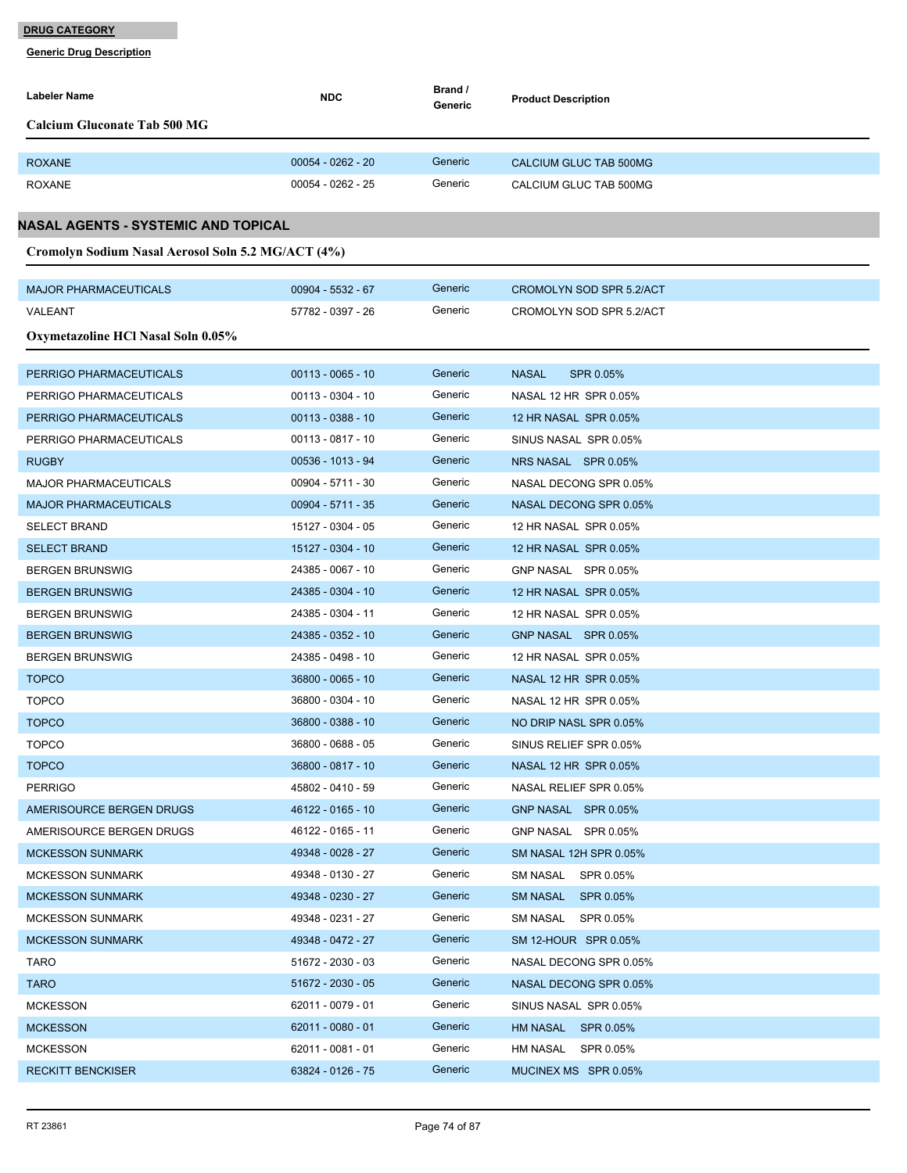| Labeler Name                                       | <b>NDC</b>          | Brand /<br>Generic | <b>Product Description</b> |
|----------------------------------------------------|---------------------|--------------------|----------------------------|
| <b>Calcium Gluconate Tab 500 MG</b>                |                     |                    |                            |
|                                                    |                     |                    |                            |
| <b>ROXANE</b>                                      | $00054 - 0262 - 20$ | Generic            | CALCIUM GLUC TAB 500MG     |
| <b>ROXANE</b>                                      | $00054 - 0262 - 25$ | Generic            | CALCIUM GLUC TAB 500MG     |
| NASAL AGENTS - SYSTEMIC AND TOPICAL                |                     |                    |                            |
| Cromolyn Sodium Nasal Aerosol Soln 5.2 MG/ACT (4%) |                     |                    |                            |
|                                                    |                     |                    |                            |
| <b>MAJOR PHARMACEUTICALS</b>                       | $00904 - 5532 - 67$ | Generic            | CROMOLYN SOD SPR 5.2/ACT   |
| VALEANT                                            | 57782 - 0397 - 26   | Generic            | CROMOLYN SOD SPR 5.2/ACT   |
| Oxymetazoline HCl Nasal Soln 0.05%                 |                     |                    |                            |
|                                                    |                     |                    |                            |
| PERRIGO PHARMACEUTICALS                            | $00113 - 0065 - 10$ | Generic            | <b>NASAL</b><br>SPR 0.05%  |
| PERRIGO PHARMACEUTICALS                            | 00113 - 0304 - 10   | Generic            | NASAL 12 HR SPR 0.05%      |
| PERRIGO PHARMACEUTICALS                            | $00113 - 0388 - 10$ | Generic            | 12 HR NASAL SPR 0.05%      |
| PERRIGO PHARMACEUTICALS                            | $00113 - 0817 - 10$ | Generic            | SINUS NASAL SPR 0.05%      |
| <b>RUGBY</b>                                       | 00536 - 1013 - 94   | Generic            | NRS NASAL SPR 0.05%        |
| <b>MAJOR PHARMACEUTICALS</b>                       | 00904 - 5711 - 30   | Generic            | NASAL DECONG SPR 0.05%     |
| <b>MAJOR PHARMACEUTICALS</b>                       | 00904 - 5711 - 35   | Generic            | NASAL DECONG SPR 0.05%     |
| <b>SELECT BRAND</b>                                | 15127 - 0304 - 05   | Generic            | 12 HR NASAL SPR 0.05%      |
| <b>SELECT BRAND</b>                                | 15127 - 0304 - 10   | Generic            | 12 HR NASAL SPR 0.05%      |
| <b>BERGEN BRUNSWIG</b>                             | 24385 - 0067 - 10   | Generic            | GNP NASAL SPR 0.05%        |
| <b>BERGEN BRUNSWIG</b>                             | 24385 - 0304 - 10   | Generic            | 12 HR NASAL SPR 0.05%      |
| <b>BERGEN BRUNSWIG</b>                             | 24385 - 0304 - 11   | Generic            | 12 HR NASAL SPR 0.05%      |
| <b>BERGEN BRUNSWIG</b>                             | 24385 - 0352 - 10   | Generic            | GNP NASAL SPR 0.05%        |
| <b>BERGEN BRUNSWIG</b>                             | 24385 - 0498 - 10   | Generic            | 12 HR NASAL SPR 0.05%      |
| <b>TOPCO</b>                                       | 36800 - 0065 - 10   | Generic            | NASAL 12 HR SPR 0.05%      |
| <b>TOPCO</b>                                       | 36800 - 0304 - 10   | Generic            | NASAL 12 HR SPR 0.05%      |
| <b>TOPCO</b>                                       | 36800 - 0388 - 10   | Generic            | NO DRIP NASL SPR 0.05%     |
| <b>TOPCO</b>                                       | 36800 - 0688 - 05   | Generic            | SINUS RELIEF SPR 0.05%     |
| <b>TOPCO</b>                                       | 36800 - 0817 - 10   | Generic            | NASAL 12 HR SPR 0.05%      |
| <b>PERRIGO</b>                                     | 45802 - 0410 - 59   | Generic            | NASAL RELIEF SPR 0.05%     |
| AMERISOURCE BERGEN DRUGS                           | 46122 - 0165 - 10   | Generic            | GNP NASAL SPR 0.05%        |
| AMERISOURCE BERGEN DRUGS                           | 46122 - 0165 - 11   | Generic            | GNP NASAL SPR 0.05%        |
| <b>MCKESSON SUNMARK</b>                            | 49348 - 0028 - 27   | Generic            | SM NASAL 12H SPR 0.05%     |
| <b>MCKESSON SUNMARK</b>                            | 49348 - 0130 - 27   | Generic            | SM NASAL SPR 0.05%         |
| <b>MCKESSON SUNMARK</b>                            | 49348 - 0230 - 27   | Generic            | SM NASAL SPR 0.05%         |
| <b>MCKESSON SUNMARK</b>                            | 49348 - 0231 - 27   | Generic            | SM NASAL SPR 0.05%         |
| <b>MCKESSON SUNMARK</b>                            | 49348 - 0472 - 27   | Generic            | SM 12-HOUR SPR 0.05%       |
| <b>TARO</b>                                        | 51672 - 2030 - 03   | Generic            | NASAL DECONG SPR 0.05%     |
| TARO                                               | 51672 - 2030 - 05   | Generic            | NASAL DECONG SPR 0.05%     |
| <b>MCKESSON</b>                                    | 62011 - 0079 - 01   | Generic            | SINUS NASAL SPR 0.05%      |
| <b>MCKESSON</b>                                    | $62011 - 0080 - 01$ | Generic            | HM NASAL SPR 0.05%         |
| <b>MCKESSON</b>                                    | 62011 - 0081 - 01   | Generic            | HM NASAL SPR 0.05%         |
| <b>RECKITT BENCKISER</b>                           | 63824 - 0126 - 75   | Generic            | MUCINEX MS SPR 0.05%       |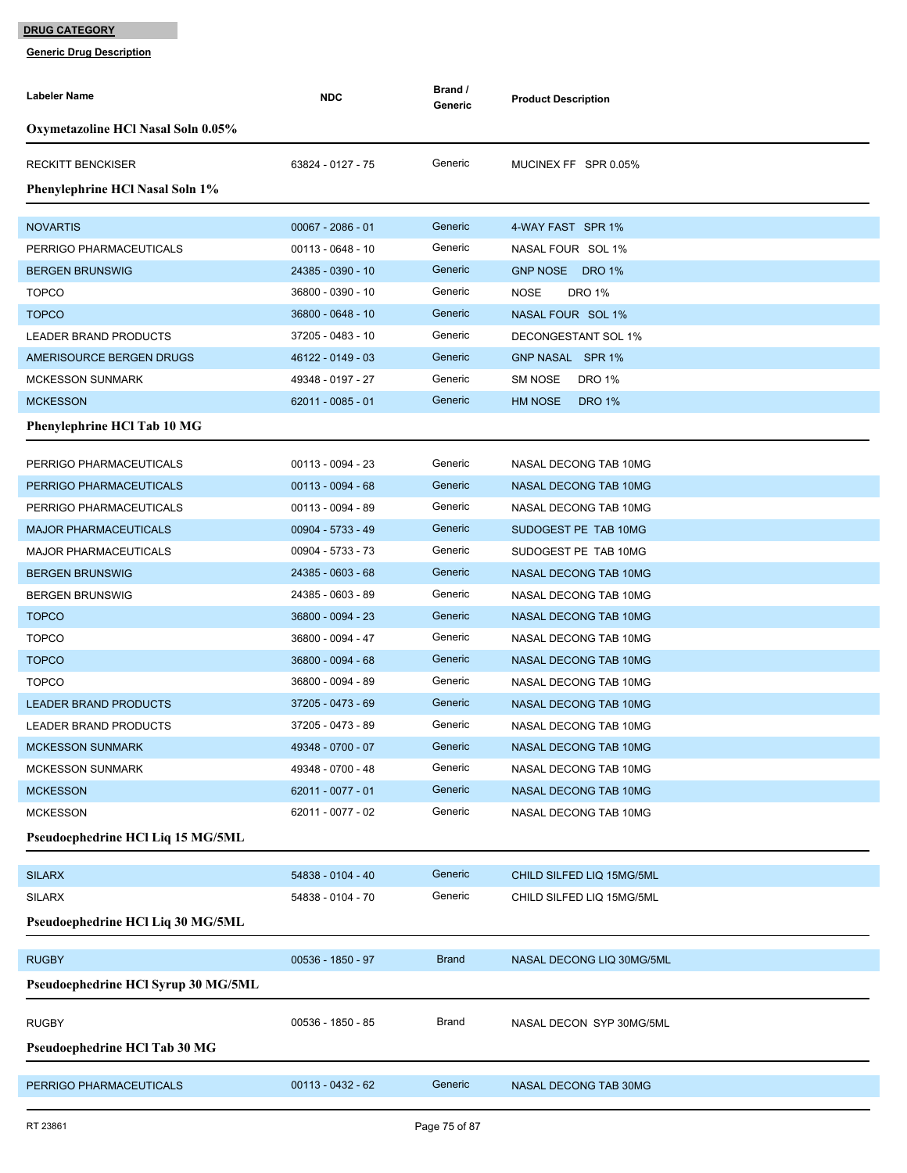| Labeler Name                                  | <b>NDC</b>          | Brand /<br>Generic | <b>Product Description</b>      |
|-----------------------------------------------|---------------------|--------------------|---------------------------------|
| Oxymetazoline HCl Nasal Soln 0.05%            |                     |                    |                                 |
| <b>RECKITT BENCKISER</b>                      | 63824 - 0127 - 75   | Generic            | MUCINEX FF SPR 0.05%            |
| Phenylephrine HCl Nasal Soln 1%               |                     |                    |                                 |
| <b>NOVARTIS</b>                               | $00067 - 2086 - 01$ | Generic            | 4-WAY FAST SPR 1%               |
| PERRIGO PHARMACEUTICALS                       | 00113 - 0648 - 10   | Generic            | NASAL FOUR SOL 1%               |
| <b>BERGEN BRUNSWIG</b>                        | 24385 - 0390 - 10   | Generic            | GNP NOSE DRO 1%                 |
| <b>TOPCO</b>                                  | 36800 - 0390 - 10   | Generic            | <b>DRO 1%</b><br><b>NOSE</b>    |
| <b>TOPCO</b>                                  | 36800 - 0648 - 10   | Generic            | NASAL FOUR SOL 1%               |
| LEADER BRAND PRODUCTS                         | 37205 - 0483 - 10   | Generic            | DECONGESTANT SOL 1%             |
| AMERISOURCE BERGEN DRUGS                      | 46122 - 0149 - 03   | Generic            | GNP NASAL SPR 1%                |
| <b>MCKESSON SUNMARK</b>                       | 49348 - 0197 - 27   | Generic            | <b>SM NOSE</b><br><b>DRO 1%</b> |
| <b>MCKESSON</b>                               | 62011 - 0085 - 01   | Generic            | <b>HM NOSE</b><br><b>DRO 1%</b> |
| Phenylephrine HCl Tab 10 MG                   |                     |                    |                                 |
| PERRIGO PHARMACEUTICALS                       | 00113 - 0094 - 23   | Generic            | NASAL DECONG TAB 10MG           |
| PERRIGO PHARMACEUTICALS                       | $00113 - 0094 - 68$ | Generic            | NASAL DECONG TAB 10MG           |
| PERRIGO PHARMACEUTICALS                       | 00113 - 0094 - 89   | Generic            | NASAL DECONG TAB 10MG           |
| <b>MAJOR PHARMACEUTICALS</b>                  | 00904 - 5733 - 49   | Generic            | SUDOGEST PE TAB 10MG            |
| <b>MAJOR PHARMACEUTICALS</b>                  | 00904 - 5733 - 73   | Generic            | SUDOGEST PE TAB 10MG            |
| <b>BERGEN BRUNSWIG</b>                        | 24385 - 0603 - 68   | Generic            | NASAL DECONG TAB 10MG           |
| <b>BERGEN BRUNSWIG</b>                        | 24385 - 0603 - 89   | Generic            | NASAL DECONG TAB 10MG           |
| <b>TOPCO</b>                                  | 36800 - 0094 - 23   | Generic            | <b>NASAL DECONG TAB 10MG</b>    |
| <b>TOPCO</b>                                  | 36800 - 0094 - 47   | Generic            | NASAL DECONG TAB 10MG           |
| <b>TOPCO</b>                                  | 36800 - 0094 - 68   | Generic            | <b>NASAL DECONG TAB 10MG</b>    |
| <b>TOPCO</b>                                  | 36800 - 0094 - 89   | Generic            | NASAL DECONG TAB 10MG           |
| <b>LEADER BRAND PRODUCTS</b>                  | 37205 - 0473 - 69   | Generic            | <b>NASAL DECONG TAB 10MG</b>    |
| <b>LEADER BRAND PRODUCTS</b>                  | 37205 - 0473 - 89   | Generic            | NASAL DECONG TAB 10MG           |
| <b>MCKESSON SUNMARK</b>                       | 49348 - 0700 - 07   | Generic            | NASAL DECONG TAB 10MG           |
| <b>MCKESSON SUNMARK</b>                       | 49348 - 0700 - 48   | Generic            | NASAL DECONG TAB 10MG           |
| <b>MCKESSON</b>                               | 62011 - 0077 - 01   | Generic            | NASAL DECONG TAB 10MG           |
| <b>MCKESSON</b>                               | 62011 - 0077 - 02   | Generic            | NASAL DECONG TAB 10MG           |
| Pseudoephedrine HCl Liq 15 MG/5ML             |                     |                    |                                 |
| <b>SILARX</b>                                 | 54838 - 0104 - 40   | Generic            | CHILD SILFED LIQ 15MG/5ML       |
| <b>SILARX</b>                                 | 54838 - 0104 - 70   | Generic            | CHILD SILFED LIQ 15MG/5ML       |
| Pseudoephedrine HCl Liq 30 MG/5ML             |                     |                    |                                 |
| <b>RUGBY</b>                                  | 00536 - 1850 - 97   | <b>Brand</b>       | NASAL DECONG LIQ 30MG/5ML       |
| Pseudoephedrine HCl Syrup 30 MG/5ML           |                     |                    |                                 |
|                                               | 00536 - 1850 - 85   | Brand              |                                 |
| <b>RUGBY</b><br>Pseudoephedrine HCl Tab 30 MG |                     |                    | NASAL DECON SYP 30MG/5ML        |
|                                               |                     |                    |                                 |
| PERRIGO PHARMACEUTICALS                       | 00113 - 0432 - 62   | Generic            | NASAL DECONG TAB 30MG           |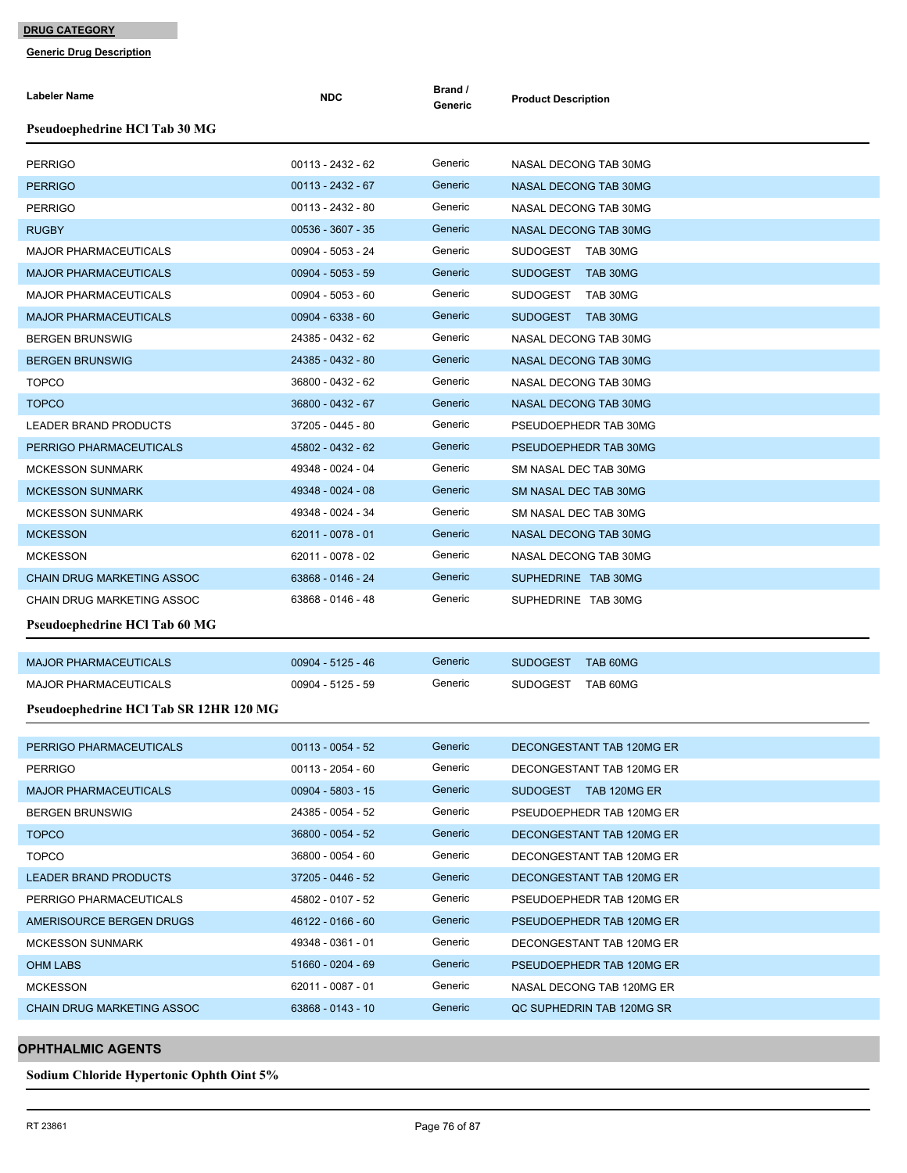**Generic Drug Description**

| <b>Labeler Name</b>                    | <b>NDC</b>          | Brand /<br>Generic | <b>Product Description</b>  |
|----------------------------------------|---------------------|--------------------|-----------------------------|
| Pseudoephedrine HCl Tab 30 MG          |                     |                    |                             |
| <b>PERRIGO</b>                         | 00113 - 2432 - 62   | Generic            | NASAL DECONG TAB 30MG       |
| <b>PERRIGO</b>                         | 00113 - 2432 - 67   | Generic            | NASAL DECONG TAB 30MG       |
| <b>PERRIGO</b>                         | 00113 - 2432 - 80   | Generic            | NASAL DECONG TAB 30MG       |
| <b>RUGBY</b>                           | 00536 - 3607 - 35   | Generic            | NASAL DECONG TAB 30MG       |
| <b>MAJOR PHARMACEUTICALS</b>           | 00904 - 5053 - 24   | Generic            | SUDOGEST TAB 30MG           |
| <b>MAJOR PHARMACEUTICALS</b>           | $00904 - 5053 - 59$ | Generic            | SUDOGEST TAB 30MG           |
| <b>MAJOR PHARMACEUTICALS</b>           | 00904 - 5053 - 60   | Generic            | SUDOGEST TAB 30MG           |
| <b>MAJOR PHARMACEUTICALS</b>           | $00904 - 6338 - 60$ | Generic            | SUDOGEST TAB 30MG           |
| <b>BERGEN BRUNSWIG</b>                 | 24385 - 0432 - 62   | Generic            | NASAL DECONG TAB 30MG       |
| <b>BERGEN BRUNSWIG</b>                 | 24385 - 0432 - 80   | Generic            | NASAL DECONG TAB 30MG       |
| <b>TOPCO</b>                           | 36800 - 0432 - 62   | Generic            | NASAL DECONG TAB 30MG       |
| <b>TOPCO</b>                           | 36800 - 0432 - 67   | Generic            | NASAL DECONG TAB 30MG       |
| LEADER BRAND PRODUCTS                  | 37205 - 0445 - 80   | Generic            | PSEUDOEPHEDR TAB 30MG       |
| PERRIGO PHARMACEUTICALS                | 45802 - 0432 - 62   | Generic            | PSEUDOEPHEDR TAB 30MG       |
| <b>MCKESSON SUNMARK</b>                | 49348 - 0024 - 04   | Generic            | SM NASAL DEC TAB 30MG       |
| <b>MCKESSON SUNMARK</b>                | 49348 - 0024 - 08   | Generic            | SM NASAL DEC TAB 30MG       |
| <b>MCKESSON SUNMARK</b>                | 49348 - 0024 - 34   | Generic            | SM NASAL DEC TAB 30MG       |
| <b>MCKESSON</b>                        | $62011 - 0078 - 01$ | Generic            | NASAL DECONG TAB 30MG       |
| <b>MCKESSON</b>                        | 62011 - 0078 - 02   | Generic            | NASAL DECONG TAB 30MG       |
| CHAIN DRUG MARKETING ASSOC             | 63868 - 0146 - 24   | Generic            | SUPHEDRINE TAB 30MG         |
| CHAIN DRUG MARKETING ASSOC             | 63868 - 0146 - 48   | Generic            | SUPHEDRINE TAB 30MG         |
| Pseudoephedrine HCl Tab 60 MG          |                     |                    |                             |
| <b>MAJOR PHARMACEUTICALS</b>           | 00904 - 5125 - 46   | Generic            | <b>SUDOGEST</b><br>TAB 60MG |
| <b>MAJOR PHARMACEUTICALS</b>           | 00904 - 5125 - 59   | Generic            | <b>SUDOGEST</b><br>TAB 60MG |
| Pseudoephedrine HCl Tab SR 12HR 120 MG |                     |                    |                             |
| PERRIGO PHARMACEUTICALS                | $00113 - 0054 - 52$ | Generic            | DECONGESTANT TAB 120MG ER   |
| <b>PERRIGO</b>                         | $00113 - 2054 - 60$ | Generic            | DECONGESTANT TAB 120MG ER   |
| <b>MAJOR PHARMACEUTICALS</b>           | $00904 - 5803 - 15$ | Generic            | SUDOGEST TAB 120MG ER       |
| <b>BERGEN BRUNSWIG</b>                 | 24385 - 0054 - 52   | Generic            | PSEUDOEPHEDR TAB 120MG ER   |
| <b>TOPCO</b>                           | 36800 - 0054 - 52   | Generic            | DECONGESTANT TAB 120MG ER   |
| <b>TOPCO</b>                           | 36800 - 0054 - 60   | Generic            | DECONGESTANT TAB 120MG ER   |
| LEADER BRAND PRODUCTS                  | 37205 - 0446 - 52   | Generic            | DECONGESTANT TAB 120MG ER   |
| PERRIGO PHARMACEUTICALS                | 45802 - 0107 - 52   | Generic            | PSEUDOEPHEDR TAB 120MG ER   |
| AMERISOURCE BERGEN DRUGS               | 46122 - 0166 - 60   | Generic            | PSEUDOEPHEDR TAB 120MG ER   |
| <b>MCKESSON SUNMARK</b>                | 49348 - 0361 - 01   | Generic            | DECONGESTANT TAB 120MG ER   |
| OHM LABS                               | 51660 - 0204 - 69   | Generic            | PSEUDOEPHEDR TAB 120MG ER   |
| <b>MCKESSON</b>                        | 62011 - 0087 - 01   | Generic            | NASAL DECONG TAB 120MG ER   |
| CHAIN DRUG MARKETING ASSOC             | 63868 - 0143 - 10   | Generic            | QC SUPHEDRIN TAB 120MG SR   |
|                                        |                     |                    |                             |

## **OPHTHALMIC AGENTS**

**Sodium Chloride Hypertonic Ophth Oint 5%**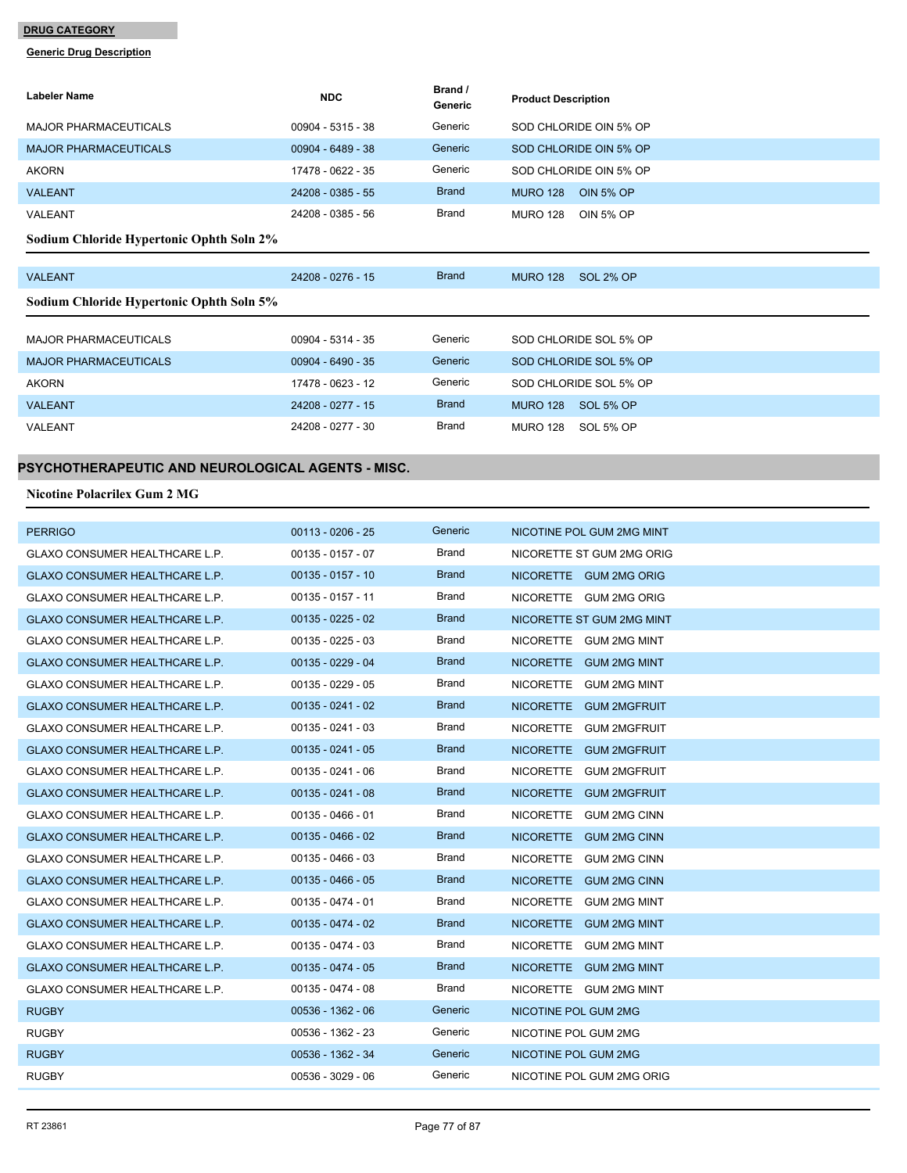#### **Generic Drug Description**

| <b>Labeler Name</b>                      | <b>NDC</b>          | Brand /<br>Generic | <b>Product Description</b>          |
|------------------------------------------|---------------------|--------------------|-------------------------------------|
| MAJOR PHARMACEUTICALS                    | $00904 - 5315 - 38$ | Generic            | SOD CHLORIDE OIN 5% OP              |
| <b>MAJOR PHARMACEUTICALS</b>             | 00904 - 6489 - 38   | Generic            | SOD CHLORIDE OIN 5% OP              |
| <b>AKORN</b>                             | 17478 - 0622 - 35   | Generic            | SOD CHLORIDE OIN 5% OP              |
| <b>VALEANT</b>                           | 24208 - 0385 - 55   | <b>Brand</b>       | <b>OIN 5% OP</b><br><b>MURO 128</b> |
| VALEANT                                  | 24208 - 0385 - 56   | Brand              | OIN 5% OP<br><b>MURO 128</b>        |
| Sodium Chloride Hypertonic Ophth Soln 2% |                     |                    |                                     |

| <b>VALEANT</b>                           | 24208 - 0276 - 15   | <b>Brand</b> | <b>SOL 2% OP</b><br><b>MURO 128</b> |
|------------------------------------------|---------------------|--------------|-------------------------------------|
| Sodium Chloride Hypertonic Ophth Soln 5% |                     |              |                                     |
|                                          |                     |              |                                     |
| <b>MAJOR PHARMACEUTICALS</b>             | $00904 - 5314 - 35$ | Generic      | SOD CHLORIDE SOL 5% OP              |
| <b>MAJOR PHARMACEUTICALS</b>             | $00904 - 6490 - 35$ | Generic      | SOD CHLORIDE SOL 5% OP              |
| <b>AKORN</b>                             | 17478 - 0623 - 12   | Generic      | SOD CHLORIDE SOL 5% OP              |
| <b>VALEANT</b>                           | 24208 - 0277 - 15   | <b>Brand</b> | SOL 5% OP<br><b>MURO 128</b>        |
| VALEANT                                  | 24208 - 0277 - 30   | Brand        | SOL 5% OP<br><b>MURO 128</b>        |

# **PSYCHOTHERAPEUTIC AND NEUROLOGICAL AGENTS - MISC.**

#### **Nicotine Polacrilex Gum 2 MG**

| <b>PERRIGO</b>                        | $00113 - 0206 - 25$ | Generic      | NICOTINE POL GUM 2MG MINT               |
|---------------------------------------|---------------------|--------------|-----------------------------------------|
| <b>GLAXO CONSUMER HEALTHCARE L.P.</b> | $00135 - 0157 - 07$ | <b>Brand</b> | NICORETTE ST GUM 2MG ORIG               |
| <b>GLAXO CONSUMER HEALTHCARE L.P.</b> | $00135 - 0157 - 10$ | <b>Brand</b> | NICORETTE GUM 2MG ORIG                  |
| <b>GLAXO CONSUMER HEALTHCARE L.P.</b> | $00135 - 0157 - 11$ | Brand        | NICORETTE GUM 2MG ORIG                  |
| <b>GLAXO CONSUMER HEALTHCARE L.P.</b> | $00135 - 0225 - 02$ | <b>Brand</b> | NICORETTE ST GUM 2MG MINT               |
| <b>GLAXO CONSUMER HEALTHCARE L.P.</b> | $00135 - 0225 - 03$ | <b>Brand</b> | NICORETTE GUM 2MG MINT                  |
| <b>GLAXO CONSUMER HEALTHCARE L.P.</b> | $00135 - 0229 - 04$ | <b>Brand</b> | NICORETTE GUM 2MG MINT                  |
| <b>GLAXO CONSUMER HEALTHCARE L.P.</b> | $00135 - 0229 - 05$ | <b>Brand</b> | NICORETTE GUM 2MG MINT                  |
| GLAXO CONSUMER HEALTHCARE L.P.        | $00135 - 0241 - 02$ | <b>Brand</b> | NICORETTE GUM 2MGFRUIT                  |
| GLAXO CONSUMER HEALTHCARE L.P.        | $00135 - 0241 - 03$ | <b>Brand</b> | <b>NICORETTE</b><br>GUM 2MGFRUIT        |
| GLAXO CONSUMER HEALTHCARE L.P.        | $00135 - 0241 - 05$ | <b>Brand</b> | NICORETTE GUM 2MGFRUIT                  |
| <b>GLAXO CONSUMER HEALTHCARE L.P.</b> | $00135 - 0241 - 06$ | <b>Brand</b> | <b>NICORETTE</b><br><b>GUM 2MGFRUIT</b> |
| <b>GLAXO CONSUMER HEALTHCARE L.P.</b> | $00135 - 0241 - 08$ | <b>Brand</b> | NICORETTE GUM 2MGFRUIT                  |
| <b>GLAXO CONSUMER HEALTHCARE L.P.</b> | 00135 - 0466 - 01   | Brand        | NICORETTE GUM 2MG CINN                  |
| <b>GLAXO CONSUMER HEALTHCARE L.P.</b> | $00135 - 0466 - 02$ | <b>Brand</b> | <b>NICORETTE</b><br><b>GUM 2MG CINN</b> |
| <b>GLAXO CONSUMER HEALTHCARE L.P.</b> | $00135 - 0466 - 03$ | <b>Brand</b> | NICORETTE GUM 2MG CINN                  |
| <b>GLAXO CONSUMER HEALTHCARE L.P.</b> | $00135 - 0466 - 05$ | <b>Brand</b> | NICORETTE GUM 2MG CINN                  |
| <b>GLAXO CONSUMER HEALTHCARE L.P.</b> | $00135 - 0474 - 01$ | <b>Brand</b> | NICORETTE GUM 2MG MINT                  |
| GLAXO CONSUMER HEALTHCARE L.P.        | $00135 - 0474 - 02$ | <b>Brand</b> | NICORETTE GUM 2MG MINT                  |
| <b>GLAXO CONSUMER HEALTHCARE L.P.</b> | $00135 - 0474 - 03$ | <b>Brand</b> | NICORETTE GUM 2MG MINT                  |
| GLAXO CONSUMER HEALTHCARE L.P.        | $00135 - 0474 - 05$ | <b>Brand</b> | NICORETTE GUM 2MG MINT                  |
| <b>GLAXO CONSUMER HEALTHCARE L.P.</b> | $00135 - 0474 - 08$ | <b>Brand</b> | NICORETTE GUM 2MG MINT                  |
| <b>RUGBY</b>                          | $00536 - 1362 - 06$ | Generic      | NICOTINE POL GUM 2MG                    |
| <b>RUGBY</b>                          | 00536 - 1362 - 23   | Generic      | NICOTINE POL GUM 2MG                    |
| <b>RUGBY</b>                          | 00536 - 1362 - 34   | Generic      | NICOTINE POL GUM 2MG                    |
| <b>RUGBY</b>                          | 00536 - 3029 - 06   | Generic      | NICOTINE POL GUM 2MG ORIG               |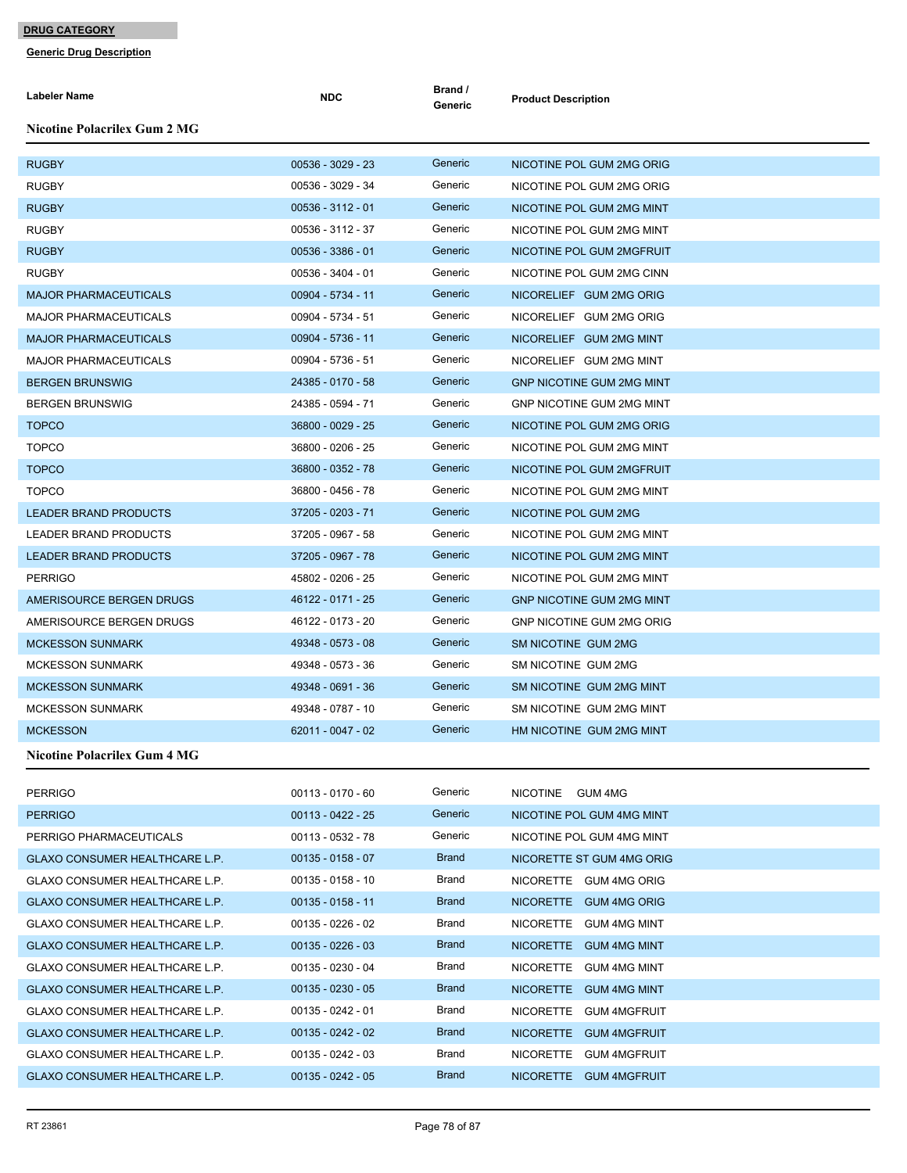| <b>Labeler Name</b>                   | <b>NDC</b>          | Brand /<br>Generic | <b>Product Description</b>       |
|---------------------------------------|---------------------|--------------------|----------------------------------|
| <b>Nicotine Polacrilex Gum 2 MG</b>   |                     |                    |                                  |
| <b>RUGBY</b>                          | 00536 - 3029 - 23   | Generic            | NICOTINE POL GUM 2MG ORIG        |
| <b>RUGBY</b>                          | 00536 - 3029 - 34   | Generic            | NICOTINE POL GUM 2MG ORIG        |
| <b>RUGBY</b>                          | $00536 - 3112 - 01$ | Generic            | NICOTINE POL GUM 2MG MINT        |
| <b>RUGBY</b>                          | 00536 - 3112 - 37   | Generic            | NICOTINE POL GUM 2MG MINT        |
| <b>RUGBY</b>                          | $00536 - 3386 - 01$ | Generic            | NICOTINE POL GUM 2MGFRUIT        |
| <b>RUGBY</b>                          | 00536 - 3404 - 01   | Generic            | NICOTINE POL GUM 2MG CINN        |
| <b>MAJOR PHARMACEUTICALS</b>          | 00904 - 5734 - 11   | Generic            | NICORELIEF GUM 2MG ORIG          |
| <b>MAJOR PHARMACEUTICALS</b>          | 00904 - 5734 - 51   | Generic            | NICORELIEF GUM 2MG ORIG          |
| <b>MAJOR PHARMACEUTICALS</b>          | 00904 - 5736 - 11   | Generic            | NICORELIEF GUM 2MG MINT          |
| <b>MAJOR PHARMACEUTICALS</b>          | 00904 - 5736 - 51   | Generic            | NICORELIEF GUM 2MG MINT          |
| <b>BERGEN BRUNSWIG</b>                | 24385 - 0170 - 58   | Generic            | <b>GNP NICOTINE GUM 2MG MINT</b> |
| <b>BERGEN BRUNSWIG</b>                | 24385 - 0594 - 71   | Generic            | GNP NICOTINE GUM 2MG MINT        |
| <b>TOPCO</b>                          | 36800 - 0029 - 25   | Generic            | NICOTINE POL GUM 2MG ORIG        |
| <b>TOPCO</b>                          | 36800 - 0206 - 25   | Generic            | NICOTINE POL GUM 2MG MINT        |
| <b>TOPCO</b>                          | 36800 - 0352 - 78   | Generic            | NICOTINE POL GUM 2MGFRUIT        |
| <b>TOPCO</b>                          | 36800 - 0456 - 78   | Generic            | NICOTINE POL GUM 2MG MINT        |
| <b>LEADER BRAND PRODUCTS</b>          | 37205 - 0203 - 71   | Generic            | NICOTINE POL GUM 2MG             |
| LEADER BRAND PRODUCTS                 | 37205 - 0967 - 58   | Generic            | NICOTINE POL GUM 2MG MINT        |
| <b>LEADER BRAND PRODUCTS</b>          | 37205 - 0967 - 78   | Generic            | NICOTINE POL GUM 2MG MINT        |
| <b>PERRIGO</b>                        | 45802 - 0206 - 25   | Generic            | NICOTINE POL GUM 2MG MINT        |
| AMERISOURCE BERGEN DRUGS              | 46122 - 0171 - 25   | Generic            | <b>GNP NICOTINE GUM 2MG MINT</b> |
| AMERISOURCE BERGEN DRUGS              | 46122 - 0173 - 20   | Generic            | <b>GNP NICOTINE GUM 2MG ORIG</b> |
| <b>MCKESSON SUNMARK</b>               | 49348 - 0573 - 08   | Generic            | SM NICOTINE GUM 2MG              |
| <b>MCKESSON SUNMARK</b>               | 49348 - 0573 - 36   | Generic            | SM NICOTINE GUM 2MG              |
| <b>MCKESSON SUNMARK</b>               | 49348 - 0691 - 36   | Generic            | SM NICOTINE GUM 2MG MINT         |
| <b>MCKESSON SUNMARK</b>               | 49348 - 0787 - 10   | Generic            | SM NICOTINE GUM 2MG MINT         |
| <b>MCKESSON</b>                       | 62011 - 0047 - 02   | Generic            | HM NICOTINE GUM 2MG MINT         |
| <b>Nicotine Polacrilex Gum 4 MG</b>   |                     |                    |                                  |
| <b>PERRIGO</b>                        | $00113 - 0170 - 60$ | Generic            | NICOTINE GUM 4MG                 |
| <b>PERRIGO</b>                        | $00113 - 0422 - 25$ | Generic            | NICOTINE POL GUM 4MG MINT        |
| PERRIGO PHARMACEUTICALS               | 00113 - 0532 - 78   | Generic            | NICOTINE POL GUM 4MG MINT        |
| GLAXO CONSUMER HEALTHCARE L.P.        | $00135 - 0158 - 07$ | <b>Brand</b>       | NICORETTE ST GUM 4MG ORIG        |
| <b>GLAXO CONSUMER HEALTHCARE L.P.</b> | $00135 - 0158 - 10$ | Brand              | NICORETTE GUM 4MG ORIG           |
| GLAXO CONSUMER HEALTHCARE L.P.        | $00135 - 0158 - 11$ | <b>Brand</b>       | NICORETTE GUM 4MG ORIG           |
| GLAXO CONSUMER HEALTHCARE L.P.        | $00135 - 0226 - 02$ | Brand              | NICORETTE GUM 4MG MINT           |
| GLAXO CONSUMER HEALTHCARE L.P.        | $00135 - 0226 - 03$ | <b>Brand</b>       | NICORETTE GUM 4MG MINT           |
| GLAXO CONSUMER HEALTHCARE L.P.        | 00135 - 0230 - 04   | Brand              | NICORETTE GUM 4MG MINT           |
| GLAXO CONSUMER HEALTHCARE L.P.        | $00135 - 0230 - 05$ | <b>Brand</b>       | NICORETTE GUM 4MG MINT           |
| GLAXO CONSUMER HEALTHCARE L.P.        | $00135 - 0242 - 01$ | Brand              | NICORETTE GUM 4MGFRUIT           |
| GLAXO CONSUMER HEALTHCARE L.P.        | $00135 - 0242 - 02$ | <b>Brand</b>       | NICORETTE GUM 4MGFRUIT           |
| GLAXO CONSUMER HEALTHCARE L.P.        | $00135 - 0242 - 03$ | Brand              | NICORETTE GUM 4MGFRUIT           |
| GLAXO CONSUMER HEALTHCARE L.P.        | $00135 - 0242 - 05$ | <b>Brand</b>       | NICORETTE GUM 4MGFRUIT           |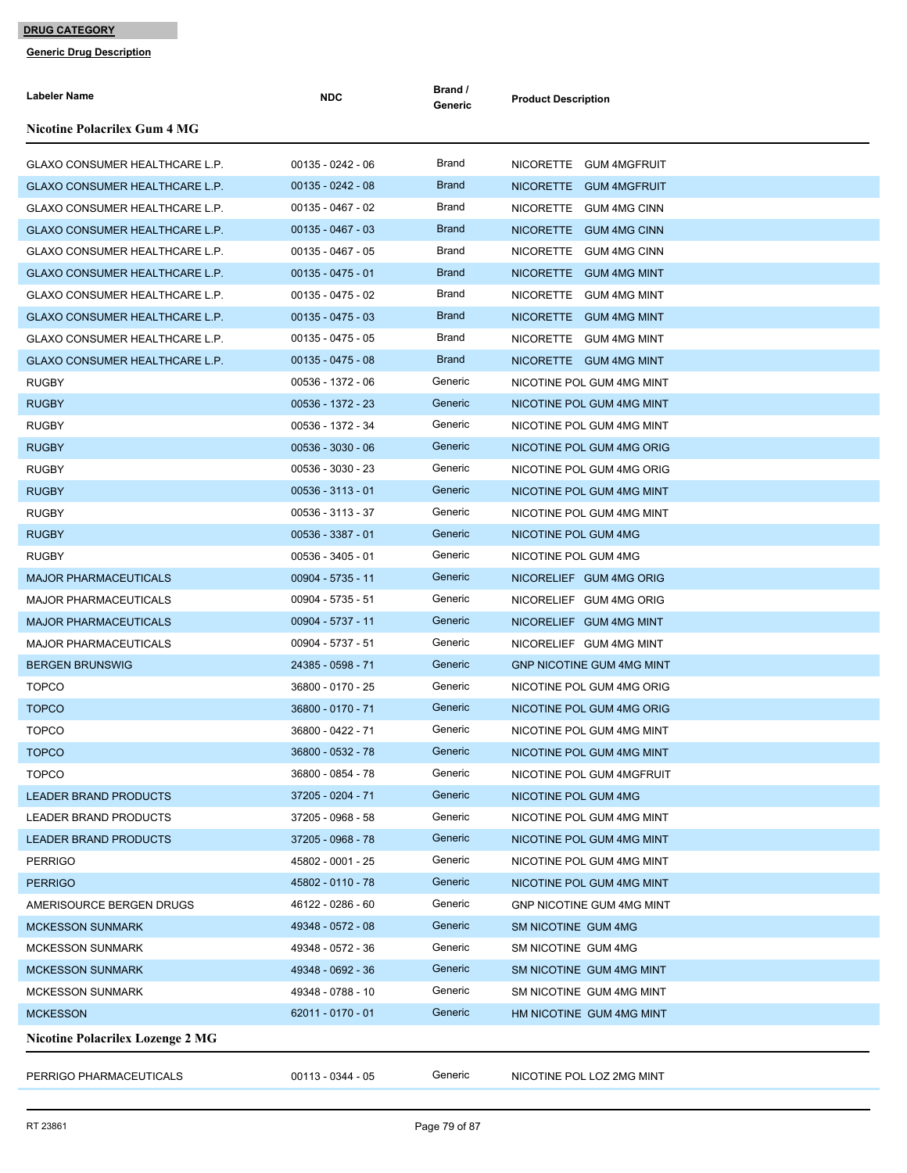| Labeler Name                            | <b>NDC</b>          | Brand /<br>Generic | <b>Product Description</b>       |
|-----------------------------------------|---------------------|--------------------|----------------------------------|
| <b>Nicotine Polacrilex Gum 4 MG</b>     |                     |                    |                                  |
| GLAXO CONSUMER HEALTHCARE L.P.          | $00135 - 0242 - 06$ | Brand              | NICORETTE GUM 4MGFRUIT           |
| GLAXO CONSUMER HEALTHCARE L.P.          | $00135 - 0242 - 08$ | <b>Brand</b>       | NICORETTE GUM 4MGFRUIT           |
| GLAXO CONSUMER HEALTHCARE L.P.          | 00135 - 0467 - 02   | Brand              | NICORETTE GUM 4MG CINN           |
| GLAXO CONSUMER HEALTHCARE L.P.          | $00135 - 0467 - 03$ | <b>Brand</b>       | NICORETTE GUM 4MG CINN           |
| GLAXO CONSUMER HEALTHCARE L.P.          | $00135 - 0467 - 05$ | Brand              | NICORETTE GUM 4MG CINN           |
| <b>GLAXO CONSUMER HEALTHCARE L.P.</b>   | $00135 - 0475 - 01$ | <b>Brand</b>       | NICORETTE GUM 4MG MINT           |
| <b>GLAXO CONSUMER HEALTHCARE L.P.</b>   | $00135 - 0475 - 02$ | Brand              | NICORETTE GUM 4MG MINT           |
| GLAXO CONSUMER HEALTHCARE L.P.          | $00135 - 0475 - 03$ | <b>Brand</b>       | NICORETTE GUM 4MG MINT           |
| GLAXO CONSUMER HEALTHCARE L.P.          | $00135 - 0475 - 05$ | Brand              | NICORETTE GUM 4MG MINT           |
| GLAXO CONSUMER HEALTHCARE L.P.          | $00135 - 0475 - 08$ | <b>Brand</b>       | NICORETTE GUM 4MG MINT           |
| <b>RUGBY</b>                            | 00536 - 1372 - 06   | Generic            | NICOTINE POL GUM 4MG MINT        |
| <b>RUGBY</b>                            | 00536 - 1372 - 23   | Generic            | NICOTINE POL GUM 4MG MINT        |
| <b>RUGBY</b>                            | 00536 - 1372 - 34   | Generic            | NICOTINE POL GUM 4MG MINT        |
| <b>RUGBY</b>                            | $00536 - 3030 - 06$ | Generic            | NICOTINE POL GUM 4MG ORIG        |
| <b>RUGBY</b>                            | 00536 - 3030 - 23   | Generic            | NICOTINE POL GUM 4MG ORIG        |
| <b>RUGBY</b>                            | $00536 - 3113 - 01$ | Generic            | NICOTINE POL GUM 4MG MINT        |
| <b>RUGBY</b>                            | 00536 - 3113 - 37   | Generic            | NICOTINE POL GUM 4MG MINT        |
| <b>RUGBY</b>                            | $00536 - 3387 - 01$ | Generic            | NICOTINE POL GUM 4MG             |
| <b>RUGBY</b>                            | $00536 - 3405 - 01$ | Generic            | NICOTINE POL GUM 4MG             |
| <b>MAJOR PHARMACEUTICALS</b>            | 00904 - 5735 - 11   | Generic            | NICORELIEF GUM 4MG ORIG          |
| <b>MAJOR PHARMACEUTICALS</b>            | 00904 - 5735 - 51   | Generic            | NICORELIEF GUM 4MG ORIG          |
| <b>MAJOR PHARMACEUTICALS</b>            | 00904 - 5737 - 11   | Generic            | NICORELIEF GUM 4MG MINT          |
| <b>MAJOR PHARMACEUTICALS</b>            | 00904 - 5737 - 51   | Generic            | NICORELIEF GUM 4MG MINT          |
| <b>BERGEN BRUNSWIG</b>                  | 24385 - 0598 - 71   | Generic            | <b>GNP NICOTINE GUM 4MG MINT</b> |
| <b>TOPCO</b>                            | 36800 - 0170 - 25   | Generic            | NICOTINE POL GUM 4MG ORIG        |
| <b>TOPCO</b>                            | 36800 - 0170 - 71   | Generic            | NICOTINE POL GUM 4MG ORIG        |
| <b>TOPCO</b>                            | 36800 - 0422 - 71   | Generic            | NICOTINE POL GUM 4MG MINT        |
| <b>TOPCO</b>                            | 36800 - 0532 - 78   | Generic            | NICOTINE POL GUM 4MG MINT        |
| <b>TOPCO</b>                            | 36800 - 0854 - 78   | Generic            | NICOTINE POL GUM 4MGFRUIT        |
| LEADER BRAND PRODUCTS                   | 37205 - 0204 - 71   | Generic            | NICOTINE POL GUM 4MG             |
| <b>LEADER BRAND PRODUCTS</b>            | 37205 - 0968 - 58   | Generic            | NICOTINE POL GUM 4MG MINT        |
| <b>LEADER BRAND PRODUCTS</b>            | 37205 - 0968 - 78   | Generic            | NICOTINE POL GUM 4MG MINT        |
| <b>PERRIGO</b>                          | 45802 - 0001 - 25   | Generic            | NICOTINE POL GUM 4MG MINT        |
| <b>PERRIGO</b>                          | 45802 - 0110 - 78   | Generic            | NICOTINE POL GUM 4MG MINT        |
| AMERISOURCE BERGEN DRUGS                | 46122 - 0286 - 60   | Generic            | GNP NICOTINE GUM 4MG MINT        |
| <b>MCKESSON SUNMARK</b>                 | 49348 - 0572 - 08   | Generic            | SM NICOTINE GUM 4MG              |
| <b>MCKESSON SUNMARK</b>                 | 49348 - 0572 - 36   | Generic            | SM NICOTINE GUM 4MG              |
| <b>MCKESSON SUNMARK</b>                 | 49348 - 0692 - 36   | Generic            | SM NICOTINE GUM 4MG MINT         |
| <b>MCKESSON SUNMARK</b>                 | 49348 - 0788 - 10   | Generic            | SM NICOTINE GUM 4MG MINT         |
| <b>MCKESSON</b>                         | 62011 - 0170 - 01   | Generic            | HM NICOTINE GUM 4MG MINT         |
| <b>Nicotine Polacrilex Lozenge 2 MG</b> |                     |                    |                                  |
| PERRIGO PHARMACEUTICALS                 | 00113 - 0344 - 05   | Generic            | NICOTINE POL LOZ 2MG MINT        |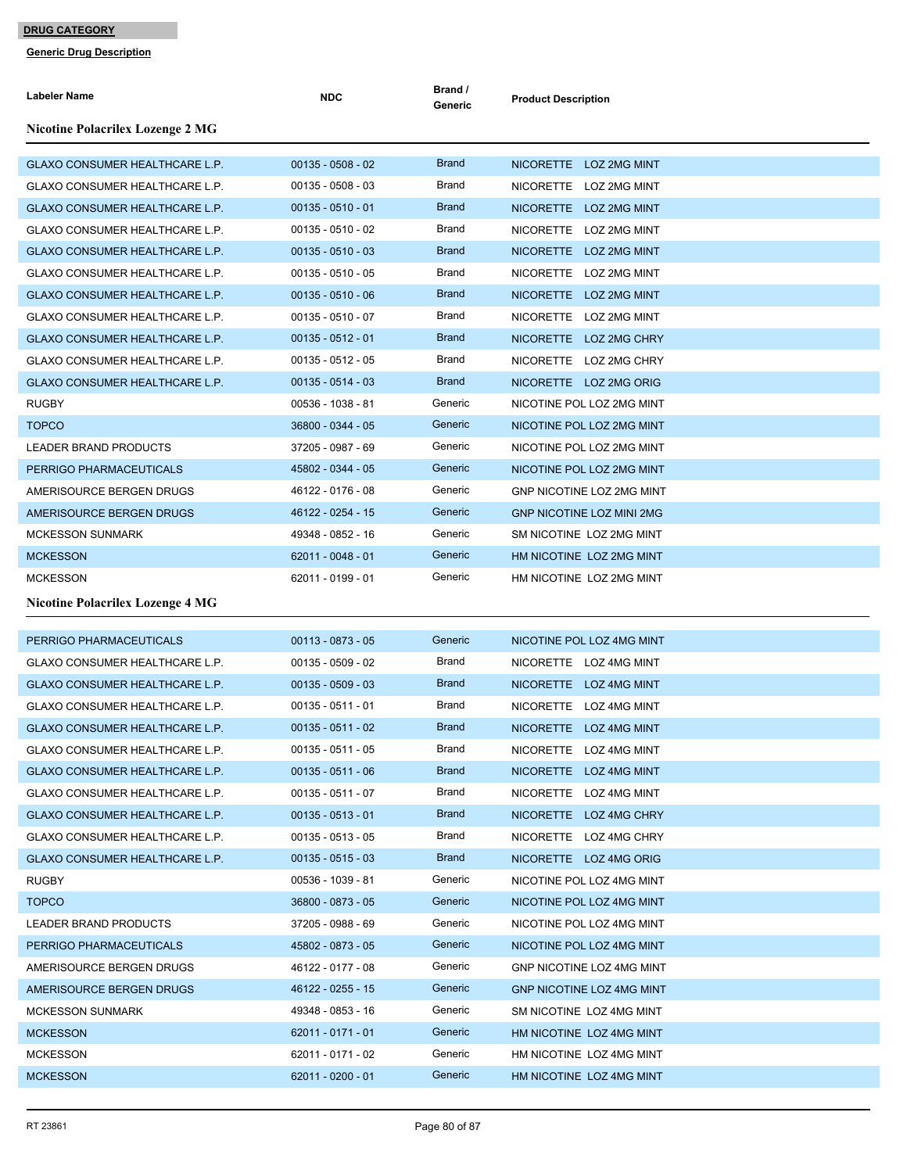| Labeler Name                            | <b>NDC</b>          | Brand /<br>Generic | <b>Product Description</b>       |
|-----------------------------------------|---------------------|--------------------|----------------------------------|
| <b>Nicotine Polacrilex Lozenge 2 MG</b> |                     |                    |                                  |
| <b>GLAXO CONSUMER HEALTHCARE L.P.</b>   | $00135 - 0508 - 02$ | <b>Brand</b>       | NICORETTE LOZ 2MG MINT           |
| GLAXO CONSUMER HEALTHCARE L.P.          | $00135 - 0508 - 03$ | Brand              | NICORETTE LOZ 2MG MINT           |
| <b>GLAXO CONSUMER HEALTHCARE L.P.</b>   | $00135 - 0510 - 01$ | <b>Brand</b>       | NICORETTE LOZ 2MG MINT           |
| GLAXO CONSUMER HEALTHCARE L.P.          | $00135 - 0510 - 02$ | <b>Brand</b>       | NICORETTE LOZ 2MG MINT           |
| GLAXO CONSUMER HEALTHCARE L.P.          | $00135 - 0510 - 03$ | <b>Brand</b>       | NICORETTE LOZ 2MG MINT           |
| GLAXO CONSUMER HEALTHCARE L.P.          | $00135 - 0510 - 05$ | Brand              | NICORETTE LOZ 2MG MINT           |
| GLAXO CONSUMER HEALTHCARE L.P.          | $00135 - 0510 - 06$ | <b>Brand</b>       | NICORETTE LOZ 2MG MINT           |
| GLAXO CONSUMER HEALTHCARE L.P.          | $00135 - 0510 - 07$ | <b>Brand</b>       | NICORETTE LOZ 2MG MINT           |
| GLAXO CONSUMER HEALTHCARE L.P.          | $00135 - 0512 - 01$ | <b>Brand</b>       | NICORETTE LOZ 2MG CHRY           |
| GLAXO CONSUMER HEALTHCARE L.P.          | $00135 - 0512 - 05$ | Brand              | NICORETTE LOZ 2MG CHRY           |
| GLAXO CONSUMER HEALTHCARE L.P.          | $00135 - 0514 - 03$ | <b>Brand</b>       | NICORETTE LOZ 2MG ORIG           |
| <b>RUGBY</b>                            | 00536 - 1038 - 81   | Generic            | NICOTINE POL LOZ 2MG MINT        |
| <b>TOPCO</b>                            | 36800 - 0344 - 05   | Generic            | NICOTINE POL LOZ 2MG MINT        |
| LEADER BRAND PRODUCTS                   | 37205 - 0987 - 69   | Generic            | NICOTINE POL LOZ 2MG MINT        |
| PERRIGO PHARMACEUTICALS                 | 45802 - 0344 - 05   | Generic            | NICOTINE POL LOZ 2MG MINT        |
| AMERISOURCE BERGEN DRUGS                | 46122 - 0176 - 08   | Generic            | <b>GNP NICOTINE LOZ 2MG MINT</b> |
| AMERISOURCE BERGEN DRUGS                | 46122 - 0254 - 15   | Generic            | <b>GNP NICOTINE LOZ MINI 2MG</b> |
| <b>MCKESSON SUNMARK</b>                 | 49348 - 0852 - 16   | Generic            | SM NICOTINE LOZ 2MG MINT         |
| <b>MCKESSON</b>                         | 62011 - 0048 - 01   | Generic            | HM NICOTINE LOZ 2MG MINT         |
| <b>MCKESSON</b>                         | 62011 - 0199 - 01   | Generic            | HM NICOTINE LOZ 2MG MINT         |
| <b>Nicotine Polacrilex Lozenge 4 MG</b> |                     |                    |                                  |
| PERRIGO PHARMACEUTICALS                 | $00113 - 0873 - 05$ | Generic            | NICOTINE POL LOZ 4MG MINT        |
| <b>GLAXO CONSUMER HEALTHCARE L.P.</b>   | $00135 - 0509 - 02$ | Brand              | NICORETTE LOZ 4MG MINT           |
| GLAXO CONSUMER HEALTHCARE L.P.          | $00135 - 0509 - 03$ | <b>Brand</b>       | NICORETTE LOZ 4MG MINT           |
| GLAXO CONSUMER HEALTHCARE L.P.          | $00135 - 0511 - 01$ | Brand              | NICORETTE LOZ 4MG MINT           |
| <b>GLAXO CONSUMER HEALTHCARE L.P.</b>   | $00135 - 0511 - 02$ | <b>Brand</b>       | NICORETTE LOZ 4MG MINT           |
| GLAXO CONSUMER HEALTHCARE L.P.          | $00135 - 0511 - 05$ | Brand              | NICORETTE LOZ 4MG MINT           |
| GLAXO CONSUMER HEALTHCARE L.P.          | $00135 - 0511 - 06$ | <b>Brand</b>       | NICORETTE LOZ 4MG MINT           |
| GLAXO CONSUMER HEALTHCARE L.P.          | $00135 - 0511 - 07$ | Brand              | NICORETTE LOZ 4MG MINT           |
| GLAXO CONSUMER HEALTHCARE L.P.          | $00135 - 0513 - 01$ | <b>Brand</b>       | NICORETTE LOZ 4MG CHRY           |
| GLAXO CONSUMER HEALTHCARE L.P.          | $00135 - 0513 - 05$ | Brand              | NICORETTE LOZ 4MG CHRY           |
| GLAXO CONSUMER HEALTHCARE L.P.          | $00135 - 0515 - 03$ | <b>Brand</b>       | NICORETTE LOZ 4MG ORIG           |
| <b>RUGBY</b>                            | 00536 - 1039 - 81   | Generic            | NICOTINE POL LOZ 4MG MINT        |
| <b>TOPCO</b>                            | 36800 - 0873 - 05   | Generic            | NICOTINE POL LOZ 4MG MINT        |
| LEADER BRAND PRODUCTS                   | 37205 - 0988 - 69   | Generic            | NICOTINE POL LOZ 4MG MINT        |
| PERRIGO PHARMACEUTICALS                 | 45802 - 0873 - 05   | Generic            | NICOTINE POL LOZ 4MG MINT        |
| AMERISOURCE BERGEN DRUGS                | 46122 - 0177 - 08   | Generic            | GNP NICOTINE LOZ 4MG MINT        |
| AMERISOURCE BERGEN DRUGS                | 46122 - 0255 - 15   | Generic            | <b>GNP NICOTINE LOZ 4MG MINT</b> |
| <b>MCKESSON SUNMARK</b>                 | 49348 - 0853 - 16   | Generic            | SM NICOTINE LOZ 4MG MINT         |
| <b>MCKESSON</b>                         | 62011 - 0171 - 01   | Generic            | HM NICOTINE LOZ 4MG MINT         |
| <b>MCKESSON</b>                         | 62011 - 0171 - 02   | Generic            | HM NICOTINE LOZ 4MG MINT         |
| <b>MCKESSON</b>                         | 62011 - 0200 - 01   | Generic            | HM NICOTINE LOZ 4MG MINT         |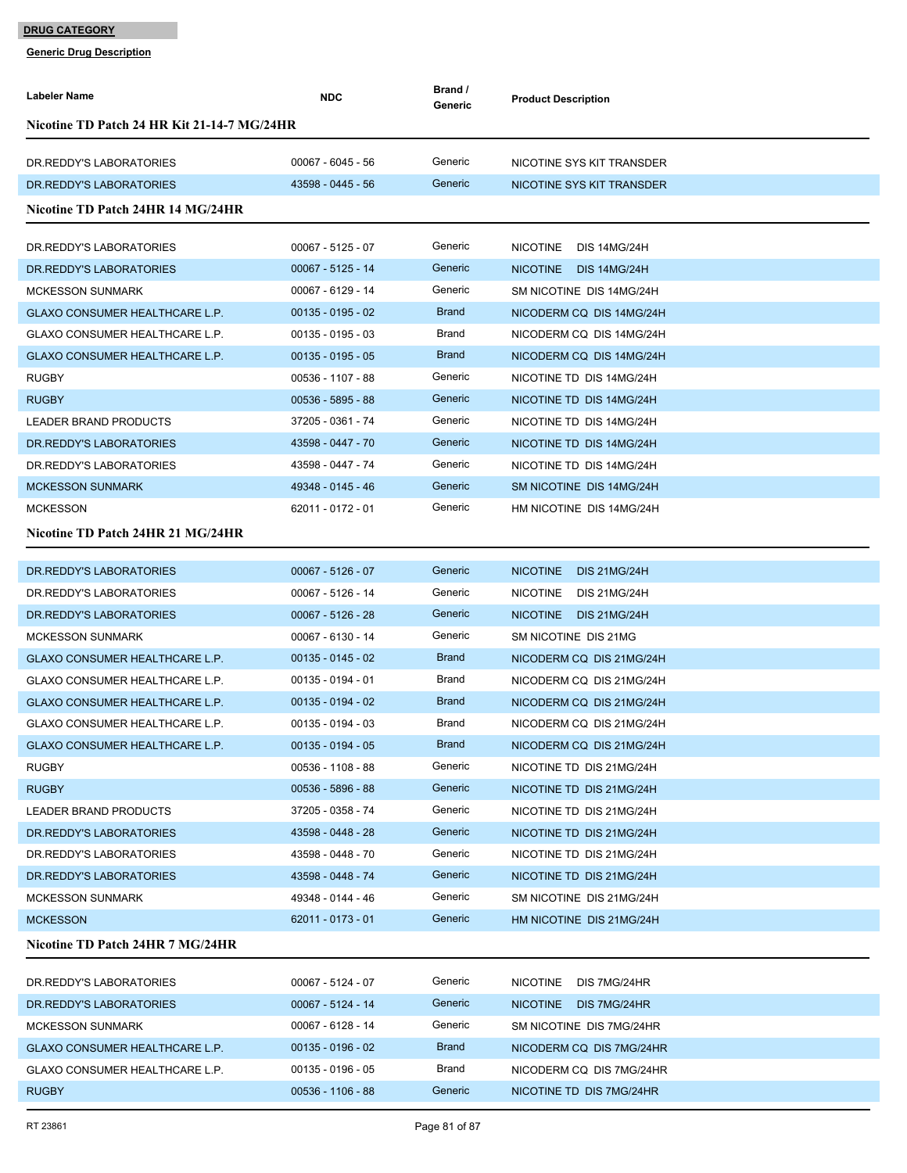| Labeler Name                                | <b>NDC</b>          | Brand /<br>Generic | <b>Product Description</b>             |  |  |
|---------------------------------------------|---------------------|--------------------|----------------------------------------|--|--|
| Nicotine TD Patch 24 HR Kit 21-14-7 MG/24HR |                     |                    |                                        |  |  |
| DR. REDDY'S LABORATORIES                    | 00067 - 6045 - 56   | Generic            | NICOTINE SYS KIT TRANSDER              |  |  |
| DR. REDDY'S LABORATORIES                    | 43598 - 0445 - 56   | Generic            | NICOTINE SYS KIT TRANSDER              |  |  |
| Nicotine TD Patch 24HR 14 MG/24HR           |                     |                    |                                        |  |  |
| DR. REDDY'S LABORATORIES                    | $00067 - 5125 - 07$ | Generic            | <b>NICOTINE</b><br><b>DIS 14MG/24H</b> |  |  |
| DR. REDDY'S LABORATORIES                    | $00067 - 5125 - 14$ | Generic            | <b>NICOTINE</b><br><b>DIS 14MG/24H</b> |  |  |
| <b>MCKESSON SUNMARK</b>                     | 00067 - 6129 - 14   | Generic            | SM NICOTINE DIS 14MG/24H               |  |  |
| <b>GLAXO CONSUMER HEALTHCARE L.P.</b>       | $00135 - 0195 - 02$ | <b>Brand</b>       | NICODERM CQ DIS 14MG/24H               |  |  |
| <b>GLAXO CONSUMER HEALTHCARE L.P.</b>       | $00135 - 0195 - 03$ | <b>Brand</b>       | NICODERM CQ DIS 14MG/24H               |  |  |
| <b>GLAXO CONSUMER HEALTHCARE L.P.</b>       | $00135 - 0195 - 05$ | <b>Brand</b>       | NICODERM CQ DIS 14MG/24H               |  |  |
| <b>RUGBY</b>                                | 00536 - 1107 - 88   | Generic            | NICOTINE TD DIS 14MG/24H               |  |  |
| <b>RUGBY</b>                                | $00536 - 5895 - 88$ | Generic            | NICOTINE TD DIS 14MG/24H               |  |  |
| <b>LEADER BRAND PRODUCTS</b>                | 37205 - 0361 - 74   | Generic            | NICOTINE TD DIS 14MG/24H               |  |  |
| DR. REDDY'S LABORATORIES                    | 43598 - 0447 - 70   | Generic            | NICOTINE TD DIS 14MG/24H               |  |  |
| DR.REDDY'S LABORATORIES                     | 43598 - 0447 - 74   | Generic            | NICOTINE TD DIS 14MG/24H               |  |  |
| <b>MCKESSON SUNMARK</b>                     | 49348 - 0145 - 46   | Generic            | SM NICOTINE DIS 14MG/24H               |  |  |
| <b>MCKESSON</b>                             | 62011 - 0172 - 01   | Generic            | HM NICOTINE DIS 14MG/24H               |  |  |
| Nicotine TD Patch 24HR 21 MG/24HR           |                     |                    |                                        |  |  |
| DR. REDDY'S LABORATORIES                    | $00067 - 5126 - 07$ | Generic            | <b>NICOTINE</b><br><b>DIS 21MG/24H</b> |  |  |
| DR. REDDY'S LABORATORIES                    | 00067 - 5126 - 14   | Generic            | <b>NICOTINE</b><br>DIS 21MG/24H        |  |  |
| DR. REDDY'S LABORATORIES                    | $00067 - 5126 - 28$ | Generic            | NICOTINE DIS 21MG/24H                  |  |  |
| <b>MCKESSON SUNMARK</b>                     | 00067 - 6130 - 14   | Generic            | SM NICOTINE DIS 21MG                   |  |  |
| <b>GLAXO CONSUMER HEALTHCARE L.P.</b>       | $00135 - 0145 - 02$ | <b>Brand</b>       | NICODERM CQ DIS 21MG/24H               |  |  |
| <b>GLAXO CONSUMER HEALTHCARE L.P.</b>       | 00135 - 0194 - 01   | Brand              | NICODERM CQ DIS 21MG/24H               |  |  |
| GLAXO CONSUMER HEALTHCARE L.P.              | $00135 - 0194 - 02$ | <b>Brand</b>       | NICODERM CQ DIS 21MG/24H               |  |  |
| GLAXO CONSUMER HEALTHCARE L.P.              | $00135 - 0194 - 03$ | Brand              | NICODERM CQ DIS 21MG/24H               |  |  |
| GLAXO CONSUMER HEALTHCARE L.P.              | $00135 - 0194 - 05$ | <b>Brand</b>       | NICODERM CQ DIS 21MG/24H               |  |  |
| RUGBY                                       | 00536 - 1108 - 88   | Generic            | NICOTINE TD DIS 21MG/24H               |  |  |
| <b>RUGBY</b>                                | 00536 - 5896 - 88   | Generic            | NICOTINE TD DIS 21MG/24H               |  |  |
| LEADER BRAND PRODUCTS                       | 37205 - 0358 - 74   | Generic            | NICOTINE TD DIS 21MG/24H               |  |  |
| DR. REDDY'S LABORATORIES                    | 43598 - 0448 - 28   | Generic            | NICOTINE TD DIS 21MG/24H               |  |  |
| DR.REDDY'S LABORATORIES                     | 43598 - 0448 - 70   | Generic            | NICOTINE TD DIS 21MG/24H               |  |  |
| DR. REDDY'S LABORATORIES                    | 43598 - 0448 - 74   | Generic            | NICOTINE TD DIS 21MG/24H               |  |  |
| <b>MCKESSON SUNMARK</b>                     | 49348 - 0144 - 46   | Generic            | SM NICOTINE DIS 21MG/24H               |  |  |
| <b>MCKESSON</b>                             | 62011 - 0173 - 01   | Generic            | HM NICOTINE DIS 21MG/24H               |  |  |
| Nicotine TD Patch 24HR 7 MG/24HR            |                     |                    |                                        |  |  |
| DR.REDDY'S LABORATORIES                     | 00067 - 5124 - 07   | Generic            | NICOTINE DIS 7MG/24HR                  |  |  |
| DR. REDDY'S LABORATORIES                    | 00067 - 5124 - 14   | Generic            | NICOTINE DIS 7MG/24HR                  |  |  |
| <b>MCKESSON SUNMARK</b>                     | 00067 - 6128 - 14   | Generic            | SM NICOTINE DIS 7MG/24HR               |  |  |
| GLAXO CONSUMER HEALTHCARE L.P.              | $00135 - 0196 - 02$ | <b>Brand</b>       | NICODERM CQ DIS 7MG/24HR               |  |  |
| GLAXO CONSUMER HEALTHCARE L.P.              | $00135 - 0196 - 05$ | Brand              | NICODERM CQ DIS 7MG/24HR               |  |  |
| <b>RUGBY</b>                                | $00536 - 1106 - 88$ | Generic            | NICOTINE TD DIS 7MG/24HR               |  |  |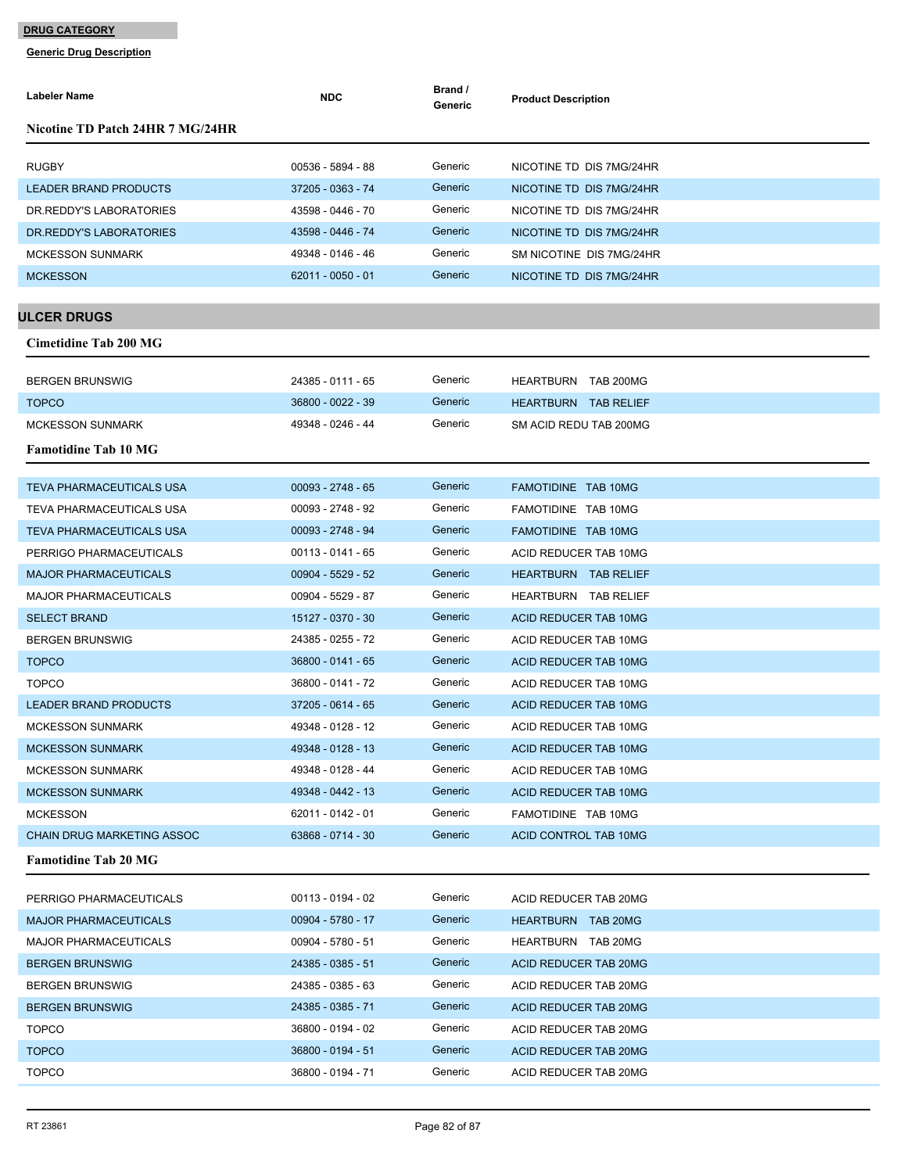| Labeler Name                      | <b>NDC</b>          | Brand /<br>Generic | <b>Product Description</b> |
|-----------------------------------|---------------------|--------------------|----------------------------|
| Nicotine TD Patch 24HR 7 MG/24HR  |                     |                    |                            |
| <b>RUGBY</b>                      | 00536 - 5894 - 88   | Generic            | NICOTINE TD DIS 7MG/24HR   |
| <b>LEADER BRAND PRODUCTS</b>      | 37205 - 0363 - 74   | Generic            | NICOTINE TD DIS 7MG/24HR   |
| DR. REDDY'S LABORATORIES          | 43598 - 0446 - 70   | Generic            | NICOTINE TD DIS 7MG/24HR   |
| DR. REDDY'S LABORATORIES          | 43598 - 0446 - 74   | Generic            | NICOTINE TD DIS 7MG/24HR   |
| <b>MCKESSON SUNMARK</b>           | 49348 - 0146 - 46   | Generic            | SM NICOTINE DIS 7MG/24HR   |
| <b>MCKESSON</b>                   | $62011 - 0050 - 01$ | Generic            | NICOTINE TD DIS 7MG/24HR   |
|                                   |                     |                    |                            |
| <b>ULCER DRUGS</b>                |                     |                    |                            |
| Cimetidine Tab 200 MG             |                     |                    |                            |
| <b>BERGEN BRUNSWIG</b>            | 24385 - 0111 - 65   | Generic            | HEARTBURN TAB 200MG        |
| <b>TOPCO</b>                      | 36800 - 0022 - 39   | Generic            | HEARTBURN TAB RELIEF       |
| <b>MCKESSON SUNMARK</b>           | 49348 - 0246 - 44   | Generic            | SM ACID REDU TAB 200MG     |
| <b>Famotidine Tab 10 MG</b>       |                     |                    |                            |
|                                   |                     |                    |                            |
| <b>TEVA PHARMACEUTICALS USA</b>   | $00093 - 2748 - 65$ | Generic            | FAMOTIDINE TAB 10MG        |
| TEVA PHARMACEUTICALS USA          | 00093 - 2748 - 92   | Generic            | FAMOTIDINE TAB 10MG        |
| TEVA PHARMACEUTICALS USA          | 00093 - 2748 - 94   | Generic            | FAMOTIDINE TAB 10MG        |
| PERRIGO PHARMACEUTICALS           | $00113 - 0141 - 65$ | Generic            | ACID REDUCER TAB 10MG      |
| <b>MAJOR PHARMACEUTICALS</b>      | $00904 - 5529 - 52$ | Generic            | HEARTBURN TAB RELIEF       |
| <b>MAJOR PHARMACEUTICALS</b>      | 00904 - 5529 - 87   | Generic            | HEARTBURN TAB RELIEF       |
| <b>SELECT BRAND</b>               | 15127 - 0370 - 30   | Generic            | ACID REDUCER TAB 10MG      |
| <b>BERGEN BRUNSWIG</b>            | 24385 - 0255 - 72   | Generic            | ACID REDUCER TAB 10MG      |
| <b>TOPCO</b>                      | 36800 - 0141 - 65   | Generic            | ACID REDUCER TAB 10MG      |
| <b>TOPCO</b>                      | 36800 - 0141 - 72   | Generic            | ACID REDUCER TAB 10MG      |
| <b>LEADER BRAND PRODUCTS</b>      | 37205 - 0614 - 65   | Generic            | ACID REDUCER TAB 10MG      |
| <b>MCKESSON SUNMARK</b>           | 49348 - 0128 - 12   | Generic            | ACID REDUCER TAB 10MG      |
| <b>MCKESSON SUNMARK</b>           | 49348 - 0128 - 13   | Generic            | ACID REDUCER TAB 10MG      |
| <b>MCKESSON SUNMARK</b>           | 49348 - 0128 - 44   | Generic            | ACID REDUCER TAB 10MG      |
| <b>MCKESSON SUNMARK</b>           | 49348 - 0442 - 13   | Generic            | ACID REDUCER TAB 10MG      |
| <b>MCKESSON</b>                   | 62011 - 0142 - 01   | Generic            | FAMOTIDINE TAB 10MG        |
| <b>CHAIN DRUG MARKETING ASSOC</b> | 63868 - 0714 - 30   | Generic            | ACID CONTROL TAB 10MG      |
| <b>Famotidine Tab 20 MG</b>       |                     |                    |                            |
| PERRIGO PHARMACEUTICALS           | $00113 - 0194 - 02$ | Generic            | ACID REDUCER TAB 20MG      |
| <b>MAJOR PHARMACEUTICALS</b>      | 00904 - 5780 - 17   | Generic            | HEARTBURN TAB 20MG         |
| <b>MAJOR PHARMACEUTICALS</b>      | 00904 - 5780 - 51   | Generic            | HEARTBURN TAB 20MG         |
| <b>BERGEN BRUNSWIG</b>            | 24385 - 0385 - 51   | Generic            | ACID REDUCER TAB 20MG      |
| <b>BERGEN BRUNSWIG</b>            | 24385 - 0385 - 63   | Generic            | ACID REDUCER TAB 20MG      |
| <b>BERGEN BRUNSWIG</b>            | 24385 - 0385 - 71   | Generic            | ACID REDUCER TAB 20MG      |
| <b>TOPCO</b>                      | 36800 - 0194 - 02   | Generic            | ACID REDUCER TAB 20MG      |
| <b>TOPCO</b>                      | 36800 - 0194 - 51   | Generic            | ACID REDUCER TAB 20MG      |
| <b>TOPCO</b>                      | 36800 - 0194 - 71   | Generic            | ACID REDUCER TAB 20MG      |
|                                   |                     |                    |                            |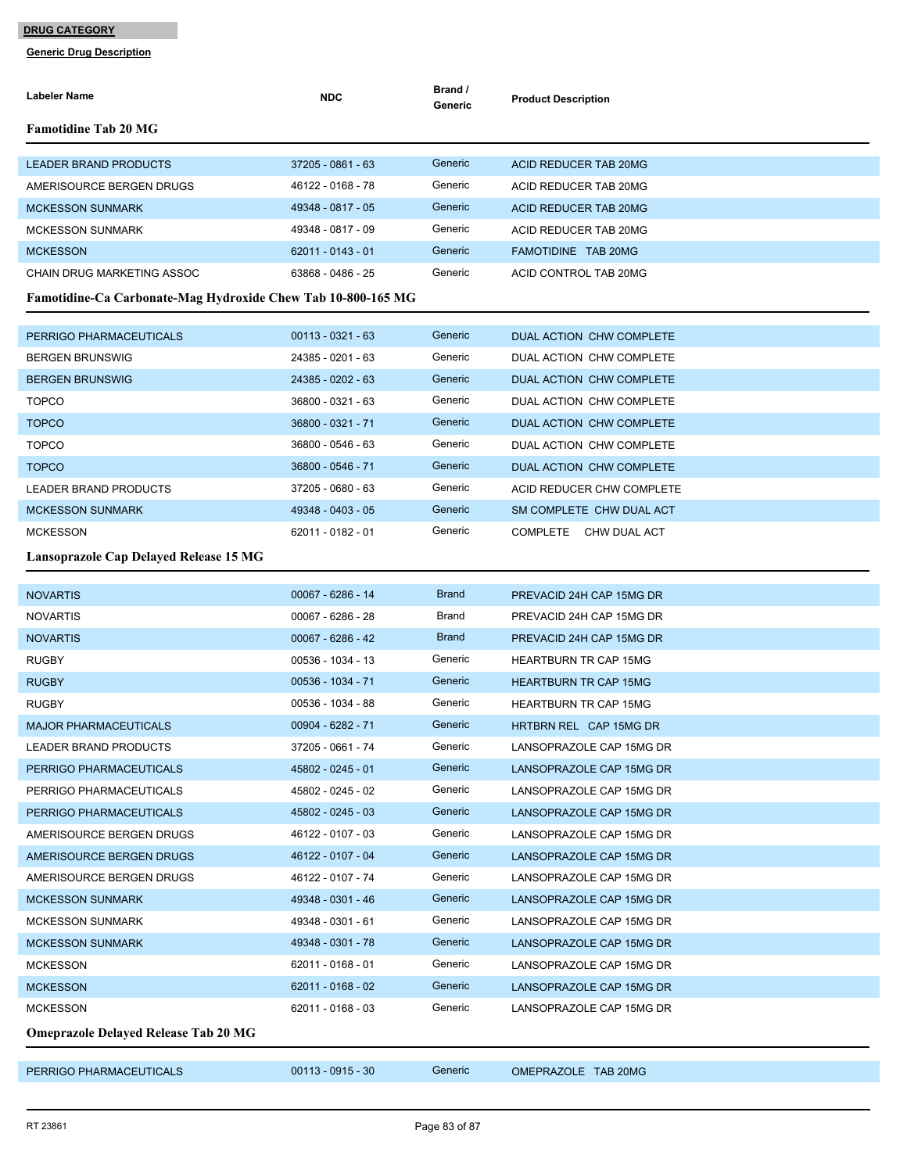| <b>Labeler Name</b>                                          | <b>NDC</b>          | Brand /<br>Generic | <b>Product Description</b>   |  |  |
|--------------------------------------------------------------|---------------------|--------------------|------------------------------|--|--|
| <b>Famotidine Tab 20 MG</b>                                  |                     |                    |                              |  |  |
| <b>LEADER BRAND PRODUCTS</b>                                 | 37205 - 0861 - 63   | Generic            | ACID REDUCER TAB 20MG        |  |  |
| AMERISOURCE BERGEN DRUGS                                     | 46122 - 0168 - 78   | Generic            | ACID REDUCER TAB 20MG        |  |  |
| <b>MCKESSON SUNMARK</b>                                      | 49348 - 0817 - 05   | Generic            | ACID REDUCER TAB 20MG        |  |  |
| <b>MCKESSON SUNMARK</b>                                      | 49348 - 0817 - 09   | Generic            | ACID REDUCER TAB 20MG        |  |  |
| <b>MCKESSON</b>                                              | 62011 - 0143 - 01   | Generic            | <b>FAMOTIDINE TAB 20MG</b>   |  |  |
| CHAIN DRUG MARKETING ASSOC                                   | 63868 - 0486 - 25   | Generic            | ACID CONTROL TAB 20MG        |  |  |
| Famotidine-Ca Carbonate-Mag Hydroxide Chew Tab 10-800-165 MG |                     |                    |                              |  |  |
| PERRIGO PHARMACEUTICALS                                      | $00113 - 0321 - 63$ | Generic            | DUAL ACTION CHW COMPLETE     |  |  |
| <b>BERGEN BRUNSWIG</b>                                       | 24385 - 0201 - 63   | Generic            | DUAL ACTION CHW COMPLETE     |  |  |
| <b>BERGEN BRUNSWIG</b>                                       | 24385 - 0202 - 63   | Generic            | DUAL ACTION CHW COMPLETE     |  |  |
| <b>TOPCO</b>                                                 | 36800 - 0321 - 63   | Generic            | DUAL ACTION CHW COMPLETE     |  |  |
| <b>TOPCO</b>                                                 | 36800 - 0321 - 71   | Generic            | DUAL ACTION CHW COMPLETE     |  |  |
| <b>TOPCO</b>                                                 | 36800 - 0546 - 63   | Generic            | DUAL ACTION CHW COMPLETE     |  |  |
| <b>TOPCO</b>                                                 | 36800 - 0546 - 71   | Generic            | DUAL ACTION CHW COMPLETE     |  |  |
| LEADER BRAND PRODUCTS                                        | 37205 - 0680 - 63   | Generic            | ACID REDUCER CHW COMPLETE    |  |  |
| <b>MCKESSON SUNMARK</b>                                      | 49348 - 0403 - 05   | Generic            | SM COMPLETE CHW DUAL ACT     |  |  |
| <b>MCKESSON</b>                                              | 62011 - 0182 - 01   | Generic            | COMPLETE CHW DUAL ACT        |  |  |
| Lansoprazole Cap Delayed Release 15 MG                       |                     |                    |                              |  |  |
| <b>NOVARTIS</b>                                              | 00067 - 6286 - 14   | <b>Brand</b>       | PREVACID 24H CAP 15MG DR     |  |  |
| <b>NOVARTIS</b>                                              | 00067 - 6286 - 28   | Brand              | PREVACID 24H CAP 15MG DR     |  |  |
| <b>NOVARTIS</b>                                              | $00067 - 6286 - 42$ | <b>Brand</b>       | PREVACID 24H CAP 15MG DR     |  |  |
| <b>RUGBY</b>                                                 | 00536 - 1034 - 13   | Generic            | <b>HEARTBURN TR CAP 15MG</b> |  |  |
| <b>RUGBY</b>                                                 | 00536 - 1034 - 71   | Generic            | <b>HEARTBURN TR CAP 15MG</b> |  |  |
| <b>RUGBY</b>                                                 | 00536 - 1034 - 88   | Generic            | <b>HEARTBURN TR CAP 15MG</b> |  |  |
| <b>MAJOR PHARMACEUTICALS</b>                                 | 00904 - 6282 - 71   | Generic            | HRTBRN REL CAP 15MG DR       |  |  |
| LEADER BRAND PRODUCTS                                        | 37205 - 0661 - 74   | Generic            | LANSOPRAZOLE CAP 15MG DR     |  |  |
| PERRIGO PHARMACEUTICALS                                      | 45802 - 0245 - 01   | Generic            | LANSOPRAZOLE CAP 15MG DR     |  |  |
| PERRIGO PHARMACEUTICALS                                      | 45802 - 0245 - 02   | Generic            | LANSOPRAZOLE CAP 15MG DR     |  |  |
| PERRIGO PHARMACEUTICALS                                      | 45802 - 0245 - 03   | Generic            | LANSOPRAZOLE CAP 15MG DR     |  |  |
| AMERISOURCE BERGEN DRUGS                                     | 46122 - 0107 - 03   | Generic            | LANSOPRAZOLE CAP 15MG DR     |  |  |
| AMERISOURCE BERGEN DRUGS                                     | 46122 - 0107 - 04   | Generic            | LANSOPRAZOLE CAP 15MG DR     |  |  |
| AMERISOURCE BERGEN DRUGS                                     | 46122 - 0107 - 74   | Generic            | LANSOPRAZOLE CAP 15MG DR     |  |  |
| <b>MCKESSON SUNMARK</b>                                      | 49348 - 0301 - 46   | Generic            | LANSOPRAZOLE CAP 15MG DR     |  |  |
| <b>MCKESSON SUNMARK</b>                                      | 49348 - 0301 - 61   | Generic            | LANSOPRAZOLE CAP 15MG DR     |  |  |
| <b>MCKESSON SUNMARK</b>                                      | 49348 - 0301 - 78   | Generic            | LANSOPRAZOLE CAP 15MG DR     |  |  |
| <b>MCKESSON</b>                                              | 62011 - 0168 - 01   | Generic            | LANSOPRAZOLE CAP 15MG DR     |  |  |
| <b>MCKESSON</b>                                              | 62011 - 0168 - 02   | Generic            | LANSOPRAZOLE CAP 15MG DR     |  |  |
| <b>MCKESSON</b>                                              | 62011 - 0168 - 03   | Generic            | LANSOPRAZOLE CAP 15MG DR     |  |  |
| <b>Omeprazole Delayed Release Tab 20 MG</b>                  |                     |                    |                              |  |  |
| PERRIGO PHARMACEUTICALS                                      | $00113 - 0915 - 30$ | Generic            | OMEPRAZOLE TAB 20MG          |  |  |
|                                                              |                     |                    |                              |  |  |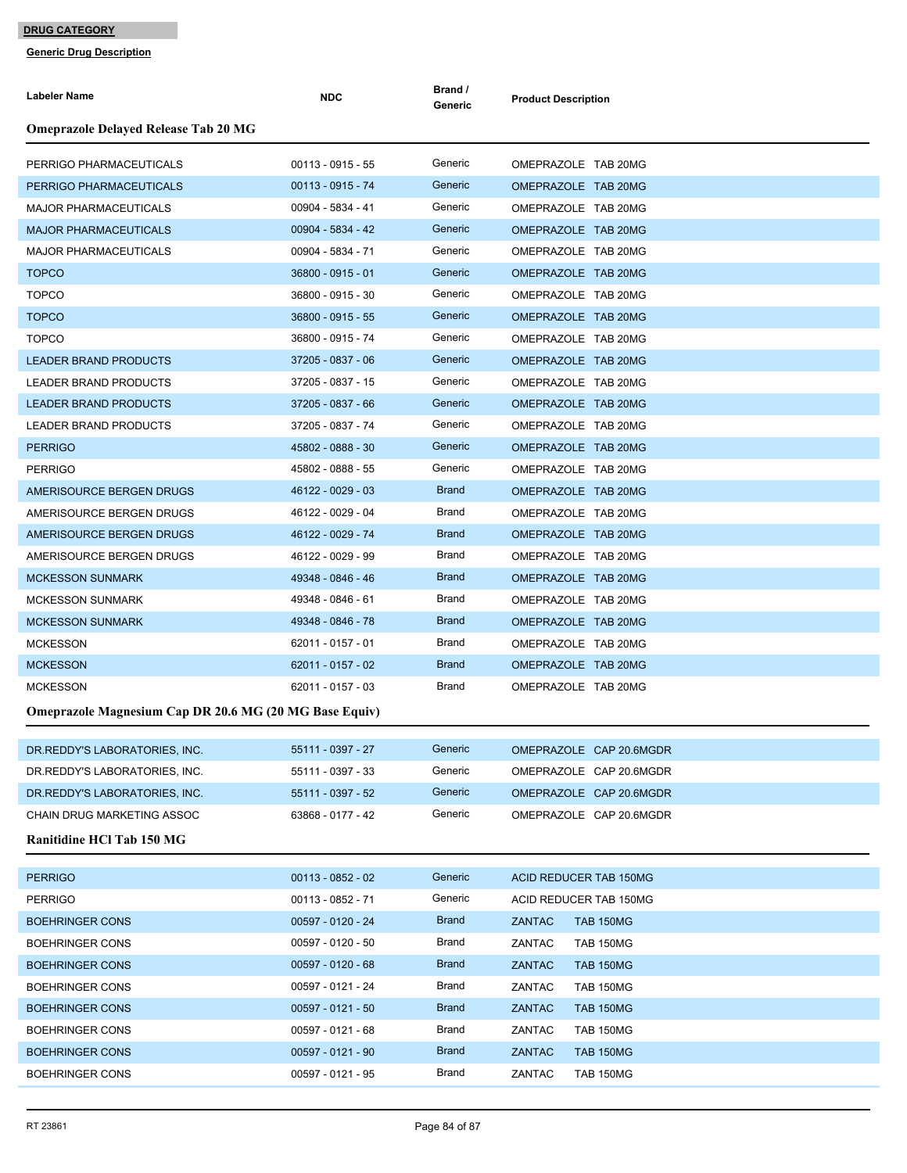| <b>Labeler Name</b>                                           | <b>NDC</b>          | Brand /<br>Generic | <b>Product Description</b> |
|---------------------------------------------------------------|---------------------|--------------------|----------------------------|
| <b>Omeprazole Delayed Release Tab 20 MG</b>                   |                     |                    |                            |
| PERRIGO PHARMACEUTICALS                                       | $00113 - 0915 - 55$ | Generic            | OMEPRAZOLE TAB 20MG        |
| PERRIGO PHARMACEUTICALS                                       | $00113 - 0915 - 74$ | Generic            | OMEPRAZOLE TAB 20MG        |
| <b>MAJOR PHARMACEUTICALS</b>                                  | 00904 - 5834 - 41   | Generic            | OMEPRAZOLE TAB 20MG        |
| <b>MAJOR PHARMACEUTICALS</b>                                  | 00904 - 5834 - 42   | Generic            | OMEPRAZOLE TAB 20MG        |
| <b>MAJOR PHARMACEUTICALS</b>                                  | 00904 - 5834 - 71   | Generic            | OMEPRAZOLE TAB 20MG        |
| <b>TOPCO</b>                                                  | 36800 - 0915 - 01   | Generic            | OMEPRAZOLE TAB 20MG        |
| <b>TOPCO</b>                                                  | 36800 - 0915 - 30   | Generic            | OMEPRAZOLE TAB 20MG        |
| <b>TOPCO</b>                                                  | 36800 - 0915 - 55   | Generic            | OMEPRAZOLE TAB 20MG        |
| <b>TOPCO</b>                                                  | 36800 - 0915 - 74   | Generic            | OMEPRAZOLE TAB 20MG        |
| <b>LEADER BRAND PRODUCTS</b>                                  | 37205 - 0837 - 06   | Generic            | OMEPRAZOLE TAB 20MG        |
| <b>LEADER BRAND PRODUCTS</b>                                  | 37205 - 0837 - 15   | Generic            | OMEPRAZOLE TAB 20MG        |
| <b>LEADER BRAND PRODUCTS</b>                                  | 37205 - 0837 - 66   | Generic            | OMEPRAZOLE TAB 20MG        |
| LEADER BRAND PRODUCTS                                         | 37205 - 0837 - 74   | Generic            | OMEPRAZOLE TAB 20MG        |
| <b>PERRIGO</b>                                                | 45802 - 0888 - 30   | Generic            | OMEPRAZOLE TAB 20MG        |
| <b>PERRIGO</b>                                                | 45802 - 0888 - 55   | Generic            | OMEPRAZOLE TAB 20MG        |
| AMERISOURCE BERGEN DRUGS                                      | 46122 - 0029 - 03   | <b>Brand</b>       | OMEPRAZOLE TAB 20MG        |
| AMERISOURCE BERGEN DRUGS                                      | 46122 - 0029 - 04   | Brand              | OMEPRAZOLE TAB 20MG        |
| AMERISOURCE BERGEN DRUGS                                      | 46122 - 0029 - 74   | <b>Brand</b>       | OMEPRAZOLE TAB 20MG        |
| AMERISOURCE BERGEN DRUGS                                      | 46122 - 0029 - 99   | Brand              | OMEPRAZOLE TAB 20MG        |
| <b>MCKESSON SUNMARK</b>                                       | 49348 - 0846 - 46   | <b>Brand</b>       | OMEPRAZOLE TAB 20MG        |
| <b>MCKESSON SUNMARK</b>                                       | 49348 - 0846 - 61   | Brand              | OMEPRAZOLE TAB 20MG        |
| <b>MCKESSON SUNMARK</b>                                       | 49348 - 0846 - 78   | <b>Brand</b>       | OMEPRAZOLE TAB 20MG        |
| <b>MCKESSON</b>                                               | 62011 - 0157 - 01   | Brand              | OMEPRAZOLE TAB 20MG        |
| <b>MCKESSON</b>                                               | 62011 - 0157 - 02   | <b>Brand</b>       | OMEPRAZOLE TAB 20MG        |
| <b>MCKESSON</b>                                               | 62011 - 0157 - 03   | Brand              | OMEPRAZOLE TAB 20MG        |
| <b>Omeprazole Magnesium Cap DR 20.6 MG (20 MG Base Equiv)</b> |                     |                    |                            |
| DR.REDDY'S LABORATORIES, INC.                                 | 55111 - 0397 - 27   | Generic            | OMEPRAZOLE CAP 20.6MGDR    |
| DR. REDDY'S LABORATORIES, INC.                                | 55111 - 0397 - 33   | Generic            | OMEPRAZOLE CAP 20.6MGDR    |
| DR. REDDY'S LABORATORIES, INC.                                | 55111 - 0397 - 52   | Generic            | OMEPRAZOLE CAP 20.6MGDR    |
| CHAIN DRUG MARKETING ASSOC                                    | 63868 - 0177 - 42   | Generic            | OMEPRAZOLE CAP 20.6MGDR    |
| Ranitidine HCl Tab 150 MG                                     |                     |                    |                            |
|                                                               |                     |                    |                            |
| <b>PERRIGO</b>                                                | $00113 - 0852 - 02$ | Generic            | ACID REDUCER TAB 150MG     |
| <b>PERRIGO</b>                                                | 00113 - 0852 - 71   | Generic            | ACID REDUCER TAB 150MG     |
| <b>BOEHRINGER CONS</b>                                        | 00597 - 0120 - 24   | <b>Brand</b>       | ZANTAC<br><b>TAB 150MG</b> |
| <b>BOEHRINGER CONS</b>                                        | 00597 - 0120 - 50   | Brand              | ZANTAC<br><b>TAB 150MG</b> |
| <b>BOEHRINGER CONS</b>                                        | $00597 - 0120 - 68$ | <b>Brand</b>       | ZANTAC<br><b>TAB 150MG</b> |
| <b>BOEHRINGER CONS</b>                                        | 00597 - 0121 - 24   | Brand              | ZANTAC<br><b>TAB 150MG</b> |
| <b>BOEHRINGER CONS</b>                                        | $00597 - 0121 - 50$ | <b>Brand</b>       | ZANTAC<br><b>TAB 150MG</b> |
| <b>BOEHRINGER CONS</b>                                        | 00597 - 0121 - 68   | Brand              | ZANTAC<br><b>TAB 150MG</b> |
| <b>BOEHRINGER CONS</b>                                        | 00597 - 0121 - 90   | <b>Brand</b>       | ZANTAC<br><b>TAB 150MG</b> |
| <b>BOEHRINGER CONS</b>                                        | 00597 - 0121 - 95   | Brand              | ZANTAC<br><b>TAB 150MG</b> |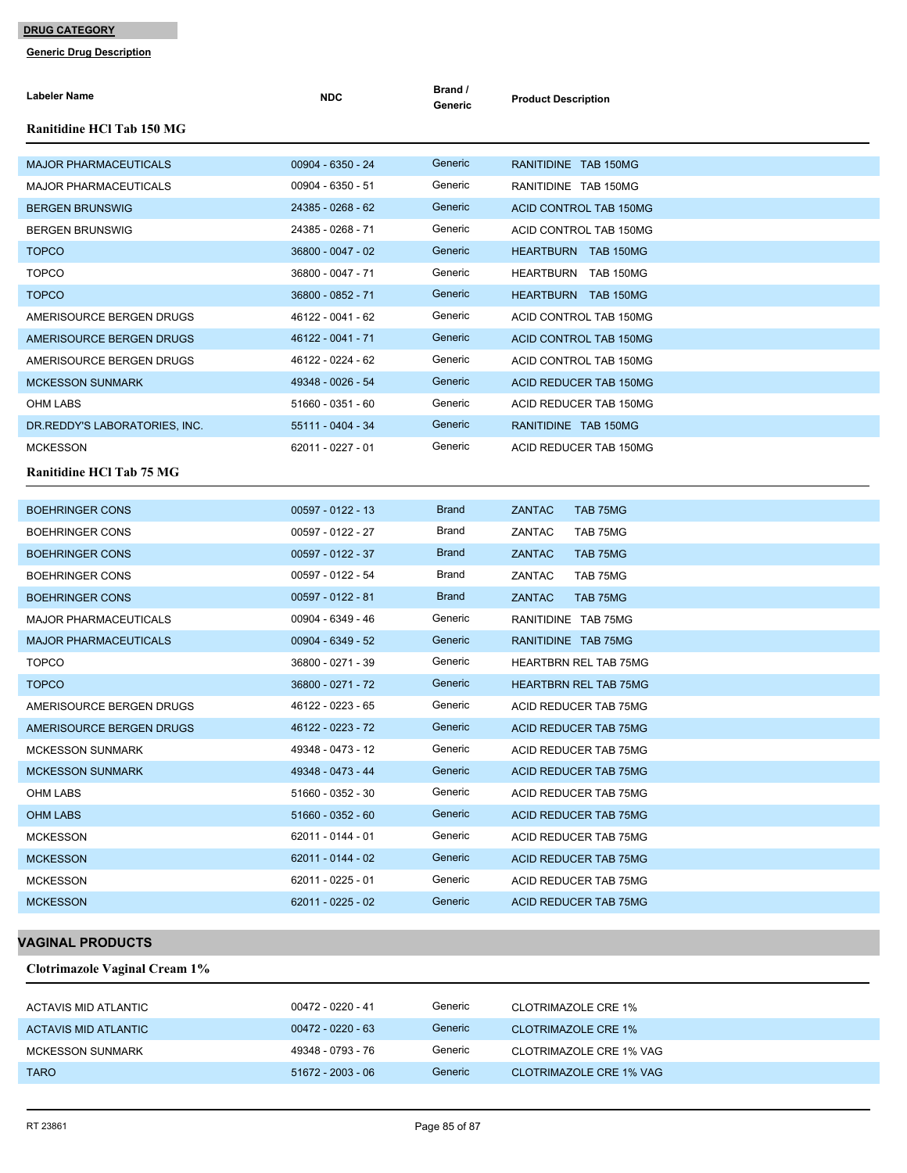**Generic Drug Description**

| <b>Labeler Name</b>              | <b>NDC</b>          | Brand /<br>Generic | <b>Product Description</b>    |
|----------------------------------|---------------------|--------------------|-------------------------------|
| <b>Ranitidine HCl Tab 150 MG</b> |                     |                    |                               |
| <b>MAJOR PHARMACEUTICALS</b>     | 00904 - 6350 - 24   | Generic            | RANITIDINE TAB 150MG          |
| <b>MAJOR PHARMACEUTICALS</b>     | 00904 - 6350 - 51   | Generic            | RANITIDINE TAB 150MG          |
| <b>BERGEN BRUNSWIG</b>           | 24385 - 0268 - 62   | Generic            | ACID CONTROL TAB 150MG        |
| <b>BERGEN BRUNSWIG</b>           | 24385 - 0268 - 71   | Generic            | ACID CONTROL TAB 150MG        |
| <b>TOPCO</b>                     | 36800 - 0047 - 02   | Generic            | HEARTBURN TAB 150MG           |
| <b>TOPCO</b>                     | 36800 - 0047 - 71   | Generic            | <b>HEARTBURN TAB 150MG</b>    |
| <b>TOPCO</b>                     | 36800 - 0852 - 71   | Generic            | HEARTBURN TAB 150MG           |
| AMERISOURCE BERGEN DRUGS         | 46122 - 0041 - 62   | Generic            | ACID CONTROL TAB 150MG        |
| AMERISOURCE BERGEN DRUGS         | 46122 - 0041 - 71   | Generic            | ACID CONTROL TAB 150MG        |
| AMERISOURCE BERGEN DRUGS         | 46122 - 0224 - 62   | Generic            | ACID CONTROL TAB 150MG        |
| <b>MCKESSON SUNMARK</b>          | 49348 - 0026 - 54   | Generic            | <b>ACID REDUCER TAB 150MG</b> |
| <b>OHM LABS</b>                  | 51660 - 0351 - 60   | Generic            | ACID REDUCER TAB 150MG        |
| DR.REDDY'S LABORATORIES, INC.    | 55111 - 0404 - 34   | Generic            | RANITIDINE TAB 150MG          |
| <b>MCKESSON</b>                  | 62011 - 0227 - 01   | Generic            | ACID REDUCER TAB 150MG        |
| <b>Ranitidine HCl Tab 75 MG</b>  |                     |                    |                               |
| <b>BOEHRINGER CONS</b>           | 00597 - 0122 - 13   | <b>Brand</b>       | <b>ZANTAC</b><br>TAB 75MG     |
| <b>BOEHRINGER CONS</b>           | 00597 - 0122 - 27   | Brand              | ZANTAC<br>TAB 75MG            |
| <b>BOEHRINGER CONS</b>           | 00597 - 0122 - 37   | <b>Brand</b>       | <b>ZANTAC</b><br>TAB 75MG     |
| <b>BOEHRINGER CONS</b>           | 00597 - 0122 - 54   | Brand              | ZANTAC<br>TAB 75MG            |
| <b>BOEHRINGER CONS</b>           | 00597 - 0122 - 81   | <b>Brand</b>       | <b>ZANTAC</b><br>TAB 75MG     |
| <b>MAJOR PHARMACEUTICALS</b>     | 00904 - 6349 - 46   | Generic            | RANITIDINE TAB 75MG           |
| <b>MAJOR PHARMACEUTICALS</b>     | 00904 - 6349 - 52   | Generic            | RANITIDINE TAB 75MG           |
| <b>TOPCO</b>                     | 36800 - 0271 - 39   | Generic            | <b>HEARTBRN REL TAB 75MG</b>  |
| <b>TOPCO</b>                     | 36800 - 0271 - 72   | Generic            | <b>HEARTBRN REL TAB 75MG</b>  |
| AMERISOURCE BERGEN DRUGS         | 46122 - 0223 - 65   | Generic            | ACID REDUCER TAB 75MG         |
| AMERISOURCE BERGEN DRUGS         | 46122 - 0223 - 72   | Generic            | ACID REDUCER TAB 75MG         |
| <b>MCKESSON SUNMARK</b>          | 49348 - 0473 - 12   | Generic            | ACID REDUCER TAB 75MG         |
| <b>MCKESSON SUNMARK</b>          | 49348 - 0473 - 44   | Generic            | <b>ACID REDUCER TAB 75MG</b>  |
| OHM LABS                         | 51660 - 0352 - 30   | Generic            | ACID REDUCER TAB 75MG         |
| <b>OHM LABS</b>                  | 51660 - 0352 - 60   | Generic            | ACID REDUCER TAB 75MG         |
| <b>MCKESSON</b>                  | 62011 - 0144 - 01   | Generic            | ACID REDUCER TAB 75MG         |
| <b>MCKESSON</b>                  | 62011 - 0144 - 02   | Generic            | <b>ACID REDUCER TAB 75MG</b>  |
| <b>MCKESSON</b>                  | 62011 - 0225 - 01   | Generic            | ACID REDUCER TAB 75MG         |
| <b>MCKESSON</b>                  | $62011 - 0225 - 02$ | Generic            | ACID REDUCER TAB 75MG         |
|                                  |                     |                    |                               |

### **VAGINAL PRODUCTS**

**Clotrimazole Vaginal Cream 1%**

| ACTAVIS MID ATLANTIC | 00472 - 0220 - 41 | Generic | CLOTRIMAZOLE CRE 1%     |
|----------------------|-------------------|---------|-------------------------|
| ACTAVIS MID ATLANTIC | 00472 - 0220 - 63 | Generic | CLOTRIMAZOLE CRE 1%     |
| MCKESSON SUNMARK     | 49348 - 0793 - 76 | Generic | CLOTRIMAZOLE CRE 1% VAG |
| <b>TARO</b>          | 51672 - 2003 - 06 | Generic | CLOTRIMAZOLE CRE 1% VAG |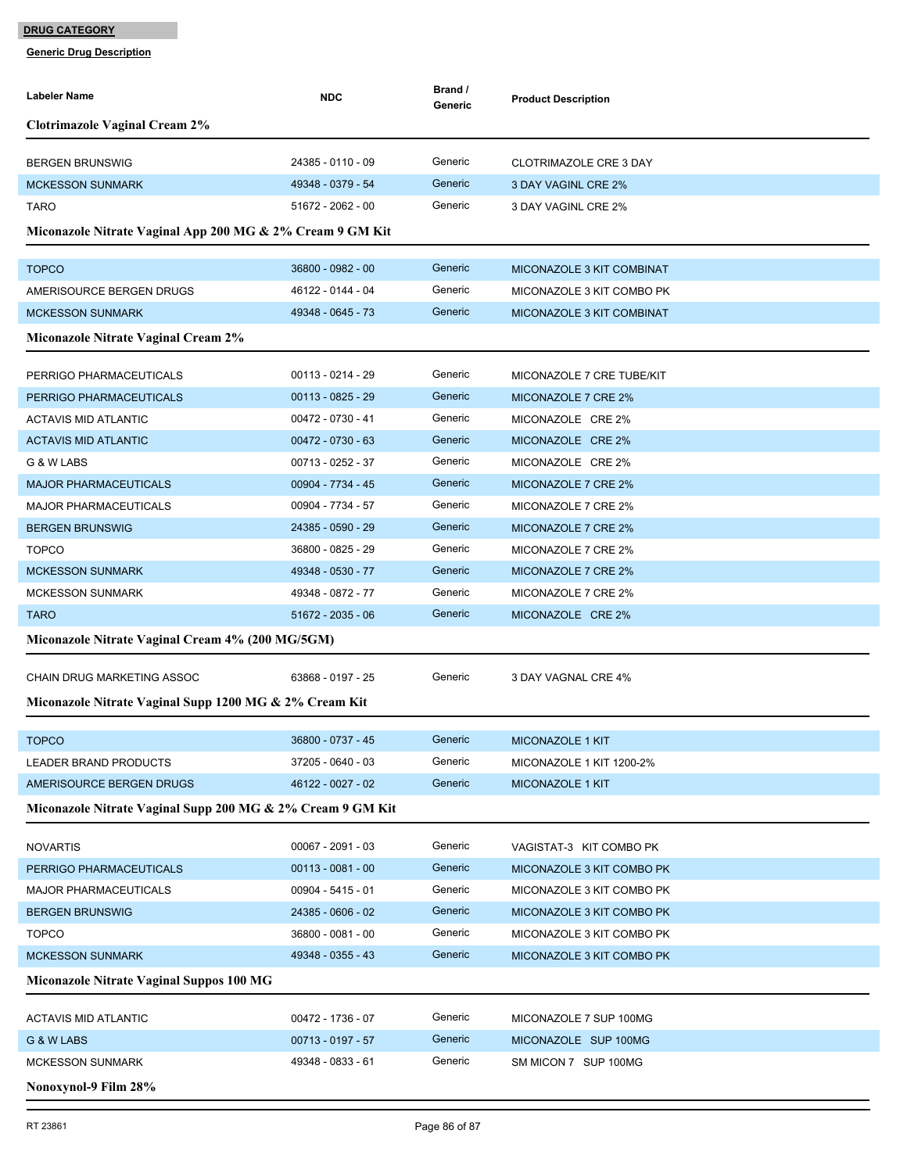| <b>Labeler Name</b>                                        | <b>NDC</b>          | Brand /<br>Generic | <b>Product Description</b>    |  |
|------------------------------------------------------------|---------------------|--------------------|-------------------------------|--|
| <b>Clotrimazole Vaginal Cream 2%</b>                       |                     |                    |                               |  |
| <b>BERGEN BRUNSWIG</b>                                     | 24385 - 0110 - 09   | Generic            | <b>CLOTRIMAZOLE CRE 3 DAY</b> |  |
| <b>MCKESSON SUNMARK</b>                                    | 49348 - 0379 - 54   | Generic            | 3 DAY VAGINL CRE 2%           |  |
| <b>TARO</b>                                                | 51672 - 2062 - 00   | Generic            | 3 DAY VAGINL CRE 2%           |  |
|                                                            |                     |                    |                               |  |
| Miconazole Nitrate Vaginal App 200 MG & 2% Cream 9 GM Kit  |                     |                    |                               |  |
| <b>TOPCO</b>                                               | 36800 - 0982 - 00   | Generic            | MICONAZOLE 3 KIT COMBINAT     |  |
| AMERISOURCE BERGEN DRUGS                                   | 46122 - 0144 - 04   | Generic            | MICONAZOLE 3 KIT COMBO PK     |  |
| <b>MCKESSON SUNMARK</b>                                    | 49348 - 0645 - 73   | Generic            | MICONAZOLE 3 KIT COMBINAT     |  |
| Miconazole Nitrate Vaginal Cream 2%                        |                     |                    |                               |  |
| PERRIGO PHARMACEUTICALS                                    | $00113 - 0214 - 29$ | Generic            | MICONAZOLE 7 CRE TUBE/KIT     |  |
| PERRIGO PHARMACEUTICALS                                    | $00113 - 0825 - 29$ | Generic            | MICONAZOLE 7 CRE 2%           |  |
| <b>ACTAVIS MID ATLANTIC</b>                                | 00472 - 0730 - 41   | Generic            | MICONAZOLE CRE 2%             |  |
| <b>ACTAVIS MID ATLANTIC</b>                                | $00472 - 0730 - 63$ | Generic            | MICONAZOLE CRE 2%             |  |
| G & W LABS                                                 | 00713 - 0252 - 37   | Generic            | MICONAZOLE CRE 2%             |  |
| <b>MAJOR PHARMACEUTICALS</b>                               | 00904 - 7734 - 45   | Generic            | MICONAZOLE 7 CRE 2%           |  |
| <b>MAJOR PHARMACEUTICALS</b>                               | 00904 - 7734 - 57   | Generic            | MICONAZOLE 7 CRE 2%           |  |
| <b>BERGEN BRUNSWIG</b>                                     | 24385 - 0590 - 29   | Generic            | MICONAZOLE 7 CRE 2%           |  |
| <b>TOPCO</b>                                               | 36800 - 0825 - 29   | Generic            | MICONAZOLE 7 CRE 2%           |  |
| <b>MCKESSON SUNMARK</b>                                    | 49348 - 0530 - 77   | Generic            | MICONAZOLE 7 CRE 2%           |  |
| <b>MCKESSON SUNMARK</b>                                    | 49348 - 0872 - 77   | Generic            | MICONAZOLE 7 CRE 2%           |  |
| <b>TARO</b>                                                | 51672 - 2035 - 06   | Generic            | MICONAZOLE CRE 2%             |  |
| Miconazole Nitrate Vaginal Cream 4% (200 MG/5GM)           |                     |                    |                               |  |
| <b>CHAIN DRUG MARKETING ASSOC</b>                          | 63868 - 0197 - 25   | Generic            | 3 DAY VAGNAL CRE 4%           |  |
| Miconazole Nitrate Vaginal Supp 1200 MG & 2% Cream Kit     |                     |                    |                               |  |
|                                                            |                     |                    |                               |  |
| <b>TOPCO</b>                                               | 36800 - 0737 - 45   | Generic            | MICONAZOLE 1 KIT              |  |
| LEADER BRAND PRODUCTS                                      | 37205 - 0640 - 03   | Generic            | MICONAZOLE 1 KIT 1200-2%      |  |
| AMERISOURCE BERGEN DRUGS                                   | 46122 - 0027 - 02   | Generic            | MICONAZOLE 1 KIT              |  |
| Miconazole Nitrate Vaginal Supp 200 MG & 2% Cream 9 GM Kit |                     |                    |                               |  |
| <b>NOVARTIS</b>                                            | $00067 - 2091 - 03$ | Generic            | VAGISTAT-3 KIT COMBO PK       |  |
| PERRIGO PHARMACEUTICALS                                    | $00113 - 0081 - 00$ | Generic            | MICONAZOLE 3 KIT COMBO PK     |  |
| <b>MAJOR PHARMACEUTICALS</b>                               | 00904 - 5415 - 01   | Generic            | MICONAZOLE 3 KIT COMBO PK     |  |
| <b>BERGEN BRUNSWIG</b>                                     | 24385 - 0606 - 02   | Generic            | MICONAZOLE 3 KIT COMBO PK     |  |
| <b>TOPCO</b>                                               | 36800 - 0081 - 00   | Generic            | MICONAZOLE 3 KIT COMBO PK     |  |
| <b>MCKESSON SUNMARK</b>                                    | 49348 - 0355 - 43   | Generic            | MICONAZOLE 3 KIT COMBO PK     |  |
| Miconazole Nitrate Vaginal Suppos 100 MG                   |                     |                    |                               |  |
| <b>ACTAVIS MID ATLANTIC</b>                                | 00472 - 1736 - 07   | Generic            | MICONAZOLE 7 SUP 100MG        |  |
| G & W LABS                                                 | 00713 - 0197 - 57   | Generic            | MICONAZOLE SUP 100MG          |  |
| <b>MCKESSON SUNMARK</b>                                    | 49348 - 0833 - 61   | Generic            | SM MICON 7 SUP 100MG          |  |
| Nonoxynol-9 Film 28%                                       |                     |                    |                               |  |
|                                                            |                     |                    |                               |  |